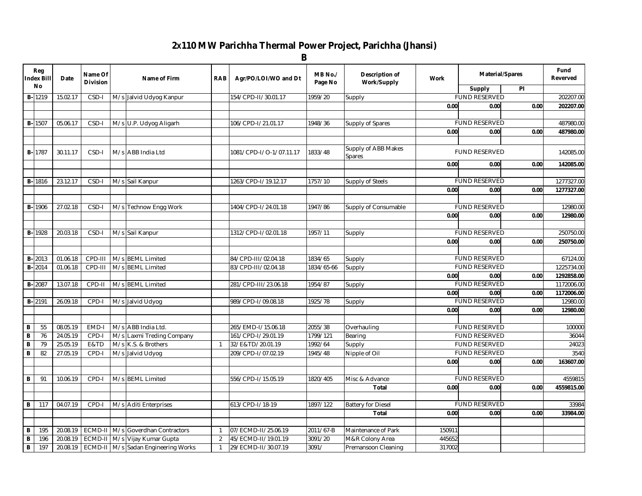## **2X110 MW Parichha Thermal Power Project, Parichha (Jhansi)**

|                              |                          |                      |                            |     |                                                  |                | B                                        |                     |                               |             |                        |      |                  |
|------------------------------|--------------------------|----------------------|----------------------------|-----|--------------------------------------------------|----------------|------------------------------------------|---------------------|-------------------------------|-------------|------------------------|------|------------------|
|                              | Reg<br><b>Index Bill</b> | Date                 | Name Of<br><b>Division</b> |     | Name of Firm                                     | <b>RAB</b>     | Agr/PO/LOI/WO and Dt                     | MB No./<br>Page No  | Description of<br>Work/Supply | <b>Work</b> | <b>Material/Spares</b> |      | Fund<br>Reverved |
|                              | No                       |                      |                            |     |                                                  |                |                                          |                     |                               |             | Supply                 | PI   |                  |
|                              | $B - 1219$               | 15.02.17             | CSD-I                      |     | M/s Jalvid Udyog Kanpur                          |                | 154/CPD-II/30.01.17                      | 1959/20             | Supply                        |             | <b>FUND RESERVED</b>   |      | 202207.00        |
|                              |                          |                      |                            |     |                                                  |                |                                          |                     |                               | 0.00        | 0.00                   | 0.00 | 202207.00        |
|                              |                          |                      |                            |     |                                                  |                |                                          |                     |                               |             |                        |      |                  |
|                              | <b>B-1507</b>            | 05.06.17             | CSD-I                      |     | M/s U.P. Udyog Aligarh                           |                | 106/CPD-I/21.01.17                       | 1948/36             | Supply of Spares              |             | <b>FUND RESERVED</b>   |      | 487980.00        |
|                              |                          |                      |                            |     |                                                  |                |                                          |                     |                               | 0.00        | 0.00                   | 0.00 | 487980.00        |
|                              |                          |                      |                            |     |                                                  |                |                                          |                     |                               |             |                        |      |                  |
|                              | <b>B-1787</b>            | 30.11.17             | CSD-I                      |     | M/s ABB India Ltd                                |                | 1081/CPD-I/O-1/07.11.17                  | 1833/48             | Supply of ABB Makes<br>Spares |             | <b>FUND RESERVED</b>   |      | 142085.00        |
|                              |                          |                      |                            |     |                                                  |                |                                          |                     |                               | 0.00        | 0.00                   | 0.00 | 142085.00        |
|                              |                          |                      |                            |     |                                                  |                |                                          |                     |                               |             |                        |      |                  |
|                              | <b>B-1816</b>            | 23.12.17             | CSD-I                      |     | M/s Sail Kanpur                                  |                | 1263/CPD-I/19.12.17                      | 1757/10             | Supply of Steels              |             | <b>FUND RESERVED</b>   |      | 1277327.00       |
|                              |                          |                      |                            |     |                                                  |                |                                          |                     |                               | 0.00        | 0.00                   | 0.00 | 1277327.00       |
|                              |                          |                      |                            |     |                                                  |                |                                          |                     |                               |             |                        |      |                  |
|                              | <b>B-1906</b>            | 27.02.18             | CSD-I                      |     | M/s Technow Engg Work                            |                | 1404/CPD-I/24.01.18                      | 1947/86             | Supply of Consumable          |             | <b>FUND RESERVED</b>   |      | 12980.00         |
|                              |                          |                      |                            |     |                                                  |                |                                          |                     |                               | 0.00        | 0.00                   | 0.00 | 12980.00         |
|                              |                          |                      |                            |     |                                                  |                |                                          |                     |                               |             |                        |      |                  |
|                              | <b>B-1928</b>            | 20.03.18             | CSD-I                      |     | M/s Sail Kanpur                                  |                | 1312/CPD-I/02.01.18                      | 1957/11             | Supply                        |             | <b>FUND RESERVED</b>   |      | 250750.00        |
|                              |                          |                      |                            |     |                                                  |                |                                          |                     |                               | 0.00        | 0.00                   | 0.00 | 250750.00        |
|                              |                          |                      |                            |     |                                                  |                |                                          |                     |                               |             |                        |      |                  |
|                              | <b>B-2013</b>            | 01.06.18             | CPD-III                    |     | M/s BEML Limited                                 |                | 84/CPD-III/02.04.18                      | 1834/65             | Supply                        |             | <b>FUND RESERVED</b>   |      | 67124.00         |
|                              | <b>B-2014</b>            | 01.06.18             | CPD-III                    | M/s | <b>BEML Limited</b>                              |                | 83/CPD-III/02.04.18                      | 1834/65-66          | Supply                        |             | <b>FUND RESERVED</b>   |      | 1225734.00       |
|                              |                          |                      |                            |     |                                                  |                |                                          |                     |                               | 0.00        | 0.00                   | 0.00 | 1292858.00       |
|                              | <b>B-2087</b>            | 13.07.18             | CPD-II                     |     | M/s BEML Limited                                 |                | 281/CPD-III/23.06.18                     | 1954/87             | Supply                        |             | <b>FUND RESERVED</b>   |      | 1172006.00       |
|                              |                          |                      |                            |     |                                                  |                |                                          |                     |                               | 0.00        | 0.00                   | 0.00 | 1172006.00       |
|                              | <b>B-2191</b>            | 26.09.18             | CPD-I                      |     | M/s Jalvid Udyog                                 |                | 989/CPD-I/09.08.18                       | 1925/78             | Supply                        |             | <b>FUND RESERVED</b>   |      | 12980.00         |
|                              |                          |                      |                            |     |                                                  |                |                                          |                     |                               | 0.00        | 0.00                   | 0.00 | 12980.00         |
| B                            | 55                       |                      |                            |     |                                                  |                |                                          |                     |                               |             | <b>FUND RESERVED</b>   |      |                  |
|                              | 76                       | 08.05.19<br>24.05.19 | EMD-I<br>CPD-I             |     | M/s ABB India Ltd.                               |                | 265/EMD-I/15.06.18<br>161/CPD-I/29.01.19 | 2055/38<br>1799/121 | Overhauling                   |             | <b>FUND RESERVED</b>   |      | 100000<br>36044  |
| $\, {\bf B}$<br>$\, {\bf B}$ | 79                       | 25.05.19             | E&TD                       | M/s | Laxmi Treding Company<br>M/s K.S. & Brothers     | $\overline{1}$ | 32/E&TD/20.01.19                         | 1992/64             | Bearing                       |             | <b>FUND RESERVED</b>   |      | 24023            |
| В                            | 82                       | 27.05.19             | CPD-I                      |     |                                                  |                | 209/CPD-I/07.02.19                       | 1945/48             | Supply                        |             | <b>FUND RESERVED</b>   |      | 3540             |
|                              |                          |                      |                            |     | M/s Jalvid Udyog                                 |                |                                          |                     | Nipple of Oil                 | 0.00        | 0.00                   | 0.00 | 163607.00        |
|                              |                          |                      |                            |     |                                                  |                |                                          |                     |                               |             |                        |      |                  |
| B                            | 91                       | 10.06.19             | CPD-I                      |     | M/s BEML Limited                                 |                | 556/CPD-I/15.05.19                       | 1820/405            | Misc & Advance                |             | <b>FUND RESERVED</b>   |      | 4559815          |
|                              |                          |                      |                            |     |                                                  |                |                                          |                     | <b>Total</b>                  | 0.00        | 0.00                   | 0.00 | 4559815.00       |
|                              |                          |                      |                            |     |                                                  |                |                                          |                     |                               |             |                        |      |                  |
| В                            | 117                      | 04.07.19             | CPD-I                      |     | M/s Aditi Enterprises                            |                | 613/CPD-I/18-19                          | 1897/122            | <b>Battery for Diesel</b>     |             | <b>FUND RESERVED</b>   |      | 33984            |
|                              |                          |                      |                            |     |                                                  |                |                                          |                     | <b>Total</b>                  | 0.00        | 0.00                   | 0.00 | 33984.00         |
|                              |                          |                      |                            |     |                                                  |                |                                          |                     |                               |             |                        |      |                  |
| В                            | 195                      | 20.08.19             |                            |     | ECMD-II   M/s Goverdhan Contractors              | $\mathbf{1}$   | 07/ECMD-II/25.06.19                      | 2011/67-B           | Maintenance of Park           | 150911      |                        |      |                  |
| B                            | 196                      | 20.08.19             |                            |     | ECMD-II M/s Vijay Kumar Gupta                    | 2              | 45/ECMD-II/19.01.19                      | 3091/20             | M&R Colony Area               | 445652      |                        |      |                  |
| $\, {\bf B} \,$              | 197                      |                      |                            |     | 20.08.19   ECMD-II   M/s Sadan Engineering Works | $\mathbf{1}$   | 29/ECMD-II/30.07.19                      | 3091/               | Premansoon Cleaning           | 317002      |                        |      |                  |
|                              |                          |                      |                            |     |                                                  |                |                                          |                     |                               |             |                        |      |                  |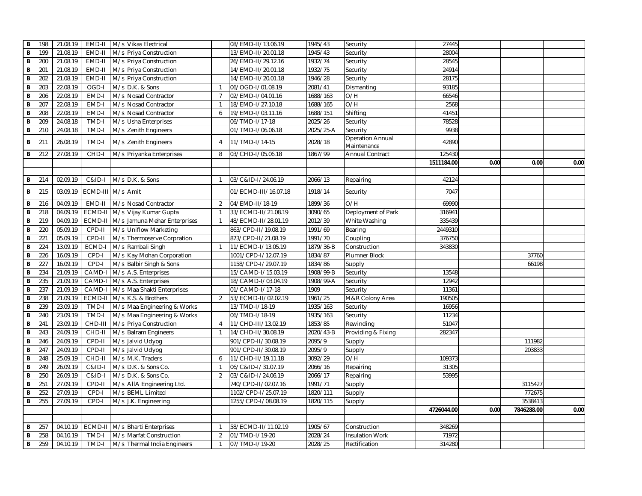| В              | 198 | 21.08.19 | EMD-II            | M/s Vikas Electrical         |                | 08/EMD-II/13.06.19   | 1945/43   | Security                               | 27445      |      |            |      |
|----------------|-----|----------|-------------------|------------------------------|----------------|----------------------|-----------|----------------------------------------|------------|------|------------|------|
| B              | 199 | 21.08.19 | EMD-II            | M/s Priya Construction       |                | 13/EMD-II/20.01.18   | 1945/43   | Security                               | 28004      |      |            |      |
| В              | 200 | 21.08.19 | EMD-II            | M/s Priya Construction       |                | 26/EMD-II/29.12.16   | 1932/74   | Security                               | 28545      |      |            |      |
| В              | 201 | 21.08.19 | EMD-II            | M/s Priya Construction       |                | 14/EMD-II/20.01.18   | 1932/75   | Security                               | 24914      |      |            |      |
| B              | 202 | 21.08.19 | EMD-II            | M/s Priya Construction       |                | 14/EMD-II/20.01.18   | 1946/28   | Security                               | 28175      |      |            |      |
| В              | 203 | 22.08.19 | OGD-I             | M/s D.K. & Sons              | $\overline{1}$ | 06/OGD-I/01.08.19    | 2081/41   | Dismanting                             | 93185      |      |            |      |
| $\overline{B}$ | 206 | 22.08.19 | EMD-I             | M/s Nosad Contractor         | $\overline{7}$ | 02/EMD-I/04.01.16    | 1688/163  | O/H                                    | 66546      |      |            |      |
| $\overline{B}$ | 207 | 22.08.19 | EMD-I             | M/s Nosad Contractor         | -1             | 18/EMD-I/27.10.18    | 1688/165  | O/H                                    | 2568       |      |            |      |
| B              | 208 | 22.08.19 | EMD-I             | M/s Nosad Contractor         | 6              | 19/EMD-I/03.11.16    | 1688/151  | Shifting                               | 41451      |      |            |      |
| B              | 209 | 24.08.18 | TMD-I             | M/s Usha Enterprises         |                | 06/TMD-I/17-18       | 2025/26   | Security                               | 78528      |      |            |      |
| B              | 210 | 24.08.18 | TMD-I             | M/s Zenith Engineers         |                | 01/TMD-I/06.06.18    | 2025/25-A | Security                               | 9938       |      |            |      |
| В              | 211 | 26.08.19 | TMD-I             | M/s Zenith Engineers         | $\overline{4}$ | 11/TMD-I/14-15       | 2028/18   | <b>Operation Annual</b><br>Maintenance | 42890      |      |            |      |
| В              | 212 | 27.08.19 | CHD-I             | M/s Priyanka Enterprises     | 8              | 03/CHD-I/05.06.18    | 1867/99   | Annual Contract                        | 125430     |      |            |      |
|                |     |          |                   |                              |                |                      |           |                                        | 1511184.00 | 0.00 | 0.00       | 0.00 |
|                |     |          |                   |                              |                |                      |           |                                        |            |      |            |      |
| В              | 214 | 02.09.19 | C&ID-I            | M/s D.K. & Sons              | $\mathbf{1}$   | 03/C&ID-I/24.06.19   | 2066/13   | Repairing                              | 42124      |      |            |      |
| В              | 215 | 03.09.19 | ECMD-III M/s Amit |                              |                | 01/ECMD-III/16.07.18 | 1918/14   | Security                               | 7047       |      |            |      |
| В              | 216 | 04.09.19 | EMD-II            | M/s Nosad Contractor         | 2              | 04/EMD-II/18-19      | 1899/36   | O/H                                    | 69990      |      |            |      |
| B              | 218 | 04.09.19 | ECMD-I            | M/s Vijay Kumar Gupta        | $\overline{1}$ | 33/ECMD-II/21.08.19  | 3090/65   | Deployment of Park                     | 316941     |      |            |      |
| B              | 219 | 04.09.19 | ECMD-II           | M/s Jamuna Mehar Enterprises | $\overline{1}$ | 48/ECMD-II/28.01.19  | 2012/39   | White Washing                          | 335439     |      |            |      |
| $\, {\bf B}$   | 220 | 05.09.19 | CPD-II            | M/s Uniflow Marketing        |                | 863/CPD-II/19.08.19  | 1991/69   | Bearing                                | 2449310    |      |            |      |
| B              | 221 | 05.09.19 | CPD-II            | M/s Thermoserve Corpration   |                | 873/CPD-II/21.08.19  | 1991/70   | Coupling                               | 376750     |      |            |      |
| B              | 224 | 13.09.19 | ECMD-I            | M/s Rambali Singh            | $\overline{1}$ | 11/ECMD-I/13.05.19   | 1879/36-B | Construction                           | 343830     |      |            |      |
| B              | 226 | 16.09.19 | CPD-I             | M/s Kay Mohan Corporation    |                | 1001/CPD-I/12.07.19  | 1834/87   | Plumner Block                          |            |      | 37760      |      |
| B              | 227 | 16.09.19 | CPD-I             | M/s Balbir Singh & Sons      |                | 1158/CPD-I/29.07.19  | 1834/86   | Supply                                 |            |      | 66198      |      |
| B              | 234 | 21.09.19 | CAMD-             | M/s A.S. Enterprises         |                | 15/CAMD-I/15.03.19   | 1908/99-B | Security                               | 13548      |      |            |      |
| B              | 235 | 21.09.19 | CAMD-I            | M/s A.S. Enterprises         |                | 18/CAMD-I/03.04.19   | 1908/99-A | Security                               | 12942      |      |            |      |
| $\, {\bf B}$   | 237 | 21.09.19 | CAMD-             | M/s Maa Shakti Enterprises   |                | 01/CAMD-I/17-18      | 1909      | Security                               | 11361      |      |            |      |
| B              | 238 | 21.09.19 | ECMD-I            | M/s K.S. & Brothers          | 2              | 53/ECMD-II/02.02.19  | 1961/25   | M&R Colony Area                        | 190505     |      |            |      |
| B              | 239 | 23.09.19 | TMD-I             | M/s Maa Engineering & Works  |                | 13/TMD-I/18-19       | 1935/163  | Security                               | 16956      |      |            |      |
| B              | 240 | 23.09.19 | TMD-I             | M/s Maa Engineering & Works  |                | 06/TMD-I/18-19       | 1935/163  | Security                               | 11234      |      |            |      |
| B              | 241 | 23.09.19 | CHD-III           | M/s Priya Construction       | $\overline{4}$ | 11/CHD-III/13.02.19  | 1853/85   | Rewinding                              | 51047      |      |            |      |
| B              | 243 | 24.09.19 | CHD-II            | M/s Balram Engineers         | $\overline{1}$ | 14/CHD-II/30.08.19   | 2020/43-B | Providing & Fixing                     | 282347     |      |            |      |
| B              | 246 | 24.09.19 | CPD-II            | M/s Jalvid Udyog             |                | 901/CPD-II/30.08.19  | 2095/9    | Supply                                 |            |      | 111982     |      |
| $\, {\bf B}$   | 247 | 24.09.19 | CPD-II            | M/s Jalvid Udyog             |                | 901/CPD-II/30.08.19  | 2095/9    |                                        |            |      | 203833     |      |
| $\overline{B}$ | 248 | 25.09.19 | CHD-II            | M/s M.K. Traders             | 6              | 11/CHD-II/19.11.18   | 3092/29   | Supply<br>O/H                          | 109373     |      |            |      |
| B              | 249 |          | C&ID-I            |                              | $\overline{1}$ |                      | 2066/16   |                                        | 31305      |      |            |      |
|                |     | 26.09.19 |                   | M/s D.K. & Sons Co.          | 2              | 06/C&ID-I/31.07.19   |           | Repairing                              |            |      |            |      |
| B              | 250 | 26.09.19 | C&ID-I            | M/s D.K. & Sons Co.          |                | 03/C&ID-I/24.06.19   | 2066/17   | Repairing                              | 53995      |      |            |      |
| B              | 251 | 27.09.19 | CPD-II            | M/s AllA Engineering Ltd.    |                | 740/CPD-II/02.07.16  | 1991/71   | Supply                                 |            |      | 3115427    |      |
| B              | 252 | 27.09.19 | CPD-I             | M/s BEML Limited             |                | 1102/CPD-I/25.07.19  | 1820/111  | Supply                                 |            |      | 772675     |      |
| В              | 255 | 27.09.19 | CPD-I             | M/s J.K. Engineering         |                | 1255/CPD-I/08.08.19  | 1820/115  | Supply                                 |            |      | 3538413    |      |
|                |     |          |                   |                              |                |                      |           |                                        | 4726044.00 | 0.00 | 7846288.00 | 0.00 |
|                |     |          |                   |                              |                |                      |           |                                        |            |      |            |      |
| В              | 257 | 04.10.19 | ECMD-I            | M/s Bharti Enterprises       | $\overline{1}$ | 58/ECMD-II/11.02.19  | 1905/67   | Construction                           | 348269     |      |            |      |
| B              | 258 | 04.10.19 | TMD-I             | M/s Marfat Construction      | 2              | 01/TMD-I/19-20       | 2028/24   | <b>Insulation Work</b>                 | 71972      |      |            |      |
| $\, {\bf B}$   | 259 | 04.10.19 | TMD-I             | M/s Thermal India Engineers  | $\overline{1}$ | 07/TMD-I/19-20       | 2028/25   | Rectification                          | 314280     |      |            |      |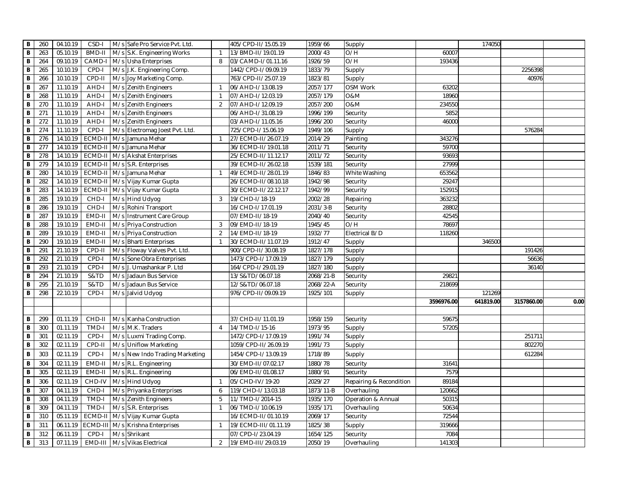| В              | 260 | 04.10.19 | CSD-I         | M/s Safe Pro Service Pvt. Ltd.     |                | 405/CPD-II/15.05.19  | 1959/66   | Supply                  |            | 174050    |            |      |
|----------------|-----|----------|---------------|------------------------------------|----------------|----------------------|-----------|-------------------------|------------|-----------|------------|------|
| B              | 263 | 05.10.19 | <b>BMD-II</b> | M/s S.K. Engineering Works         | -1             | 13/BMD-II/19.01.19   | 2000/43   | O/H                     | 60007      |           |            |      |
| В              | 264 | 09.10.19 | CAMD-I        | M/s Usha Enterprises               | 8              | 03/CAMD-I/01.11.16   | 1926/59   | O/H                     | 193436     |           |            |      |
| В              | 265 | 10.10.19 | CPD-I         | M/s J.K. Engineering Comp.         |                | 1442/CPD-I/09.09.19  | 1833/79   | Supply                  |            |           | 2256398    |      |
| В              | 266 | 10.10.19 | CPD-II        | M/s Joy Marketing Comp.            |                | 763/CPD-II/25.07.19  | 1823/81   | Supply                  |            |           | 40976      |      |
| B              | 267 | 11.10.19 | AHD-I         | M/s Zenith Engineers               | $\overline{1}$ | 06/AHD-I/13.08.19    | 2057/177  | OSM Work                | 63202      |           |            |      |
| $\, {\bf B}$   | 268 | 11.10.19 | AHD-I         | M/s Zenith Engineers               | $\overline{1}$ | 07/AHD-I/12.03.19    | 2057/179  | 0&M                     | 18960      |           |            |      |
| B              | 270 | 11.10.19 | AHD-I         | M/s<br><b>Zenith Engineers</b>     | 2              | 07/AHD-I/12.09.19    | 2057/200  | 0&M                     | 234550     |           |            |      |
| B              | 271 | 11.10.19 | AHD-I         | M/s Zenith Engineers               |                | 06/AHD-I/31.08.19    | 1996/199  | Security                | 5852       |           |            |      |
| B              | 272 | 11.10.19 | AHD-I         | M/s Zenith Engineers               |                | 03/AHD-I/11.05.16    | 1996/200  | Security                | 46000      |           |            |      |
| B              | 274 | 11.10.19 | CPD-I         | M/s Electromag Joest Pvt. Ltd.     |                | 725/CPD-I/15.06.19   | 1949/106  | Supply                  |            |           | 576284     |      |
| B              | 276 | 14.10.19 |               | ECMD-II M/s Jamuna Mehar           | $\overline{1}$ | 27/ECMD-II/26.07.19  | 2014/29   | Painting                | 343276     |           |            |      |
| $\, {\bf B}$   | 277 | 14.10.19 | ECMD-II       | M/s Jamuna Mehar                   |                | 36/ECMD-II/19.01.18  | 2011/71   | Security                | 59700      |           |            |      |
| $\overline{B}$ | 278 | 14.10.19 |               | ECMD-II   M/s   Akshat Enterprises |                | 25/ECMD-II/11.12.17  | 2011/72   | Security                | 93693      |           |            |      |
| B              | 279 | 14.10.19 |               | ECMD-II   M/s S.R. Enterprises     |                | 39/ECMD-II/26.02.18  | 1539/181  | Security                | 27999      |           |            |      |
| B              | 280 | 14.10.19 | ECMD-II       | M/s Jamuna Mehar                   | $\overline{1}$ | 49/ECMD-II/28.01.19  | 1846/83   | White Washing           | 653562     |           |            |      |
| В              | 282 | 14.10.19 |               | ECMD-II M/s Vijay Kumar Gupta      |                | 26/ECMD-II/08.10.18  | 1942/98   | Security                | 29247      |           |            |      |
| B              | 283 | 14.10.19 | ECMD-II       | M/s Vijay Kumar Gupta              |                | 30/ECMD-II/22.12.17  | 1942/99   | Security                | 152915     |           |            |      |
| B              | 285 | 19.10.19 | CHD-I         | M/s Hind Udyog                     | 3              | 19/CHD-I/18-19       | 2002/28   | Repairing               | 363232     |           |            |      |
| B              | 286 | 19.10.19 | CHD-I         | M/s Rohini Transport               |                | 16/CHD-I/17.01.19    | 2031/3-B  | Security                | 28802      |           |            |      |
| $\, {\bf B}$   | 287 | 19.10.19 | EMD-II        | M/s Instrument Care Group          |                | 07/EMD-II/18-19      | 2040/40   | Security                | 42545      |           |            |      |
| B              | 288 | 19.10.19 | EMD-II        | M/s Priya Construction             | 3              | 09/EMD-II/18-19      | 1945/45   | O/H                     | 78697      |           |            |      |
| B              | 289 | 19.10.19 | EMD-II        | M/s Priya Construction             | $\overline{2}$ | 14/EMD-II/18-19      | 1932/77   | Electrical B/D          | 118260     |           |            |      |
| В              | 290 | 19.10.19 | EMD-II        | M/s Bharti Enterprises             | -1             | 30/ECMD-II/11.07.19  | 1912/47   | Supply                  |            | 346500    |            |      |
| B              | 291 | 21.10.19 | CPD-II        | M/s Floway Valves Pvt. Ltd.        |                | 900/CPD-II/30.08.19  | 1827/178  | Supply                  |            |           | 191426     |      |
| B              | 292 | 21.10.19 | CPD-I         | M/s Sone Obra Enterprises          |                | 1473/CPD-I/17.09.19  | 1827/179  | Supply                  |            |           | 56636      |      |
| $\, {\bf B}$   | 293 | 21.10.19 | CPD-I         | M/s J. Umashankar P. Ltd           |                | 164/CPD-I/29.01.19   | 1827/180  | Supply                  |            |           | 36140      |      |
| B              | 294 | 21.10.19 | S&TD          | Jadaun Bus Service<br>M/s          |                | 13/S&TD/06.07.18     | 2068/21-B | Security                | 29821      |           |            |      |
| В              | 295 | 21.10.19 | S&TD          | M/s Jadaun Bus Service             |                | 12/S&TD/06.07.18     | 2068/22-A | Security                | 218699     |           |            |      |
| B              | 298 | 22.10.19 | CPD-I         | M/s Jalvid Udyog                   |                | 976/CPD-II/09.09.19  | 1925/101  | Supply                  |            | 121269    |            |      |
|                |     |          |               |                                    |                |                      |           |                         | 3596976.00 | 641819.00 | 3157860.00 | 0.00 |
|                |     |          |               |                                    |                |                      |           |                         |            |           |            |      |
| В              | 299 | 01.11.19 | CHD-II        | M/s Kanha Construction             |                | 37/CHD-II/11.01.19   | 1958/159  | Security                | 59675      |           |            |      |
| B              | 300 | 01.11.19 | TMD-I         | M/s M.K. Traders                   | $\overline{4}$ | 14/TMD-I/15-16       | 1973/95   | Supply                  | 57205      |           |            |      |
| B              | 301 | 02.11.19 | CPD-I         | M/s Luxmi Trading Comp.            |                | 1472/CPD-I/17.09.19  | 1991/74   | Supply                  |            |           | 251711     |      |
| B              | 302 | 02.11.19 | CPD-II        | M/s Uniflow Marketing              |                | 1059/CPD-II/26.09.19 | 1991/73   | Supply                  |            |           | 802270     |      |
| В              | 303 | 02.11.19 | CPD-I         | M/s New Indo Trading Marketing     |                | 1454/CPD-I/13.09.19  | 1718/89   | Supply                  |            |           | 612284     |      |
| B              | 304 | 02.11.19 | EMD-II        | M/s R.L. Engineering               |                | 30/EMD-II/07.02.17   | 1880/78   | Security                | 31641      |           |            |      |
| B              | 305 | 02.11.19 | EMD-II        | M/s R.L. Engineering               |                | 06/EMD-II/01.08.17   | 1880/91   | Security                | 7579       |           |            |      |
| B              | 306 | 02.11.19 | CHD-IV        | M/s Hind Udyog                     | $\overline{1}$ | 05/CHD-IV/19-20      | 2029/27   | Repairing & Recondition | 89184      |           |            |      |
| B              | 307 | 04.11.19 | CHD-I         | M/s Priyanka Enterprises           | 6              | 119/CHD-I/13.03.18   | 1873/11-B | Overhauling             | 120662     |           |            |      |
| B              | 308 | 04.11.19 | TMD-I         | M/s Zenith Engineers               | 5              | 11/TMD-I/2014-15     | 1935/170  | Operation & Annual      | 50315      |           |            |      |
| B              | 309 | 04.11.19 | TMD-          | M/s S.R. Enterprises               | $\overline{1}$ | 06/TMD-I/10.06.19    | 1935/171  | Overhauling             | 50634      |           |            |      |
| В              | 310 | 05.11.19 | ECMD-II       | M/s Vijay Kumar Gupta              |                | 16/ECMD-II/01.10.19  | 2069/17   | Security                | 72544      |           |            |      |
| B              | 311 | 06.11.19 | ECMD-II       | M/s Krishna Enterprises            | $\mathbf{1}$   | 19/ECMD-III/01.11.19 | 1825/38   | Supply                  | 319666     |           |            |      |
| $\, {\bf B}$   | 312 | 06.11.19 | CPD-I         | M/s Shrikant                       |                | 07/CPD-I/23.04.19    | 1654/125  | Security                | 7084       |           |            |      |
| B              | 313 | 07.11.19 | EMD-III       | M/s Vikas Electrical               | 2              | 19/EMD-III/29.03.19  | 2050/19   | Overhauling             | 141303     |           |            |      |
|                |     |          |               |                                    |                |                      |           |                         |            |           |            |      |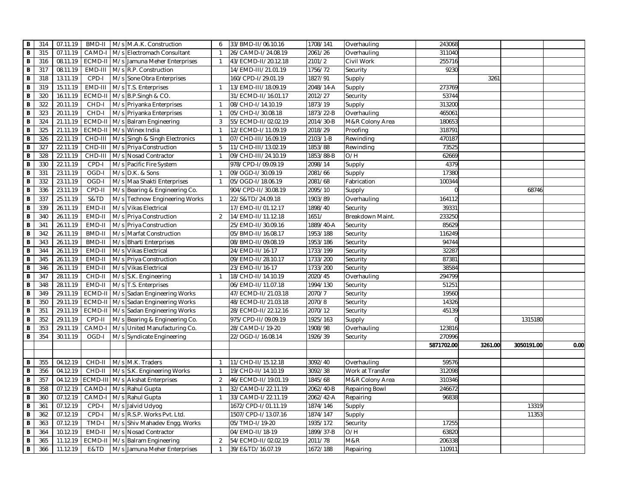| В                       | 314 | 07.11.19 | BMD-II        | M/s M.A.K. Construction       | 6              | 33/BMD-II/06.10.16  | 1708/141      | Overhauling      | 243068     |         |            |      |
|-------------------------|-----|----------|---------------|-------------------------------|----------------|---------------------|---------------|------------------|------------|---------|------------|------|
| B                       | 315 | 07.11.19 | CAMD-I        | M/s Electromach Consultant    | $\overline{1}$ | 26/CAMD-I/24.08.19  | 2061/26       | Overhauling      | 311040     |         |            |      |
| В                       | 316 | 08.11.19 | ECMD-I        | M/s Jamuna Meher Enterprises  | -1             | 43/ECMD-II/20.12.18 | 2101/2        | Civil Work       | 255716     |         |            |      |
| B                       | 317 | 08.11.19 | EMD-III       | M/s R.P. Construction         |                | 14/EMD-III/21.01.19 | 1756/72       | Security         | 9230       |         |            |      |
| B                       | 318 | 13.11.19 | CPD-I         | M/s Sone Obra Enterprises     |                | 160/CPD-I/29.01.19  | 1827/91       | Supply           |            | 3261    |            |      |
| B                       | 319 | 15.11.19 | EMD-III       | M/s T.S. Enterprises          | $\mathbf{1}$   | 13/EMD-III/18.09.19 | 2048/14-A     | Supply           | 273769     |         |            |      |
| B                       | 320 | 16.11.19 | ECMD-II       | M/s B.P.Singh & CO.           |                | 31/ECMD-II/16.01.17 | 2012/27       | Security         | 53744      |         |            |      |
| В                       | 322 | 20.11.19 | CHD-I         | M/s Priyanka Enterprises      | $\mathbf{1}$   | 08/CHD-I/14.10.19   | 1873/19       | Supply           | 313200     |         |            |      |
| $\overline{B}$          | 323 | 20.11.19 | CHD-I         | M/s Priyanka Enterprises      | $\overline{1}$ | 05/CHD-I/30.08.18   | 1873/22-B     | Overhauling      | 465061     |         |            |      |
| B                       | 324 | 21.11.19 | ECMD-I        | M/s Balram Engineering        | 3              | 55/ECMD-II/02.02.19 | 2014/30-B     | M&R Colony Area  | 180653     |         |            |      |
| B                       | 325 | 21.11.19 | ECMD-I        | M/s Winex India               | $\overline{1}$ | 12/ECMD-I/11.09.19  | 2018/29       | Proofing         | 318791     |         |            |      |
| B                       | 326 | 22.11.19 | CHD-III       | M/s Singh & Singh Electronics | $\overline{1}$ | 07/CHD-III/16.09.19 | 2103/1-B      | Rewinding        | 470187     |         |            |      |
| $\overline{B}$          | 327 | 22.11.19 | CHD-III       | M/s Priya Construction        | 5              | 11/CHD-III/13.02.19 | 1853/88       | Rewinding        | 73525      |         |            |      |
| В                       | 328 | 22.11.19 | CHD-III       | M/s Nosad Contractor          | $\overline{1}$ | 09/CHD-III/24.10.19 | 1853/88-B     | O/H              | 62669      |         |            |      |
| В                       | 330 | 22.11.19 | CPD-I         | M/s Pacific Fire System       |                | 978/CPD-I/09.09.19  | 2098/14       | Supply           | 4379       |         |            |      |
| В                       | 331 | 23.11.19 | OGD-I         | M/s D.K. & Sons               | $\overline{1}$ | 09/OGD-I/30.09.19   | 2081/66       | Supply           | 17380      |         |            |      |
| B                       | 332 | 23.11.19 | OGD-I         | M/s Maa Shakti Enterprises    | $\overline{1}$ | 05/OGD-I/18.06.19   | 2081/68       | Fabrication      | 100344     |         |            |      |
| B                       | 336 | 23.11.19 | CPD-II        | M/s Bearing & Engineering Co. |                | 904/CPD-II/30.08.19 | 2095/10       | Supply           |            |         | 68746      |      |
| $\, {\bf B}$            | 337 | 25.11.19 | S&TD          | M/s Technow Engineering Works | $\overline{1}$ | 22/S&TD/24.09.18    | 1903/89       | Overhauling      | 164112     |         |            |      |
| B                       | 339 | 26.11.19 | EMD-II        | M/s Vikas Electrical          |                | 17/EMD-II/01.12.17  | 1898/40       | Security         | 39331      |         |            |      |
| B                       | 340 | 26.11.19 | EMD-II        | M/s Priya Construction        | 2              | 14/EMD-II/11.12.18  | 1651/         | Breakdown Maint  | 233250     |         |            |      |
| B                       | 341 | 26.11.19 | EMD-II        | M/s Priya Construction        |                | 25/EMD-II/30.09.16  | 1889/40-A     | Security         | 85629      |         |            |      |
| В                       | 342 | 26.11.19 | <b>BMD-II</b> | M/s Marfat Construction       |                | 05/BMD-II/16.08.17  | 1953/188      | Security         | 116249     |         |            |      |
| B                       | 343 | 26.11.19 | <b>BMD-II</b> | M/s Bharti Enterprises        |                | 08/BMD-II/09.08.19  | 1953/186      | Security         | 94744      |         |            |      |
| B                       | 344 | 26.11.19 | EMD-II        | M/s Vikas Electrical          |                | 24/EMD-II/16-17     | 1733/199      | Security         | 32287      |         |            |      |
| В                       | 345 | 26.11.19 | EMD-II        | M/s Priya Construction        |                | 09/EMD-II/28.10.17  | 1733/200      | Security         | 87381      |         |            |      |
| $\overline{\mathbf{B}}$ | 346 | 26.11.19 | EMD-II        | M/s Vikas Electrical          |                | 23/EMD-II/16-17     | 1733/200      | Security         | 38584      |         |            |      |
| B                       | 347 | 28.11.19 | CHD-II        | M/s S.K. Engineering          | $\overline{1}$ | 18/CHD-II/14.10.19  | 2020/45       | Overhauling      | 294799     |         |            |      |
| B                       | 348 | 28.11.19 | EMD-II        | M/s T.S. Enterprises          |                | 06/EMD-II/11.07.18  | 1994/130      | Security         | 51251      |         |            |      |
| B                       | 349 | 29.11.19 | ECMD-I        | M/s Sadan Engineering Works   |                | 47/ECMD-II/21.03.18 | 2070/7        | Security         | 19560      |         |            |      |
| B                       | 350 | 29.11.19 | ECMD-I        | M/s Sadan Engineering Works   |                | 48/ECMD-II/21.03.18 | 2070/8        | Security         | 14326      |         |            |      |
| B                       | 351 | 29.11.19 | ECMD-II       | M/s Sadan Engineering Works   |                | 28/ECMD-II/22.12.16 | 2070/12       | Security         | 45139      |         |            |      |
| В                       | 352 | 29.11.19 | CPD-II        | M/s Bearing & Engineering Co. |                | 975/CPD-II/09.09.19 | 1925/163      | Supply           |            |         | 1315180    |      |
| B                       | 353 | 29.11.19 | CAMD-         | M/s United Manufacturing Co.  |                | 28/CAMD-I/19-20     | 1908/98       | Overhauling      | 123816     |         |            |      |
| В                       | 354 | 30.11.19 | OGD-I         | M/s Syndicate Engineering     |                | 22/OGD-I/16.08.14   | 1926/39       | Security         | 270996     |         |            |      |
|                         |     |          |               |                               |                |                     |               |                  | 5871702.00 | 3261.00 | 3050191.00 | 0.00 |
|                         |     |          |               |                               |                |                     |               |                  |            |         |            |      |
| В                       | 355 | 04.12.19 | CHD-II        | M/s M.K. Traders              | $\overline{1}$ | 11/CHD-II/15.12.18  | 3092/40       | Overhauling      | 59576      |         |            |      |
| B                       | 356 | 04.12.19 | CHD-II        | M/s S.K. Engineering Works    | $\overline{1}$ | 19/CHD-II/14.10.19  | 3092/38       | Work at Transfer | 312098     |         |            |      |
| B                       | 357 | 04.12.19 | ECMD-III      | M/s Akshat Enterprises        | 2              | 46/ECMD-II/19.01.19 | 1845/68       | M&R Colony Area  | 310346     |         |            |      |
| В                       | 358 | 07.12.19 | CAMD-         | M/s Rahul Gupta               | $\overline{1}$ | 32/CAMD-I/22.11.19  | 2062/40-B     | Repairing Bowl   | 246672     |         |            |      |
| В                       | 360 | 07.12.19 | CAMD-         | M/s Rahul Gupta               | $\overline{1}$ | 33/CAMD-I/22.11.19  | $2062/42 - A$ | Repairing        | 96838      |         |            |      |
| $\overline{\mathbf{B}}$ | 361 | 07.12.19 | CPD-I         | M/s Jalvid Udyog              |                | 1672/CPD-I/01.11.19 | 1874/146      | Supply           |            |         | 13319      |      |
| B                       | 362 | 07.12.19 | CPD-I         | M/s R.S.P. Works Pvt. Ltd.    |                | 1507/CPD-I/13.07.16 | 1874/147      | Supply           |            |         | 11353      |      |
| B                       | 363 | 07.12.19 | TMD-I         | M/s Shiv Mahadev Engg. Works  |                | 05/TMD-I/19-20      | 1935/172      | Security         | 17255      |         |            |      |
| В                       | 364 | 10.12.19 | EMD-II        | M/s Nosad Contractor          |                | 04/EMD-II/18-19     | 1899/37-B     | O/H              | 63820      |         |            |      |
| B                       | 365 | 11.12.19 | ECMD-I        | M/s Balram Engineering        | 2              | 54/ECMD-II/02.02.19 | 2011/78       | M&R              | 206338     |         |            |      |
| B                       | 366 | 11.12.19 | E&TD          | M/s Jamuna Meher Enterprises  | $\mathbf{1}$   | 39/E&TD/16.07.19    | 1672/188      | Repairing        | 110911     |         |            |      |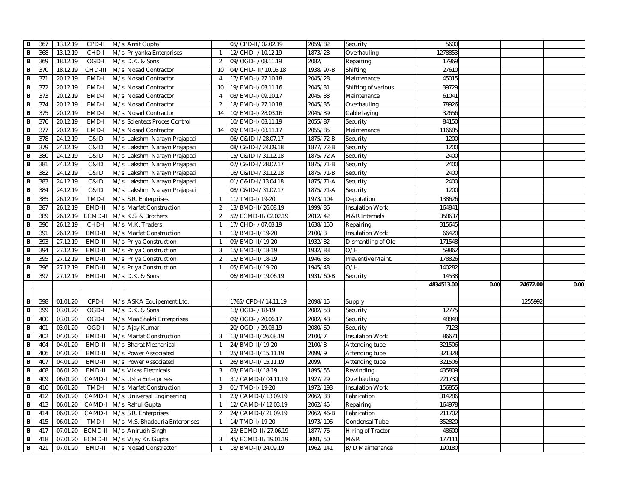| в                       | 367 | 13.12.19 | CPD-II        |     | M/s Amit Gupta                           |                | 05/CPD-II/02.02.19  | 2059/82   | Security                 | 5600       |      |          |      |
|-------------------------|-----|----------|---------------|-----|------------------------------------------|----------------|---------------------|-----------|--------------------------|------------|------|----------|------|
| B                       | 368 | 13.12.19 | CHD-I         |     | M/s Priyanka Enterprises                 |                | 12/CHD-I/10.12.19   | 1873/28   | Overhauling              | 1278853    |      |          |      |
| В                       | 369 | 18.12.19 | OGD-I         |     | M/s D.K. & Sons                          | 2              | 09/OGD-I/08.11.19   | 2082/     | Repairing                | 17969      |      |          |      |
| В                       | 370 | 18.12.19 | CHD-III       |     | M/s Nosad Contractor                     | 10             | 04/CHD-III/10.05.18 | 1938/97-B | Shifting                 | 27610      |      |          |      |
| B                       | 371 | 20.12.19 | EMD-I         |     | M/s Nosad Contractor                     | $\overline{4}$ | 17/EMD-I/27.10.18   | 2045/28   | Maintenance              | 45015      |      |          |      |
| В                       | 372 | 20.12.19 | EMD-I         |     | M/s Nosad Contractor                     | 10             | 19/EMD-I/03.11.16   | 2045/31   | Shifting of various      | 39729      |      |          |      |
| В                       | 373 | 20.12.19 | EMD-I         |     | M/s Nosad Contractor                     | $\overline{4}$ | 08/EMD-I/09.10.17   | 2045/33   | Maintenance              | 61041      |      |          |      |
| B                       | 374 | 20.12.19 | EMD-I         |     | M/s Nosad Contractor                     | 2              | 18/EMD-I/27.10.18   | 2045/35   | Overhauling              | 78926      |      |          |      |
| $\overline{B}$          | 375 | 20.12.19 | EMD-I         |     | M/s Nosad Contractor                     | 14             | 10/EMD-I/28.03.16   | 2045/39   | Cable laying             | 32656      |      |          |      |
| B                       | 376 | 20.12.19 | EMD-I         | M/s | <b>Scientecs Proces Control</b>          |                | 10/EMD-I/03.11.19   | 2055/87   | Security                 | 84150      |      |          |      |
| B                       | 377 | 20.12.19 | EMD-I         |     | M/s Nosad Contractor                     | 14             | 09/EMD-I/03.11.17   | 2055/85   | Maintenance              | 116685     |      |          |      |
| B                       | 378 | 24.12.19 | C&ID          |     | M/s Lakshmi Narayn Prajapati             |                | 06/C&ID-I/28.07.17  | 1875/72-B | Security                 | 1200       |      |          |      |
| B                       | 379 | 24.12.19 | C&ID          |     | M/s Lakshmi Narayn Prajapati             |                | 08/C&ID-I/24.09.18  | 1877/72-B | Security                 | 1200       |      |          |      |
| В                       | 380 | 24.12.19 | C&ID          |     | M/s Lakshmi Narayn Prajapati             |                | 15/C&ID-I/31.12.18  | 1875/72-A | Security                 | 2400       |      |          |      |
| В                       | 381 | 24.12.19 | C&ID          |     | M/s Lakshmi Narayn Prajapati             |                | 07/C&ID-I/28.07.17  | 1875/71-B | Security                 | 2400       |      |          |      |
| $\, {\bf B}$            | 382 | 24.12.19 | C&ID          |     | M/s Lakshmi Narayn Prajapati             |                | 16/C&ID-I/31.12.18  | 1875/71-B | Security                 | 2400       |      |          |      |
| $\, {\bf B}$            | 383 | 24.12.19 | C&ID          |     | M/s Lakshmi Narayn Prajapati             |                | 01/C&ID-I/13.04.18  | 1875/71-A | Security                 | 2400       |      |          |      |
| $\overline{B}$          | 384 | 24.12.19 | C&ID          |     | M/s Lakshmi Narayn Prajapati             |                | 08/C&ID-I/31.07.17  | 1875/71-A | Security                 | 1200       |      |          |      |
| B                       | 385 | 26.12.19 | TMD-I         |     | M/s S.R. Enterprises                     | $\overline{1}$ | 11/TMD-I/19-20      | 1973/104  | Deputation               | 138626     |      |          |      |
| B                       | 387 | 26.12.19 | <b>BMD-II</b> |     | M/s Marfat Construction                  | 2              | 13/BMD-II/26.08.19  | 1999/36   | <b>Insulation Work</b>   | 164841     |      |          |      |
| B                       | 389 | 26.12.19 | <b>ECMD-I</b> |     | M/s K.S. & Brothers                      | $\overline{2}$ | 52/ECMD-II/02.02.19 | 2012/42   | M&R Internals            | 358637     |      |          |      |
| В                       | 390 | 26.12.19 | CHD-I         |     | M/s M.K. Traders                         | $\overline{1}$ | 17/CHD-I/07.03.19   | 1638/150  | Repairing                | 315645     |      |          |      |
| B                       | 391 | 26.12.19 | <b>BMD-II</b> |     | M/s Marfat Construction                  | $\overline{1}$ | 13/BMD-II/19-20     | 2100/3    | <b>Insulation Work</b>   | 66420      |      |          |      |
| В                       | 393 | 27.12.19 | EMD-II        |     | M/s Priya Construction                   | $\overline{1}$ | 09/EMD-II/19-20     | 1932/82   | Dismantling of Old       | 171548     |      |          |      |
| В                       | 394 | 27.12.19 | EMD-II        |     | M/s Priya Construction                   | $\mathbf{3}$   | 15/EMD-II/18-19     | 1932/83   | O/H                      | 59862      |      |          |      |
| B                       | 395 | 27.12.19 | EMD-II        |     | M/s Priya Construction                   | $\overline{2}$ | 15/EMD-II/18-19     | 1946/35   | Preventive Maint.        | 178826     |      |          |      |
| B                       | 396 | 27.12.19 | EMD-II        |     | M/s Priya Construction                   | $\overline{1}$ | 05/EMD-II/19-20     | 1945/48   | O/H                      | 140282     |      |          |      |
| B                       | 397 | 27.12.19 | BMD-II        |     | M/s D.K. & Sons                          |                | 06/BMD-II/19.06.19  | 1931/60-B | Security                 | 14538      |      |          |      |
|                         |     |          |               |     |                                          |                |                     |           |                          | 4834513.00 | 0.00 | 24672.00 | 0.00 |
|                         |     |          |               |     |                                          |                |                     |           |                          |            |      |          |      |
| В                       | 398 | 01.01.20 | CPD-I         |     | M/s ASKA Equipement Ltd.                 |                | 1765/CPD-I/14.11.19 | 2098/15   | Supply                   |            |      | 1255992  |      |
| В                       | 399 | 03.01.20 | OGD-I         |     | M/s D.K. & Sons                          |                | 13/OGD-I/18-19      | 2082/58   | Security                 | 12775      |      |          |      |
| B                       | 400 | 03.01.20 | OGD-I         |     | M/s Maa Shakti Enterprises               |                | 09/OGD-I/20.06.17   | 2082/48   | Security                 | 48848      |      |          |      |
| В                       | 401 | 03.01.20 | OGD-I         |     | M/s Ajay Kumar                           |                | 20/OGD-I/29.03.19   | 2080/69   | Security                 | 7123       |      |          |      |
| В                       | 402 | 04.01.20 | <b>BMD-II</b> |     | M/s Marfat Construction                  | 3              | 13/BMD-II/26.08.19  | 2100/7    | <b>Insulation Work</b>   | 86671      |      |          |      |
| $\overline{B}$          | 404 | 04.01.20 | <b>BMD-II</b> |     | M/s Bharat Mechanical                    | $\overline{1}$ | 24/BMD-II/19-20     | 2100/8    | Attending tube           | 321506     |      |          |      |
| B                       | 406 | 04.01.20 | <b>BMD-II</b> |     | M/s Power Associated                     | $\overline{1}$ | 25/BMD-II/15.11.19  | 2099/9    | Attending tube           | 321328     |      |          |      |
| B                       | 407 | 04.01.20 | <b>BMD-II</b> |     | M/s Power Associated                     | $\overline{1}$ | 26/BMD-II/15.11.19  | 2099/     | Attending tube           | 321506     |      |          |      |
| B                       | 408 | 06.01.20 | EMD-II        | M/s | <b>Vikas Electricals</b>                 | 3              | 03/EMD-II/18-19     | 1895/55   | Rewinding                | 435809     |      |          |      |
| В                       | 409 | 06.01.20 | CAMD-         |     | M/s Usha Enterprises                     | $\overline{1}$ | 31/CAMD-I/04.11.19  | 1927/29   | Overhauling              | 221730     |      |          |      |
| В                       | 410 | 06.01.20 | TMD-I         |     | M/s Marfat Construction                  | 3              | 01/TMD-I/19-20      | 1972/193  | <b>Insulation Work</b>   | 156855     |      |          |      |
| В                       | 412 | 06.01.20 | CAMD-         |     | M/s Universal Engineering                | $\overline{1}$ | 23/CAMD-I/13.09.19  | 2062/38   | Fabrication              | 314286     |      |          |      |
| В                       | 413 | 06.01.20 | CAMD-         |     | M/s Rahul Gupta                          | $\mathbf{1}$   | 12/CAMD-I/12.03.19  | 2062/45   | Repairing                | 164978     |      |          |      |
| $\overline{\mathbf{B}}$ | 414 | 06.01.20 | CAMD-         |     | M/s S.R. Enterprises                     | 2              | 24/CAMD-I/21.09.19  | 2062/46-B | Fabrication              | 211702     |      |          |      |
| $\, {\bf B}$            | 415 | 06.01.20 | TMD-I         |     | M/s M.S. Bhadouria Enterprises           | $\overline{1}$ | 14/TMD-I/19-20      | 1973/106  | Condensal Tube           | 352820     |      |          |      |
| $\, {\bf B}$            | 417 | 07.01.20 | ECMD-I        |     |                                          |                | 23/ECMD-II/27.06.19 | 1877/76   |                          | 48600      |      |          |      |
| B                       | 418 | 07.01.20 | ECMD-I        |     | M/s Anirudh Singh<br>M/s Vijay Kr. Gupta | 3              | 45/ECMD-II/19.01.19 | 3091/50   | Hiring of Tractor<br>M&R | 177111     |      |          |      |
|                         |     |          | <b>BMD-II</b> |     | M/s Nosad Constractor                    | $\mathbf{1}$   | 18/BMD-II/24.09.19  | 1962/141  | B/D Maintenance          | 190180     |      |          |      |
| B                       | 421 | 07.01.20 |               |     |                                          |                |                     |           |                          |            |      |          |      |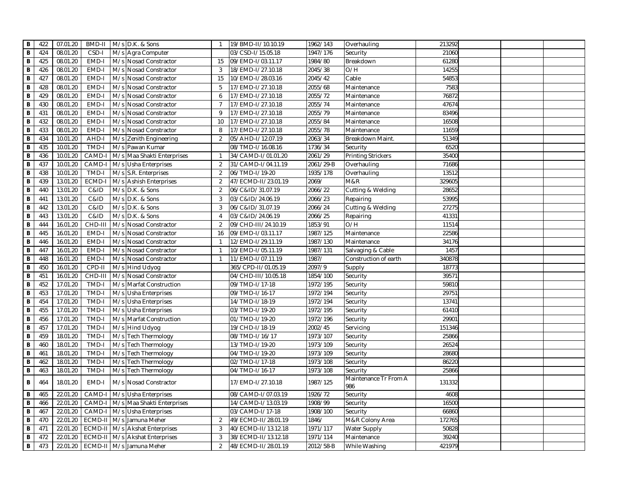| в              | 422 | 07.01.20 | BMD-II  |     | M/s D.K. & Sons            | $\mathbf{1}$   | 19/BMD-II/10.10.19  | 1962/143  | Overhauling                  | 213292 |  |
|----------------|-----|----------|---------|-----|----------------------------|----------------|---------------------|-----------|------------------------------|--------|--|
| B              | 424 | 08.01.20 | CSD-I   |     | M/s Agra Computer          |                | 03/CSD-I/15.05.18   | 1947/176  | Security                     | 21060  |  |
| В              | 425 | 08.01.20 | EMD-I   |     | M/s Nosad Constractor      | 15             | 09/EMD-I/03.11.17   | 1984/80   | Breakdown                    | 61280  |  |
| В              | 426 | 08.01.20 | EMD-I   |     | M/s Nosad Constractor      | 3              | 18/EMD-I/27.10.18   | 2045/38   | O/H                          | 14255  |  |
| В              | 427 | 08.01.20 | EMD-I   |     | M/s Nosad Constractor      | 15             | 10/EMD-I/28.03.16   | 2045/42   | Cable                        | 54853  |  |
| В              | 428 | 08.01.20 | EMD-I   |     | M/s Nosad Constractor      | 5              | 17/EMD-I/27.10.18   | 2055/68   | Maintenance                  | 7583   |  |
| $\, {\bf B}$   | 429 | 08.01.20 | EMD-I   |     | M/s Nosad Constractor      | 6              | 17/EMD-I/27.10.18   | 2055/72   | Maintenance                  | 76872  |  |
| B              | 430 | 08.01.20 | EMD-I   |     | M/s Nosad Constractor      | $\overline{7}$ | 17/EMD-I/27.10.18   | 2055/74   | Maintenance                  | 47674  |  |
| B              | 431 | 08.01.20 | EMD-I   | M/s | <b>Nosad Constractor</b>   | 9              | 17/EMD-I/27.10.18   | 2055/79   | Maintenance                  | 83496  |  |
| B              | 432 | 08.01.20 | EMD-I   |     | M/s Nosad Constractor      | 10             | 17/EMD-I/27.10.18   | 2055/84   | Maintenance                  | 16508  |  |
| B              | 433 | 08.01.20 | EMD-I   |     | M/s Nosad Constractor      | 8              | 17/EMD-I/27.10.18   | 2055/78   | Maintenance                  | 11659  |  |
| В              | 434 | 10.01.20 | AHD-I   |     | M/s Zenith Engineering     | 2              | 05/AHD-I/12.07.19   | 2063/34   | Breakdown Maint.             | 51349  |  |
| B              | 435 | 10.01.20 | TMD-I   |     | M/s Pawan Kumar            |                | 08/TMD-I/16.08.16   | 1736/34   | Security                     | 6520   |  |
| В              | 436 | 10.01.20 | CAMD-   |     | M/s Maa Shakti Enterprises | $\mathbf{1}$   | 34/CAMD-I/01.01.20  | 2061/29   | Printing Strickers           | 35400  |  |
| В              | 437 | 10.01.20 | CAMD-   |     | M/s Usha Enterprises       | 2              | 31/CAMD-I/04.11.19  | 2061/29-B | Overhauling                  | 71686  |  |
| B              | 438 | 10.01.20 | TMD-I   |     | M/s S.R. Enterprises       | 2              | 06/TMD-I/19-20      | 1935/178  | Overhauling                  | 13512  |  |
| $\overline{B}$ | 439 | 13.01.20 | ECMD-I  |     | M/s Ashish Enterprises     | 2              | 47/ECMD-II/23.01.19 | 2069/     | M&R                          | 329605 |  |
| B              | 440 | 13.01.20 | C&ID    |     | M/s D.K. & Sons            | 2              | 06/C&ID/31.07.19    | 2066/22   | Cutting & Welding            | 28652  |  |
| B              | 441 | 13.01.20 | C&ID    |     | M/s D.K. & Sons            | 3              | 03/C&ID/24.06.19    | 2066/23   | Repairing                    | 53995  |  |
| B              | 442 | 13.01.20 | C&ID    |     | M/s D.K. & Sons            | $\mathbf{3}$   | 06/C&ID/31.07.19    | 2066/24   | Cutting & Welding            | 27275  |  |
| В              | 443 | 13.01.20 | C&ID    |     | M/s D.K. & Sons            | $\overline{4}$ | 03/C&ID/24.06.19    | 2066/25   | Repairing                    | 41331  |  |
| В              | 444 | 16.01.20 | CHD-III |     | M/s Nosad Constractor      | 2              | 09/CHD-III/24.10.19 | 1853/91   | O/H                          | 11514  |  |
| В              | 445 | 16.01.20 | EMD-I   |     | M/s Nosad Constractor      | 16             | 09/EMD-I/03.11.17   | 1987/125  | Maintenance                  | 22586  |  |
| В              | 446 | 16.01.20 | EMD-I   |     | M/s Nosad Constractor      | $\overline{1}$ | 12/EMD-I/29.11.19   | 1987/130  | Maintenance                  | 34176  |  |
| B              | 447 | 16.01.20 | EMD-I   |     | M/s Nosad Constractor      | $\overline{1}$ | 10/EMD-I/05.11.19   | 1987/131  | Salvaging & Cable            | 1457   |  |
| B              | 448 | 16.01.20 | EMD-I   |     | M/s Nosad Constractor      | $\overline{1}$ | 11/EMD-I/07.11.19   | 1987/     | Construction of earth        | 340878 |  |
| B              | 450 | 16.01.20 | CPD-II  |     | M/s Hind Udyog             |                | 365/CPD-II/01.05.19 | 2097/9    | Supply                       | 18773  |  |
| B              | 451 | 16.01.20 | CHD-III |     | M/s Nosad Constractor      |                | 04/CHD-III/10.05.18 | 1854/100  | Security                     | 39571  |  |
| В              | 452 | 17.01.20 | TMD-I   |     | M/s Marfat Construction    |                | 09/TMD-I/17-18      | 1972/195  | Security                     | 59810  |  |
| B              | 453 | 17.01.20 | TMD-I   |     | M/s Usha Enterprises       |                | 09/TMD-I/16-17      | 1972/194  | Security                     | 29751  |  |
| В              | 454 | 17.01.20 | TMD-I   |     | M/s Usha Enterprises       |                | 14/TMD-I/18-19      | 1972/194  | Security                     | 13741  |  |
| В              | 455 | 17.01.20 | TMD-I   |     | M/s Usha Enterprises       |                | 03/TMD-I/19-20      | 1972/195  | Security                     | 61410  |  |
| В              | 456 | 17.01.20 | TMD-I   |     | M/s Marfat Construction    |                | 01/TMD-I/19-20      | 1972/196  | Security                     | 29901  |  |
| B              | 457 | 17.01.20 | TMD-I   |     | M/s Hind Udyog             |                | 19/CHD-I/18-19      | 2002/45   | Servicing                    | 151346 |  |
| B              | 459 | 18.01.20 | TMD-I   | M/s | <b>Tech Thermology</b>     |                | 08/TMD-I/16/17      | 1973/107  | Security                     | 25866  |  |
| B              | 460 | 18.01.20 | TMD-I   | M/s | Tech Thermology            |                | 13/TMD-I/19-20      | 1973/109  | Security                     | 26524  |  |
| В              | 461 | 18.01.20 | TMD-I   |     | M/s Tech Thermology        |                | 04/TMD-I/19-20      | 1973/109  | Security                     | 28680  |  |
| В              | 462 | 18.01.20 | TMD-I   |     | M/s Tech Thermology        |                | 02/TMD-I/17-18      | 1973/108  | Security                     | 86220  |  |
| В              | 463 | 18.01.20 | TMD-I   |     | M/s Tech Thermology        |                | 04/TMD-I/16-17      | 1973/108  | Security                     | 25866  |  |
| В              | 464 | 18.01.20 | EMD-I   |     | M/s Nosad Constractor      |                | 17/EMD-I/27.10.18   | 1987/125  | Maintenance Tr From A<br>986 | 131332 |  |
| В              | 465 | 22.01.20 | CAMD-   |     | M/s Usha Enterprises       |                | 08/CAMD-I/07.03.19  | 1926/72   | Security                     | 4608   |  |
| В              | 466 | 22.01.20 | CAMD-I  |     | M/s Maa Shakti Enterprises |                | 14/CAMD-I/13.03.19  | 1908/99   | Security                     | 16500  |  |
| В              | 467 | 22.01.20 | CAMD-   |     | M/s Usha Enterprises       |                | 03/CAMD-I/17-18     | 1908/100  | Security                     | 66860  |  |
| В              | 470 | 22.01.20 | ECMD-II |     | M/s Jamuna Meher           | 2              | 49/ECMD-II/28.01.19 | 1846/     | M&R Colony Area              | 172765 |  |
| В              | 471 | 22.01.20 | ECMD-I  |     | M/s Akshat Enterprises     | 3              | 40/ECMD-II/13.12.18 | 1971/117  | <b>Water Supply</b>          | 50828  |  |
| В              | 472 | 22.01.20 | ECMD-II |     | M/s Akshat Enterprises     | 3              | 38/ECMD-II/13.12.18 | 1971/114  | Maintenance                  | 39240  |  |
| B              | 473 | 22.01.20 |         |     | ECMD-II M/s Jamuna Meher   | 2              | 48/ECMD-II/28.01.19 | 2012/58-B | While Washing                | 421979 |  |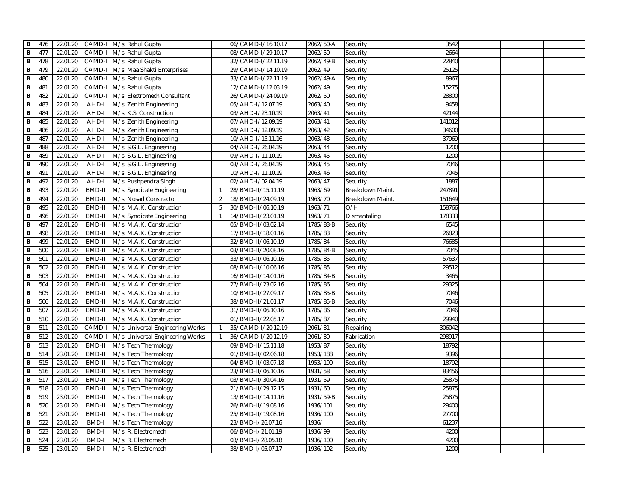| В              | 476 | 22.01.20 | CAMD-I M/s Rahul Gupta |                                 |                | 06/CAMD-I/16.10.17 | 2062/50-A | Security         | 3542   |  |  |
|----------------|-----|----------|------------------------|---------------------------------|----------------|--------------------|-----------|------------------|--------|--|--|
| B              | 477 | 22.01.20 | CAMD-I M/s Rahul Gupta |                                 |                | 08/CAMD-I/29.10.17 | 2062/50   | Security         | 2664   |  |  |
| В              | 478 | 22.01.20 | CAMD-I                 | M/s Rahul Gupta                 |                | 32/CAMD-I/22.11.19 | 2062/49-B | Security         | 22840  |  |  |
| В              | 479 | 22.01.20 | CAMD-I                 | M/s Maa Shakti Enterprises      |                | 29/CAMD-I/14.10.19 | 2062/49   | Security         | 25125  |  |  |
| В              | 480 | 22.01.20 | CAMD-I                 | M/s Rahul Gupta                 |                | 33/CAMD-I/22.11.19 | 2062/49-A | Security         | 8967   |  |  |
| В              | 481 | 22.01.20 | CAMD-I                 | M/s Rahul Gupta                 |                | 12/CAMD-I/12.03.19 | 2062/49   | Security         | 15275  |  |  |
| В              | 482 | 22.01.20 | CAMD-I                 | M/s Electromech Consultant      |                | 26/CAMD-I/24.09.19 | 2062/50   | Security         | 28800  |  |  |
| В              | 483 | 22.01.20 | AHD-I                  | M/s Zenith Engineering          |                | 05/AHD-I/12.07.19  | 2063/40   | Security         | 9458   |  |  |
| $\overline{B}$ | 484 | 22.01.20 | AHD-I                  | M/s K.S. Construction           |                | 03/AHD-I/23.10.19  | 2063/41   | Security         | 42144  |  |  |
| В              | 485 | 22.01.20 | AHD-I                  | M/s Zenith Engineering          |                | 07/AHD-I/12.09.19  | 2063/41   | Security         | 141012 |  |  |
| B              | 486 | 22.01.20 | AHD-I                  | M/s Zenith Engineering          |                | 08/AHD-I/12.09.19  | 2063/42   | Security         | 34600  |  |  |
| В              | 487 | 22.01.20 | AHD-I                  | M/s Zenith Engineering          |                | 10/AHD-I/15.11.16  | 2063/43   | Security         | 37969  |  |  |
| $\overline{B}$ | 488 | 22.01.20 | AHD-I                  | M/s S.G.L. Engineering          |                | 04/AHD-I/26.04.19  | 2063/44   | Security         | 1200   |  |  |
| В              | 489 | 22.01.20 | AHD-I                  | M/s S.G.L. Engineering          |                | 09/AHD-I/11.10.19  | 2063/45   | Security         | 1200   |  |  |
| В              | 490 | 22.01.20 | AHD-I                  | M/s S.G.L. Engineering          |                | 03/AHD-I/26.04.19  | 2063/45   | Security         | 7046   |  |  |
| В              | 491 | 22.01.20 | AHD-I                  | M/s S.G.L. Engineering          |                | 10/AHD-I/11.10.19  | 2063/46   | Security         | 7045   |  |  |
| B              | 492 | 22.01.20 | AHD-I                  | M/s Pushpendra Singh            |                | 02/AHD-I/02.04.19  | 2063/47   | Security         | 1887   |  |  |
| B              | 493 | 22.01.20 | BMD-II                 | M/s Syndicate Engineering       | $\mathbf{1}$   | 28/BMD-II/15.11.19 | 1963/69   | Breakdown Maint  | 247891 |  |  |
| В              | 494 | 22.01.20 | BMD-II                 | M/s Nosad Constractor           | 2              | 18/BMD-II/24.09.19 | 1963/70   | Breakdown Maint. | 151649 |  |  |
| B              | 495 | 22.01.20 | BMD-II                 | M/s M.A.K. Construction         | 5              | 30/BMD-II/06.10.19 | 1963/71   | O/H              | 158766 |  |  |
| В              | 496 | 22.01.20 | BMD-II                 | M/s Syndicate Engineering       | $\mathbf 1$    | 14/BMD-II/23.01.19 | 1963/71   | Dismantaling     | 178333 |  |  |
| В              | 497 | 22.01.20 | <b>BMD-II</b>          | M/s M.A.K. Construction         |                | 05/BMD-II/03.02.14 | 1785/83-B | Security         | 6545   |  |  |
| В              | 498 | 22.01.20 | BMD-II                 | M/s M.A.K. Construction         |                | 17/BMD-II/18.01.16 | 1785/83   | Security         | 26823  |  |  |
| В              | 499 | 22.01.20 | BMD-II                 | M/s M.A.K. Construction         |                | 32/BMD-II/06.10.19 | 1785/84   | Security         | 76685  |  |  |
| B              | 500 | 22.01.20 | BMD-II                 | M/s M.A.K. Construction         |                | 03/BMD-II/20.08.16 | 1785/84-B | Security         | 7045   |  |  |
| B              | 501 | 22.01.20 | BMD-II                 | M/s M.A.K. Construction         |                | 33/BMD-II/06.10.16 | 1785/85   | Security         | 57637  |  |  |
| B              | 502 | 22.01.20 | BMD-II                 | M/s M.A.K. Construction         |                | 08/BMD-II/10.06.16 | 1785/85   | Security         | 29512  |  |  |
| $\overline{B}$ | 503 | 22.01.20 | BMD-II                 | M/s M.A.K. Construction         |                | 16/BMD-II/14.01.16 | 1785/84-B | Security         | 3465   |  |  |
| В              | 504 | 22.01.20 | BMD-II                 | M/s M.A.K. Construction         |                | 27/BMD-II/23.02.16 | 1785/86   | Security         | 29325  |  |  |
| B              | 505 | 22.01.20 | BMD-II                 | M/s M.A.K. Construction         |                | 10/BMD-II/27.09.17 | 1785/85-B | Security         | 7046   |  |  |
| B              | 506 | 22.01.20 | <b>BMD-II</b>          | M/s M.A.K. Construction         |                | 38/BMD-II/21.01.17 | 1785/85-B | Security         | 7046   |  |  |
| B              | 507 | 22.01.20 | BMD-II                 | M/s M.A.K. Construction         |                | 31/BMD-II/06.10.16 | 1785/86   | Security         | 7046   |  |  |
| В              | 510 | 22.01.20 | BMD-II                 | M/s M.A.K. Construction         |                | 01/BMD-II/22.05.17 | 1785/87   | Security         | 29940  |  |  |
| B              | 511 | 23.01.20 | CAMD-I                 | M/s Universal Engineering Works | $\overline{1}$ | 35/CAMD-I/20.12.19 | 2061/31   | Repairing        | 306042 |  |  |
| B              | 512 | 23.01.20 | CAMD-I                 | M/s Universal Engineering Works | $\overline{1}$ | 36/CAMD-I/20.12.19 | 2061/30   | Fabrication      | 298917 |  |  |
| $\, {\bf B}$   | 513 | 23.01.20 | BMD-II                 | M/s Tech Thermology             |                | 09/BMD-II/15.11.18 | 1953/87   | Security         | 18792  |  |  |
| В              | 514 | 23.01.20 | BMD-II                 | M/s Tech Thermology             |                | 01/BMD-II/02.06.18 | 1953/188  | Security         | 9396   |  |  |
| В              | 515 | 23.01.20 | <b>BMD-II</b><br>M/s   | <b>Tech Thermology</b>          |                | 04/BMD-II/03.07.18 | 1953/190  | Security         | 18792  |  |  |
| В              | 516 | 23.01.20 | BMD-II                 | M/s Tech Thermology             |                | 23/BMD-II/06.10.16 | 1931/58   | Security         | 83456  |  |  |
| В              | 517 | 23.01.20 | BMD-II                 | M/s Tech Thermology             |                | 03/BMD-II/30.04.16 | 1931/59   | Security         | 25875  |  |  |
| B              | 518 | 23.01.20 | BMD-II                 | M/s Tech Thermology             |                | 21/BMD-II/29.12.15 | 1931/60   | Security         | 25875  |  |  |
| В              | 519 | 23.01.20 | BMD-II                 | M/s Tech Thermology             |                | 13/BMD-II/14.11.16 | 1931/59-B | Security         | 25875  |  |  |
| B              | 520 | 23.01.20 | BMD-II                 | M/s Tech Thermology             |                | 26/BMD-II/19.08.16 | 1936/101  | Security         | 29400  |  |  |
| $\overline{B}$ | 521 | 23.01.20 | BMD-II                 | M/s Tech Thermology             |                | 25/BMD-II/19.08.16 | 1936/100  | Security         | 27700  |  |  |
| B              | 522 | 23.01.20 | <b>BMD-I</b>           | M/s Tech Thermology             |                | 23/BMD-I/26.07.16  | 1936/     | Security         | 61237  |  |  |
| B              | 523 | 23.01.20 | <b>BMD-I</b>           | M/s R. Electromech              |                | 06/BMD-I/21.01.19  | 1936/99   | Security         | 4200   |  |  |
| В              | 524 | 23.01.20 | <b>BMD-I</b>           | M/s R. Electromech              |                | 03/BMD-I/28.05.18  | 1936/100  | Security         | 4200   |  |  |
| B              | 525 | 23.01.20 | <b>BMD-I</b>           | M/s R. Electromech              |                | 38/BMD-I/05.07.17  | 1936/102  | Security         | 1200   |  |  |
|                |     |          |                        |                                 |                |                    |           |                  |        |  |  |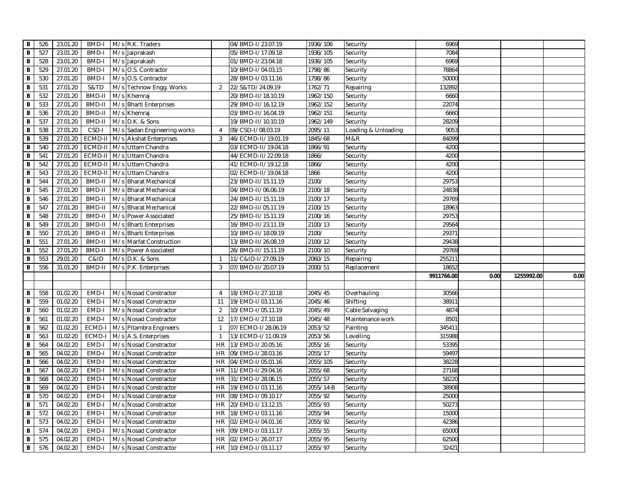| В              | 526        | 23.01.20 | <b>BMD-I</b>  |     | M/s R.K. Traders                                |                | 04/BMD-I/23.07.19   | 1936/106             | Security             | 6969       |      |            |      |
|----------------|------------|----------|---------------|-----|-------------------------------------------------|----------------|---------------------|----------------------|----------------------|------------|------|------------|------|
| B              | 527        | 23.01.20 | <b>BMD-I</b>  |     | M/s Jaiprakash                                  |                | 05/BMD-I/17.09.18   | 1936/105             | Security             | 7084       |      |            |      |
| В              | 528        | 23.01.20 | <b>BMD-I</b>  |     | M/s Jaiprakash                                  |                | 01/BMD-I/23.04.18   | 1936/105             | Security             | 6969       |      |            |      |
| В              | 529        | 27.01.20 | <b>BMD-I</b>  |     | M/s O.S. Contractor                             |                | 10/BMD-I/04.03.15   | 1798/86              | Security             | 78864      |      |            |      |
| В              | 530        | 27.01.20 | <b>BMD-I</b>  |     | M/s O.S. Contractor                             |                | 28/BMD-I/03.11.16   | 1798/86              | Security             | 50000      |      |            |      |
| B              | 531        | 27.01.20 | S&TD          | M/s | Technow Engg. Works                             | 2              | 22/S&TD/24.09.19    | 1762/71              | Repairing            | 132892     |      |            |      |
| B              | 532        | 27.01.20 | BMD-II        |     | M/s Khemraj                                     |                | 20/BMD-II/18.10.19  | 1962/150             | Security             | 6660       |      |            |      |
| В              | 533        | 27.01.20 | <b>BMD-II</b> |     | M/s Bharti Enterprises                          |                | 29/BMD-II/16.12.19  | 1962/152             | Security             | 22074      |      |            |      |
| $\, {\bf B}$   | 536        | 27.01.20 | <b>BMD-II</b> |     | M/s Khemraj                                     |                | 03/BMD-II/16.04.19  | 1962/151             | Security             | 6660       |      |            |      |
| B              | 537        | 27.01.20 | <b>BMD-II</b> |     | M/s D.K. & Sons                                 |                | 19/BMD-II/10.10.19  | 1962/149             | Security             | 28209      |      |            |      |
| B              | 538        | 27.01.20 | CSD-I         |     | M/s Sadan Engineering works                     | $\overline{4}$ | 09/CSD-I/08.03.19   | 2095/11              | Loading & Unloading  | 9053       |      |            |      |
| B              | 539        | 27.01.20 | ECMD-I        |     | M/s Akshat Enterprises                          | 3              | 46/ECMD-II/19.01.19 | 1845/68              | M&R                  | 84099      |      |            |      |
| B              | 540        | 27.01.20 | ECMD-I        |     | M/s Uttam Chandra                               |                | 03/ECMD-II/19.04.18 | 1866/91              | Security             | 4200       |      |            |      |
| B              | 541        | 27.01.20 | ECMD-I        |     | M/s Uttam Chandra                               |                | 44/ECMD-II/22.09.18 | 1866/                | Security             | 4200       |      |            |      |
| B              | 542        | 27.01.20 | ECMD-I        | M/s | Uttam Chandra                                   |                | 41/ECMD-II/19.12.18 | 1866/                | Security             | 4200       |      |            |      |
| B              | 543        | 27.01.20 | ECMD-II       |     | M/s Uttam Chandra                               |                | 02/ECMD-II/19.04.18 | 1866                 | Security             | 4200       |      |            |      |
| B              | 544        | 27.01.20 | <b>BMD-II</b> |     | M/s Bharat Mechanical                           |                | 23/BMD-II/15.11.19  | 2100/                | Security             | 29753      |      |            |      |
| B              | 545        | 27.01.20 | BMD-II        |     | M/s Bharat Mechanical                           |                | 04/BMD-II/06.06.19  | 2100/18              | Security             | 24838      |      |            |      |
| B              | 546        | 27.01.20 | BMD-II        |     | M/s Bharat Mechanical                           |                | 24/BMD-II/15.11.19  | 2100/17              | Security             | 29769      |      |            |      |
| B              | 547        | 27.01.20 | <b>BMD-II</b> |     | M/s Bharat Mechanical                           |                | 22/BMD-II/05.11.19  | 2100/15              | Security             | 18963      |      |            |      |
| B              | 548        | 27.01.20 | <b>BMD-II</b> |     | M/s Power Associated                            |                | 25/BMD-II/15.11.19  | 2100/16              | Security             | 29753      |      |            |      |
| B              | 549        | 27.01.20 | <b>BMD-II</b> |     | M/s Bharti Enterprises                          |                | 16/BMD-II/23.11.19  | 2100/13              | Security             | 29564      |      |            |      |
| В              | 550        | 27.01.20 | <b>BMD-II</b> |     | M/s Bharti Enterprises                          |                | 10/BMD-II/18.09.19  | 2100/                | Security             | 29371      |      |            |      |
| B              | 551        | 27.01.20 | <b>BMD-II</b> |     | M/s Marfat Construction                         |                | 13/BMD-II/26.08.19  | 2100/12              | Security             | 29438      |      |            |      |
| В              | 552        | 27.01.20 | <b>BMD-II</b> |     | M/s Power Associated                            |                | 26/BMD-II/15.11.19  | 2100/10              | Security             | 29769      |      |            |      |
|                |            |          |               |     |                                                 |                |                     |                      |                      |            |      |            |      |
|                |            | 29.01.20 | C&ID          |     |                                                 | $\mathbf{1}$   | 11/C&ID-I/27.09.19  | 2060/15              | Repairing            | 255211     |      |            |      |
| B<br>В         | 553<br>556 | 31.01.20 | BMD-II        |     | M/s D.K. & Sons<br>M/s P.K. Enterprises         | 3              | 07/BMD-II/20.07.19  | 2000/51              | Replacement          | 18652      |      |            |      |
|                |            |          |               |     |                                                 |                |                     |                      |                      | 9911766.00 | 0.00 | 1255992.00 | 0.00 |
|                |            |          |               |     |                                                 |                |                     |                      |                      |            |      |            |      |
| в              | 558        | 01.02.20 | EMD-I         |     | M/s Nosad Constractor                           | $\overline{4}$ | 18/EMD-I/27.10.18   | 2045/45              | Overhauling          | 30566      |      |            |      |
| B              | 559        | 01.02.20 | EMD-I         |     | M/s Nosad Constractor                           | 11             | 19/EMD-I/03.11.16   | 2045/46              | Shifting             | 38911      |      |            |      |
| В              | 560        | 01.02.20 | EMD-I         |     | M/s Nosad Constractor                           | 2              | 10/EMD-I/05.11.19   | 2045/49              | Cable Salvaging      | 4874       |      |            |      |
| B              | 561        | 01.02.20 | EMD-I         |     |                                                 | 12             | 17/EMD-I/27.10.18   | 2045/48              | Maintenance work     | 8501       |      |            |      |
| В              | 562        | 01.02.20 | ECMD-I        |     | M/s Nosad Constractor<br>M/s Pitambra Engineers | $\overline{1}$ | 07/ECMD-I/28.06.19  | 2053/52              | Painting             | 345411     |      |            |      |
| B              | 563        | 01.02.20 | ECMD-I        |     | M/s A.S. Enterprises                            | $\overline{1}$ | 13/ECMD-I/11.09.19  | 2053/56              | Levelling            | 315988     |      |            |      |
| В              | 564        | 04.02.20 | EMD-I         |     | M/s Nosad Constractor                           | <b>HR</b>      | 13/EMD-I/20.05.16   | 2055/16              | Security             | 53395      |      |            |      |
| B              | 565        | 04.02.20 | EMD-I         |     | M/s Nosad Constractor                           | <b>HR</b>      | 09/EMD-I/28.03.16   | 2055/17              | Security             | 59497      |      |            |      |
| $\, {\bf B}$   | 566        | 04.02.20 | EMD-I         | M/s | Nosad Constractor                               | <b>HR</b>      | 04/EMD-I/05.01.16   | 2055/105             |                      | 38228      |      |            |      |
| $\overline{B}$ | 567        | 04.02.20 | EMD-I         |     | M/s Nosad Constractor                           | <b>HR</b>      | 11/EMD-I/29.04.16   | 2055/68              | Security<br>Security | 27168      |      |            |      |
| B              | 568        | 04.02.20 | EMD-I         |     | M/s Nosad Constractor                           | <b>HR</b>      | 31/EMD-I/28.06.15   | 2055/57              | Security             | 58220      |      |            |      |
| В              | 569        | 04.02.20 | EMD-I         |     | M/s Nosad Constractor                           | <b>HR</b>      | 19/EMD-I/03.11.16   |                      | Security             | 38908      |      |            |      |
| В              | 570        | 04.02.20 | EMD-I         |     | M/s Nosad Constractor                           | <b>HR</b>      | 08/EMD-I/09.10.17   | 2055/14-B<br>2055/92 |                      | 25000      |      |            |      |
| В              | 571        | 04.02.20 | EMD-I         |     | M/s Nosad Constractor                           | <b>HR</b>      | 20/EMD-I/13.12.15   | 2055/93              | Security<br>Security | 50273      |      |            |      |
| В              | 572        | 04.02.20 | EMD-I         |     | M/s Nosad Constractor                           | <b>HR</b>      | 18/EMD-I/03.11.16   | 2055/94              | Security             | 15000      |      |            |      |
| В              | 573        | 04.02.20 | EMD-I         |     | M/s Nosad Constractor                           | <b>HR</b>      | 02/EMD-I/04.01.16   | 2055/92              | Security             | 42386      |      |            |      |
| В              | 574        | 04.02.20 | EMD-I         |     | M/s Nosad Constractor                           | <b>HR</b>      | 09/EMD-I/03.11.17   | 2055/55              | Security             | 65000      |      |            |      |
| B              | 575        | 04.02.20 | EMD-I         | M/s | Nosad Constractor                               | <b>HR</b>      | 02/EMD-I/26.07.17   | 2055/95              | Security             | 62500      |      |            |      |
| B              | 576        | 04.02.20 | EMD-I         |     | M/s Nosad Constractor                           | <b>HR</b>      | 10/EMD-I/03.11.17   | 2055/97              | Security             | 32421      |      |            |      |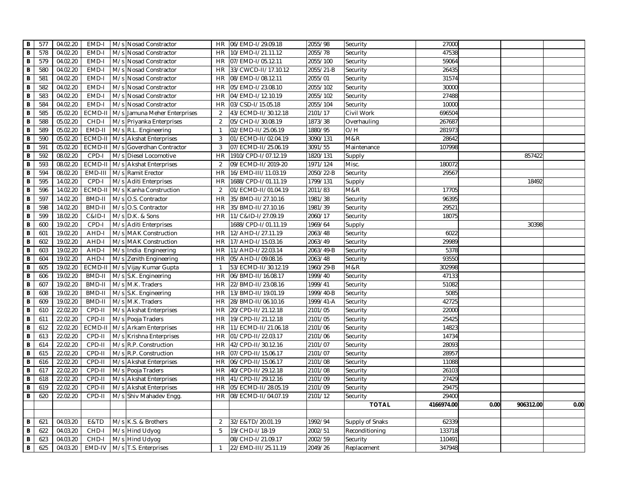| B              | 577 | 04.02.20 | EMD-I             | M/s Nosad Constractor              | <b>HR</b>      | 06/EMD-I/29.09.18   | 2055/98   | Security        | 27000      |      |           |      |
|----------------|-----|----------|-------------------|------------------------------------|----------------|---------------------|-----------|-----------------|------------|------|-----------|------|
| B              | 578 | 04.02.20 | EMD-I             | M/s Nosad Constractor              | <b>HR</b>      | 10/EMD-I/21.11.12   | 2055/78   | Security        | 47538      |      |           |      |
| B              | 579 | 04.02.20 | EMD-I             | M/s Nosad Constractor              | <b>HR</b>      | 07/EMD-I/05.12.11   | 2055/100  | Security        | 59064      |      |           |      |
| B              | 580 | 04.02.20 | EMD-I             | M/s Nosad Constractor              | HR             | 33/CWCD-II/17.10.12 | 2055/21-B | Security        | 26435      |      |           |      |
| B              | 581 | 04.02.20 | EMD-I             | M/s Nosad Constractor              | <b>HR</b>      | 08/EMD-I/08.12.11   | 2055/01   | Security        | 31574      |      |           |      |
| B              | 582 | 04.02.20 | EMD-I             | M/s Nosad Constractor              | <b>HR</b>      | 05/EMD-I/23.08.10   | 2055/102  | Security        | 30000      |      |           |      |
| B              | 583 | 04.02.20 | EMD-I             | M/s Nosad Constractor              | <b>HR</b>      | 04/EMD-I/12.10.19   | 2055/102  | Security        | 27488      |      |           |      |
| B              | 584 | 04.02.20 | EMD-I             | M/s Nosad Constractor              | <b>HR</b>      | 03/CSD-I/15.05.18   | 2055/104  | Security        | 10000      |      |           |      |
| $\overline{B}$ | 585 | 05.02.20 | ECMD-II           | M/s Jamuna Meher Enterprises       | 2              | 43/ECMD-II/30.12.18 | 2101/17   | Civil Work      | 696504     |      |           |      |
| B              | 588 | 05.02.20 | CHD-I             | M/s Priyanka Enterprises           | 2              | 05/CHD-I/30.08.19   | 1873/38   | Overhauling     | 267687     |      |           |      |
| $\mathbf B$    | 589 | 05.02.20 | EMD-II            | M/s R.L. Engineering               | $\overline{1}$ | 02/EMD-II/25.06.19  | 1880/95   | O/H             | 281973     |      |           |      |
| B              | 590 | 05.02.20 |                   | ECMD-II   M/s   Akshat Enterprises | 3              | 01/ECMD-II/02.04.19 | 3090/131  | M&R             | 28642      |      |           |      |
| $\, {\bf B}$   | 591 | 05.02.20 |                   | ECMD-II   M/s Goverdhan Contractor | 3              | 07/ECMD-II/25.06.19 | 3091/55   | Maintenance     | 107998     |      |           |      |
| B              | 592 | 08.02.20 | CPD-I             | M/s Diesel Locomotive              | HR             | 1910/CPD-I/07.12.19 | 1820/131  | Supply          |            |      | 857422    |      |
| B              | 593 | 08.02.20 |                   | ECMD-II M/s Akshat Enterprises     | 2              | 09/ECMD-II/2019-20  | 1971/124  | Misc.           | 180072     |      |           |      |
| B              | 594 | 08.02.20 |                   | EMD-III   M/s   Ramit Erector      | <b>HR</b>      | 16/EMD-III/11.03.19 | 2050/22-B | Security        | 29567      |      |           |      |
| B              | 595 | 14.02.20 | CPD-I             | M/s Aditi Enterprises              | <b>HR</b>      | 1688/CPD-I/01.11.19 | 1799/131  | Supply          |            |      | 18492     |      |
| $\, {\bf B}$   | 596 | 14.02.20 |                   | ECMD-II   M/s   Kanha Construction | 2              | 01/ECMD-II/01.04.19 | 2011/83   | M&R             | 17705      |      |           |      |
| B              | 597 | 14.02.20 | BMD-II            | M/s O.S. Contractor                | <b>HR</b>      | 35/BMD-II/27.10.16  | 1981/38   | Security        | 96395      |      |           |      |
| B              | 598 | 14.02.20 | <b>BMD-II</b>     | M/s O.S. Contractor                | <b>HR</b>      | 35/BMD-II/27.10.16  | 1981/39   | Security        | 29521      |      |           |      |
| B              | 599 | 18.02.20 | <b>C&amp;ID-I</b> | M/s D.K. & Sons                    | <b>HR</b>      | 11/C&ID-I/27.09.19  | 2060/17   | Security        | 18075      |      |           |      |
| B              | 600 | 19.02.20 | CPD-I             | M/s Aditi Enterprises              |                | 1688/CPD-I/01.11.19 | 1969/64   | Supply          |            |      | 30398     |      |
| B              | 601 | 19.02.20 | AHD-I             | M/s MAK Construction               | <b>HR</b>      | 12/AHD-I/27.11.19   | 2063/48   | Security        | 6022       |      |           |      |
| B              | 602 | 19.02.20 | AHD-I             | M/s MAK Construction               | HR             | 17/AHD-I/15.03.16   | 2063/49   | Security        | 29989      |      |           |      |
| B              | 603 | 19.02.20 | AHD-I             | M/s India Engineering              | <b>HR</b>      | 11/AHD-I/22.03.14   | 2063/49-B | Security        | 5378       |      |           |      |
| B              | 604 | 19.02.20 | AHD-I             | M/s Zenith Engineering             | <b>HR</b>      | 05/AHD-I/09.08.16   | 2063/48   | Security        | 93550      |      |           |      |
| $\overline{B}$ | 605 | 19.02.20 | ECMD-II           | M/s Vijay Kumar Gupta              | $\mathbf{1}$   | 53/ECMD-II/30.12.19 | 1960/29-B | M&R             | 302998     |      |           |      |
| B              | 606 | 19.02.20 | BMD-II            | M/s S.K. Engineering               | <b>HR</b>      | 06/BMD-II/16.08.17  | 1999/40   | Security        | 47133      |      |           |      |
| $\, {\bf B}$   | 607 | 19.02.20 | BMD-II            | M/s M.K. Traders                   | <b>HR</b>      | 22/BMD-II/23.08.16  | 1999/41   | Security        | 51082      |      |           |      |
| B              | 608 | 19.02.20 | <b>BMD-II</b>     | M/s S.K. Engineering               | <b>HR</b>      | 13/BMD-II/19.01.19  | 1999/40-B | Security        | 5085       |      |           |      |
| $\mathsf B$    | 609 | 19.02.20 | <b>BMD-II</b>     | M/s M.K. Traders                   | <b>HR</b>      | 28/BMD-II/06.10.16  | 1999/41-A | Security        | 42725      |      |           |      |
| B              | 610 | 22.02.20 | CPD-II            | M/s Akshat Enterprises             | <b>HR</b>      | 20/CPD-II/21.12.18  | 2101/05   | Security        | 22000      |      |           |      |
| В              | 611 | 22.02.20 | CPD-II            | M/s Pooja Traders                  | <b>HR</b>      | 19/CPD-II/21.12.18  | 2101/05   | Security        | 25425      |      |           |      |
| B              | 612 | 22.02.20 |                   | ECMD-II M/s Arkam Enterprises      | <b>HR</b>      | 11/ECMD-II/21.06.18 | 2101/06   | Security        | 14823      |      |           |      |
| B              | 613 | 22.02.20 | CPD-II            | M/s Krishna Enterprises            | <b>HR</b>      | 01/CPD-II/22.03.17  | 2101/06   | Security        | 14734      |      |           |      |
| $\overline{B}$ | 614 | 22.02.20 | CPD-II            | M/s R.P. Construction              | <b>HR</b>      | 42/CPD-II/30.12.16  | 2101/07   | Security        | 28093      |      |           |      |
| B              | 615 | 22.02.20 | CPD-II            | M/s R.P. Construction              | <b>HR</b>      | 07/CPD-II/15.06.17  | 2101/07   | Security        | 28957      |      |           |      |
| B              | 616 | 22.02.20 | CPD-II            | M/s Akshat Enterprises             | <b>HR</b>      | 06/CPD-II/15.06.17  | 2101/08   | Security        | 11088      |      |           |      |
| B              | 617 | 22.02.20 | CPD-II            | M/s Pooja Traders                  | <b>HR</b>      | 40/CPD-II/29.12.18  | 2101/08   | Security        | 26103      |      |           |      |
| B              | 618 | 22.02.20 | CPD-II            | M/s Akshat Enterprises             | <b>HR</b>      | 41/CPD-II/29.12.16  | 2101/09   | Security        | 27429      |      |           |      |
| B              | 619 | 22.02.20 | CPD-II            | M/s Akshat Enterprises             | <b>HR</b>      | 05/ECMD-II/28.05.19 | 2101/09   | Security        | 29475      |      |           |      |
| B              | 620 | 22.02.20 | CPD-II            | M/s Shiv Mahadev Engg              | <b>HR</b>      | 08/ECMD-II/04.07.19 | 2101/12   | Security        | 29400      |      |           |      |
|                |     |          |                   |                                    |                |                     |           | <b>TOTAL</b>    | 4166974.00 | 0.00 | 906312.00 | 0.00 |
|                |     |          |                   |                                    |                |                     |           |                 |            |      |           |      |
| B              | 621 | 04.03.20 | E&TD              | M/s K.S. & Brothers                | 2              | 32/E&TD/20.01.19    | 1992/94   | Supply of Snaks | 62339      |      |           |      |
| B              | 622 | 04.03.20 | CHD-I             | M/s Hind Udyog                     | 5              | 19/CHD-I/18-19      | 2002/51   | Reconditioning  | 133718     |      |           |      |
| B              | 623 | 04.03.20 | CHD-I             | M/s Hind Udyog                     |                | 08/CHD-I/21.09.17   | 2002/59   | Security        | 110491     |      |           |      |
| B              | 625 | 04.03.20 | EMD-IV            | M/s T.S. Enterprises               | $\mathbf{1}$   | 22/EMD-III/25.11.19 | 2049/26   | Replacement     | 347948     |      |           |      |
|                |     |          |                   |                                    |                |                     |           |                 |            |      |           |      |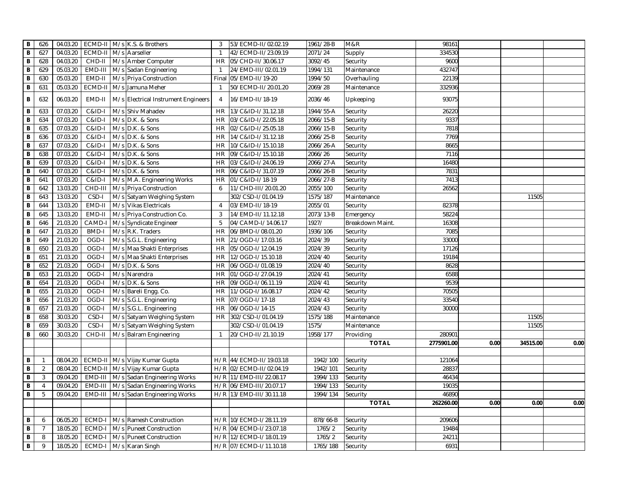| в              | 626                 | 04.03.20 |                   | ECMD-II M/s K.S. & Brothers         | 3              | 53/ECMD-II/02.02.19 | 1961/28-B | M&R             | 98161      |      |          |      |
|----------------|---------------------|----------|-------------------|-------------------------------------|----------------|---------------------|-----------|-----------------|------------|------|----------|------|
| B              | 627                 | 04.03.20 | ECMD-I            | M/s Aarseller                       | $\overline{1}$ | 42/ECMD-II/23.09.19 | 2071/24   | Supply          | 334530     |      |          |      |
|                | 628<br>В            | 04.03.20 | CHD-II            | M/s Amber Computer                  | <b>HR</b>      | 05/CHD-II/30.06.17  | 3092/45   | Security        | 9600       |      |          |      |
|                | B<br>629            | 05.03.20 | EMD-III           | M/s Sadan Engineering               | $\mathbf{1}$   | 24/EMD-III/02.01.19 | 1994/131  | Maintenance     | 432747     |      |          |      |
|                | В<br>630            | 05.03.20 | EMD-II            | M/s Priya Construction              | Final          | 05/EMD-II/19-20     | 1994/50   | Overhauling     | 22139      |      |          |      |
|                | В<br>631            | 05.03.20 | ECMD-II           | M/s Jamuna Meher                    | $\mathbf{1}$   | 50/ECMD-II/20.01.20 | 2069/28   | Maintenance     | 332936     |      |          |      |
|                | В<br>632            | 06.03.20 | EMD-II            | M/s Electrical Instrument Engineers | $\overline{4}$ | 16/EMD-II/18-19     | 2036/46   | Upkeeping       | 93075      |      |          |      |
| В              | 633                 | 07.03.20 | C&ID-I            | M/s Shiv Mahadev                    | <b>HR</b>      | 13/C&ID-I/31.12.18  | 1944/55-A | Security        | 26220      |      |          |      |
|                | B<br>634            | 07.03.20 | C&ID-I            | M/s D.K. & Sons                     | <b>HR</b>      | 03/C&ID-I/22.05.18  | 2066/15-B | Security        | 9337       |      |          |      |
| B              | 635                 | 07.03.20 | <b>C&amp;ID-I</b> | M/s D.K. & Sons                     | <b>HR</b>      | 02/C&ID-I/25.05.18  | 2066/15-B | Security        | 7818       |      |          |      |
| В              | 636                 | 07.03.20 | <b>C&amp;ID-I</b> | M/s D.K. & Sons                     | <b>HR</b>      | 14/C&ID-I/31.12.18  | 2066/25-B | Security        | 7769       |      |          |      |
| B              | 637                 | 07.03.20 | C&ID-I            | M/s D.K. & Sons                     | <b>HR</b>      | 10/C&ID-I/15.10.18  | 2066/26-A | Security        | 8665       |      |          |      |
| B              | 638                 | 07.03.20 | C&ID-I            | M/s D.K. & Sons                     | <b>HR</b>      | 09/C&ID-I/15.10.18  | 2066/26   | Security        | 7116       |      |          |      |
| B              | 639                 | 07.03.20 | <b>C&amp;ID-I</b> | M/s D.K. & Sons                     | <b>HR</b>      | 03/C&ID-I/24.06.19  | 2066/27-A | Security        | 16480      |      |          |      |
| B              | 640                 | 07.03.20 | <b>C&amp;ID-I</b> | M/s D.K. & Sons                     | <b>HR</b>      | 06/C&ID-I/31.07.19  | 2066/26-B | Security        | 7831       |      |          |      |
|                | В<br>641            | 07.03.20 | <b>C&amp;ID-I</b> | M/s M.A. Engineering Works          | <b>HR</b>      | 01/C&ID-I/18-19     | 2066/27-B | Security        | 7413       |      |          |      |
| B              | 642                 | 13.03.20 | CHD-III           | M/s Priya Construction              | 6              | 11/CHD-III/20.01.20 | 2055/100  | Security        | 26562      |      |          |      |
|                | В<br>643            | 13.03.20 | CSD-I             | M/s Satyam Weighing System          |                | 302/CSD-I/01.04.19  | 1575/187  | Maintenance     |            |      | 11505    |      |
| В              | 644                 | 13.03.20 | EMD-II            | M/s Vikas Electricals               | $\overline{4}$ | 03/EMD-II/18-19     | 2055/01   | Security        | 82378      |      |          |      |
| $\overline{B}$ | 645                 | 13.03.20 | EMD-II            | M/s Priya Construction Co.          | 3              | 14/EMD-II/11.12.18  | 2073/13-B | Emergency       | 58224      |      |          |      |
| B              | 646                 | 21.03.20 | CAMD-             | M/s Syndicate Engineer              | 5              | 04/CAMD-I/14.06.17  | 1927/     | Breakdown Maint | 16308      |      |          |      |
| B              | 647                 | 21.03.20 | <b>BMD-I</b>      | M/s R.K. Traders                    | <b>HR</b>      | 06/BMD-I/08.01.20   | 1936/106  | Security        | 7085       |      |          |      |
| B              | 649                 | 21.03.20 | OGD-I             | M/s S.G.L. Engineering              | <b>HR</b>      | 21/OGD-I/17.03.16   | 2024/39   | Security        | 33000      |      |          |      |
| В              | 650                 | 21.03.20 | OGD-I             | M/s Maa Shakti Enterprises          | <b>HR</b>      | 05/OGD-I/12.04.19   | 2024/39   | Security        | 17126      |      |          |      |
|                | В<br>651            | 21.03.20 | OGD-I             | M/s Maa Shakti Enterprises          | <b>HR</b>      | 12/OGD-I/15.10.18   | 2024/40   | Security        | 19184      |      |          |      |
|                | B<br>652            | 21.03.20 | OGD-I             | M/s D.K. & Sons                     | <b>HR</b>      | 06/OGD-I/01.08.19   | 2024/40   | Security        | 8628       |      |          |      |
|                | В<br>653            | 21.03.20 | OGD-I             | M/s Narendra                        | <b>HR</b>      | 01/OGD-I/27.04.19   | 2024/41   | Security        | 6588       |      |          |      |
| B              | 654                 | 21.03.20 | OGD-I             | M/s D.K. & Sons                     | <b>HR</b>      | 09/OGD-I/06.11.19   | 2024/41   | Security        | 9539       |      |          |      |
| B              | 655                 | 21.03.20 | OGD-I             | M/s Bareli Engg. Co.                | <b>HR</b>      | 11/OGD-I/16.08.17   | 2024/42   | Security        | 70505      |      |          |      |
| B              | 656                 | 21.03.20 | OGD-I             | M/s S.G.L. Engineering              | <b>HR</b>      | 07/OGD-I/17-18      | 2024/43   | Security        | 33540      |      |          |      |
| В              | 657                 | 21.03.20 | OGD-I             | M/s S.G.L. Engineering              | <b>HR</b>      | 06/OGD-I/14-15      | 2024/43   | Security        | 30000      |      |          |      |
|                | 658<br>В            | 30.03.20 | CSD-I             | M/s Satyam Weighing System          | <b>HR</b>      | 302/CSD-I/01.04.19  | 1575/188  | Maintenance     |            |      | 11505    |      |
| В              | 659                 | 30.03.20 | CSD-I             | M/s Satyam Weighing System          |                | 302/CSD-I/01.04.19  | 1575/     | Maintenance     |            |      | 11505    |      |
|                | В<br>660            | 30.03.20 | CHD-II            | M/s Balram Engineering              | $\mathbf{1}$   | 20/CHD-II/21.10.19  | 1958/177  | Providing       | 280901     |      |          |      |
|                |                     |          |                   |                                     |                |                     |           | <b>TOTAL</b>    | 2775901.00 | 0.00 | 34515.00 | 0.00 |
|                |                     |          |                   |                                     |                |                     |           |                 |            |      |          |      |
| в              | $\overline{1}$      | 08.04.20 |                   | ECMD-II   M/s Vijay Kumar Gupta     | H/R            | 44/ECMD-II/19.03.18 | 1942/100  | Security        | 121064     |      |          |      |
| В              | 2                   | 08.04.20 | ECMD-II           | M/s Vijay Kumar Gupta               | H/R            | 02/ECMD-II/02.04.19 | 1942/101  | Security        | 28837      |      |          |      |
|                | В<br>3              | 09.04.20 | EMD-III           | M/s Sadan Engineering Works         | H/R            | 11/EMD-III/22.08.17 | 1994/133  | Security        | 46434      |      |          |      |
|                | $\overline{4}$<br>В | 09.04.20 | EMD-III           | M/s Sadan Engineering Works         | H/R            | 06/EMD-III/20.07.17 | 1994/133  | Security        | 19035      |      |          |      |
|                | В<br>5              | 09.04.20 | EMD-III           | M/s Sadan Engineering Works         | H/R            | 13/EMD-III/30.11.18 | 1994/134  | Security        | 46890      |      |          |      |
|                |                     |          |                   |                                     |                |                     |           | <b>TOTAL</b>    | 262260.00  | 0.00 | 0.00     | 0.00 |
|                |                     |          |                   |                                     |                |                     |           |                 |            |      |          |      |
|                | В<br>6              | 06.05.20 | ECMD-I            | M/s Ramesh Construction             | H/R            | 10/ECMD-I/28.11.19  | 878/66-B  | Security        | 209606     |      |          |      |
| B              | $\overline{7}$      | 18.05.20 | ECMD-I            | M/s Puneet Construction             | H/R            | 04/ECMD-I/23.07.18  | 1765/2    | Security        | 19484      |      |          |      |
| B              | 8                   | 18.05.20 | ECMD-I            | M/s Puneet Construction             | H/R            | 12/ECMD-I/18.01.19  | 1765/2    | Security        | 24211      |      |          |      |
|                | B<br>9              | 18.05.20 | ECMD-I            | M/s Karan Singh                     | H/R            | 07/ECMD-I/11.10.18  | 1765/188  | Security        | 6931       |      |          |      |
|                |                     |          |                   |                                     |                |                     |           |                 |            |      |          |      |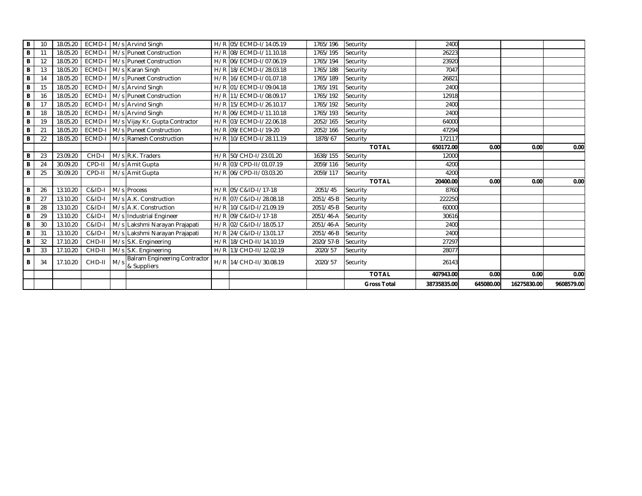|        |          |                      |                |     |                                              |     |                                                  |                      | <b>TOTAL</b><br><b>Gross Total</b> | 407943.00<br>38735835.00 | 0.00<br>645080.00 | 0.00<br>16275830.00 | 0.00<br>9608579.00 |
|--------|----------|----------------------|----------------|-----|----------------------------------------------|-----|--------------------------------------------------|----------------------|------------------------------------|--------------------------|-------------------|---------------------|--------------------|
| В      | 34       | 17.10.20             | CHD-II         | M/s | Balram Engineering Contractor<br>& Suppliers |     | H/R 14/CHD-II/30.08.19                           | 2020/57              | Security                           | 26143                    |                   |                     |                    |
| В      | 33       | 17.10.20             | CHD-II         |     | M/s S.K. Engineering                         |     | H/R 13/CHD-II/12.02.19                           | 2020/57              | Security                           | 28077                    |                   |                     |                    |
| В      | 32       | 17.10.20             | CHD-II         |     | M/s S.K. Engineering                         |     | H/R 18/CHD-II/14.10.19                           | 2020/57-B            | Security                           | 27297                    |                   |                     |                    |
| B      | 31       | 13.10.20             | C&ID-I         |     | M/s Lakshmi Narayan Prajapati                |     | H/R 24/C&ID-I/13.01.17                           | 2051/46-B            | Security                           | 2400                     |                   |                     |                    |
| В      | 30       | 13.10.20             | $C&ID-I$       |     | M/s Lakshmi Narayan Prajapati                |     | H/R 02/C&ID-I/18.05.17                           | 2051/46-A            | Security                           | 2400                     |                   |                     |                    |
| B      | 29       | 13.10.20             | C&ID-I         |     | M/s Industrial Engineer                      |     | H/R 09/C&ID-I/17-18                              | 2051/46-A            | Security                           | 30616                    |                   |                     |                    |
| В      | 28       | 13.10.20             | C&ID-I         |     | M/s A.K. Construction                        |     | H/R 10/C&ID-I/21.09.19                           | 2051/45-B            | Security                           | 60000                    |                   |                     |                    |
| B      | 27       | 13.10.20             | C&ID-I         |     | M/s A.K. Construction                        |     | H/R 07/C&ID-I/28.08.18                           | 2051/45-B            | Security                           | 222250                   |                   |                     |                    |
| B      | 26       | 13.10.20             | C&ID-I         |     | M/s Process                                  |     | H/R 05/C&ID-I/17-18                              | 2051/45              | Security                           | 8760                     |                   |                     |                    |
|        |          |                      |                |     |                                              |     |                                                  |                      | <b>TOTAL</b>                       | 20400.00                 | 0.00              | 0.00                | 0.00               |
| В      | 25       | 30.09.20             | CPD-II         |     | M/s Amit Gupta                               |     | H/R 06/CPD-II/03.03.20                           | 2059/117             | Security                           | 4200                     |                   |                     |                    |
| B      | 24       | 30.09.20             | CPD-II         |     | M/s Amit Gupta                               |     | H/R 03/CPD-II/01.07.19                           | 2059/116             | Security                           | 4200                     |                   |                     |                    |
| В      | 23       | 23.09.20             | CHD-I          |     | M/s R.K. Traders                             |     | H/R 50/CHD-I/23.01.20                            | 1638/155             | Security                           | 12000                    |                   |                     |                    |
|        |          |                      |                |     |                                              |     |                                                  |                      | <b>TOTAL</b>                       | 650172.00                | 0.00              | 0.00                | 0.00               |
| В      | 22       | 18.05.20             | ECMD-          |     | M/s Ramesh Construction                      | H/R | 10/ECMD-I/28.11.19                               | 1878/67              | Security                           | 172117                   |                   |                     |                    |
| B      | 21       | 18.05.20             | ECMD-I         |     | M/s Puneet Construction                      |     | H/R 09/ECMD-I/19-20                              | 2052/166             | Security                           | 47294                    |                   |                     |                    |
| B      | 19       | 18.05.20             | ECMD-          |     | M/s Vijay Kr. Gupta Contractor               |     | H/R 03/ECMD-1/22.06.18                           | 2052/165             | Security                           | 64000                    |                   |                     |                    |
| В      | 18       | 18.05.20             | ECMD-I         |     | M/s Arvind Singh                             |     | H/R 06/ECMD-I/11.10.18                           | 1765/193             | Security                           | 2400                     |                   |                     |                    |
| В      | 17       | 18.05.20             | ECMD-          |     | M/s Arvind Singh                             |     | H/R 15/ECMD-I/26.10.17                           | 1765/192             | Security                           | 2400                     |                   |                     |                    |
| B      | 16       | 18.05.20             | ECMD-          |     | M/s Puneet Construction                      |     | H/R 11/ECMD-I/08.09.17                           | 1765/192             | Security                           | 12918                    |                   |                     |                    |
| В      | 15       | 18.05.20             | ECMD-          |     | M/s Arvind Singh                             |     | H/R 01/ECMD-I/09.04.18                           | 1765/191             | Security                           | 2400                     |                   |                     |                    |
| В      | 14       | 18.05.20             | ECMD-          |     | M/s Puneet Construction                      |     | H/R 16/ECMD-I/01.07.18                           | 1765/189             | Security                           | 26821                    |                   |                     |                    |
| В<br>В | 12<br>13 | 18.05.20<br>18.05.20 | ECMD-<br>ECMD- |     | M/s Puneet Construction<br>M/s Karan Singh   |     | H/R 06/ECMD-I/07.06.19<br>H/R 18/ECMD-I/28.03.18 | 1765/194<br>1765/188 | Security<br>Security               | 23920<br>7047            |                   |                     |                    |
| В      | 11       | 18.05.20             | <b>ECMD-I</b>  |     | M/s Puneet Construction                      |     | H/R 08/ECMD-I/11.10.18                           | 1765/195             | Security                           | 26223                    |                   |                     |                    |
| В      | 10       | 18.05.20             | ECMD-I         |     | M/s Arvind Singh                             |     | H/R 05/ECMD-I/14.05.19                           | 1765/196             | Security                           | 2400                     |                   |                     |                    |
|        |          |                      |                |     |                                              |     |                                                  |                      |                                    |                          |                   |                     |                    |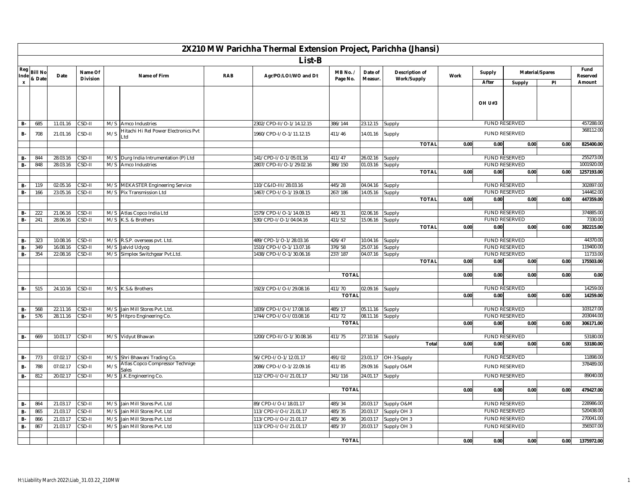|                        |                |                      |                    |            |                                                        |            | 2X210 MW Parichha Thermal Extension Project, Parichha (Jhansi) |                   |                      |                        |      |        |                                              |                 |                         |
|------------------------|----------------|----------------------|--------------------|------------|--------------------------------------------------------|------------|----------------------------------------------------------------|-------------------|----------------------|------------------------|------|--------|----------------------------------------------|-----------------|-------------------------|
|                        | List-B<br>Fund |                      |                    |            |                                                        |            |                                                                |                   |                      |                        |      |        |                                              |                 |                         |
| Reg<br>Inde            | <b>Bill No</b> | Date                 | Name Of            |            | Name of Firm                                           | <b>RAB</b> | Agr/PO/LOI/WO and Dt                                           | MB No. /          | Date of              | Description of         | Work | Supply |                                              | Material/Spares | Reserved                |
| $\pmb{\mathsf{x}}$     | & Date         |                      | <b>Division</b>    |            |                                                        |            |                                                                | Page No.          | Measur.              | Work/Supply            |      | After  | Supply                                       | PI              | Amount                  |
|                        |                |                      |                    |            |                                                        |            |                                                                |                   |                      |                        |      |        |                                              |                 |                         |
|                        |                |                      |                    |            |                                                        |            |                                                                |                   |                      |                        |      | OH U#3 |                                              |                 |                         |
|                        |                |                      |                    |            |                                                        |            |                                                                |                   |                      |                        |      |        |                                              |                 |                         |
| <b>B-</b>              | 685            | 11.01.16             | CSD-II             | M/S        | Amco Industries                                        |            | 2302/CPD-II/O-1/14.12.15                                       | 386/144           | 23.12.15             | Supply                 |      |        | <b>FUND RESERVED</b>                         |                 | 457288.00<br>368112.00  |
| в.                     | 708            | 21.01.16             | CSD-II             | M/S        | Hitachi Hi Rel Power Electronics Pvt<br>$_{\text{td}}$ |            | 1960/CPD-1/O-1/11.12.15                                        | 411/46            | 14.01.16             | Supply                 |      |        | FUND RESERVED                                |                 |                         |
|                        |                |                      |                    |            |                                                        |            |                                                                |                   |                      | <b>TOTAL</b>           | 0.00 | 0.00   | 0.00                                         | 0.00            | 825400.00               |
|                        |                |                      |                    |            |                                                        |            |                                                                |                   |                      |                        |      |        |                                              |                 |                         |
| <b>B-</b><br><b>B-</b> | 844<br>848     | 28.03.16<br>28.03.16 | CSD-II<br>$CSD-II$ | M/S<br>M/S | Durg India Intrumentation (P) Ltd<br>Amco Industries   |            | 141/CPD-I/O-1/05.01.16<br>2807/CPD-II/O-1/29.02.16             | 411/47<br>386/150 | 26.02.16<br>01.03.16 | Supply                 |      |        | <b>FUND RESERVED</b><br><b>FUND RESERVED</b> |                 | 255273.00<br>1001920.00 |
|                        |                |                      |                    |            |                                                        |            |                                                                |                   |                      | Supply<br><b>TOTAL</b> | 0.00 | 0.00   | 0.00                                         | 0.00            | 1257193.00              |
|                        |                |                      |                    |            |                                                        |            |                                                                |                   |                      |                        |      |        |                                              |                 |                         |
| <b>B-</b>              | 119            | 02.05.16             | CSD-II             | M/S        | <b>MEKASTER Engineering Service</b>                    |            | 110/C&ID-III/28.03.16                                          | 445/28            | 04.04.16             | Supply                 |      |        | <b>FUND RESERVED</b>                         |                 | 302897.00               |
| <b>B-</b>              | 166            | 23.05.16             | CSD-II             |            | M/S Pix Transmission Ltd                               |            | 1467/CPD-I/O-1/19.08.15                                        | 267/186           | 14.05.16             | Supply                 |      |        | <b>FUND RESERVED</b>                         |                 | 144462.00               |
|                        |                |                      |                    |            |                                                        |            |                                                                |                   |                      | <b>TOTAL</b>           | 0.00 | 0.00   | 0.00                                         | 0.00            | 447359.00               |
|                        |                |                      |                    |            |                                                        |            |                                                                |                   |                      |                        |      |        |                                              |                 |                         |
| <b>B-</b>              | 222            | 21.06.16             | CSD-II             |            | M/S Atlas Copco India Ltd                              |            | 1579/CPD-I/O-1/14.09.15                                        | 445/31            | 02.06.16             | Supply                 |      |        | <b>FUND RESERVED</b>                         |                 | 374885.00               |
| <b>B-</b>              | 241            | 28.06.16             | CSD-II             | M/S        | K.S. & Brothers                                        |            | 530/CPD-I/O-1/04.04.16                                         | 411/52            | 15.06.16             | Supply                 |      |        | <b>FUND RESERVED</b>                         |                 | 7330.0                  |
|                        |                |                      |                    |            |                                                        |            |                                                                |                   |                      | <b>TOTAL</b>           | 0.00 | 0.00   | 0.00                                         | 0.00            | 382215.00               |
| <b>B-</b>              | 323            | 10.08.16             | CSD-II             |            | M/S R.S.P. overseas pvt. Ltd.                          |            | 489/CPD-1/O-1/28.03.16                                         | 426/47            | 10.04.16             | Supply                 |      |        | <b>FUND RESERVED</b>                         |                 | 44370.00                |
| $B -$                  | 349            | 16.08.16             | CSD-II             | M/S        | Jalvid Udyog                                           |            | 1510/CPD-I/O-1/13.07.16                                        | 376/58            | 25.07.16             | Supply                 |      |        | <b>FUND RESERVED</b>                         |                 | 119400.00               |
| B-                     | 354            | 22.08.16             | CSD-II             | M/S        | Simplex Switchgear Pvt.Ltd.                            |            | 1438/CPD-I/O-1/30.06.16                                        | 237/187           | 04.07.16             | Supply                 |      |        | <b>FUND RESERVED</b>                         |                 | 11733.00                |
|                        |                |                      |                    |            |                                                        |            |                                                                |                   |                      | <b>TOTAL</b>           | 0.00 | 0.00   | 0.00                                         | 0.00            | 175503.00               |
|                        |                |                      |                    |            |                                                        |            |                                                                |                   |                      |                        |      |        |                                              |                 |                         |
|                        |                |                      |                    |            |                                                        |            |                                                                | <b>TOTAL</b>      |                      |                        | 0.00 | 0.00   | 0.00                                         | 0.00            | 0.00                    |
|                        |                |                      |                    |            |                                                        |            | 1923/CPD-I/O-I/29.08.16                                        | 411/70            | 02.09.16             |                        |      |        | <b>FUND RESERVED</b>                         |                 | 14259.0                 |
| <b>B-</b>              | 515            | 24.10.16             | CSD-II             |            | M/S K.S.& Brothers                                     |            |                                                                | <b>TOTAL</b>      |                      | Supply                 | 0.00 | 0.00   | 0.00                                         | 0.00            | 14259.00                |
|                        |                |                      |                    |            |                                                        |            |                                                                |                   |                      |                        |      |        |                                              |                 |                         |
| <b>B-</b>              | 568            | 22.11.16             | CSD-II             | M/S        | Jain Mill Stores Pvt. Ltd.                             |            | 1839/CPD-I/O-I/17.08.16                                        | 485/17            | 05.11.16             | Supply                 |      |        | <b>FUND RESERVED</b>                         |                 | 103127.00               |
| $B -$                  | 576            | 28.11.16             | CSD-II             |            | M/S Hitpro Engineering Co.                             |            | 1744/CPD-I/O-I/03.08.16                                        | 411/72            | 08.11.16             | Supply                 |      |        | <b>FUND RESERVED</b>                         |                 | 203044.00               |
|                        |                |                      |                    |            |                                                        |            |                                                                | <b>TOTAL</b>      |                      |                        | 0.00 | 0.00   | 0.00                                         | 0.00            | 306171.00               |
|                        |                |                      |                    |            |                                                        |            |                                                                |                   |                      |                        |      |        |                                              |                 |                         |
| <b>B-</b>              | 669            | 10.01.17             | CSD-II             |            | M/S Vidyut Bhawan                                      |            | 1200/CPD-II/O-1/30.08.16                                       | 411/75            | 27.10.16             | Supply                 |      |        | <b>FUND RESERVED</b>                         |                 | 53180.00                |
|                        |                |                      |                    |            |                                                        |            |                                                                |                   |                      | Total                  | 0.00 | 0.00   | 0.00                                         | 0.00            | 53180.00                |
| <b>B-</b>              | 773            | 07.02.17             | CSD-II             | M/S        | Shri Bhawani Trading Co.                               |            | 56/CPD-I/O-1/12.01.17                                          | 491/02            | 23.01.17             | OH-3 Supply            |      |        | <b>FUND RESERVED</b>                         |                 | 11898.00                |
| <b>B-</b>              | 788            | 07.02.17             | CSD-II             | M/S        | Atlas Copco Compressor Technige                        |            | 2086/CPD-I/O-1/22.09.16                                        | 411/85            | 29.09.16             | Supply O&M             |      |        | FUND RESERVED                                |                 | 378489.00               |
| <b>B-</b>              | 812            | 20.02.17             | CSD-II             |            | Sales<br>M/S J.K.Engineering Co.                       |            | 112/CPD-I/O-I/21.01.17                                         | 341/116           | 24.01.17             | Supply                 |      |        | <b>FUND RESERVED</b>                         |                 | 89040.00                |
|                        |                |                      |                    |            |                                                        |            |                                                                |                   |                      |                        |      |        |                                              |                 |                         |
|                        |                |                      |                    |            |                                                        |            |                                                                | <b>TOTAL</b>      |                      |                        | 0.00 | 0.00   | 0.00                                         | 0.00            | 479427.00               |
|                        |                | 21.03.17             |                    |            |                                                        |            |                                                                |                   |                      | Supply O&M             |      |        | <b>FUND RESERVED</b>                         |                 | 228986.00               |
| <b>B-</b>              | 864<br>865     | 21.03.17             | CSD-II<br>CSD-II   | M/S<br>M/S | Jain Mill Stores Pvt. Ltd<br>Jain Mill Stores Pvt. Ltd |            | 89/CPD-I/O-I/18.01.17<br>113/CPD-I/O-I/21.01.17                | 485/34<br>485/35  | 20.03.17<br>20.03.17 | Supply OH 3            |      |        | <b>FUND RESERVED</b>                         |                 | 520438.00               |
| <b>B-</b><br><b>B-</b> | 866            | 21.03.17             | CSD-II             | M/S        | Jain Mill Stores Pvt. Ltd                              |            | 113/CPD-I/O-I/21.01.17                                         | 485/36            | 20.03.17             | Supply OH 3            |      |        | <b>FUND RESERVED</b>                         |                 | 270041.00               |
| B-                     | 867            | 21.03.17             | $2SD-II$           | M/S        | Jain Mill Stores Pvt. Ltd                              |            | 113/CPD-I/O-I/21.01.17                                         | 485/37            | 20.03.17             | Supply OH 3            |      |        | <b>FUND RESERVED</b>                         |                 | 356507.00               |
|                        |                |                      |                    |            |                                                        |            |                                                                |                   |                      |                        |      |        |                                              |                 |                         |
|                        |                |                      |                    |            |                                                        |            |                                                                | <b>TOTAL</b>      |                      |                        | 0.00 | 0.00   | 0.00                                         | 0.00            | 1375972.00              |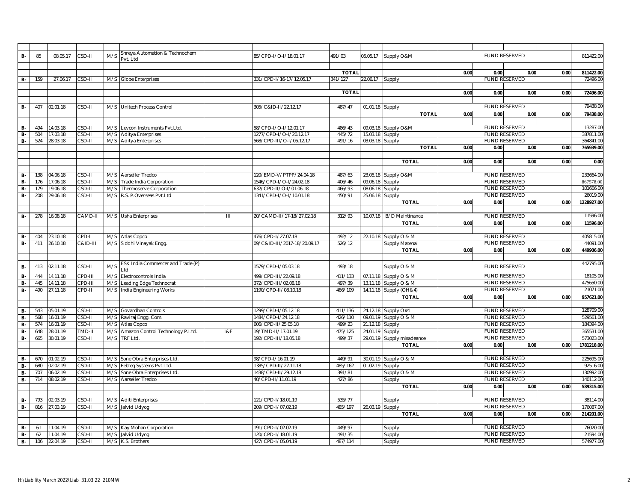| B-              | 85         | 08.05.17             | CSD-II           | M/S | Shreya Automation & Technochem       |     | 85/CPD-I/O-I/18.01.17        | 491/03            | 05.05.17             | Supply O&M            |      |      | FUND RESERVED                                |      | 811422.00             |
|-----------------|------------|----------------------|------------------|-----|--------------------------------------|-----|------------------------------|-------------------|----------------------|-----------------------|------|------|----------------------------------------------|------|-----------------------|
|                 |            |                      |                  |     | vt. Ltd                              |     |                              |                   |                      |                       |      |      |                                              |      |                       |
|                 |            |                      |                  |     |                                      |     |                              |                   |                      |                       |      |      |                                              |      |                       |
|                 |            |                      |                  |     |                                      |     |                              | <b>TOTAL</b>      |                      |                       | 0.00 | 0.00 | 0.00                                         | 0.00 | 811422.00             |
| B-              | 159        | 27.06.17             | CSD-II           |     | M/S Globe Enterprises                |     | 331/CPD-I/16-17/12.05.17     | 341/127           | 22.06.17             | Supply                |      |      | <b>FUND RESERVED</b>                         |      | 72496.00              |
|                 |            |                      |                  |     |                                      |     |                              |                   |                      |                       |      |      |                                              |      |                       |
|                 |            |                      |                  |     |                                      |     |                              | <b>TOTAL</b>      |                      |                       | 0.00 | 0.00 | 0.00                                         | 0.00 | 72496.00              |
|                 |            |                      |                  |     |                                      |     |                              |                   |                      |                       |      |      |                                              |      |                       |
| <b>B-</b>       | 407        | 02.01.18             | CSD-II           |     | M/S Unitech Process Control          |     | 305/C&ID-II/22.12.17         | 487/47            | 01.01.18             | Supply                |      |      | <b>FUND RESERVED</b>                         |      | 79438.00              |
|                 |            |                      |                  |     |                                      |     |                              |                   |                      | <b>TOTAL</b>          | 0.00 | 0.00 | 0.00                                         | 0.00 | 79438.00              |
|                 |            |                      |                  |     |                                      |     |                              |                   |                      |                       |      |      |                                              |      |                       |
| <b>B-</b>       | 494        | 14.03.18             | CSD-II           |     | M/S Levcon Instruments Pvt.Ltd.      |     | 58/CPD-I/O-I/12.01.17        | 486/43            | 09.03.18             | Supply O&M            |      |      | <b>FUND RESERVED</b>                         |      | 13287.00              |
| <b>B-</b>       | 504        | 17.03.18             | CSD-II           |     | M/S Aditya Enterprises               |     | 1277/CPD-I/O-I/20.12.17      | 445/72            | 15.03.18             | Supply                |      |      | <b>FUND RESERVED</b>                         |      | 387811.00             |
| B-              | 524        | 28.03.18             | CSD-II           |     | M/S Aditya Enterprises               |     | 568/CPD-III/O-I/05.12.17     | 491/16            | 03.03.18             | Supply                |      |      | <b>FUND RESERVED</b>                         |      | 364841.00             |
|                 |            |                      |                  |     |                                      |     |                              |                   |                      | <b>TOTAL</b>          | 0.00 | 0.00 | 0.00                                         | 0.00 | 765939.00             |
|                 |            |                      |                  |     |                                      |     |                              |                   |                      |                       |      |      |                                              |      |                       |
|                 |            |                      |                  |     |                                      |     |                              |                   |                      | <b>TOTAL</b>          | 0.00 | 0.00 | 0.00                                         | 0.00 | 0.00                  |
|                 |            |                      |                  |     |                                      |     |                              |                   |                      |                       |      |      |                                              |      |                       |
| <b>B-</b>       | 138        | 04.06.18             | CSD-II           |     | M/S Aarseller Tredco                 |     | 120/EMD-V/PTPP/24.04.18      | 487/63            |                      | 23.05.18 Supply O&M   |      |      | <b>FUND RESERVED</b>                         |      | 233664.00             |
| <b>B-</b>       | 176        | 17.06.18             | CSD-II           |     | M/S Trade India Corporation          |     | 1546/CPD-I/O-I/24.02.18      | 406/46            | 09.06.18             | Supply                |      |      | <b>FUND RESERVED</b>                         |      | 867578.0              |
| <b>B-</b>       | 179        | 19.06.18             | CSD-II           |     | M/S Thermoserve Corporation          |     | 632/CPD-II/O-I/01.06.18      | 466/93            | 08.06.18             | Supply                |      |      | <b>FUND RESERVED</b>                         |      | 101666.0              |
| B-              | 208        | 29.06.18             | CSD-II           |     | M/S R.S. P.Overseas Pvt.Ltd          |     | 1341/CPD-I/O-I/10.01.18      | 450/91            | 25.06.18             | Supply                |      |      | <b>FUND RESERVED</b>                         |      | 26019.00              |
|                 |            |                      |                  |     |                                      |     |                              |                   |                      | <b>TOTAL</b>          | 0.00 | 0.00 | 0.00                                         | 0.00 | 1228927.00            |
|                 |            |                      |                  |     |                                      |     |                              |                   |                      |                       |      |      |                                              |      |                       |
| <b>B-</b>       | 278        | 16.08.18             | CAMD-II          |     | M/S Usha Enterprises                 | Ш   | 20/CAMD-II/17-18/27.02.18    | 312/93            | 10.07.18             | B/D Maintinance       |      |      | <b>FUND RESERVED</b>                         |      | 11596.00              |
|                 |            |                      |                  |     |                                      |     |                              |                   |                      | <b>TOTAL</b>          | 0.00 | 0.00 | 0.00                                         | 0.00 | 11596.00              |
|                 |            |                      |                  |     |                                      |     |                              |                   |                      |                       |      |      |                                              |      |                       |
| в.              | 404        | 23.10.18             | CPD-I            | M/S | Atlas Copco                          |     | 476/CPD-1/27.07.18           | 492/12            |                      | 22.10.18 Supply O & M |      |      | <b>FUND RESERVED</b>                         |      | 405815.00             |
| <b>B-</b>       | 411        | 26.10.18             | C&ID-III         |     | M/S Siddhi Vinayak Engg.             |     | 09/C&ID-III/2017-18/20.09.17 | 526/12            |                      | Supply Matenal        |      |      | <b>FUND RESERVED</b>                         |      | 44091.00              |
|                 |            |                      |                  |     |                                      |     |                              |                   |                      | <b>TOTAL</b>          | 0.00 | 0.00 | 0.00                                         | 0.00 | 449906.00             |
|                 |            |                      |                  |     |                                      |     |                              |                   |                      |                       |      |      |                                              |      |                       |
| <b>B-</b>       | 413        | 02.11.18             | CSD-II           | M/S | ESK India Commercer and Trade (P)    |     | 1579/CPD-I/05.03.18          | 493/18            |                      | Supply O & M          |      |      | FUND RESERVED                                |      | 442795.00             |
|                 |            |                      |                  |     | _td                                  |     |                              |                   |                      |                       |      |      | <b>FUND RESERVED</b>                         |      | 18105.00              |
| <b>B-</b>       | 444<br>445 | 14.11.18             | CPD-III          |     | M/S Electrocontrols India            |     | 499/CPD-III/22.09.18         | 411/133           | 07.11.18             | Supply O & M          |      |      |                                              |      | 475650.00             |
| <b>B-</b>       |            | 14.11.18             | CPD-III          | M/S | Leading Edge Technocrat              |     | 372/CPD-III/02.08.18         | 497/39            | 13.11.18             | Supply O & M          |      |      | <b>FUND RESERVED</b>                         |      |                       |
| <b>B-</b>       | 490        | 27.11.18             | CPD-II           | M/S | India Engineering Works              |     | 1190/CPD-II/08.10.18         | 466/109           | 14.11.18             | Supply (OH&4)         |      |      | <b>FUND RESERVED</b>                         |      | 21071.0               |
|                 |            |                      |                  |     |                                      |     |                              |                   |                      | <b>TOTAL</b>          | 0.00 | 0.00 | 0.00                                         | 0.00 | 957621.00             |
|                 |            |                      |                  |     |                                      |     |                              |                   |                      |                       |      |      |                                              |      |                       |
| <b>B-</b>       | 543        | 05.01.19             | CSD-II           |     | M/S Govardhan Controls               |     | 1299/CPD-I/05.12.18          | 411/136           |                      | 24.12.18 Supply O#4   |      |      | <b>FUND RESERVED</b>                         |      | 128709.00<br>529561.0 |
| <b>B-</b>       | 568        | 16.01.19             | $CSD-II$         | M/S | Raviraj Engg. Com                    |     | 1484/CPD-I/24.12.18          | 426/110           | 09.01.19             | Supply O & M          |      |      | <b>FUND RESERVED</b>                         |      | 184394.00             |
| <b>B-</b>       | 574        | 16.01.19             | CSD-II           | M/S | Atlas Copco                          |     | 606/CPD-II/25.05.18          | 499/23            | 21.12.18             | Supply                |      |      | <b>FUND RESERVED</b>                         |      |                       |
| <b>B-</b>       | 648        | 28.01.19             | TMD-II           |     | M/S Amazon Control Technology P.Ltd. | 18F | 19/TMD-II/17.01.19           | 475/125           | 24.01.19             | Supply                |      |      | <b>FUND RESERVED</b>                         |      | 365531.00             |
| <b>B-</b>       | 665        | 30.01.19             | CSD-II           | M/S | TRF Ltd.                             |     | 192/CPD-III/18.05.18         | 499/37            | 29.01.19             | Supply misadeance     |      |      | FUND RESERVED                                |      | 573023.0              |
|                 |            |                      |                  |     |                                      |     |                              |                   |                      | <b>TOTAL</b>          | 0.00 | 0.00 | 0.00                                         | 0.00 | 1781218.00            |
|                 |            |                      |                  |     |                                      |     |                              |                   |                      |                       |      |      |                                              |      |                       |
| <b>B-</b>       | 670<br>680 | 01.02.19             | CSD-II           | M/S | Sone Obra Enterprises Ltd.           |     | 98/CPD-I/16.01.19            | 449/91<br>485/162 | 30.01.19<br>01.02.19 | Supply O & M          |      |      | <b>FUND RESERVED</b><br><b>FUND RESERVED</b> |      | 225695.0              |
| <b>B-</b>       |            | 02.02.19<br>06.02.19 | CSD-II           | M/S | Febteq Systems Pvt.Ltd.              |     | 1385/CPD-II/27.11.18         |                   |                      | Supply                |      |      | <b>FUND RESERVED</b>                         |      | 92516.0               |
| B-<br><b>B-</b> | 707<br>714 |                      | CSD-II<br>CSD-II | M/S | Sone Obra Enterprises Ltd.           |     | 1438/CPD-II/29.12.18         | 391/81            |                      | Supply O & M          |      |      | <b>FUND RESERVED</b>                         |      | 130992.00             |
|                 |            | 08.02.19             |                  | M/S | Aarseller Tredco                     |     | 40/CPD-II/11.01.19           | 427/86            |                      | Supply                |      |      |                                              |      | 140112.00             |
|                 |            |                      |                  |     |                                      |     |                              |                   |                      | <b>TOTAL</b>          | 0.00 | 0.00 | 0.00                                         | 0.00 | 589315.00             |
| <b>B-</b>       | 793        | 02.03.19             | CSD-II           |     | M/S Aditi Enterprises                |     | 121/CPD-I/18.01.19           | 535/77            |                      |                       |      |      | <b>FUND RESERVED</b>                         |      | 38114.00              |
| <b>B-</b>       | 816        | 27.03.19             | CSD-II           |     | M/S Jalvid Udyog                     |     | 209/CPD-I/07.02.19           | 485/197           | 26.03.19             | Supply<br>Supply      |      |      | <b>FUND RESERVED</b>                         |      | 176087.00             |
|                 |            |                      |                  |     |                                      |     |                              |                   |                      | <b>TOTAL</b>          | 0.00 | 0.00 | 0.00                                         | 0.00 | 214201.00             |
|                 |            |                      |                  |     |                                      |     |                              |                   |                      |                       |      |      |                                              |      |                       |
| <b>B-</b>       | 61         | 11.04.19             | CSD-II           |     | M/S Kay Mohan Corporation            |     | 191/CPD-I/02.02.19           | 449/97            |                      | Supply                |      |      | <b>FUND RESERVED</b>                         |      | 76020.00              |
| <b>B-</b>       | 62         | 11.04.19             | CSD-II           |     | M/S Jalvid Udyog                     |     | 120/CPD-I/18.01.19           | 491/35            |                      | Supply                |      |      | <b>FUND RESERVED</b>                         |      | 21594.00              |
| <b>B-</b>       | 106        | 22.04.19             | CSD-II           |     | M/S K.S. Brothers                    |     | 427/CPD-I/05.04.19           | 487/114           |                      | Supply                |      |      | <b>FUND RESERVED</b>                         |      | 574977.00             |
|                 |            |                      |                  |     |                                      |     |                              |                   |                      |                       |      |      |                                              |      |                       |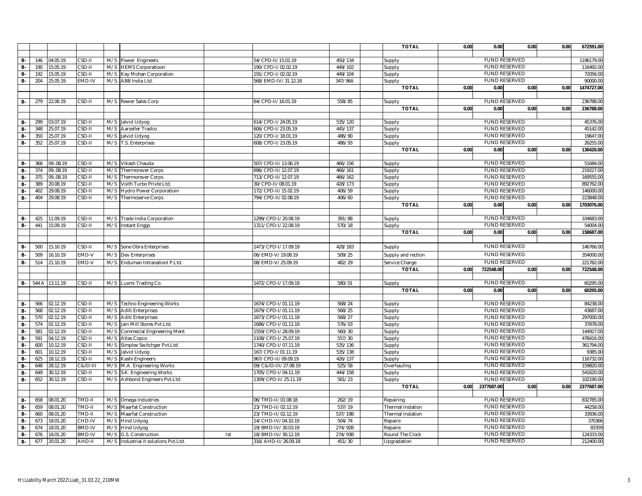|                        |            |                      |                    |     |                                                         |     |                                            |                  | <b>TOTAL</b>       | 0.00 | 0.00                                         | 0.00 | 0.00 | 672591.00             |
|------------------------|------------|----------------------|--------------------|-----|---------------------------------------------------------|-----|--------------------------------------------|------------------|--------------------|------|----------------------------------------------|------|------|-----------------------|
|                        |            |                      |                    |     |                                                         |     |                                            |                  |                    |      |                                              |      |      |                       |
| <b>B-</b>              | 146        | 04.05.19             | CSD-II             |     | M/S Power Engineers                                     |     | 54/CPD-II/15.01.19                         | 450/134          | Supply             |      | <b>FUND RESERVED</b>                         |      |      | 1196179.00            |
| <b>B-</b>              | 190        | 15.05.19             | $2SD-II$           | M/S | <b>HEMS Corporatioon</b>                                |     | 190/CPD-I/02.02.19                         | 449/102          | Supply             |      | <b>FUND RESERVED</b>                         |      |      | 116492.00             |
| <b>B-</b>              | 192        | 15.05.19             | $2SD-III$          | M/S | Kay Mohan Corporation                                   |     | 191/CPD-I/02.02.19                         | 449/104          | Supply             |      | <b>FUND RESERVED</b>                         |      |      | 72056.0               |
| $B -$                  | 204        | 25.05.19             | EMD-IV             | M/S | ABB India Ltd.                                          |     | 568/EMD-IV/31.12.18                        | 347/96A          | Supply             |      | <b>FUND RESERVED</b>                         |      |      | 90000.00              |
|                        |            |                      |                    |     |                                                         |     |                                            |                  | <b>TOTAL</b>       | 0.00 | 0.00                                         | 0.00 | 0.00 | 1474727.00            |
|                        |            |                      |                    |     |                                                         |     |                                            |                  |                    |      |                                              |      |      |                       |
| <b>B-</b>              | 279        | 22.06.19             | CSD-II             |     | M/S Rewer Sales Corp                                    |     | 64/CPD-II/16.01.19                         | 558/85           | Supply             |      | <b>FUND RESERVED</b>                         |      |      | 236788.00             |
|                        |            |                      |                    |     |                                                         |     |                                            |                  | <b>TOTAL</b>       | 0.00 | 0.00                                         | 0.00 | 0.00 | 236788.00             |
|                        |            |                      |                    |     |                                                         |     |                                            |                  |                    |      |                                              |      |      |                       |
| <b>B-</b>              | 299        | 03.07.19             | CSD-II             | M/S | Jalvid Udyog                                            |     | 614/CPD-I/24.05.19                         | 535/120          | Supply             |      | <b>FUND RESERVED</b>                         |      |      | 45376.0               |
| <b>B-</b>              | 348        | 25.07.19             | $SD-II$            | M/S | Aarseller Tradco                                        |     | 606/CPD-I/23.05.19                         | 445/137          | Supply             |      | <b>FUND RESERVED</b>                         |      |      | 45142.0               |
| <b>B-</b>              | 350        | 25.07.19             | $CSD-II$           | M/S | Jalvid Udyog                                            |     | 120/CPD-I/18.01.19                         | 486/90           | Supply             |      | <b>FUND RESERVED</b>                         |      |      | 19647.0               |
| <b>B-</b>              | 352        | 25.07.19             | $SD-II$            | M/S | T.S. Enterprises                                        |     | 608/CPD-I/23.05.19                         | 486/93           | Supply             |      | FUND RESERVED                                |      |      | 26255.00<br>136420.00 |
|                        |            |                      |                    |     |                                                         |     |                                            |                  | <b>TOTAL</b>       | 0.00 | 0.00                                         | 0.00 | 0.00 |                       |
| <b>B-</b>              | 368        | 0908.19              | CSD-II             |     | M/S Vikash Chauda                                       |     | 507/CPD-II/13.06.19                        | 466/156          | Supply             |      | <b>FUND RESERVED</b>                         |      |      | 51684.00              |
| <b>B-</b>              | 374        | 0908.19              | CSD-II             | M/S | Thermorever Corps                                       |     | 696/CPD-II/12.07.19                        | 466/161          | Supply             |      | <b>FUND RESERVED</b>                         |      |      | 219227.0              |
| <b>B-</b>              | 375        | 0908.19              | CSD-II             | M/S | <b>Thermorever Corps</b>                                |     | 713/CPD-II/12.07.19                        | 466/162          | Supply             |      | <b>FUND RESERVED</b>                         |      |      | 169555.0              |
| <b>B-</b>              | 389        | 20.08.19             | $CSD-II$           | M/S | Voith Turbo Privte Ltd                                  |     | 30/CPD-II/08.01.19                         | 428/173          | Supply             |      | <b>FUND RESERVED</b>                         |      |      | 892762.0              |
| <b>B-</b>              | 402        | 29.08.19             | $2SD-II$           | M/S | Hydro Power Corporatioin                                |     | 172/CPD-II/15.02.19                        | 406/59           | Supply             |      | <b>FUND RESERVED</b>                         |      |      | 146000.0              |
| <b>B-</b>              | 404        | 29.08.19             | $CSD-II$           | M/S | Thermoserve Corps                                       |     | 794/CPD-II/02.08.19                        | 406/60           | Supply             |      | <b>FUND RESERVED</b>                         |      |      | 223848.0              |
|                        |            |                      |                    |     |                                                         |     |                                            |                  | <b>TOTAL</b>       | 0.00 | 0.00                                         | 0.00 | 0.00 | 1703076.00            |
|                        |            |                      |                    |     |                                                         |     |                                            |                  |                    |      |                                              |      |      |                       |
| <b>B-</b>              | 425        | 11.09.19             | CSD-II             |     | M/S Trade India Corporation                             |     | 1299/CPD-I/20.08.19                        | 391/88           | Supply             |      | <b>FUND RESERVED</b>                         |      |      | 104683.0              |
| <b>B-</b>              | 441        | 15.09.19             | CSD-II             |     | M/S Instant Enggs                                       |     | 1311/CPD-I/22.08.19                        | 570/18           | Supply             |      | <b>FUND RESERVED</b>                         |      |      | 54004.00              |
|                        |            |                      |                    |     |                                                         |     |                                            |                  | <b>TOTAL</b>       | 0.00 | 0.00                                         | 0.00 | 0.00 | 158687.00             |
|                        |            |                      |                    |     |                                                         |     |                                            |                  |                    |      |                                              |      |      |                       |
| <b>B-</b>              | 500        | 15.10.19             | CSD-II             |     | M/S Sone Obra Enterprises                               |     | 1473/CPD-I/17.09.19                        | 428/183          | Supply             |      | <b>FUND RESERVED</b>                         |      |      | 146766.0              |
| <b>B-</b>              | 509        | 16.10.19             | EMD-V              | M/S | Dev Enterprises                                         |     | 06/EMD-V/19.08.19                          | 509/25           | Supply and rection |      | <b>FUND RESERVED</b>                         |      |      | 354000.0              |
| <b>B-</b>              | 514        | 21.10.19             | EMD-V              | M/S | Enduman Intranationl P.Ltd                              |     | 08/EMD-V/25.09.19                          | 482/29           | Service Charge     |      | <b>FUND RESERVED</b>                         |      |      | 221782.0              |
|                        |            |                      |                    |     |                                                         |     |                                            |                  | <b>TOTAL</b>       | 0.00 | 722548.00                                    | 0.00 | 0.00 | 722548.00             |
|                        |            |                      |                    |     |                                                         |     |                                            |                  |                    |      |                                              |      |      |                       |
| <b>B-</b>              |            | 544 A 13.11.19       | $CSD-II$           |     | M/S Luxmi Trading Co.                                   |     | 1472/CPD-I/17.09.19                        | 580/01           | Supply             |      | <b>FUND RESERVED</b>                         |      |      | 60295.00              |
|                        |            |                      |                    |     |                                                         |     |                                            |                  | <b>TOTAL</b>       | 0.00 | 0.00                                         | 0.00 | 0.00 | 60295.00              |
|                        |            |                      |                    |     |                                                         |     |                                            |                  |                    |      |                                              |      |      |                       |
| <b>B-</b>              | 566        | 02.12.19             | CSD-II             |     | M/S Techno Engineering Works                            |     | 1674/CPD-I/01.11.19                        | 568/24           | Supply             |      | <b>FUND RESERVED</b>                         |      |      | 84238.00              |
| <b>B-</b>              | 568        | 02.12.19             | CSD-II             |     | M/S Aditi Enterprises                                   |     | 1679/CPD-I/01.11.19                        | 568/25           | Supply             |      | <b>FUND RESERVED</b><br><b>FUND RESERVED</b> |      |      | 43687.0               |
| <b>B-</b>              | 570<br>574 | 02.12.19             | $CSD-II$<br>CSD-II | M/S | M/S Aditi Enterprises                                   |     | 1673/CPD-I/01.11.19                        | 568/27<br>576/03 | Supply             |      | <b>FUND RESERVED</b>                         |      |      | 297000.0<br>37878.0   |
| <b>B-</b><br><b>B-</b> | 581        | 02.12.19<br>02.12.19 | $CSD-II$           | M/S | Jain Mill Stores Pvt.Ltd.<br>Commecial Engineering Ment |     | 1686/CPD-I/01.11.19<br>1559/CPD-I/28.09.19 | 560/30           | Supply<br>Supply   |      | <b>FUND RESERVED</b>                         |      |      | 144927.0              |
| <b>B-</b>              | 591        | 04.12.19             | $2SD-II$           | M/S | Atlas Copco                                             |     | 1108/CPD-I/25.07.19                        | 557/30           | Supply             |      | <b>FUND RESERVED</b>                         |      |      | 478416.0              |
| <b>B-</b>              | 600        | 10.12.19             | CSD-II             | M/S | Simplex Switchger Pvt.Ltd                               |     | 1740/CPD-I/07.11.19                        | 535/136          | Supply             |      | <b>FUND RESERVED</b>                         |      |      | 361794.0              |
| B-                     | 601        | 10.12.19             | CSD-II             |     | M/S Jalvid Udyog                                        |     | 167/CPD-I/01.11.19                         | 535/138          | Supply             |      | <b>FUND RESERVED</b>                         |      |      | 9385.0                |
| <b>B-</b>              | 625        | 18.12.19             | CSD-II             | M/S | Kashi Engineers                                         |     | 967/CPD-II/09.09.19                        | 426/137          | Supply             |      | <b>FUND RESERVED</b>                         |      |      | 116732.0              |
| <b>B-</b>              | 648        | 28.12.19             | C&ID-III           | M/S | M.A. Engineering Works                                  |     | 09/C&ID-III/27.08.19                       | 525/58           | Overhauling        |      | <b>FUND RESERVED</b>                         |      |      | 159820.0              |
| <b>B-</b>              | 649        | 30.12.19             | CSD-II             | M/S | S.K. Engineering Works                                  |     | 1705/CPD-I/04.11.19                        | 444/158          | Supply             |      | <b>FUND RESERVED</b>                         |      |      | 541620.0              |
| <b>B-</b>              | 652        | 30.12.19             | CSD-II             |     | M/S Ashbond Engineers Pvt.Ltd.                          |     | 1309/CPD-II/25.11.19                       | 561/23           | Supply             |      | <b>FUND RESERVED</b>                         |      |      | 102190.0              |
|                        |            |                      |                    |     |                                                         |     |                                            |                  | <b>TOTAL</b>       | 0.00 | 2377687.00                                   | 0.00 | 0.00 | 2377687.00            |
|                        |            |                      |                    |     |                                                         |     |                                            |                  |                    |      |                                              |      |      |                       |
| <b>B-</b>              | 658        | 08.01.20             | TMD-II             |     | M/S Omega Industries                                    |     | 06/TMD-II/01.08.18                         | 262/19           | Repairing          |      | <b>FUND RESERVED</b>                         |      |      | 832785.00             |
| <b>B-</b>              | 659        | 08.01.20             | TMD-II             |     | M/S Maarfat Construction                                |     | 23/TMD-II/02.12.19                         | 537/19           | Thermal Inslation  |      | <b>FUND RESERVED</b>                         |      |      | 44258.0               |
| <b>B-</b>              | 660        | 08.01.20             | TMD-II             | M/S | Maarfat Construction                                    |     | 23/TMD-II/02.12.19                         | 537/19B          | Thermal Inslation  |      | <b>FUND RESERVED</b>                         |      |      | 33936.0               |
| $B -$                  | 673        | 18.01.20             | CHD-IV             | M/S | Hind Udyog                                              |     | 14/CHD-IV/04.10.19                         | 504/74           | Repaire            |      | <b>FUND RESERVED</b>                         |      |      | 370366                |
| <b>B-</b>              | 674        | 18.01.20             | <b>BMD-IV</b>      | M/S | <b>Hind Udyog</b>                                       |     | 19/BMD-IV/30.03.19                         | 274/92B          | Repaire            |      | <b>FUND RESERVED</b>                         |      |      | 8335                  |
| <b>B-</b>              | 676        | 18.01.20             | <b>BMD-IV</b>      | M/S | G.S. Construction                                       | Ist | 18/BMD-IV/30.12.19                         | 274/93B          | Round The Clock    |      | <b>FUND RESERVED</b>                         |      |      | 124333.00             |
| <b>B-</b>              | 677        | 20.01.20             | AHD-II             |     | M/S Industrial it solutions Pvt.Ltd.                    |     | 316/AHD-II/26.09.18                        | 451/30           | Upgradation        |      | <b>FUND RESERVED</b>                         |      |      | 212400.00             |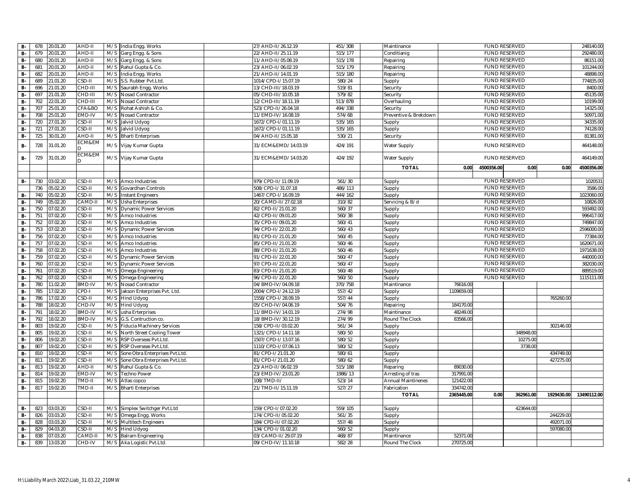| <b>B-</b> | 678 | 20.01.20 | AHD-II        |     | M/S India Engg. Works          | 27/AHD-II/26.12.19  | 451/30B | Maintinance           |                    | FUND RESERVED        |            | 248140.0    |
|-----------|-----|----------|---------------|-----|--------------------------------|---------------------|---------|-----------------------|--------------------|----------------------|------------|-------------|
| <b>B-</b> | 679 | 20.01.20 | AHD-II        | M/S | Garg Engg. & Sons              | 22/AHD-II/25.11.19  | 515/177 | Conditianig           |                    | <b>FUND RESERVED</b> |            | 292480.0    |
| <b>B-</b> | 680 | 20.01.20 | AHD-II        | M/S | Garg Engg. & Sons              | 11/AHD-II/05.08.19  | 515/178 | Repairing             |                    | <b>FUND RESERVED</b> |            | 86151.0     |
| <b>B-</b> | 681 | 20.01.20 | AHD-II        | M/S | Rahul Gupta & Co.              | 23/AHD-II/06.02.19  | 515/179 | Repairing             |                    | <b>FUND RESERVED</b> |            | 101244.00   |
| <b>B-</b> | 682 | 20.01.20 | AHD-II        | M/S | India Engg. Works              | 21/AHD-II/14.01.19  | 515/180 | Repairing             |                    | FUND RESERVED        |            | 48898.0     |
| <b>B-</b> | 689 | 21.01.20 | CSD-II        |     | M/S S.S. Rubber Pvt.Ltd.       | 1014/CPD-I/15.07.19 | 580/24  | Supply                |                    | FUND RESERVED        |            | 774835.0    |
| <b>B-</b> | 696 | 21.01.20 | CHD-III       | M/S | Saurabh Engg. Works            | 13/CHD-III/18.03.19 | 519/81  | Security              |                    | <b>FUND RESERVED</b> |            | 8400.0      |
| $B -$     | 697 | 21.01.20 | CHD-III       | M/S | Nosad Contractor               | 05/CHD-III/10.05.18 | 579/82  | Security              |                    | <b>FUND RESERVED</b> |            | 45135.00    |
| <b>B-</b> | 702 | 22.01.20 | CHD-III       | M/S | Nosad Contractor               | 12/CHD-III/18.11.19 | 513/87B | Overhauling           |                    | <b>FUND RESERVED</b> |            | 10199.00    |
| <b>B-</b> | 707 | 25.01.20 | CFA&BO        | M/S | Rohat Ashish & Co              | 523/CPD-II/26.04.18 | 494/33B | Security              |                    | <b>FUND RESERVED</b> |            | 14325.00    |
| <b>B-</b> | 708 | 25.01.20 | EMD-IV        | M/S | Nosad Contractor               | 11/EMD-IV/16.08.19  | 574/6B  | Preventive & Brekdown |                    | <b>FUND RESERVED</b> |            | 50971.00    |
| <b>B-</b> | 720 | 27.01.20 | CSD-II        | M/S | Jalvid Udyog                   | 1672/CPD-I/01.11.19 | 535/165 | Supply                |                    | <b>FUND RESERVED</b> |            | 34335.0     |
| <b>B-</b> | 721 | 27.01.20 | CSD-II        | M/S | Jalvid Udyog                   | 1672/CPD-I/01.11.19 | 535/165 | Supply                |                    | <b>FUND RESERVED</b> |            | 74128.0     |
| <b>B-</b> | 725 | 30.01.20 | AHD-II        |     | M/S Bharti Enterprises         | 04/AHD-II/15.05.18  | 530/21  | Security              |                    | <b>FUND RESERVED</b> |            | 81381.00    |
| <b>B-</b> | 728 | 31.01.20 | ECM&EM        |     | M/S Vijay Kumar Gupta          | 31/ECM&EMD/14.03.19 | 424/191 | Water Supply          |                    | <b>FUND RESERVED</b> |            | 464148.00   |
| <b>B-</b> | 729 | 31.01.20 | ECM&EM        |     | M/S Vijay Kumar Gupta          | 31/ECM&EMD/14.03.20 | 424/192 | Water Supply          |                    | FUND RESERVED        |            | 464149.00   |
|           |     |          |               |     |                                |                     |         | <b>TOTAL</b>          | 4500356.00<br>0.00 | 0.00                 | 0.00       | 4500356.00  |
|           |     |          |               |     |                                |                     |         |                       |                    |                      |            |             |
| <b>B-</b> | 730 | 03.02.20 | CSD-II        |     | M/S Amco Industries            | 979/CPD-II/11.09.19 | 561/30  | Supply                |                    | <b>FUND RESERVED</b> |            | 102053      |
|           | 736 | 05.02.20 | $2SD-III$     | M/S | Govardhan Controls             | 508/CPD-I/31.07.18  | 486/113 | Supply                |                    | <b>FUND RESERVED</b> |            | 3586.0      |
| <b>B-</b> | 740 | 05.02.20 | CSD-II        | M/S | <b>Instant Engineers</b>       | 1467/CPD-I/16.09.19 | 444/162 | Supply                |                    | <b>FUND RESERVED</b> |            | 1023060.00  |
| <b>B-</b> | 749 | 05.02.20 | CAMD-I        |     | M/S Usha Enterprises           | 20/CAMD-II/27.02.18 | 310/82  | Servicing & B/d       |                    | <b>FUND RESERVED</b> |            | 10826.0     |
| <b>B-</b> | 750 | 07.02.20 | CSD-II        | M/S | <b>Dynamic Power Services</b>  | 82/CPD-II/21.01.20  | 560/37  | Supply                |                    | FUND RESERVED        |            | 593492.0    |
| <b>B-</b> | 751 | 07.02.20 | CSD-II        | M/S | Amco Industries                | 42/CPD-II/09.01.20  | 560/38  | Supply                |                    | FUND RESERVED        |            | 996417.0    |
| <b>B-</b> | 752 | 07.02.20 | $CSD-II$      | M/S | Amco Industries                | 35/CPD-II/09.01.20  | 560/41  | Supply                |                    | <b>FUND RESERVED</b> |            | 749847.0    |
| <b>B-</b> | 753 | 07.02.20 | $SD-II$       | M/S | <b>Dynamic Power Services</b>  | 94/CPD-II/22.01.20  | 560/43  | Supply                |                    | FUND RESERVED        |            | 2596000.0   |
| <b>B-</b> | 756 | 07.02.20 | $CSD-II$      | M/S | Amco Industries                | 81/CPD-II/21.01.20  | 560/45  | Supply                |                    | FUND RESERVED        |            | 77384.0     |
| <b>B-</b> | 757 | 07.02.20 | CSD-II        | M/S | Amco Industries                | 85/CPD-II/21.01.20  | 560/46  | Supply                |                    | <b>FUND RESERVED</b> |            | 1620671.0   |
| <b>B-</b> | 758 | 07.02.20 | <b>CSD-II</b> | M/S | Amco Industries                | 88/CPD-II/21.01.20  | 560/46  | Supply                |                    | FUND RESERVED        |            | 1971638.0   |
| $B -$     | 759 | 07.02.20 | CSD-II        | M/S | <b>Dynamic Power Services</b>  | 91/CPD-II/22.01.20  | 560/47  | Supply                |                    | <b>FUND RESERVED</b> |            | 440000.0    |
| <b>B-</b> | 760 | 07.02.20 | CSD-II        | M/S | <b>Dynamic Power Services</b>  | 97/CPD-II/22.01.20  | 560/47  | Supply                |                    | <b>FUND RESERVED</b> |            | 382030.0    |
| <b>B-</b> | 761 | 07.02.20 | CSD-II        | M/S | Omega Engineering              | 83/CPD-II/21.01.20  | 560/48  | Supply                |                    | <b>FUND RESERVED</b> |            | 889519.0    |
| <b>B-</b> | 762 | 07.02.20 | CSD-II        | M/S | Omega Engineering              | 96/CPD-II/22.01.20  | 560/50  | Supply                |                    | <b>FUND RESERVED</b> |            | 1115111.00  |
| <b>B-</b> | 780 | 11.02.20 | <b>BMD-IV</b> | M/S | Nosad Contractor               | 04/BMD-IV/04.09.18  | 370/75B | Maintinance           | 76616.00           |                      |            |             |
| <b>B-</b> | 785 | 17.02.20 | CPD-I         | M/S | Jakson Enterprises Pvt. Ltd.   | 2004/CPD-I/24.12.19 | 557/42  | Supply                | 1109659.00         |                      |            |             |
| <b>B-</b> | 786 | 17.02.20 | CSD-II        | M/S | Hind Udyog                     | 1558/CPD-I/28.09.19 | 557/44  | Supply                |                    |                      | 765260.00  |             |
| <b>B-</b> | 788 | 18.02.20 | CHD-IV        | M/S | Hind Udyog                     | 05/CHD-IV/04.06.19  | 504/76  | Repairing             | 184170.0           |                      |            |             |
| <b>B-</b> | 791 | 18.02.20 | <b>BMD-IV</b> | M/S | usha Erterprises               | 11/BMD-IV/14.01.19  | 274/98  | Maintinance           | 48249.00           |                      |            |             |
| <b>B-</b> | 792 | 18.02.20 | <b>BMD-IV</b> | M/S | G.S. Contruction co.           | 18/BMD-IV/30.12.19  | 274/99  | Round The Clock       | 83566.00           |                      |            |             |
| B-        | 803 | 19.02.20 | $CSD-II$      | M/S | Fiducia Machinery Services     | 158/CPD-II/03.02.20 | 561/34  | Supply                |                    |                      | 302146.00  |             |
| <b>B-</b> | 805 | 19.02.20 | CSD-II        | M/S | North Street Cooling Tower     | 1321/CPD-I/14.11.18 | 580/50  | Supply                |                    | 348948.00            |            |             |
| <b>B-</b> | 806 | 19.02.20 | $2SD-III$     | M/S | RSP Overseas Pvt.Ltd           | 1507/CPD-I/13.07.16 | 580/52  | Supply                |                    | 10275.00             |            |             |
| <b>B-</b> | 807 | 19.02.20 | CSD-II        | M/S | RSP Overseas Pvt.Ltd           | 1110/CPD-I/07.06.13 | 580/52  | Supply                |                    | 3738.00              |            |             |
| <b>B-</b> | 810 | 19.02.20 | CSD-II        | M/S | Sone Obra Enterprises Pvt.Ltd. | 81/CPD-I/21.01.20   | 580/61  | Supply                |                    |                      | 434749.00  |             |
| <b>B-</b> | 811 | 19.02.20 | CSD-II        | M/S | Sone Obra Enterprises Pvt.Ltd. | 81/CPD-I/21.01.20   | 580/62  | Supply                |                    |                      | 427275.00  |             |
| <b>B-</b> | 813 | 19.02.20 | AHD-II        | M/S | Rahul Gupta & Co.              | 23/AHD-II/06.02.19  | 515/188 | Reparing              | 89030.00           |                      |            |             |
| <b>B-</b> | 814 | 19.02.20 | EMD-IV        | M/S | <b>Techno Power</b>            | 23/EMD-IV/23.01.20  | 1986/13 | Arresting of tras     | 317991.00          |                      |            |             |
| <b>B-</b> | 815 | 19.02.20 | TMD-II        | M/S | Atlas copco                    | 108/TMD-II/         | 523/14  | Annual Maintinenes    | 121422.00          |                      |            |             |
| <b>B-</b> | 817 | 19.02.20 | TMD-II        |     | M/S Bharti Enterprises         | 21/TMD-II/15.11.19  | 527/27  | Fabrication           | 334742.00          |                      |            |             |
|           |     |          |               |     |                                |                     |         | <b>TOTAL</b>          | 2365445.00<br>0.00 | 362961.00            | 1929430.00 | 13490112.00 |
| <b>B-</b> | 823 | 03.03.20 | $CSD-II$      |     | M/S Simplex Switchger Pvt.Ltd  | 159/CPD-I/07.02.20  | 559/105 |                       |                    | 423644.00            |            |             |
| <b>B-</b> | 826 | 03.03.20 | CSD-II        |     | M/S Omega Engg. Works          | 174/CPD-II/05.02.20 | 561/35  | Supply<br>Supply      |                    |                      | 244229.00  |             |
| <b>B-</b> | 828 | 03.03.20 | $CSD-II$      |     | M/S Multitech Engineers        | 184/CPD-II/07.02.20 | 557/48  | Supply                |                    |                      | 492071.00  |             |
| <b>B-</b> | 829 | 04.03.20 | $SD-II$       | M/S | <b>Hind Udyog</b>              | 134/CPD-I/01.02.20  | 560/52  | Supply                |                    |                      | 597080.00  |             |
| <b>B-</b> | 838 | 07.03.20 | CAMD-I        | M/S | Balram Engineering             | 03/CAMD-II/29.07.19 | 468/87  | Maintinance           | 52371.00           |                      |            |             |
| <b>B-</b> | 839 | 13.03.20 | CHD-IV        |     | M/S Aka Logistic Pvt.Ltd.      | 09/CHD-IV/11.10.18  | 582/28  | Round The Clock       | 270725.00          |                      |            |             |
|           |     |          |               |     |                                |                     |         |                       |                    |                      |            |             |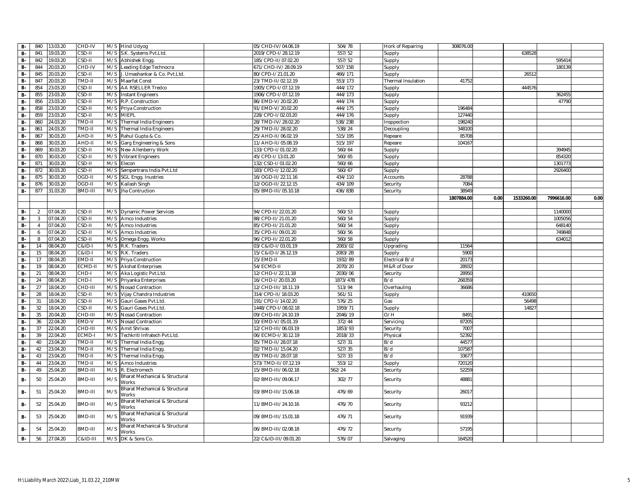| <b>B-</b> | 840            | 13.03.20 | CHD-IV            |     | M/S Hind Udyog                          | 05/CHD-IV/04.06.19   | 504/78   | Hork of Repairing  | 308076.00  |      |            |            |      |
|-----------|----------------|----------|-------------------|-----|-----------------------------------------|----------------------|----------|--------------------|------------|------|------------|------------|------|
| <b>B-</b> | 841            | 19.03.20 | CSD-II            |     | M/S S.K. Systems Pvt.Ltd.               | 2019/CPD-I/28.12.19  | 557/52   | Supply             |            |      | 638528     |            |      |
| <b>B-</b> | 842            | 9.03.20  | CSD-II            |     | M/S Abhishek Engg                       | 185/CPD-II/07.02.20  | 557/52   | Supply             |            |      |            | 59541      |      |
| $B -$     | 844            | 20.03.20 | CHD-IV            | M/S | Leading Edge Technocra                  | 671/CHD-IV/28.09.19  | 507/15B  | Supply             |            |      |            | 18013      |      |
| <b>B-</b> | 845            | 0.03.20  | CSD-II            | M/S | J. Umashankar & Co. Pvt.Ltd.            | 80/CPD-I/21.01.20    | 466/171  | Supply             |            |      | 26512      |            |      |
| <b>B-</b> | 847            | 20.03.20 | TMD-II            | M/S | Maarfat Const                           | 23/TMD-II/02.12.19   | 553/173  | Thermal Insulation | 41752      |      |            |            |      |
| <b>B-</b> | 854            | 3.03.20  | CSD-II            |     | M/S AA RSELLER Tredco                   | 1905/CPD-I/07.12.19  | 444/172  | Supply             |            |      | 444576     |            |      |
| <b>B-</b> | 855            | 3.03.20  | CSD-II            |     | M/S Instant Engineers                   | 1906/CPD-I/07.12.19  | 444/173  | Supply             |            |      |            | 36245      |      |
| <b>B-</b> | 856            | 3.03.20  | CSD-II            | M/S | R.P. Construction                       | 86/EMD-V/20.02.20    | 444/174  | Supply             |            |      |            | 47790      |      |
| <b>B-</b> | 858            | 3.03.20  | CSD-II            | M/S | Priya Construction                      | 91/EMD-V/20.02.20    | 444/175  | Supply             | 196484     |      |            |            |      |
| <b>B-</b> | 859            | 3.03.20  | CSD-II            | M/S | <b>MIEPL</b>                            | 228/CPD-I/02.03.20   | 444/176  | Supply             | 127440     |      |            |            |      |
| <b>B-</b> | 860            | 24.03.20 | TMD-II            | M/S | <b>Thermal India Engineers</b>          | 28/TMD-IV/28.02.20   | 538/23B  | Insppection        | 198240     |      |            |            |      |
| <b>B-</b> | 861            | 4.03.20  | TMD-II            | M/S | Thermal India Engineers                 | 29/TMD-II/28.02.20   | 538/24   | Decoupling         | 348100     |      |            |            |      |
| <b>B-</b> | 867            | 30.03.20 | AHD-II            | M/S | Rahul Gupta & Co.                       | 25/AHD-II/06.02.19   | 515/195  | Repeare            | 85708      |      |            |            |      |
| <b>B-</b> | 868            | 30.03.20 | AHD-II            | M/S | Garg Engineering & Sons                 | 11/AHD-II/05.08.19   | 515/197  | Repeare            | 104167     |      |            |            |      |
| <b>B-</b> | 869            | 30.03.20 | CSD-II            | M/S | New Allenberry Work                     | 133/CPD-I/01.02.20   | 560/64   | Supply             |            |      |            | 39494      |      |
| <b>B-</b> | 870            | 30.03.20 | CSD-II            | M/S | <b>Vibrant Engineers</b>                | 45/CPD-I/13.01.20    | 560/65   | Supply             |            |      |            | 85432      |      |
| <b>B-</b> | 871            | 30.03.20 | CSD-II            | M/S | Elecon                                  | 132/CSD-I/01.02.20   | 560/66   | Supply             |            |      |            | 130177     |      |
| <b>B-</b> | 872            | 30.03.20 | CSD-II            | M/S | Sempertrans India Pvt.Ltd               | 183/CPD-I/12.02.20   | 560/67   | Supply             |            |      |            | 2926400    |      |
| $B -$     | 875            | 30.03.20 | OGD-II            | M/S | <b>SGL Engg. Inustries</b>              | 16/OGD-II/22.11.16   | 434/110  | Accounts           | 28788      |      |            |            |      |
| $B -$     | 876            | 30.03.20 | OGD-II            | M/S | Kailash Singh                           | 12/OGD-II/22.12.15   | 434/109  | Security           | 7084       |      |            |            |      |
| <b>B-</b> | 877            | 31.03.20 | BMD-III           |     | M/S Jha Contruction                     | 05/BMD-III/05.10.18  | 436/83B  | Security           | 38949      |      |            |            |      |
|           |                |          |                   |     |                                         |                      |          |                    | 1807884.00 | 0.00 | 1533260.00 | 7996616.00 | 0.00 |
|           |                |          |                   |     |                                         |                      |          |                    |            |      |            |            |      |
| <b>B-</b> | $\overline{2}$ | 07.04.20 | CSD-II            | M/S | <b>Dynamic Power Services</b>           | 94/CPD-II/22.01.20   | 560/53   | Supply             |            |      |            | 1140000    |      |
| <b>B-</b> | $\overline{3}$ | 07.04.20 | CSD-II            | M/S | Amco Industries                         | 88/CPD-II/21.01.20   | 560/54   | Supply             |            |      |            | 100505     |      |
| $B -$     | $\overline{4}$ | 07.04.20 | CSD-II            |     | M/S Amco Industries                     | 85/CPD-II/21.01.20   | 560/54   | Supply             |            |      |            | 648140     |      |
| <b>B-</b> | 6              | 07.04.20 | CSD-II            | M/S | Amco Industries                         | 35/CPD-II/09.01.20   | 560/56   | Supply             |            |      |            | 74984      |      |
| B-        | 8              | 07.04.20 | CSD-II            | M/S | Omega Engg. Works                       | 96/CPD-II/22.01.20   | 560/58   | Supply             |            |      |            | 63401      |      |
| <b>B-</b> | 14             | 08.04.20 | C&ID-I            |     | M/S R.K. Traders                        | 03/C&ID-I/03.01.19   | 2083/02  | Upgrading          | 11564      |      |            |            |      |
| <b>B-</b> | 15             | 08.04.20 | <b>C&amp;ID-I</b> |     | M/S R.K. Traders                        | 15/C&ID-I/26.12.19   | 2083/2B  | Supply             | 5900       |      |            |            |      |
| <b>B-</b> | 17             | 08.04.20 | EMD-II            | M/S | Priya Construction                      | 15/EMD-II            | 1932/89  | Electrical B/d     | 20173      |      |            |            |      |
| <b>B-</b> | 19             | 08.04.20 | ECMD-I            | M/S | <b>Akshat Enterprises</b>               | 54/ECMD-II           | 2070/20  | M&R of Door        | 2893       |      |            |            |      |
| <b>B-</b> | 21             | 08.04.20 | CHD-I             | M/S | Aka Logistic Pvt.Ltd.                   | 12/CHD-I/22.11.18    | 2030/06  | Security           | 28950      |      |            |            |      |
| $B -$     | 24             | 08.04.20 | CHD-I             | M/S | Priyanka Enterprises                    | 16/CHD-I/20.03.20    | 1873/47B | B/d                | 268359     |      |            |            |      |
| <b>B-</b> | 27             | 18.04.20 | CHD-III           | M/S | Nosad Contraction                       | 12/CHD-III/18.11.19  | 513/94   | Overhauling        | 36686      |      |            |            |      |
| <b>B-</b> | 28             | 8.04.20  | CSD-II            |     | M/S Vijay Chandra Industries            | 314/CPD-II/18.03.20  | 561/51   | Supply             |            |      | 410650     |            |      |
| <b>B-</b> | 31             | 18.04.20 | CSD-II            |     | M/S Gauri Gases Pvt.Ltd                 | 191/CPD-I/14.02.20   | 576/25   | Gas                |            |      | 56498      |            |      |
| <b>B-</b> | 32             | 8.04.20  | CSD-II            | M/S | Gauri Gases Pvt.Ltd.                    | 1448/CPD-I/08.02.18  | 1959/71  | Supply             |            |      | 1482       |            |      |
| <b>B-</b> | 35             | 20.04.20 | CHD-III           | M/S | <b>Nosad Contraction</b>                | 09/CHD-III/24.10.19  | 2046/19  | O/H                | 849        |      |            |            |      |
| <b>B-</b> | 36             | 22.04.20 | EMD-V             | M/S | Nosad Contraction                       | 10/EMD-V/05.01.19    | 372/44   | Servicing          | 87205      |      |            |            |      |
| <b>B-</b> | 37             | 22.04.20 | CHD-III           | M/S | Amit Shrivas                            | 12/CHD-III/06.03.19  | 1853/93  | Security           | 7007       |      |            |            |      |
| <b>B-</b> | 39             | 2.04.20  | ECMD-I            | M/S | Techkriti Infratech Pvt.Ltd.            | 06/ECMD-I/30.12.19   | 2018/33  | Physical           | 52392      |      |            |            |      |
| <b>B-</b> | 40             | 3.04.20  | TMD-II            | M/S | Thermal India Engg                      | 05/TMD-II/28.07.18   | 527/31   | B/d                | 44577      |      |            |            |      |
| <b>B-</b> | 42             | 23.04.20 | TMD-II            | M/S | Thermal India Engg                      | 02/TMD-II/15.04.20   | 527/35   | B/d                | 10758      |      |            |            |      |
| <b>B-</b> | 43             | 23.04.20 | TMD-II            | M/S | Thermal India Engg.                     | 05/TMD-II/28.07.18   | 527/33   | B/d                | 33677      |      |            |            |      |
| <b>B-</b> | 44             | 3.04.20  | TMD-II            | M/S | Amco Industries                         | 573/TMD-II/07.12.19  | 553/12   | Supply             | 720120     |      |            |            |      |
| <b>B-</b> | 49             | 25.04.20 | BMD-III           | M/S | R. Electromech                          | 15/BMD-III/06.02.18  | 562/24   | Security           | 52259      |      |            |            |      |
| <b>B-</b> | 50             | 25.04.20 | BMD-III           | M/S | Bharat Mechanical & Structural<br>Works | 02/BMD-III/09.06.17  | 302/77   | Security           | 48881      |      |            |            |      |
| <b>B-</b> | 51             | 25.04.20 | BMD-III           | M/S | Bharat Mechanical & Structural<br>Works | 03/BMD-III/15.06.18  | 476/69   | Security           | 26017      |      |            |            |      |
| <b>B-</b> | 52             | 25.04.20 | BMD-III           | M/S | Bharat Mechanical & Structural<br>Works | 11/BMD-III/24.10.16  | 476/70   | Security           | 93212      |      |            |            |      |
| <b>B-</b> | 53             | 25.04.20 | BMD-III           | M/S | Bharat Mechanical & Structural<br>Works | 09/BMD-III/15.01.18  | 476/71   | Security           | 91939      |      |            |            |      |
| в.        | 54             | 25.04.20 | BMD-III           | M/S | 3harat Mechanical & Structural<br>Works | 06/BMD-III/02.08.18  | 476/72   | Security           | 57195      |      |            |            |      |
| <b>B-</b> | 56             | 27.04.20 | C&ID-III          | M/S | DK & Sons Co.                           | 22/C&ID-III/09.01.20 | 576/07   | Salvaging          | 164520     |      |            |            |      |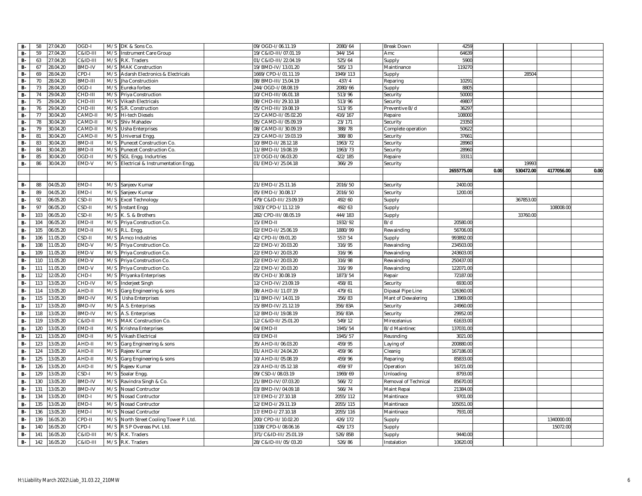| <b>B-</b> | 58  | 27.04.20 | OGD-I               |     | M/S DK & Sons Co.                  | 09/OGD-I/06.11.19     | 2080/64  | Break Down           | 4259       |      |           |            |      |
|-----------|-----|----------|---------------------|-----|------------------------------------|-----------------------|----------|----------------------|------------|------|-----------|------------|------|
| <b>B-</b> | 59  | 27.04.20 | C&ID-III            | M/S | Instrument Care Group              | 19/C&ID-III/07.01.19  | 344/154  | Amc                  | 64639      |      |           |            |      |
| <b>B-</b> | 63  | 27.04.20 | <b>C&amp;ID-III</b> | M/S | R.K. Traders                       | 01/C&ID-III/22.04.19  | 525/64   | Supply               | 5900       |      |           |            |      |
| <b>B-</b> | 67  | 28.04.20 | <b>BMD-IV</b>       | M/S | <b>MAK Construction</b>            | 19/BMD-IV/13.01.20    | 565/13   | Maintinance          | 119270     |      |           |            |      |
| <b>B-</b> | 69  | 28.04.20 | CPD-I               | M/S | Adarsh Electronics & Electricals   | 1669/CPD-I/01.11.19   | 1949/113 | Supply               |            |      | 28504     |            |      |
| $B -$     | 70  | 28.04.20 | BMD-III             | M/S | Jha Constructioin                  | 08/BMD-III/15.04.19   | 437/4    | Reparing             | 1029       |      |           |            |      |
| <b>B-</b> | 73  | 28.04.20 | OGD-I               | M/S | Eureka forbes                      | 244/OGD-I/08.08.19    | 2080/66  | Supply               | 8805       |      |           |            |      |
| <b>B-</b> | 74  | 29.04.20 | CHD-III             | M/S | Priya Construction                 | 10/CHD-III/06.01.18   | 513/96   | Security             | 5000       |      |           |            |      |
| <b>B-</b> | 75  | 29.04.20 | CHD-III             | M/S | Vikash Electricals                 | 08/CHD-III/29.10.18   | 513/96   | Security             | 4980       |      |           |            |      |
| <b>B-</b> | 76  | 29.04.20 | CHD-III             | M/S | S.R. Construction                  | 05/CHD-III/19.08.19   | 513/95   | Preventive B/d       | 3629       |      |           |            |      |
| <b>B-</b> | 77  | 30.04.20 | CAMD-I              | M/S | <b>Hi-tech Diesels</b>             | 15/CAMD-II/05.02.20   | 416/167  | Repaire              | 108000     |      |           |            |      |
| <b>B-</b> | 78  | 30.04.20 | CAMD-I              | M/S | Shiv Mahadev                       | 05/CAMD-II/05.09.19   | 23/171   | Security             | 2335       |      |           |            |      |
| <b>B-</b> | 79  | 30.04.20 | CAMD-I              | M/S | <b>Usha Enterprises</b>            | 08/CAMD-II/30.09.19   | 388/78   | Complete operation   | 5062       |      |           |            |      |
| <b>B-</b> | 81  | 30.04.20 | CAMD-I              | M/S | <b>Universal Engg</b>              | 23/CAMD-II/19.03.19   | 388/80   | Security             | 3766       |      |           |            |      |
| <b>B-</b> | 83  | 30.04.20 | BMD-II              | M/S | Punecet Construction Co.           | 10/BMD-II/28.12.18    | 1963/72  | Security             | 28960      |      |           |            |      |
| <b>B-</b> | 84  | 30.04.20 | BMD-II              | M/S | Punecet Construction Co.           | 11/BMD-II/19.08.19    | 1963/73  | Security             | 28960      |      |           |            |      |
| $B -$     | 85  | 30.04.20 | OGD-II              | M/S | SGL Engg. Indurtries               | 17/OGD-II/06.03.20    | 422/185  | Repaire              | 3331       |      |           |            |      |
| <b>B-</b> | 86  | 30.04.20 | EMD-V               | M/S | Electrical & Instrumentation Engg. | 01/EMD-V/25.04.18     | 366/29   | Security             |            |      | 19993     |            |      |
|           |     |          |                     |     |                                    |                       |          |                      | 2655775.00 | 0.00 | 530472.00 | 4177056.00 | 0.00 |
| <b>B-</b> | 88  | 04.05.20 | EMD-I               | M/S |                                    | 21/EMD-I/25.11.16     | 2016/50  |                      | 2400.00    |      |           |            |      |
| <b>B-</b> | 89  | 04.05.20 | EMD-I               | M/S | Sanjeev Kumar<br>Sanjeev Kumar     | 05/EMD-1/30.08.17     | 2016/50  | Security<br>Security | 1200.00    |      |           |            |      |
| <b>B-</b> | 92  | 06.05.20 |                     |     |                                    |                       | 492/60   |                      |            |      | 367853.00 |            |      |
|           | 97  |          | CSD-II              | M/S | <b>Excel Technology</b>            | 479/C&ID-III/23.09.19 |          | Supply               |            |      |           |            |      |
| <b>B-</b> |     | 06.05.20 | CSD-II              | M/S | Instant Engg                       | 1923/CPD-I/11.12.19   | 492/63   | Supply               |            |      |           | 108008.00  |      |
| <b>B-</b> | 103 | 06.05.20 | CSD-II              | M/S | K. S. & Brothers                   | 282/CPD-III/08.05.19  | 444/183  | Supply               |            |      | 33760.00  |            |      |
| <b>B-</b> | 104 | 06.05.20 | EMD-II              | M/S | Priya Construction Co.             | 15/EMD-II             | 1932/92  | B/d                  | 20580.00   |      |           |            |      |
| <b>B-</b> | 105 | 06.05.20 | EMD-II              | M/S | R.L. Engg.                         | 02/EMD-II/25.06.19    | 1880/99  | Rewainding           | 56706.00   |      |           |            |      |
| <b>B-</b> | 106 | 11.05.20 | CSD-II              | M/S | Amco Industries                    | 42/CPD-II/09.01.20    | 557/54   | Supply               | 993892.00  |      |           |            |      |
| <b>B-</b> | 108 | 11.05.20 | EMD-V               | M/S | Priya Construction Co.             | 22/EMD-V/20.03.20     | 316/95   | Rewainding           | 234503.00  |      |           |            |      |
| <b>B-</b> | 109 | 11.05.20 | EMD-V               | M/S | Priya Construction Co.             | 22/EMD-V/20.03.20     | 316/96   | Rewainding           | 243603.00  |      |           |            |      |
| <b>B-</b> | 110 | 11.05.20 | EMD-V               | M/S | Priya Construction Co.             | 22/EMD-V/20.03.20     | 316/98   | Rewainding           | 250437.00  |      |           |            |      |
| <b>B-</b> | 111 | 11.05.20 | EMD-V               | M/S | Priya Construction Co.             | 22/EMD-V/20.03.20     | 316/99   | Rewainding           | 122071.00  |      |           |            |      |
| <b>B-</b> | 112 | 12.05.20 | CHD-I               | M/S | Priyanka Enterprises               | 05/CHD-I/30.08.19     | 1873/54  | Repair               | 72187.00   |      |           |            |      |
| <b>B-</b> | 113 | 13.05.20 | CHD-IV              | M/S | Inderjeet Singh                    | 12/CHD-IV/23.09.19    | 458/81   | Security             | 6930.00    |      |           |            |      |
| <b>B-</b> | 114 | 13.05.20 | AHD-II              | M/S | Garg Engineering & sons            | 08/AHD-II/11.07.19    | 479/61   | Dipasal Pipe Line    | 126360.00  |      |           |            |      |
| <b>B-</b> | 115 | 13.05.20 | <b>BMD-IV</b>       | M/S | Usha Enterprises                   | 11/BMD-IV/14.01.19    | 356/83   | Mant of Dewalering   | 13969.00   |      |           |            |      |
| <b>B-</b> | 117 | 13.05.20 | <b>BMD-IV</b>       | M/S | A.S. Enterprises                   | 15/BMD-IV/21.12.19    | 356/83A  | Security             | 24960.00   |      |           |            |      |
| <b>B-</b> | 118 | 13.05.20 | <b>BMD-IV</b>       | M/S | A.S. Enterprises                   | 12/BMD-II/19.08.19    | 356/83A  | Security             | 29952.00   |      |           |            |      |
| <b>B-</b> | 119 | 13.05.20 | <b>C&amp;ID-II</b>  | M/S | MAK Construction Co.               | 12/C&ID-II/25.01.20   | 549/12   | Mirecelanius         | 61633.00   |      |           |            |      |
| <b>B-</b> | 120 | 13.05.20 | EMD-II              | M/S | Krishna Enterprises                | 04/EMD-II             | 1945/54  | B/d Maintinec        | 137031.00  |      |           |            |      |
| <b>B-</b> | 121 | 13.05.20 | EMD-II              | M/S | Vikash Electrical                  | 03/EMD-II             | 1945/57  | Reusnding            | 3021.0     |      |           |            |      |
| <b>B-</b> | 123 | 13.05.20 | AHD-II              | M/S | Garg Engineering & sons            | 35/AHD-II/06.03.20    | 459/95   | Laying of            | 200880.00  |      |           |            |      |
| <b>B-</b> | 124 | 13.05.20 | AHD-II              | M/S | Rajeev Kumar                       | 01/AHD-II/24.04.20    | 459/96   | Cleanig              | 167186.00  |      |           |            |      |
| <b>B-</b> | 125 | 13.05.20 | AHD-II              | M/S | Garg Engineering & sons            | 10/AHD-II/05.08.19    | 459/96   | Reparing             | 85833.00   |      |           |            |      |
| <b>B-</b> | 126 | 13.05.20 | AHD-II              | M/S | Rajeev Kumar                       | 23/AHD-II/05.12.18    | 459/97   | Operation            | 16721.00   |      |           |            |      |
| <b>B-</b> | 129 | 13.05.20 | CSD-I               | M/S | Soalar Engg.                       | 09/CSD-I/08.03.19     | 1969/69  | Unloading            | 8793.00    |      |           |            |      |
| <b>B-</b> | 130 | 13.05.20 | <b>BMD-IV</b>       | M/S | Ravindra Singh & Co.               | 21/BMD-IV/07.03.20    | 566/72   | Removal of Technical | 85670.00   |      |           |            |      |
| <b>B-</b> | 131 | 13.05.20 | <b>BMD-IV</b>       | M/S | Nosad Contructor                   | 03/BMD-IV/04.09.18    | 566/74   | Maint Repai          | 21384.00   |      |           |            |      |
| <b>B-</b> | 134 | 13.05.20 | EMD-I               | M/S | Nosad Contructor                   | 17/EMD-I/27.10.18     | 2055/112 | Maintinace           | 9701.00    |      |           |            |      |
| <b>B-</b> | 135 | 13.05.20 | EMD-I               | M/S | Nosad Contructor                   | 12/EMD-1/29.11.19     | 2055/115 | Maintinace           | 105051.00  |      |           |            |      |
| <b>B-</b> | 136 | 13.05.20 | EMD-I               | M/S | Nosad Contructor                   | 17/EMD-I/27.10.18     | 2055/116 | Maintinace           | 7931.00    |      |           |            |      |
| <b>B-</b> | 139 | 16.05.20 | CPD-II              | M/S | North Street Cooling Tower P. Ltd. | 200/CPD-II/10.02.20   | 426/172  | Supply               |            |      |           | 1340000.00 |      |
| <b>B-</b> | 140 | 16.05.20 | CPD-I               | M/S | R S P Overeas Pvt. Ltd.            | 1108/CPD-I/08.06.16   | 426/173  | Supply               |            |      |           | 15072.00   |      |
| <b>B-</b> | 141 | 16.05.20 | C&ID-III            | M/S | R.K. Traders                       | 371/C&ID-III/25.01.19 | 526/85B  | Supply               | 9440.00    |      |           |            |      |
| <b>B-</b> | 142 | 16.05.20 | C&ID-III            | M/S | R.K. Traders                       | 28/C&ID-III/05/03.20  | 526/86   | Instalation          | 10620.00   |      |           |            |      |
|           |     |          |                     |     |                                    |                       |          |                      |            |      |           |            |      |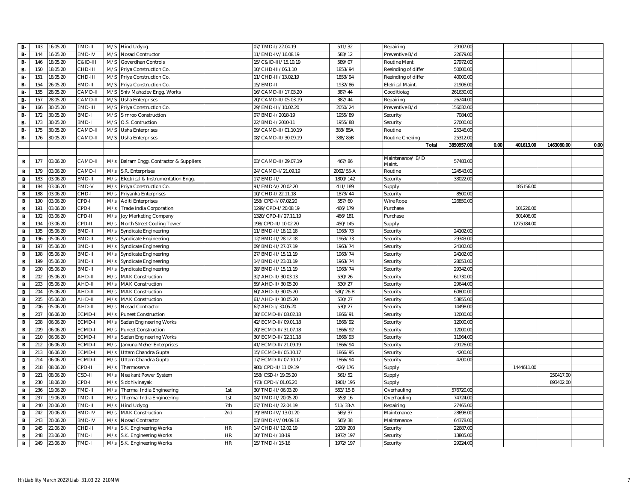| <b>B-</b>    | 143 | 16.05.20 | TMD-II        |     | M/S Hind Udyog                      |           | 07/TMD-1/22.04.19    | 511/32       | Repairing                  | 29107.00   |      |            |            |      |
|--------------|-----|----------|---------------|-----|-------------------------------------|-----------|----------------------|--------------|----------------------------|------------|------|------------|------------|------|
| <b>B-</b>    | 144 | 16.05.20 | EMD-IV        | M/S | Nosad Contructor                    |           | 11/EMD-IV/16.08.19   | 583/12       | Preventive B/d             | 22679.00   |      |            |            |      |
| <b>B-</b>    | 146 | 18.05.20 | C&ID-III      | M/S | Goverdhan Controls                  |           | 15/C&ID-III/15.10.19 | 589/07       | Routine Mant.              | 27972.00   |      |            |            |      |
| <b>B-</b>    | 150 | 18.05.20 | CHD-III       | M/S | Priya Construction Co.              |           | 10/CHD-III/06.1.10   | 1853/94      | Reeinding of differ        | 50000.00   |      |            |            |      |
| <b>B-</b>    | 151 | 18.05.20 | CHD-III       | M/S | Priya Construction Co.              |           | 11/CHD-III/13.02.19  | 1853/94      | Reeinding of differ        | 40000.00   |      |            |            |      |
| <b>B-</b>    | 154 | 26.05.20 | EMD-II        | M/S | Priya Construction Co.              |           | 15/EMD-II            | 1932/86      | <b>Eletrical Maint</b>     | 21906.00   |      |            |            |      |
| <b>B-</b>    | 155 | 28.05.20 | CAMD-I        | M/S | Shiv Mahadev Engg. Works            |           | 16/CAMD-II/17.03.20  | 387/44       | Cooditioiag                | 261630.00  |      |            |            |      |
| <b>B-</b>    | 157 | 28.05.20 | CAMD-I        | M/S | <b>Usha Enterprises</b>             |           | 20/CAMD-II/05.03.19  | 387/44       | Repairing                  | 26244.00   |      |            |            |      |
| <b>B-</b>    | 166 | 30.05.20 | EMD-III       | M/S | Priya Construction Co.              |           | 29/EMD-III/10.02.20  | 2050/24      | Preventive B/d             | 156032.00  |      |            |            |      |
| <b>B-</b>    | 172 | 30.05.20 | <b>BMD-I</b>  | M/S | Sirnroo Construction                |           | 07/BMD-I/2018-19     | 1955/89      | Security                   | 7084.00    |      |            |            |      |
| <b>B-</b>    | 173 | 30.05.20 | BMD-I         | M/S | O.S. Contruction                    |           | 22/BMD-I/2010-11     | 1955/88      | Security                   | 27000.00   |      |            |            |      |
| <b>B-</b>    | 175 | 30.05.20 | CAMD-I        | M/S | <b>Usha Enterprises</b>             |           | 09/CAMD-II/01.10.19  | 388/85A      | Routine                    | 25346.00   |      |            |            |      |
| <b>B-</b>    | 176 | 30.05.20 | CAMD-II       | M/S | Usha Enterprises                    |           | 08/CAMD-II/30.09.19  | 388/85B      | Routine Cheking            | 25312.00   |      |            |            |      |
|              |     |          |               |     |                                     |           |                      |              | Total                      | 3850957.00 | 0.00 | 401613.00  | 1463080.00 | 0.00 |
|              |     |          |               |     |                                     |           |                      |              |                            |            |      |            |            |      |
| B            | 177 | 03.06.20 | CAMD-II       | M/s | Balram Engg. Contractor & Suppliers |           | 03/CAMD-II/29.07.19  | 467/86       | Maintenance/ B/D<br>Maint. | 57483.00   |      |            |            |      |
| B            | 179 | 03.06.20 | CAMD-I        | M/s | S.R. Enterprises                    |           | 24/CAMD-I/21.09.19   | 2062/55-A    | Routine                    | 124543.00  |      |            |            |      |
| $\mathbf B$  | 183 | 03.06.20 | EMD-II        | M/s | Electrical & Instrumentation Engg.  |           | 17/EMD-II/           | 1800/142     | Security                   | 33022.00   |      |            |            |      |
| B            | 184 | 03.06.20 | EMD-V         | M/s | Priya Construction Co.              |           | 91/EMD-V/20.02.20    | 411/189      | Supply                     |            |      | 185156.00  |            |      |
| $\mathbf{B}$ | 188 | 03.06.20 | CHD-I         | M/s | Priyanka Enterprises                |           | 10/CHD-I/22.11.18    | 1873/44      | Security                   | 8500.00    |      |            |            |      |
| $\mathbf B$  | 190 | 03.06.20 | CPD-I         | M/s | <b>Aditi Enterprises</b>            |           | 158/CPD-I/07.02.20   | 557/60       | Wire Rope                  | 126850.00  |      |            |            |      |
| $\mathbf B$  | 191 | 03.06.20 | CPD-I         | M/s | Trade India Corporation             |           | 1299/CPD-1/20.08.19  | 466/179      | Purchase                   |            |      | 101226.00  |            |      |
| $\mathbf B$  | 192 | 03.06.20 | CPD-II        | M/s | Joy Marketing Company               |           | 1320/CPD-II/27.11.19 | 466/181      | Purchase                   |            |      | 301406.00  |            |      |
| $\mathbf{B}$ | 194 | 03.06.20 | CPD-II        | M/s | North Street Cooling Tower          |           | 198/CPD-II/10.02.20  | 450/145      | Supply                     |            |      | 1275184.00 |            |      |
| $\, {\bf B}$ | 195 | 05.06.20 | BMD-II        | M/s | Syndicate Engineering               |           | 11/BMD-II/18.12.18   | 1963/73      | Security                   | 24102.00   |      |            |            |      |
| $\mathbf B$  | 196 | 05.06.20 | BMD-II        | M/s | <b>Syndicate Engineering</b>        |           | 12/BMD-II/28.12.18   | 1963/73      | Security                   | 29343.00   |      |            |            |      |
| $\,$ B       | 197 | 05.06.20 | BMD-II        | M/s | Syndicate Engineering               |           | 09/BMD-II/27.07.19   | 1963/74      | Security                   | 24102.00   |      |            |            |      |
| $\mathbf{B}$ | 198 | 05.06.20 | BMD-II        | M/s | Syndicate Engineering               |           | 27/BMD-II/15.11.19   | 1963/74      | Security                   | 24102.00   |      |            |            |      |
| $\mathbf{B}$ | 199 | 05.06.20 | BMD-II        | M/s | Syndicate Engineering               |           | 14/BMD-II/23.01.19   | 1963/74      | Security                   | 28053.00   |      |            |            |      |
| $\mathbf B$  | 200 | 05.06.20 | BMD-II        | M/s | Syndicate Engineering               |           | 28/BMD-II/15.11.19   | 1963/74      | Security                   | 29342.00   |      |            |            |      |
| $\,$ B       | 202 | 05.06.20 | AHD-II        | M/s | <b>MAK Construction</b>             |           | 32/AHD-II/30.03.13   | 530/26       | Security                   | 61730.00   |      |            |            |      |
| $\mathbf B$  | 203 | 05.06.20 | AHD-II        | M/s | <b>MAK Construction</b>             |           | 59/AHD-II/30.05.20   | 530/27       | Security                   | 29644.00   |      |            |            |      |
| B            | 204 | 05.06.20 | AHD-II        | M/s | <b>MAK Construction</b>             |           | 60/AHD-II/30.05.20   | 530/26-B     | Security                   | 60800.00   |      |            |            |      |
| $\,$ B       | 205 | 05.06.20 | AHD-II        | M/s | <b>MAK Construction</b>             |           | 61/AHD-II/30.05.20   | 530/27       | Security                   | 53855.00   |      |            |            |      |
| B            | 206 | 05.06.20 | AHD-II        | M/s | Nosad Contractor                    |           | 62/AHD-I/30.05.20    | 530/27       | Security                   | 14498.00   |      |            |            |      |
| $\mathbf B$  | 207 | 06.06.20 | ECMD-II       | M/s | <b>Puneet Construction</b>          |           | 38/ECMD-II/08.02.18  | 1866/91      | Security                   | 12000.00   |      |            |            |      |
| B            | 208 | 06.06.20 | ECMD-II       | M/s | Sadan Engineering Works             |           | 42/ECMD-II/09.01.18  | 1866/92      | Security                   | 12000.00   |      |            |            |      |
| $\mathbf{B}$ | 209 | 06.06.20 | ECMD-II       | M/s | <b>Puneet Construction</b>          |           | 20/ECMD-II/31.07.18  | 1866/92      | Security                   | 12000.00   |      |            |            |      |
| $\,$ B       | 210 | 06.06.20 | ECMD-II       | M/s | Sadan Engineering Works             |           | 30/ECMD-II/12.11.18  | 1866/93      | Security                   | 11964.00   |      |            |            |      |
| B            | 212 | 06.06.20 | ECMD-II       | M/s | Jamuna Meher Enterprises            |           | 41/ECMD-II/21.09.19  | 1866/94      | Security                   | 29126.00   |      |            |            |      |
| $\mathbf{B}$ | 213 | 06.06.20 | ECMD-II       | M/s | Uttam Chandra Gupta                 |           | 15/ECMD-II/05.10.17  | 1866/95      | Security                   | 4200.00    |      |            |            |      |
| B            | 214 | 06.06.20 | ECMD-II       | M/s | Uttam Chandra Gupta                 |           | 17/ECMD-II/07.10.17  | 1866/94      | Security                   | 4200.00    |      |            |            |      |
| $\mathbf{B}$ | 218 | 08.06.20 | CPD-II        | M/s | Thermoserve                         |           | 980/CPD-II/11.09.19  | 426/176      | Supply                     |            |      | 1444611.00 |            |      |
| $\mathbf B$  | 221 | 08.06.20 | CSD-II        | M/s | Neelkant Power System               |           | 158/CSD-I/19.05.20   | 561/52       | Supply                     |            |      |            | 250417.00  |      |
| $\, {\bf B}$ | 230 | 18.06.20 | CPD-I         | M/s | Siddhivinayak                       |           | 473/CPD-I/01.06.20   | 1901/195     | Supply                     |            |      |            | 893402.00  |      |
| $\mathbf B$  | 236 | 19.06.20 | TMD-II        | M/s | Thermal India Engineering           | 1st       | 30/TMD-II/06.03.20   | 553/15-B     | Overhauling                | 576720.00  |      |            |            |      |
| B            | 237 | 19.06.20 | TMD-II        | M/s | Thermal India Engineering           | 1st       | 04/TMD-II/20.05.20   | 553/16       | Overhauling                | 74724.00   |      |            |            |      |
| B            | 240 | 20.06.20 | TMD-II        | M/s | <b>Hind Udyog</b>                   | 7th       | 07/TMD-II/22.04.19   | $511/33 - A$ | Repairing                  | 27465.00   |      |            |            |      |
| $\mathbf B$  | 242 | 20.06.20 | <b>BMD-IV</b> | M/s | <b>MAK Construction</b>             | 2nd       | 19/BMD-IV/13.01.20   | 565/37       | Maintenance                | 28698.00   |      |            |            |      |
| $\, {\bf B}$ | 243 | 20.06.20 | <b>BMD-IV</b> | M/s | Nosad Contractor                    |           | 03/BMD-IV/04.09.18   | 565/38       | Maintenance                | 64378.00   |      |            |            |      |
| $\mathbf B$  | 245 | 22.06.20 | CHD-II        | M/s | S.K. Engineering Works              | <b>HR</b> | 14/CHD-II/12.02.19   | 2038/203     | Security                   | 22687.00   |      |            |            |      |
| B            | 248 | 23.06.20 | TMD-I         | M/s | S.K. Engineering Works              | HR        | 10/TMD-I/18-19       | 1972/197     | Security                   | 13805.00   |      |            |            |      |
| $\mathbf{B}$ | 249 | 23.06.20 | TMD-I         |     | M/s S.K. Engineering Works          | <b>HR</b> | 15/TMD-I/15-16       | 1972/197     | Security                   | 29224.00   |      |            |            |      |
|              |     |          |               |     |                                     |           |                      |              |                            |            |      |            |            |      |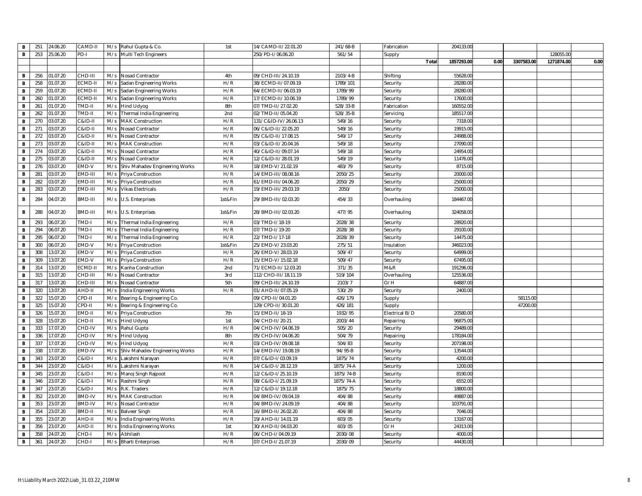| B              | 251 | 24.06.20 | CAMD-II            | M/s | Rahul Gupta & Co.              | 1st     | 14/CAMD-II/22.01.20  | 241/68-B  | Fabrication    | 204133.00  |      |            |            |      |
|----------------|-----|----------|--------------------|-----|--------------------------------|---------|----------------------|-----------|----------------|------------|------|------------|------------|------|
| $\mathbf{B}$   | 253 | 25.06.20 | PD-I               |     | M/s Multi Tech Engineers       |         | 250/PD-I/06.06.20    | 561/54    | Supply         |            |      |            | 128055.00  |      |
|                |     |          |                    |     |                                |         |                      |           | Total          | 1857293.00 | 0.00 | 3307583.00 | 1271874.00 | 0.00 |
|                |     |          |                    |     |                                |         |                      |           |                |            |      |            |            |      |
| B              | 256 | 01.07.20 | CHD-III            | M/s | Nosad Contractor               | 4th     | 09/CHD-III/24.10.19  | 2103/4-B  | Shifting       | 55628.00   |      |            |            |      |
| $\mathbf{B}$   | 258 | 01.07.20 | ECMD-II            | M/s | Sadan Engineering Works        | H/R     | 38/ECMD-II/07.09.19  | 1789/101  | Security       | 28280.00   |      |            |            |      |
| B              | 259 | 01.07.20 | ECMD-II            | M/s | Sadan Engineering Works        | H/R     | 64/ECMD-II/06.03.19  | 1789/99   | Security       | 28280.00   |      |            |            |      |
| $\,$ B         | 260 | 01.07.20 | ECMD-I             | M/s | Sadan Engineering Works        | H/R     | 17/ECMD-II/10.06.19  | 1789/99   | Security       | 17600.00   |      |            |            |      |
| $\mathbf B$    | 261 | 01.07.20 | TMD-II             | M/s | Hind Udyog                     | 8th     | 07/TMD-II/27.02.20   | 528/33-B  | Fabrication    | 160552.00  |      |            |            |      |
| $\, {\bf B}$   | 262 | 01.07.20 | TMD-II             | M/s | Thermal India Engineering      | 2nd     | 02/TMD-II/05.04.20   | 528/35-B  | Servicing      | 185517.00  |      |            |            |      |
| $\mathbf{B}$   | 270 | 03.07.20 | $C&ID-II$          | M/s | <b>MAK Construction</b>        | H/R     | 131/C&ID-IV/26.06.13 | 549/16    | Security       | 7318.00    |      |            |            |      |
| B              | 271 | 03.07.20 | C&ID-II            | M/s | Nosad Contractor               | H/R     | 06/C&ID-II/22.05.20  | 549/16    | Security       | 19915.00   |      |            |            |      |
| $\,$ B         | 272 | 03.07.20 | $C&ID-II$          | M/s | Nosad Contractor               | H/R     | 05/C&ID-II/17.08.15  | 549/17    | Security       | 24988.00   |      |            |            |      |
| B              | 273 | 03.07.20 | C&ID-II            | M/s | <b>MAK Construction</b>        | H/R     | 03/C&ID-II/20.04.16  | 549/18    | Security       | 27090.00   |      |            |            |      |
| $\,$ B         | 274 | 03.07.20 | <b>C&amp;ID-II</b> | M/s | Nosad Contractor               | H/R     | 40/C&ID-II/09.07.14  | 549/18    | Security       | 24954.00   |      |            |            |      |
| B              | 275 | 03.07.20 | <b>C&amp;ID-II</b> | M/s | Nosad Contractor               | H/R     | 12/C&ID-II/28.01.19  | 549/19    | Security       | 11476.00   |      |            |            |      |
| B              | 276 | 03.07.20 | EMD-V              | M/s | Shiv Mahadev Engineering Works | H/R     | 18/EMD-V/21.02.19    | 483/79    | Security       | 8715.00    |      |            |            |      |
| $\mathbf B$    | 281 | 03.07.20 | EMD-III            | M/s | Priya Construction             | H/R     | 14/EMD-III/08.08.16  | 2050/25   | Security       | 20000.00   |      |            |            |      |
| $\, {\bf B}$   | 282 | 03.07.20 | EMD-III            | M/s | Priya Construction             | H/R     | 61/EMD-III/04.06.20  | 2050/29   | Security       | 25000.00   |      |            |            |      |
| $\mathbf B$    | 283 | 03.07.20 | EMD-III            | M/s | <b>Vikas Electricals</b>       | H/R     | 19/EMD-III/29.03.19  | 2050/     | Security       | 25000.00   |      |            |            |      |
| B              | 284 | 04.07.20 | BMD-III            | M/s | U.S. Enterprises               | 1st&Fin | 29/BMD-III/02.03.20  | 454/33    | Overhauling    | 184467.00  |      |            |            |      |
| B              | 288 | 04.07.20 | BMD-III            | M/s | U.S. Enterprises               | 1st&Fin | 28/BMD-III/02.03.20  | 477/95    | Overhauling    | 324058.00  |      |            |            |      |
| $\,$ B         | 293 | 06.07.20 | TMD-I              | M/s | Thermal India Engineering      | H/R     | 03/TMD-I/18-19       | 2028/38   | Security       | 28920.00   |      |            |            |      |
| $\mathbf B$    | 294 | 06.07.20 | TMD-I              | M/s | Thermal India Engineering      | H/R     | 07/TMD-I/19-20       | 2028/38   | Security       | 29100.00   |      |            |            |      |
| $\mathbf{B}$   | 295 | 06.07.20 | TMD-I              | M/s | Thermal India Engineering      | H/R     | 22/TMD-I/17-18       | 2028/39   | Security       | 14475.00   |      |            |            |      |
| B              | 300 | 06.07.20 | EMD-V              | M/s | Priya Construction             | 1st&Fin | 25/EMD-V/23.03.20    | 275/51    | Insulation     | 346023.00  |      |            |            |      |
| $\, {\bf B}$   | 308 | 13.07.20 | EMD-V              | M/s | Priya Construction             | H/R     | 26/EMD-V/28.03.19    | 509/47    | Security       | 64999.00   |      |            |            |      |
| $\,$ B         | 309 | 13.07.20 | EMD-V              | M/s | Priya Construction             | H/R     | 15/EMD-V/15.02.18    | 509/47    | Security       | 67495.00   |      |            |            |      |
| $\, {\bf B}$   | 314 | 13.07.20 | ECMD-II            | M/s | Kanha Construction             | 2nd     | 71/ECMD-II/12.03.20  | 371/35    | M&R            | 191296.00  |      |            |            |      |
| B              | 315 | 13.07.20 | CHD-III            | M/s | Nosad Contractor               | 3rd     | 112/CHD-III/18.11.19 | 519/104   | Overhauling    | 125536.00  |      |            |            |      |
| $\, {\bf B}$   | 317 | 13.07.20 | CHD-III            | M/s | Nosad Contractor               | 5th     | 09/CHD-III/24.10.19  | 2103/7    | O/H            | 64887.00   |      |            |            |      |
| $\mathbf{B}$   | 320 | 13.07.20 | AHD-II             | M/s | India Engineering Works        | H/R     | 01/AHD-II/07.05.19   | 530/29    | Security       | 2400.00    |      |            |            |      |
| $\,$ B         | 322 | 15.07.20 | CPD-II             | M/s | Bearing & Engineering Co.      |         | 09/CPD-II/04.01.20   | 426/179   | Supply         |            |      | 58115.00   |            |      |
| B              | 325 | 15.07.20 | CPD-II             | M/s | Bearing & Engineering Co.      |         | 129/CPD-II/30.01.20  | 426/181   | Supply         |            |      | 47200.00   |            |      |
| $\mathbf B$    | 326 | 15.07.20 | EMD-II             | M/s | Priya Construction             | 7th     | 15/EMD-II/18-19      | 1932/95   | Electrical B/D | 20580.00   |      |            |            |      |
| B              | 328 | 15.07.20 | CHD-II             | M/s | <b>Hind Udyog</b>              | 1st     | 04/CHD-II/20-21      | 2003/44   | Repairing      | 96875.00   |      |            |            |      |
| $\mathbf B$    | 333 | 17.07.20 | CHD-IV             | M/s | Rahul Gupta                    | H/R     | 04/CHD-IV/04.06.19   | 505/20    | Security       | 29489.00   |      |            |            |      |
| $\,$ B         | 336 | 17.07.20 | CHD-IV             | M/s | Hind Udyog                     | 8th     | 05/CHD-IV/04.06.20   | 504/79    | Repairing      | 178184.00  |      |            |            |      |
| B              | 337 | 17.07.20 | CHD-IV             | M/s | Hind Udyog                     | H/R     | 03/CHD-IV/09.08.18   | 504/83    | Security       | 207198.00  |      |            |            |      |
| $\,$ B         | 338 | 17.07.20 | EMD-IV             | M/s | Shiv Mahadev Engineering Works | H/R     | 14/EMD-IV/19.08.19   | 94/95-B   | Security       | 13544.00   |      |            |            |      |
| B              | 343 | 23.07.20 | <b>C&amp;ID-I</b>  | M/s | Lakshmi Narayan                | H/R     | 07/C&ID-I/03.09.19   | 1875/74   | Security       | 4200.00    |      |            |            |      |
| $\mathbf{B}$   | 344 | 23.07.20 | $C&ID-I$           | M/s | Lakshmi Narayan                | H/R     | 14/C&ID-I/28.12.19   | 1875/74-A | Security       | 1200.00    |      |            |            |      |
| $\mathbf B$    | 345 | 23.07.20 | <b>C&amp;ID-I</b>  | M/s | Manoj Singh Rajpoot            | H/R     | 12/C&ID-I/25.10.19   | 1875/74-B | Security       | 8190.00    |      |            |            |      |
| $\, {\bf B}$   | 346 | 23.07.20 | <b>C&amp;ID-I</b>  | M/s | Rashmi Singh                   | H/R     | 08/C&ID-I/21.09.19   | 1875/74-A | Security       | 6552.00    |      |            |            |      |
| $\overline{B}$ | 347 | 23.07.20 | C&ID-I             | M/s | R.K. Traders                   | H/R     | 12/C&ID-I/19.12.18   | 1875/75   | Security       | 18800.00   |      |            |            |      |
| B              | 352 | 23.07.20 | <b>BMD-IV</b>      | M/s | <b>MAK Construction</b>        | H/R     | 04/BMD-IV/09.04.19   | 404/88    | Security       | 49887.00   |      |            |            |      |
| B              | 353 | 23.07.20 | <b>BMD-IV</b>      | M/s | Nosad Contractor               | H/R     | 04/BMD-IV/24.09.19   | 404/88    | Security       | 103791.00  |      |            |            |      |
| $\, {\bf B}$   | 354 | 23.07.20 | BMD-II             | M/s | <b>Balveer Singh</b>           | H/R     | 16/BMD-II/26.02.20   | 404/88    | Security       | 7046.00    |      |            |            |      |
| B              | 355 | 23.07.20 | AHD-II             | M/s | India Engineering Works        | H/R     | 19/AHD-II/14.01.19   | 603/05    | Security       | 13167.00   |      |            |            |      |
| $\,$ B         | 356 | 23.07.20 | AHD-II             | M/s | India Engineering Works        | 1st     | 30/AHD-II/04.03.20   | 603/05    | O/H            | 24313.00   |      |            |            |      |
| B              | 358 | 24.07.20 | CHD-I              | M/s | Abhilash                       | H/R     | 06/CHD-I/04.09.19    | 2030/08   | Security       | 4000.00    |      |            |            |      |
| $\mathbf{B}$   | 361 | 24.07.20 | CHD-I              | M/s | <b>Bharti Enterprises</b>      | H/R     | 07/CHD-I/21.07.19    | 2030/09   | Security       | 44430.00   |      |            |            |      |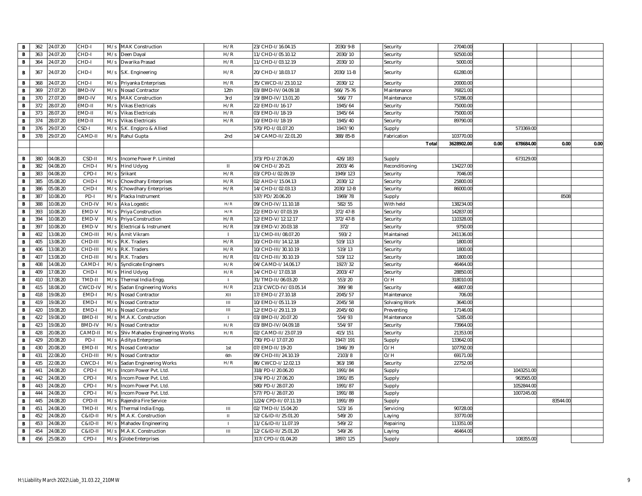| $\,$ B         | 362 | 24.07.20 | CHD-I         | M/s | <b>MAK Construction</b>        | H/R                | 23/CHD-I/16.04.15    | 2030/9-B  | Security       | 27040.00   |      |            |          |      |
|----------------|-----|----------|---------------|-----|--------------------------------|--------------------|----------------------|-----------|----------------|------------|------|------------|----------|------|
| $\overline{B}$ | 363 | 24.07.20 | CHD-I         | M/s | Deen Dayal                     | H/R                | 11/CHD-I/05.10.12    | 2030/10   | Security       | 92500.00   |      |            |          |      |
| $\mathbf{B}$   | 364 | 24.07.20 | CHD-I         | M/s | Dwarika Prasad                 | H/R                | 11/CHD-I/03.12.19    | 2030/10   | Security       | 5000.00    |      |            |          |      |
| B              | 367 | 24.07.20 | CHD-I         | M/s | S.K. Engineering               | H/R                | 20/CHD-I/18.03.17    | 2030/11-B | Security       | 61280.00   |      |            |          |      |
| B              | 368 | 24.07.20 | CHD-I         | M/s | Priyanka Enterprises           | H/R                | 35/CWCD-II/23.10.12  | 2030/12   | Security       | 20000.00   |      |            |          |      |
| $\mathbf{B}$   | 369 | 27.07.20 | BMD-IV        | M/s | Nosad Contractor               | 12th               | 03/BMD-IV/04.09.18   | 566/75-76 | Maintenance    | 76821.00   |      |            |          |      |
| B              | 370 | 27.07.20 | <b>BMD-IV</b> | M/s | <b>MAK Construction</b>        | 3rd                | 19/BMD-IV/13.01.20   | 566/77    | Maintenance    | 57286.00   |      |            |          |      |
| $\mathbf B$    | 372 | 28.07.20 | EMD-II        | M/s | <b>Vikas Electricals</b>       | H/R                | 22/EMD-II/16-17      | 1945/64   | Security       | 75000.00   |      |            |          |      |
| $\,$ B         | 373 | 28.07.20 | EMD-II        | M/s | <b>Vikas Electricals</b>       | H/R                | 03/EMD-II/18-19      | 1945/64   | Security       | 75000.00   |      |            |          |      |
| B              | 374 | 28.07.20 | EMD-II        | M/s | <b>Vikas Electricals</b>       | H/R                | 10/EMD-II/18-19      | 1945/40   | Security       | 89790.00   |      |            |          |      |
| $\mathbf{B}$   | 376 | 29.07.20 | CSD-I         | M/s | S.K. Engipro & Allied          |                    | 570/PD-I/01.07.20    | 1947/90   | Supply         |            |      | 573369.00  |          |      |
| $\mathbf{B}$   | 378 | 29.07.20 | CAMD-II       | M/s | Rahul Gupta                    | 2nd                | 14/CAMD-II/22.01.20  | 388/85-B  | Fabrication    | 103770.00  |      |            |          |      |
|                |     |          |               |     |                                |                    |                      |           | Total          | 3628902.00 | 0.00 | 678684.00  | 0.00     | 0.00 |
|                |     |          |               |     |                                |                    |                      |           |                |            |      |            |          |      |
| B              | 380 | 04.08.20 | CSD-II        | M/s | Income Power P. Limited        |                    | 373/PD-1/27.06.20    | 426/183   | Supply         |            |      | 673129.00  |          |      |
| $\mathbf{B}$   | 382 | 04.08.20 | CHD-I         | M/s | <b>Hind Udyog</b>              | $\mathbf{H}$       | 04/CHD-I/20-21       | 2003/46   | Reconditioning | 134227.00  |      |            |          |      |
| B              | 383 | 04.08.20 | CPD-I         | M/s | Srikant                        | H/R                | 03/CPD-I/02.09.19    | 1949/123  | Security       | 7046.00    |      |            |          |      |
| B              | 385 | 05.08.20 | CHD-I         | M/s | Chowdhary Enterprises          | H/R                | 02/AHD-I/15.04.13    | 2030/12   | Security       | 25800.00   |      |            |          |      |
| $\,$ B         | 386 | 05.08.20 | CHD-          | M/s | Chowdhary Enterprises          | H/R                | 14/CHD-I/02.03.13    | 2030/12-B | Security       | 86000.00   |      |            |          |      |
| B              | 387 | 10.08.20 | PD-I          | M/s | Placka Instrument              |                    | 537/PD/20.06.20      | 1969/78   | Supply         |            |      |            | 850      |      |
| $\mathbf B$    | 388 | 10.08.20 | CHD-IV        | M/s | Aka Logestic                   | H/R                | 09/CHD-IV/11.10.18   | 582/55    | With held      | 138234.00  |      |            |          |      |
| B              | 393 | 10.08.20 | EMD-V         | M/s | Priya Construction             | H/R                | 22/EMD-V/07.03.19    | 372/47-B  | Security       | 142837.00  |      |            |          |      |
| $\mathbf{B}$   | 394 | 10.08.20 | EMD-V         | M/s | Priya Construction             | H/R                | 12/EMD-V/12.12.17    | 372/47-B  | Security       | 110328.00  |      |            |          |      |
| $\,$ B         | 397 | 10.08.20 | EMD-V         | M/s | Electrical & Instrument        | H/R                | 19/EMD-V/20.03.18    | 372/      | Security       | 9750.00    |      |            |          |      |
| $\, {\bf B}$   | 402 | 13.08.20 | CMD-III       | M/s | Amit Vikram                    |                    | 11/CMD-III/08.07.20  | 593/2     | Maintained     | 241136.00  |      |            |          |      |
| $\,$ B         | 405 | 13.08.20 | CHD-III       | M/s | R.K. Traders                   | H/R                | 10/CHD-III/14.12.18  | 519/113   | Security       | 1800.00    |      |            |          |      |
| B              | 406 | 13.08.20 | CHD-III       | M/s | R.K. Traders                   | H/R                | 10/CHD-III/30.10.19  | 519/13    | Security       | 1800.00    |      |            |          |      |
| $\mathbf{B}$   | 407 | 13.08.20 | CHD-III       | M/s | R.K. Traders                   | H/R                | 01/CHD-III/30.10.19  | 519/112   | Security       | 1800.00    |      |            |          |      |
| $\,$ B         | 408 | 14.08.20 | CAMD-         | M/s | Syndicate Engineers            | H/R                | 04/CAMD-I/14.06.17   | 1927/32   | Security       | 46464.00   |      |            |          |      |
| $\, {\bf B}$   | 409 | 17.08.20 | CHD-          | M/s | <b>Hind Udyog</b>              | H/R                | 14/CHD-I/17.03.18    | 2003/47   | Security       | 28850.00   |      |            |          |      |
| $\,$ B         | 410 | 17.08.20 | TMD-II        | M/s | Thermal India Engg             |                    | 31/TMD-II/06.03.20   | 553/20    | O/H            | 318010.00  |      |            |          |      |
| $\, {\bf B}$   | 415 | 18.08.20 | CWCD-IV       | M/s | Sadan Engineering Works        | H/R                | 213/CWCD-IV/03.05.14 | 399/98    | Security       | 46807.00   |      |            |          |      |
| $\mathbf{B}$   | 418 | 19.08.20 | EMD-I         | M/s | Nosad Contractor               | XII                | 17/EMD-1/27.10.18    | 2045/57   | Maintenance    | 706.00     |      |            |          |      |
| В              | 419 | 19.08.20 | EMD-I         | M/s | Nosad Contractor               | $\mathbf{III}$     | 10/EMD-I/05.11.19    | 2045/58   | Solvaing Work  | 3640.00    |      |            |          |      |
| $\, {\bf B}$   | 420 | 19.08.20 | EMD-I         | M/s | Nosad Contractor               | $\mathop{\rm III}$ | 12/EMD-1/29.11.19    | 2045/60   | Preventing     | 17146.00   |      |            |          |      |
| $\mathbf B$    | 422 | 19.08.20 | BMD-II        | M/s | M.A.K. Construction            |                    | 03/BMD-II/20.07.20   | 554/93    | Maintenance    | 5285.00    |      |            |          |      |
| $\,$ B         | 423 | 19.08.20 | <b>BMD-IV</b> | M/s | Nosad Contractor               | H/R                | 03/BMD-IV/04.09.18   | 554/97    | Security       | 73964.00   |      |            |          |      |
| $\mathbf{B}$   | 428 | 20.08.20 | CAMD-II       | M/s | Shiv Mahadev Engineering Works | H/R                | 02/CAMD-II/23.07.19  | 415/151   | Security       | 21353.00   |      |            |          |      |
| B              | 429 | 20.08.20 | PD-I          | M/s | <b>Aditya Enterprises</b>      |                    | 730/PD-1/17.07.20    | 1947/191  | Supply         | 133642.00  |      |            |          |      |
| $\, {\bf B}$   | 430 | 20.08.20 | EMD-I         | M/s | Nosad Contractor               | 1st                | 07/EMD-II/19-20      | 1946/39   | O/H            | 107792.00  |      |            |          |      |
| $\,$ B         | 431 | 22.08.20 | CHD-II        | M/s | Nosad Contractor               | 6th                | 09/CHD-III/24.10.19  | 2103/8    | O/H            | 69171.00   |      |            |          |      |
| B              | 435 | 22.08.20 | CWCD-         | M/s | Sadan Engineering Works        | H/R                | 86/CWCD-I/12.02.13   | 363/198   | Security       | 22752.00   |      |            |          |      |
| $\mathbf B$    | 441 | 24.08.20 | CPD-I         | M/s | Incom Power Pvt. Ltd           |                    | 318/PD-I/20.06.20    | 1991/84   | Supply         |            |      | 1043251.00 |          |      |
| B              | 442 | 24.08.20 | CPD-I         | M/s | Incom Power Pvt. Ltd           |                    | 374/PD-I/27.06.20    | 1991/85   | Supply         |            |      | 963565.00  |          |      |
| $\mathbf{B}$   | 443 | 24.08.20 | CPD-I         | M/s | Incom Power Pvt. Ltd           |                    | 580/PD-I/28.07.20    | 1991/87   | Supply         |            |      | 1052844.00 |          |      |
| $\,$ B         | 444 | 24.08.20 | CPD-I         | M/s | Incom Power Pvt. Ltd           |                    | 577/PD-1/28.07.20    | 1991/88   | Supply         |            |      | 1007245.0  |          |      |
| $\mathbf B$    | 445 | 24.08.20 | CPD-II        | M/s | Rajendra Fire Service          |                    | 1224/CPD-II/07.11.19 | 1991/89   | Supply         |            |      |            | 83544.00 |      |
| $\,$ B         | 451 | 24.08.20 | TMD-II        | M/s | Thermal India Engg             | $\mathbf{H}$       | 02/TMD-II/15.04.20   | 523/16    | Servicing      | 90728.00   |      |            |          |      |
| B              | 452 | 24.08.20 | C&ID-II       | M/s | M.A.K. Construction            | $\mathbf{H}$       | 12/C&ID-II/25.01.20  | 549/20    | Laying         | 33770.00   |      |            |          |      |
| $\mathbf{B}$   | 453 | 24.08.20 | C&ID-II       | M/s | Mahadev Engineering            |                    | 11/C&ID-II/11.07.19  | 549/22    | Repairing      | 113351.00  |      |            |          |      |
| $\mathbf B$    | 454 | 24.08.20 | C&ID-II       | M/s | M.A.K. Construction            | $\mathbf{III}$     | 12/C&ID-II/25.01.20  | 549/26    | Laying         | 46464.00   |      |            |          |      |
| B              | 456 | 25.08.20 | CPD-I         | M/s | <b>Globe Enterprises</b>       |                    | 317/CPD-I/01.04.20   | 1897/125  | Supply         |            |      | 108355.00  |          |      |
|                |     |          |               |     |                                |                    |                      |           |                |            |      |            |          |      |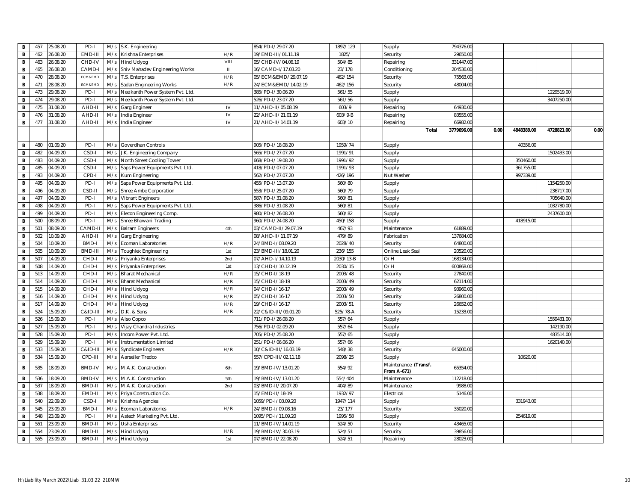| B            | 457 | 25.08.20 | PD-I          |     | M/s S.K. Engineering             |                                                                                                         | 854/PD-1/29.07.20    | 1897/129  | Supply                                     | 794376.00  |      |            |            |      |
|--------------|-----|----------|---------------|-----|----------------------------------|---------------------------------------------------------------------------------------------------------|----------------------|-----------|--------------------------------------------|------------|------|------------|------------|------|
| в            | 462 | 6.08.20  | EMD-III       | M/s | Krishna Enterprises              | H/R                                                                                                     | 19/EMD-III/01.11.19  | 1825/     | Security                                   | 29650.0    |      |            |            |      |
| B            | 463 | 26.08.20 | CHD-IV        | M/s | Hind Udyog                       | VIII                                                                                                    | 05/CHD-IV/04.06.19   | 504/85    | Repairing                                  | 331447.00  |      |            |            |      |
| В            | 465 | 6.08.20  | CAMD-         | M/s | Shiv Mahadev Engineering Works   | $\mathsf{H}% _{\mathsf{H}}^{\ast}(\mathcal{M}_{0})\cong\mathsf{H}_{\mathsf{H}}^{\ast}(\mathcal{M}_{0})$ | 16/CAMD-I/17.03.20   | 23/178    | Conditioning                               | 204536.00  |      |            |            |      |
| В            | 470 | 28.08.20 | ECM&EMD       | M/s | T.S. Enterprises                 | H/R                                                                                                     | 05/ECM&EMD/29.07.19  | 462/154   | Security                                   | 75563.00   |      |            |            |      |
| В            | 471 | 8.08.20  | ECM&EMD       | M/s | Sadan Engineering Works          | H/R                                                                                                     | 24/ECM&EMD/14.02.19  | 462/156   | Security                                   | 48004.00   |      |            |            |      |
| B            | 473 | 9.08.20  | PD-I          | M/s | Neelkanth Power System Pvt. Ltd. |                                                                                                         | 385/PD-I/30.06.20    | 561/55    | Supply                                     |            |      |            | 1229519.00 |      |
| В            | 474 | 29.08.20 | PD-I          | M/s | Neelkanth Power System Pvt. Ltd. |                                                                                                         | 526/PD-I/23.07.20    | 561/56    | Supply                                     |            |      |            | 3407250.00 |      |
| В            | 475 | 1.08.20  | AHD-I         | M/s | Garg Engineer                    | IV                                                                                                      | 11/AHD-II/05.08.19   | 603/9     | Repairing                                  | 64930.00   |      |            |            |      |
| В            | 476 | 31.08.20 | AHD-II        | M/s | India Engineer                   | IV                                                                                                      | 22/AHD-II/21.01.19   | 603/9-B   | Repairing                                  | 83555.00   |      |            |            |      |
| В            | 477 | 31.08.20 | AHD-II        | M/s | India Engineer                   | IV                                                                                                      | 21/AHD-II/14.01.19   | 603/10    | Repairing                                  | 66982.00   |      |            |            |      |
|              |     |          |               |     |                                  |                                                                                                         |                      |           | Tota                                       | 3779696.00 | 0.00 | 4848389.00 | 4728821.00 | 0.00 |
|              |     |          |               |     |                                  |                                                                                                         |                      |           |                                            |            |      |            |            |      |
| B            | 480 | 01.09.20 | PD-I          | M/s | Goverdhan Controls               |                                                                                                         | 905/PD-I/18.08.20    | 1959/74   | Supply                                     |            |      | 40356.00   |            |      |
| В            | 482 | 04.09.20 | CSD-I         | M/s | J.K. Engineering Company         |                                                                                                         | 565/PD-1/27.07.20    | 1991/91   | Supply                                     |            |      |            | 1502433.00 |      |
| в            | 483 | 04.09.20 | CSD-I         | M/s | North Street Cooling Tower       |                                                                                                         | 668/PD-I/19.08.20    | 1991/92   | Supply                                     |            |      | 350460.00  |            |      |
| В            | 485 | 04.09.20 | CSD-I         | M/s | Saps Power Equipments Pvt. Ltd.  |                                                                                                         | 418/PD-1/07.07.20    | 1991/93   | Supply                                     |            |      | 361755.0   |            |      |
| В            | 493 | 04.09.20 | CPD-I         | M/s | Kum Engineering                  |                                                                                                         | 562/PD-I/27.07.20    | 426/196   | Nut Washer                                 |            |      | 997339.00  |            |      |
| В            | 495 | 04.09.20 | PD-I          | M/s | Saps Power Equipments Pvt. Ltd.  |                                                                                                         | 455/PD-I/13.07.20    | 560/80    | Supply                                     |            |      |            | 1154250.00 |      |
| В            | 496 | 04.09.20 | CSD-II        | M/s | Shree Ambe Corporation           |                                                                                                         | 553/PD-1/25.07.20    | 560/79    | Supply                                     |            |      |            | 236717.00  |      |
| В            | 497 | 14.09.20 | PD-I          | M/s | <b>Vibrant Engineers</b>         |                                                                                                         | 587/PD-I/31.08.20    | 560/81    | Supply                                     |            |      |            | 705640.00  |      |
| В            | 498 | 14.09.20 | PD-I          | M/s | Saps Power Equipments Pvt. Ltd.  |                                                                                                         | 386/PD-I/31.08.20    | 560/81    | Supply                                     |            |      |            | 1032780.0  |      |
| В            | 499 | 04.09.20 | PD-I          | M/s | Elecon Engineering Comp          |                                                                                                         | 980/PD-I/26.08.20    | 560/82    | Supply                                     |            |      |            | 2437600.00 |      |
| B            | 500 | 18.09.20 | PD-I          | M/s | Shree Bhawani Trading            |                                                                                                         | 960/PD-I/24.08.20    | 450/158   | Supply                                     |            |      | 418915.00  |            |      |
| В            | 501 | 08.09.20 | CAMD-         | M/s | Balram Engineers                 | 4th                                                                                                     | 03/CAMD-II/29.07.19  | 467/93    | Maintenance                                | 61889.00   |      |            |            |      |
| В            | 502 | 0.09.20  | AHD-II        | M/s | Garg Engineering                 |                                                                                                         | 08/AHD-II/11.07.19   | 479/89    | Fabrication                                | 137684.00  |      |            |            |      |
| В            | 504 | 10.09.20 | BMD-          | M/s | Ecoman Laboratories              | H/R                                                                                                     | 24/BMD-I/08.09.20    | 2028/40   | Security                                   | 64800.00   |      |            |            |      |
| В            | 505 | 0.09.20  | BMD-II        | M/s | <b>Toughlek Engineering</b>      | 1st                                                                                                     | 23/BMD-III/18.01.20  | 236/155   | Online Leak Seal                           | 20520.00   |      |            |            |      |
| В            | 507 | 4.09.20  | CHD-          | M/s | Priyanka Enterprises             | 2nd                                                                                                     | 07/AHD-I/14.10.19    | 2030/13-B | O/H                                        | 168134.00  |      |            |            |      |
| В            | 508 | 4.09.20  | CHD-I         | M/s | Priyanka Enterprises             | 1st                                                                                                     | 13/CHD-I/10.12.19    | 2030/15   | O/H                                        | 600868.00  |      |            |            |      |
| B            | 513 | 4.09.20  | CHD-          | M/s | <b>Bharat Mechanical</b>         | H/R                                                                                                     | 15/CHD-I/18-19       | 2003/48   | Security                                   | 27840.00   |      |            |            |      |
| В            | 514 | 4.09.20  | CHD-          | M/s | <b>Bharat Mechanical</b>         | H/R                                                                                                     | 15/CHD-I/18-19       | 2003/49   | Security                                   | 62114.00   |      |            |            |      |
| В            | 515 | 4.09.20  | CHD-I         | M/s | Hind Udyog                       | H/R                                                                                                     | 04/CHD-I/16-17       | 2003/49   | Security                                   | 93960.00   |      |            |            |      |
| В            | 516 | 4.09.20  | CHD-          | M/s | Hind Udyog                       | H/R                                                                                                     | 05/CHD-I/16-17       | 2003/50   | Security                                   | 26800.00   |      |            |            |      |
| В            | 517 | 4.09.20  | CHD-I         | M/s | Hind Udyog                       | H/R                                                                                                     | 19/CHD-I/16-17       | 2003/51   | Security                                   | 26652.00   |      |            |            |      |
| B            | 524 | 5.09.20  | C&ID-I        | M/s | D.K. & Sons                      | H/R                                                                                                     | 22/C&ID-III/09.01.20 | 525/78-A  | Security                                   | 15233.00   |      |            |            |      |
| в            | 526 | 5.09.20  | PD-I          | M/s | Also Copco                       |                                                                                                         | 711/PD-1/26.08.20    | 557/64    | Supply                                     |            |      |            | 1559431.00 |      |
| В            | 527 | 5.09.20  | PD-I          | M/s | Vijay Chandra Industries         |                                                                                                         | 756/PD-I/02.09.20    | 557/64    | Supply                                     |            |      |            | 142190.00  |      |
| В            | 528 | 5.09.20  | PD-I          | M/s | Incom Power Pvt. Ltd             |                                                                                                         | 705/PD-I/25.08.20    | 557/65    | Supply                                     |            |      |            | 483514.00  |      |
| в            | 529 | 5.09.20  | PD-I          | M/s | Instrumentation Limited          |                                                                                                         | 251/PD-I/06.06.20    | 557/66    | Supply                                     |            |      |            | 1620140.00 |      |
| $\, {\bf B}$ | 533 | 5.09.20  | C&ID-II       | M/s | Syndicate Engineers              | H/R                                                                                                     | 10/C&ID-III/16.03.19 | 548/38    | Security                                   | 645000.00  |      |            |            |      |
| В            | 534 | 5.09.20  | CPD-III       | M/s | Aarseller Tredco                 |                                                                                                         | 557/CPD-III/02.11.18 | 2098/25   | Supply                                     |            |      | 10620.00   |            |      |
| в            | 535 | 18.09.20 | <b>BMD-IV</b> | M/s | M.A.K. Construction              | 6th                                                                                                     | 19/BMD-IV/13.01.20   | 554/92    | Maintenance (Transf.<br><b>From A-671)</b> | 65354.00   |      |            |            |      |
| В            | 536 | 18.09.20 | <b>BMD-IV</b> | M/s | M.A.K. Construction              | 5th                                                                                                     | 19/BMD-IV/13.01.20   | 554/404   | Maintenance                                | 112218.00  |      |            |            |      |
| В            | 537 | 8.09.20  | BMD-II        | M/s | M.A.K. Construction              | 2nd                                                                                                     | 03/BMD-II/20.07.20   | 404/89    | Maintenance                                | 9988.00    |      |            |            |      |
| В            | 538 | 8.09.20  | EMD-II        | M/s | Priya Construction Co.           |                                                                                                         | 15/EMD-II/18-19      | 1932/97   | Electrical                                 | 5146.00    |      |            |            |      |
| в            | 540 | 2.09.20  | CSD-I         | M/s | Krishna Agencies                 |                                                                                                         | 1059/PD-I/03.09.20   | 1947/114  | Supply                                     |            |      | 331943.00  |            |      |
| $\, {\bf B}$ | 545 | 3.09.20  | <b>BMD-</b>   | M/s | Ecoman Laboratories              | H/R                                                                                                     | 24/BMD-I/09.08.16    | 23/177    | Security                                   | 35020.00   |      |            |            |      |
| В            | 548 | 3.09.20  | PD-I          | M/s | Astech Marketing Pvt. Ltd.       |                                                                                                         | 1095/PD-I/11.09.20   | 1995/58   | Supply                                     |            |      | 254619.00  |            |      |
| В            | 551 | 3.09.20  | BMD-II        | M/s | Usha Enterprises                 |                                                                                                         | 11/BMD-IV/14.01.19   | 524/50    | Security                                   | 43465.00   |      |            |            |      |
| В            | 554 | 3.09.20  | <b>BMD-II</b> | M/s | Hind Udyog                       | H/R                                                                                                     | 19/BMD-IV/30.03.19   | 524/51    | Security                                   | 39856.00   |      |            |            |      |
| В            | 555 | 3.09.20  | BMD-II        | M/s | <b>Hind Udyog</b>                | 1st                                                                                                     | 07/BMD-II/22.08.20   | 524/51    | Repairing                                  | 28023.00   |      |            |            |      |
|              |     |          |               |     |                                  |                                                                                                         |                      |           |                                            |            |      |            |            |      |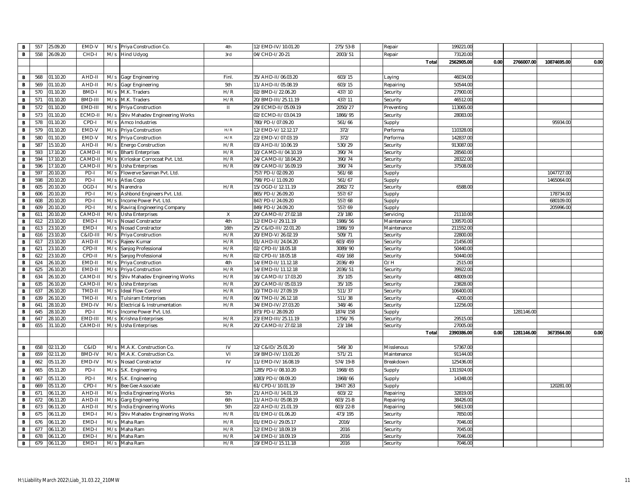| B              | 557 | 25.09.20 | EMD-V              | M/s | Priya Construction Co.         | 4th          | 12/EMD-IV/10.01.20   | 275/53-B | Repair      | 199221.00  |      |            |             |      |
|----------------|-----|----------|--------------------|-----|--------------------------------|--------------|----------------------|----------|-------------|------------|------|------------|-------------|------|
| $\mathbf{B}$   | 558 | 26.09.20 | CHD-I              |     | M/s Hind Udyog                 | 3rd          | 04/CHD-I/20-21       | 2003/51  | Repair      | 73120.00   |      |            |             |      |
|                |     |          |                    |     |                                |              |                      |          | Total       | 2562905.00 | 0.00 | 2766007.00 | 10874695.00 | 0.00 |
|                |     |          |                    |     |                                |              |                      |          |             |            |      |            |             |      |
| $\mathbf B$    | 568 | 01.10.20 | AHD-II             | M/s | Gagr Engineering               | Finl         | 35/AHD-II/06.03.20   | 603/15   | Laying      | 46034.00   |      |            |             |      |
| B              | 569 | 01.10.20 | AHD-II             | M/s | Gagr Engineering               | 5th          | 11/AHD-II/05.08.19   | 603/15   | Repairing   | 50544.00   |      |            |             |      |
| $\mathbf B$    | 570 | 01.10.20 | BMD-I              |     |                                | H/R          |                      | 437/10   |             | 27900.00   |      |            |             |      |
|                |     |          |                    | M/s | M.K. Traders                   |              | 02/BMD-I/22.06.20    |          | Security    |            |      |            |             |      |
| $\mathbf B$    | 571 | 01.10.20 | BMD-III            | M/s | M.K. Traders                   | H/R          | 20/BMD-III/25.11.19  | 437/11   | Security    | 46512.00   |      |            |             |      |
| $\mathbf{B}$   | 572 | 01.10.20 | EMD-III            | M/s | Priya Construction             | $\mathbf{H}$ | 29/ECMD-II/05.09.19  | 2050/27  | Preventing  | 113065.00  |      |            |             |      |
| $\,$ B         | 573 | 01.10.20 | ECMD-I             | M/s | Shiv Mahadev Engineering Works |              | 02/ECMD-II/03.04.19  | 1866/95  | Security    | 28083.00   |      |            |             |      |
| B              | 578 | 01.10.20 | CPD-I              | M/s | Amco Industries                |              | 780/PD-I/07.09.20    | 561/66   | Supply      |            |      |            | 95934.00    |      |
| $\,$ B         | 579 | 01.10.20 | EMD-V              | M/s | Priya Construction             | H/R          | 12/EMD-V/12.12.17    | 372/     | Performa    | 110328.00  |      |            |             |      |
| B              | 580 | 01.10.20 | EMD-V              | M/s | Priya Construction             | H/R          | 22/EMD-V/07.03.19    | 372/     | Performa    | 142837.00  |      |            |             |      |
| $\mathbf{B}$   | 587 | 15.10.20 | AHD-II             | M/s | Energo Construction            | H/R          | 03/AHD-II/10.06.19   | 530/29   | Security    | 913087.00  |      |            |             |      |
| $\mathbf B$    | 593 | 17.10.20 | CAMD-I             | M/s | <b>Bharti Enterprises</b>      | H/R          | 10/CAMD-II/04.10.19  | 390/74   | Security    | 28560.00   |      |            |             |      |
| $\mathbf{B}$   | 594 | 17.10.20 | CAMD-I             | M/s | Kirloskar Corrocoat Pvt. Ltd.  | H/R          | 24/CAMD-II/18.04.20  | 390/74   | Security    | 28322.00   |      |            |             |      |
| $\, {\bf B}$   | 596 | 17.10.20 | CAMD-              | M/s | Usha Enterprises               | H/R          | 09/CAMD-II/16.09.19  | 390/74   | Security    | 37508.00   |      |            |             |      |
| $\overline{B}$ | 597 | 20.10.20 | PD-I               | M/s | Flowerve Sanman Pvt. Ltd.      |              | 757/PD-I/02.09.20    | 561/68   | Supply      |            |      |            | 1047727.00  |      |
| $\mathbf B$    | 598 | 20.10.20 | PD-I               | M/s | Atlas Copo                     |              | 798/PD-I/11.09.20    | 561/67   | Supply      |            |      |            | 1465064.00  |      |
| $\,$ B         | 605 | 20.10.20 | OGD-I              | M/s | Narendra                       | H/R          | 15/OGD-I/12.11.19    | 2082/72  | Security    | 6588.00    |      |            |             |      |
| $\mathbf{B}$   | 606 | 20.10.20 | PD-I               | M/s | Ashbond Engineers Pvt. Ltd.    |              | 865/PD-I/26.09.20    | 557/67   | Supply      |            |      |            | 178734.00   |      |
| $\mathbf{B}$   | 608 | 20.10.20 | PD-I               | M/s | Income Power Pvt. Ltd          |              | 847/PD-I/24.09.20    | 557/68   | Supply      |            |      |            | 680109.00   |      |
| $\mathbf{B}$   | 609 | 20.10.20 | PD-I               | M/s | Raviraj Engineering Company    |              | 849/PD-I/24.09.20    | 557/69   | Supply      |            |      |            | 205996.00   |      |
| $\,$ B         | 611 | 20.10.20 | CAMD-              | M/s | Usha Enterprises               | Χ            | 20/CAMD-II/27.02.18  | 23/180   | Servicing   | 21110.00   |      |            |             |      |
| $\mathbf{B}$   | 612 | 23.10.20 | EMD-I              | M/s | Nosad Constractor              | 4th          | 12/EMD-I/29.11.19    | 1986/56  | Maintenance | 139570.00  |      |            |             |      |
| $\mathbf B$    | 613 | 23.10.20 | EMD-               | M/s | Nosad Constractor              | 16th         | 25/C&ID-III/22.01.20 | 1986/59  | Maintenance | 211552.00  |      |            |             |      |
| $\mathbf B$    | 616 | 3.10.20  | <b>C&amp;ID-II</b> | M/s | Priya Construction             | H/R          | 20/EMD-V/26.02.19    | 509/71   | Security    | 22800.00   |      |            |             |      |
| B              | 617 | 3.10.20  | AHD-II             | M/s | Rajeev Kumar                   | H/R          | 01/AHD-II/24.04.20   | 603/459  | Security    | 21456.00   |      |            |             |      |
| $\,$ B         | 621 | 23.10.20 | CPD-II             | M/s | Sanjog Professional            | H/R          | 02/CPD-II/18.05.18   | 3089/90  | Security    | 50440.00   |      |            |             |      |
| $\, {\bf B}$   | 622 | 23.10.20 | CPD-I              | M/s | Sanjog Professional            | H/R          | 02/CPD-II/18.05.18   | 416/168  | Security    | 50440.00   |      |            |             |      |
| $\mathbf B$    | 624 | 26.10.20 | EMD-II             | M/s | Priya Construction             | 4th          | 14/EMD-II/11.12.18   | 2036/49  | O/H         | 2515.00    |      |            |             |      |
| $\mathbf B$    | 625 | 26.10.20 | EMD-II             | M/s | Priya Construction             | H/R          | 14/EMD-II/11.12.18   | 2036/51  | Security    | 39922.00   |      |            |             |      |
| $\, {\bf B}$   | 634 | 26.10.20 | CAMD-I             | M/s | Shiv Mahadev Engineering Works | H/R          | 16/CAMD-II/17.03.20  | 35/105   | Security    | 48009.00   |      |            |             |      |
| $\mathbf B$    | 635 | 26.10.20 | CAMD-I             | M/s | Usha Enterprises               | H/R          | 20/CAMD-II/05.03.19  | 35/105   | Security    | 23828.00   |      |            |             |      |
| $\mathbf{B}$   | 637 | 26.10.20 | TMD-II             | M/s | <b>Ideal Flow Control</b>      | H/R          | 10/TMD-II/27.09.19   | 511/37   | Security    | 106400.00  |      |            |             |      |
| $\mathbf{B}$   | 639 | 26.10.20 | TMD-II             | M/s | <b>Tulsiram Enterprises</b>    | H/R          | 06/TMD-II/26.12.18   | 511/38   | Security    | 4200.00    |      |            |             |      |
| $\mathbf{B}$   | 641 | 28.10.20 | EMD-IV             | M/s | Electrical & Instrumentation   | H/R          | 34/EMD-IV/27.03.20   | 348/46   | Security    | 12256.00   |      |            |             |      |
| $\mathbf B$    | 645 | 28.10.20 | PD-I               | M/s | Income Power Pvt. Ltd.         |              | 873/PD-I/28.09.20    | 1874/158 | Supply      |            |      | 1281146.00 |             |      |
| $\mathbf{B}$   | 647 | 28.10.20 | EMD-III            | M/s | Krishna Enterprises            | H/R          | 23/EMD-III/25.11.19  | 1756/76  | Security    | 29515.00   |      |            |             |      |
| $\mathbf{B}$   | 655 | 31.10.20 | CAMD-II            | M/s | <b>Usha Enterprises</b>        | H/R          | 20/CAMD-II/27.02.18  | 23/184   | Security    | 27005.00   |      |            |             |      |
|                |     |          |                    |     |                                |              |                      |          | Tota        | 2390386.00 | 0.00 | 1281146.00 | 3673564.00  | 0.00 |
|                |     |          |                    |     |                                |              |                      |          |             |            |      |            |             |      |
| $\mathbf B$    | 658 | 02.11.20 | C&ID               | M/s | M.A.K. Construction Co         | IV           | 12/C&ID/25.01.20     | 549/30   | Misslenous  | 57367.00   |      |            |             |      |
| $\,$ B         | 659 | 02.11.20 | <b>BMD-IV</b>      | M/s | M.A.K. Construction Co.        | VI           | 19/BMD-IV/13.01.20   | 571/21   | Maintenance | 91144.00   |      |            |             |      |
| $\mathbf{B}$   | 662 | 05.11.20 | EMD-IV             | M/s | Nosad Constractor              | IV           | 11/EMD-IV/16.08.19   | 574/19-B | Breakdown   | 125436.00  |      |            |             |      |
| B              | 665 | 05.11.20 | PD-I               | M/s | S.K. Engineering               |              | 1285/PD-1/08.10.20   | 1968/65  | Supply      | 1311924.00 |      |            |             |      |
| $\mathbf{B}$   | 667 | 05.11.20 | PD-I               | M/s | S.K. Engineering               |              | 1083/PD-I/08.09.20   | 1968/66  | Supply      | 14348.00   |      |            |             |      |
| $\mathbf{B}$   | 669 | 05.11.20 | CPD-               | M/s | Bee Gee Associate              |              | 61/CPD-I/10.01.19    | 1947/263 | Supply      |            |      |            | 120281.00   |      |
| $\mathbf B$    | 671 | 06.11.20 | AHD-II             | M/s | India Engineering Works        | 5th          | 21/AHD-II/14.01.19   | 603/22   | Repairing   | 32819.00   |      |            |             |      |
| $\mathbf{B}$   | 672 | 06.11.20 | AHD-II             | M/s | Garg Engineering               | 6th          | 11/AHD-II/05.08.19   | 603/21-B | Repairing   | 38426.00   |      |            |             |      |
| B              | 673 | 06.11.20 | AHD-II             | M/s | India Engineering Works        | 5th          | 22/AHD-II/21.01.19   | 603/22-B | Repairing   | 56613.00   |      |            |             |      |
| $\mathbf B$    | 675 | 06.11.20 | EMD-I              | M/s | Shiv Mahadev Engineering Works | H/R          | 01/EMD-I/01.06.20    | 473/195  | Security    | 7850.00    |      |            |             |      |
| $\mathbf B$    | 676 | 06.11.20 | EMD-I              | M/s | Maha Ram                       | H/R          | 01/EMD-I/29.05.17    | 2016/    | Security    | 7046.00    |      |            |             |      |
| B              | 677 | 06.11.20 | EMD-               | M/s | Maha Ram                       | H/R          | 12/EMD-I/18.09.19    | 2016     | Security    | 7045.00    |      |            |             |      |
| B              | 678 | 06.11.20 | EMD-I              | M/s | Maha Ram                       | H/R          | 14/EMD-I/18.09.19    | 2016     | Security    | 7046.00    |      |            |             |      |
| $\mathbf{B}$   | 679 | 06.11.20 | EMD-I              | M/s | Maha Ram                       | H/R          | 19/EMD-I/15.11.18    | 2016     | Security    | 7046.00    |      |            |             |      |
|                |     |          |                    |     |                                |              |                      |          |             |            |      |            |             |      |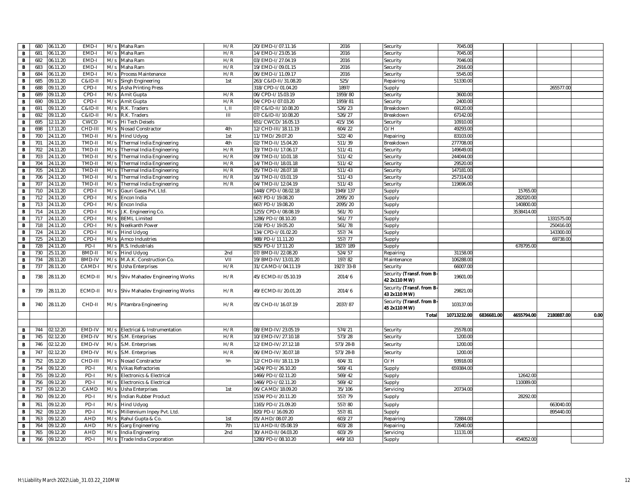| В            | 680 | 06.11.20          | EMD-I             | M/s | Maha Ram                           | H/R  | 20/EMD-I/07.11.16    | 2016      | Security                  | 7045.00              |            |            |            |      |
|--------------|-----|-------------------|-------------------|-----|------------------------------------|------|----------------------|-----------|---------------------------|----------------------|------------|------------|------------|------|
| В            | 681 | 06.11.20          | EMD-              | M/s | Maha Ram                           | H/R  | 14/EMD-1/23.05.16    | 2016      | Security                  | 7045.00              |            |            |            |      |
| В            | 682 | 06.11.20          | EMD-              | M/s | Maha Ram                           | H/R  | 03/EMD-1/27.04.19    | 2016      | Security                  | 7046.00              |            |            |            |      |
| В            | 683 | 06.11.20          | EMD-              | M/s | Maha Ram                           | H/R  | 19/EMD-I/09.01.15    | 2016      | Security                  | 2916.00              |            |            |            |      |
| В            | 684 | 06.11.20          | EMD-              | M/s | Process Maintenance                | H/R  | 06/EMD-I/11.09.17    | 2016      | Security                  | 5545.00              |            |            |            |      |
| в            | 685 | 09.11.20          | <b>C&amp;ID-I</b> | M/s | Singh Engineering                  | 1st  | 263/C&ID-II/31.08.20 | 525/      | Repairing                 | 51330.00             |            |            |            |      |
| В            | 688 | 09.11.20          | CPD-I             | M/s | Asha Printing Press                |      | 318/CPD-I/01.04.20   | 1897/     | Supply                    |                      |            |            | 265577.00  |      |
| в            | 689 | 09.11.20          | CPD-I             | M/s | Amit Gupta                         | H/R  | 06/CPD-I/15.03.19    | 1959/80   | Security                  | 3600.00              |            |            |            |      |
| В            | 690 | 09.11.20          | CPD-              | M/s | Amit Gupta                         | H/R  | 04/CPD-I/07.03.20    | 1959/81   | Security                  | 2400.00              |            |            |            |      |
| В            | 691 | 09.11.20          | <b>C&amp;ID-I</b> | M/s | R.K. Traders                       | L, H | 07/C&ID-II/10.08.20  | 526/23    | Breakdown                 | 69120.00             |            |            |            |      |
| В            | 692 | 09.11.20          | C&ID-I            | M/s | R.K. Traders                       | Ш    | 07/C&ID-II/10.08.20  | 526/27    | Breakdown                 | 67142.00             |            |            |            |      |
| В            | 695 | 12.11.20          | CWCD              | M/s | Hi Tech Deisels                    |      | 651/CWCD/16.05.13    | 415/156   | Security                  | 10910.00             |            |            |            |      |
| В            | 698 | 17.11.20          | CHD-III           | M/s | Nosad Constractor                  | 4th  | 12/CHD-III/18.11.19  | 604/22    | O/H                       | 49293.00             |            |            |            |      |
| В            | 700 | 24.11.20          | TMD-II            | M/s | Hind Udyog                         | 1st  | 11/TMD/29.07.20      | 522/40    | Repairing                 | 83103.00             |            |            |            |      |
| В            | 701 | 24.11.20          | TMD-II            | M/s | Thermal India Engineering          | 4th  | 02/TMD-II/15.04.20   | 511/39    | Breakdown                 | 277708.00            |            |            |            |      |
| в            | 702 | 4.11.20           | TMD-II            | M/s | Thermal India Engineering          | H/R  | 33/TMD-II/17.06.17   | 511/41    | Security                  | 149649.00            |            |            |            |      |
| В            | 703 | $\sqrt{4}$ .11.20 | TMD-II            | M/s | Thermal India Engineering          | H/R  | 09/TMD-II/10.01.18   | 511/42    | Security                  | 244044.00            |            |            |            |      |
| В            | 704 | 24.11.20          | TMD-I             | M/s | Thermal India Engineering          | H/R  | 14/TMD-II/18.01.18   | 511/42    | Security                  | 29520.00             |            |            |            |      |
| В            | 705 | 4.11.20           | TMD-I             | M/s | Thermal India Engineering          | H/R  | 05/TMD-II/28.07.18   | 511/43    | Security                  | 147181.00            |            |            |            |      |
| В            | 706 | 24.11.20          | TMD-II            | M/s | Thermal India Engineering          | H/R  | 16/TMD-II/03.01.19   | 511/43    | Security                  | 257314.00            |            |            |            |      |
| в            | 707 | 24.11.20          | TMD-II            | M/s | Thermal India Engineering          | H/R  | 04/TMD-II/12.04.19   | 511/43    | Security                  | 119696.00            |            |            |            |      |
| В            | 710 | 24.11.20          | CPD-I             | M/s | Gauri Gases Pvt. Ltd               |      | 1448/CPD-I/08.02.18  | 1949/137  | Supply                    |                      |            | 15765.00   |            |      |
| В            | 712 | 4.11.20           | CPD-I             | M/s | Encon India                        |      | 667/PD-I/19.08.20    | 2095/20   | Supply                    |                      |            | 282020.00  |            |      |
| В            | 713 | 24.11.20          | CPD-I             | M/s | Encon India                        |      | 667/PD-I/19.08.20    | 2095/20   | Supply                    |                      |            | 140800.0   |            |      |
| В            | 714 | 24.11.20          | CPD-              | M/s | J.K. Engineering Co.               |      | 1255/CPD-I/08.08.19  | 561/70    | Supply                    |                      |            | 3538414.00 |            |      |
| В            | 717 | 24.11.20          | CPD-              | M/s | <b>BEML Limited</b>                |      | 1286/PD-I/08.10.20   | 561/77    | Supply                    |                      |            |            | 1331575.00 |      |
| В            | 718 | 24.11.20          | CPD-I             | M/s | Neelkanth Power                    |      | 158/PD-I/19.05.20    | 561/78    | Supply                    |                      |            |            | 250416.00  |      |
| В            | 724 | 4.11.20           | CPD-              | M/s | <b>Hind Udyog</b>                  |      | 134/CPD-I/01.02.20   | 557/74    | Supply                    |                      |            |            | 143300.00  |      |
| B            | 725 | 24.11.20          | CPD-I             | M/s | Amco Industries                    |      | 988/PD-I/11.11.20    | 557/77    | Supply                    |                      |            |            | 69738.00   |      |
| В            | 728 | 24.11.20          | PD-I              | M/s | R.S. Industrials                   |      | 925/PD-I/17.11.20    | 1827/189  | Supply                    |                      |            | 678795.00  |            |      |
| B            | 730 | 25.11.20          | BMD-I             | M/s | <b>Hind Udyog</b>                  | 2nd  | 07/BMD-II/22.08.20   | 524/57    | Repairing                 | 31158.00             |            |            |            |      |
| в            | 734 | 28.11.20          | <b>BMD-IV</b>     | M/s | M.A.K. Construction Co.            | VII  | 19/BMD-IV/13.01.20   | 197/82    | Maintenance               | 106288.00            |            |            |            |      |
| В            | 737 | 8.11.20           | CAMD-             | M/s | Usha Enterprises                   | H/R  | 31/CAMD-I/04.11.19   | 1927/33-B | Security                  | 66007.00             |            |            |            |      |
|              |     |                   |                   |     |                                    |      |                      |           | Security (Transf. from B- |                      |            |            |            |      |
| в            | 738 | 28.11.20          | ECMD-II           |     | M/s Shiv Mahadev Engineering Works | H/R  | 45/ECMD-II/05.10.19  | 2014/6    | 42 2x110 MW)              | 19601.00             |            |            |            |      |
|              |     |                   |                   |     |                                    |      |                      |           | Security (Transf. from B- |                      |            |            |            |      |
| В            | 739 | 28.11.20          | ECMD-II           |     | M/s Shiv Mahadev Engineering Works | H/R  | 49/ECMD-II/20.01.20  | 2014/6    | 43 2x110 MW)              | 29821.00             |            |            |            |      |
|              |     |                   |                   |     |                                    |      |                      |           | Security (Transf. from B- |                      |            |            |            |      |
| в            | 740 | 28.11.20          | CHD-II            |     | M/s Pitambra Engineering           | H/R  | 05/CHD-II/16.07.19   | 2037/87   | 45 2x110 MW)              | 103137.00            |            |            |            |      |
|              |     |                   |                   |     |                                    |      |                      |           |                           | Total<br>10713232.00 | 6836681.00 | 4655794.00 | 2180887.00 | 0.00 |
|              |     |                   |                   |     |                                    |      |                      |           |                           |                      |            |            |            |      |
| в            | 744 | 02.12.20          | EMD-IV            | M/s | Electrical & Instrumentation       | H/R  | 08/EMD-IV/23.05.19   | 574/21    | Security                  | 25578.00             |            |            |            |      |
| В            | 745 | 02.12.20          | EMD-IV            | M/s | S.M. Enterprises                   | H/R  | 10/EMD-IV/27.10.18   | 573/28    | Security                  | 1200.00              |            |            |            |      |
| $\, {\bf B}$ | 746 | 02.12.20          | EMD-IV            |     | M/s S.M. Enterprises               | H/R  | 12/EMD-IV/27.12.18   | 573/28-B  | Security                  | 1200.00              |            |            |            |      |
|              |     |                   |                   |     |                                    |      |                      |           |                           |                      |            |            |            |      |
| В            | 747 | 02.12.20          | EMD-IV            | M/s | S.M. Enterprises                   | H/R  | 06/EMD-IV/30.07.18   | 573/28-B  | Security                  | 1200.00              |            |            |            |      |
| В            | 752 | 05.12.20          | CHD-III           | M/s | Nosad Constractor                  | 5th  | 12/CHD-III/18.11.19  | 604/31    | O/H                       | 93918.00             |            |            |            |      |
| В            | 754 | 09.12.20          | PD-I              | M/s | <b>Vikas Refractories</b>          |      | 1424/PD-I/26.10.20   | 569/41    | Supply                    | 659384.00            |            |            |            |      |
| В            | 755 | 09.12.20          | PD-I              | M/s | Electronics & Electrical           |      | 1466/PD-I/02.11.20   | 569/42    | Supply                    |                      |            | 12642.00   |            |      |
| В            | 756 | 9.12.20           | PD-I              | M/s | Electronics & Electrical           |      | 1466/PD-I/02.11.20   | 569/42    | Supply                    |                      |            | 110089.0   |            |      |
| В            | 757 | 09.12.20          | CAMD              | M/s | Usha Enterprises                   | 1st  | 06/CAMD/18.09.20     | 35/106    | Servicing                 | 20734.00             |            |            |            |      |
| в            | 760 | 09.12.20          | PD-I              | M/s | Indian Rubber Product              |      | 1534/PD-I/20.11.20   | 557/79    | Supply                    |                      |            | 28292.0    |            |      |
| В            | 761 | 09.12.20          | PD-I              | M/s | Hind Udyog                         |      | 1165/PD-I/21.09.20   | 557/80    | Supply                    |                      |            |            | 663040.00  |      |
| в            | 762 | 09.12.20          | PD-I              | M/s | Millennium Inpey Pvt. Ltd.         |      | 820/PD-I/16.09.20    | 557/81    | Supply                    |                      |            |            | 895440.00  |      |
| В            | 763 | 09.12.20          | AHD               | M/s | Rahul Gupta & Co.                  | 1st  | 05/AHD/08.07.20      | 603/27    | Repairing                 | 72884.00             |            |            |            |      |
| В            | 764 | 09.12.20          | AHD               | M/s | Garg Engineering                   | 7th  | 11/AHD-II/05.08.19   | 603/28    | Repairing                 | 72640.00             |            |            |            |      |
| в            | 765 | 09.12.20          | AHD               | M/s | India Engineering                  | 2nd  | 30/AHD-II/04.03.20   | 603/29    | Servicing                 | 11131.00             |            |            |            |      |
| В            | 766 | 09.12.20          | PD-I              | M/s | Trade India Corporation            |      | 1280/PD-I/08.10.20   | 449/163   | Supply                    |                      |            | 454052.00  |            |      |
|              |     |                   |                   |     |                                    |      |                      |           |                           |                      |            |            |            |      |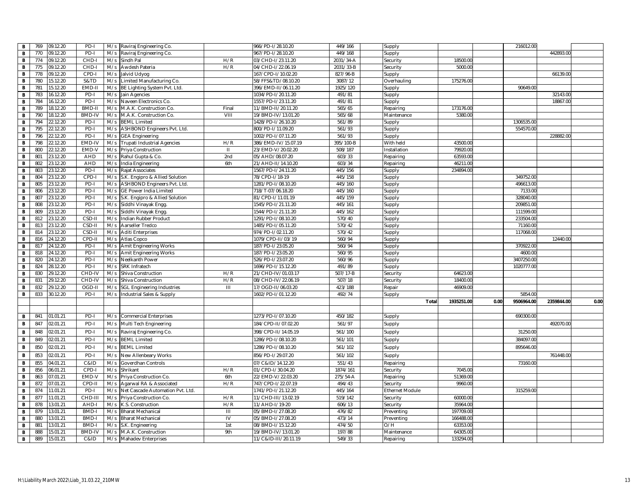| B | 09.12.20<br>769 | PD-I             | M/s | Raviraj Engineering Co.            |              | 966/PD-I/28.10.20    | 449/166   | Supply                 |           |      | 216012.00  |            |      |
|---|-----------------|------------------|-----|------------------------------------|--------------|----------------------|-----------|------------------------|-----------|------|------------|------------|------|
| В | 770<br>09.12.20 | PD-I             | M/s | Raviraj Engineering Co.            |              | 967/PD-1/28.10.20    | 449/168   | Supply                 |           |      |            | 442893.00  |      |
| В | 774<br>09.12.20 | CHD-             | M/s | Sindh Pal                          | H/R          | 03/CHD-I/23.11.20    | 2031/34-A | Security               | 18500.0   |      |            |            |      |
| В | 775<br>09.12.20 | CHD-             | M/s | Awdesh Pateria                     | H/R          | 04/CHD-I/22.06.19    | 2031/33-B | Security               | 5000.00   |      |            |            |      |
| В | 778<br>09.12.20 | CPD-I            | M/s | Jalvid Udyog                       |              | 167/CPD-1/10.02.20   | 827/96-B  | Supply                 |           |      |            | 66139.00   |      |
| B | 780<br>15.12.20 | S&TD             | M/s | Limited Manufacturing Co.          |              | 58/FFS&TD/08.10.20   | 3087/12   | Overhauling            | 175276.0  |      |            |            |      |
| В | 781<br>15.12.20 | EMD-II           |     | M/s BE Lighting System Pvt. Ltd.   |              | 396/EMD-II/06.11.20  | 1925/120  | Supply                 |           |      | 90649.00   |            |      |
| В | 783<br>16.12.20 | PD-I             |     | M/s Jain Agencies                  |              | 1034/PD-I/20.11.20   | 491/81    | Supply                 |           |      |            | 32143.00   |      |
| В | 784<br>16.12.20 | PD-I             | M/s | Naveen Electronics Co.             |              | 1557/PD-1/23.11.20   | 491/81    | Supply                 |           |      |            | 18867.00   |      |
| В | 789<br>8.12.20  | BMD-I            | M/s | M.A.K. Construction Co             | Final        | 11/BMD-II/20.11.20   | 565/65    | Repairing              | 173176.0  |      |            |            |      |
| В | 18.12.20<br>790 | BMD-IV           | M/s | M.A.K. Construction Co.            | VIII         | 19/BMD-IV/13.01.20   | 565/68    | Maintenance            | 5380.0    |      |            |            |      |
| В | 794<br>22.12.20 | PD-I             | M/s | <b>BEML Limited</b>                |              | 428/PD-1/26.10.20    | 561/89    | Supply                 |           |      | 1306535.00 |            |      |
| B | 795<br>22.12.20 | PD-I             | M/s | ASHBOND Engineers Pvt. Ltd.        |              | 800/PD-I/11.09.20    | 561/93    | Supply                 |           |      | 554570.00  |            |      |
| В | 796<br>22.12.20 | PD-I             | M/s | <b>GEA Engineering</b>             |              | 1002/PD-I/07.11.20   | 561/93    | Supply                 |           |      |            | 228882.00  |      |
| B | 798<br>2.12.20  | EMD-IV           | M/s | Trupati Industrial Agencies        | H/R          | 386/EMD-IV/15.07.19  | 395/100-B | With held              | 43500.0   |      |            |            |      |
| в | 800<br>2.12.20  | EMD-V            | M/s | Priya Construction                 | $\mathbf{H}$ | 23/EMD-V/20.02.20    | 508/187   | Installation           | 79920.0   |      |            |            |      |
| в | 801<br>3.12.20  | <b>AHD</b>       | M/s | Rahul Gupta & Co.                  | 2nd          | 05/AHD/08.07.20      | 603/33    | Repairing              | 63593.0   |      |            |            |      |
| В | 3.12.20<br>802  | AHD              | M/s | India Engineering                  | 6th          | 21/AHD-II/14.10.20   | 603/34    | Repairing              | 46211.0   |      |            |            |      |
| В | 803<br>3.12.20  | PD-I             | M/s | Rajat Associates                   |              | 1567/PD-I/24.11.20   | 445/156   | Supply                 | 234894.0  |      |            |            |      |
| В | 23.12.20<br>804 | CPD-             |     | M/s S.K. Engipro & Allied Solution |              | 78/CPD-I/18-19       | 445/158   | Supply                 |           |      | 349752.00  |            |      |
| В | 805<br>23.12.20 | PD-I             | M/s | ASHBOND Engineers Pvt. Ltd.        |              | 1281/PD-I/08.10.20   | 445/160   | Supply                 |           |      | 496613.00  |            |      |
| В | 3.12.20<br>806  | PD-I             | M/s | <b>GE Power India Limited</b>      |              | 718/T-07/06.18.20    | 445/160   | Supply                 |           |      | 7133.00    |            |      |
| в | 807<br>3.12.20  | PD-I             | M/s | S.K. Engipro & Allied Solution     |              | 81/CPD-I/11.01.19    | 445/159   | Supply                 |           |      | 328040.00  |            |      |
| В | 808<br>3.12.20  | PD-I             | M/s | Siddhi Vinayak Engg                |              | 1545/PD-I/21.11.20   | 445/161   | Supply                 |           |      | 209851.0   |            |      |
| В | 23.12.20<br>809 | PD-I             | M/s | Siddhi Vinayak Engg.               |              | 1544/PD-I/21.11.20   | 445/162   | Supply                 |           |      | 111599.00  |            |      |
| В | 3.12.20<br>812  | CSD-I            | M/s | Indian Rubber Product              |              | 1291/PD-I/08.10.20   | 570/40    | Supply                 |           |      | 233504.0   |            |      |
| В | 813<br>3.12.20  | CSD-I            | M/s | Aarseller Tredco                   |              | 1485/PD-I/05.11.20   | 570/42    | Supply                 |           |      | 71160.00   |            |      |
| В | 814<br>3.12.20  | CSD-I            | M/s | <b>Aditi Enterprises</b>           |              | 974/PD-I/02.11.20    | 570/42    | Supply                 |           |      | 117068.0   |            |      |
| В | 816<br>24.12.20 | CPD-II           | M/s | Atlas Copco                        |              | 1079/CPD-II/03/19    | 560/94    | Supply                 |           |      |            | 12440.00   |      |
| в | 24.12.20<br>817 | PD-I             | M/s | Amit Engineering Works             |              | 187/PD-I/23.05.20    | 560/94    | Supply                 |           |      | 370922.00  |            |      |
| B | 818<br>4.12.20  | PD-              | M/s | Amit Engineering Works             |              | 187/PD-I/23.05.20    | 560/95    | Supply                 |           |      | 4600.0     |            |      |
| в | 820<br>4.12.20  | PD-I             | M/s | Neelkanth Power                    |              | 526/PD-I/23.07.20    | 560/96    | Supply                 |           |      | 3407250.00 |            |      |
| В | 824<br>28.12.20 | PD-I             | M/s | <b>SRK Infratech</b>               |              | 1696/PD-I/15.12.20   | 491/89    | Supply                 |           |      | 1020777.0  |            |      |
| в | 830<br>9.12.20  | CHD-IV           | M/s | Shiva Construction                 | H/R          | 21/CHD-IV/01.03.17   | 507/17-B  | Security               | 64623.0   |      |            |            |      |
| в | 831<br>9.12.20  | CHD-IV<br>OGD-II | M/s | Shiva Construction                 | H/R          | 08/CHD-IV/22.06.19   | 507/18    | Security               | 18400.0   |      |            |            |      |
| В | 832<br>29.12.20 |                  | M/s | <b>SGL Engineering Industries</b>  | Ш            | 17/OGD-II/06.03.20   | 423/188   | Repair                 | 46909.0   |      |            |            |      |
| в | 833<br>30.12.20 | PD-I             |     | M/s Industrial Sales & Supply      |              | 1602/PD-I/01.12.20   | 492/74    | Supply                 |           |      | 5854.0     |            |      |
|   |                 |                  |     |                                    |              |                      |           | Tota                   | 1935251.0 | 0.00 | 9506964.00 | 2359844.00 | 0.00 |
|   |                 |                  |     |                                    |              |                      |           |                        |           |      |            |            |      |
| в | 841<br>01.01.21 | PD-I             |     | M/s Commercial Enterprises         |              | 1273/PD-I/07.10.20   | 450/182   | Supply                 |           |      | 690300.00  |            |      |
| B | 847<br>2.01.21  | PD-I             | M/s | Multi Tech Engineering             |              | 184/CPD-II/07.02.20  | 561/97    | Supply                 |           |      |            | 492070.00  |      |
| в | 848<br>02.01.21 | PD-              | M/s | Raviraj Engineering Co.            |              | 398/CPD-II/14.05.19  | 561/100   | Supply                 |           |      | 31250.00   |            |      |
| В | 849<br>02.01.21 | PD-I             | M/s | <b>BEML Limited</b>                |              | 1286/PD-I/08.10.20   | 561/101   | Supply                 |           |      | 384097.0   |            |      |
| В | 02.01.21<br>850 | PD-I             | M/s | <b>BEML Limited</b>                |              | 1286/PD-I/08.10.20   | 561/102   | Supply                 |           |      | 895646.00  |            |      |
| В | 853<br>02.01.21 | PD-I             | M/s | New Allenbeary Works               |              | 856/PD-I/29.07.20    | 561/102   | Supply                 |           |      |            | 761448.00  |      |
| В | 855<br>04.01.21 | C&ID             | M/s | Goverdhan Controls                 |              | 07/C&ID/14.12.20     | 551/43    | Repairing              |           |      | 73160.00   |            |      |
| В | 856<br>06.01.21 | CPD-I            | M/s | Shrikant                           | H/R          | 01/CPD-I/30.04.20    | 1874/161  | Security               | 7045.0    |      |            |            |      |
| в | 863<br>01.21    | EMD-V            | M/s | Priya Construction Co.             | 6th          | 22/EMD-V/22.03.20    | 275/54-A  | Repairing              | 51369.0   |      |            |            |      |
| В | 872<br>17.01.21 | CPD-I            | M/s | Agarwal RA & Associated            | H/R          | 747/CPD-I/22.07.19   | 494/43    | Security               | 9960.0    |      |            |            |      |
| В |                 |                  | M/s | Net Cascade Automation Pvt. Ltd.   |              | 1741/PD-I/21.12.20   | 445/164   | <b>Ethernet Module</b> |           |      | 315259.00  |            |      |
| B | 874<br>1.01.21  | PD-I             |     |                                    |              |                      |           |                        |           |      |            |            |      |
|   | 877<br>11.01.21 | CHD-II           | M/s | Priya Construction Co.             | H/R          | 11/CHD-III/13.02.19  | 519/142   | Security               | 60000.0   |      |            |            |      |
| В | 878<br>13.01.21 | AHD-             |     | M/s K.S. Construction              | H/R          | 11/AHD-I/19-20       | 606/13    | Security               | 35964.00  |      |            |            |      |
| В | 879<br>13.01.21 | BMD-             | M/s | <b>Bharat Mechanical</b>           | Ш            | 05/BMD-I/27.08.20    | 476/82    | Preventing             | 197709.0  |      |            |            |      |
| в | 880<br>13.01.21 | BMD-             | M/s | <b>Bharat Mechanical</b>           | IV           | 05/BMD-I/27.08.20    | 473/14    | Preventing             | 166488.0  |      |            |            |      |
| В | 881<br>3.01.21  | BMD-             | M/s | S.K. Engineering                   | 1st          | 08/BMD-I/15.12.20    | 474/50    | O/H                    | 63353.0   |      |            |            |      |
| В | 888<br>5.01.21  | BMD-IV           | M/s | M.A.K. Construction                | 9th          | 19/BMD-IV/13.01.20   | 197/88    | Maintenance            | 64305.0   |      |            |            |      |
| В | 889<br>15.01.21 | C&ID             | M/s | Mahadev Enterprises                |              | 11/C&ID-III/20.11.19 | 549/33    | Repairing              | 133294.0  |      |            |            |      |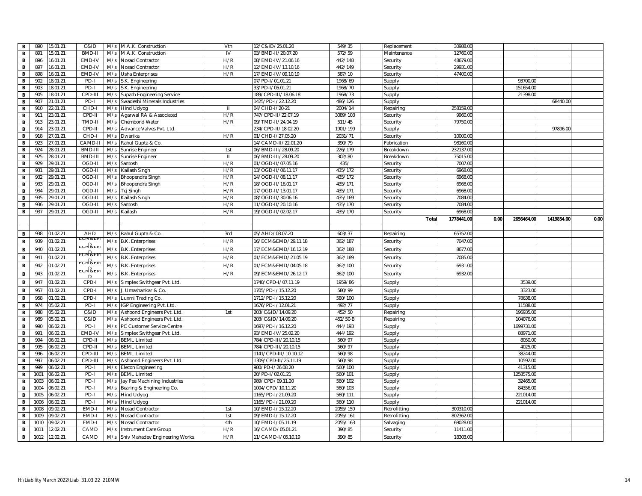| В            | 890          | 15.01.21                   | C&ID               | M/s        | M.A.K. Construction                  | Vth          | 12/C&ID/25.01.20                         | 549/35               | Replacement           | 30988.00              |      |            |            |      |
|--------------|--------------|----------------------------|--------------------|------------|--------------------------------------|--------------|------------------------------------------|----------------------|-----------------------|-----------------------|------|------------|------------|------|
| В            | 891          | 5.01.21                    | <b>BMD-II</b>      | M/s        | M.A.K. Construction                  | IV           | 03/BMD-II/20.07.20                       | 572/59               | Maintenance           | 12760.00              |      |            |            |      |
| В            | 896          | 6.01.21                    | EMD-IV             | M/s        | Nosad Contractor                     | H/R          | 08/EMD-IV/21.06.16                       | 442/148              | Security              | 48679.00              |      |            |            |      |
| В            | 897          | 6.01.21                    | EMD-IV             | M/s        | Nosad Contractor                     | H/R          | 12/EMD-IV/13.10.16                       | 442/149              | Security              | 29931.00              |      |            |            |      |
| В            | 898          | 6.01.21                    | EMD-IV             | M/s        | Usha Enterprises                     | H/R          | 17/EMD-IV/09.10.19                       | 587/10               | Security              | 47400.00              |      |            |            |      |
| B            | 902          | 8.01.21                    | PD-I               | M/s        | S.K. Engineering                     |              | 07/PD-I/01.01.21                         | 1968/69              | Supply                |                       |      | 93700.00   |            |      |
| в            | 903          | 18.01.21                   | PD-I               |            | M/s S.K. Engineering                 |              | 33/PD-I/05.01.21                         | 1968/70              | Supply                |                       |      | 151654.00  |            |      |
| В            | 905          | 8.01.21                    | CPD-II             | M/s        | Supath Engineering Service           |              | 189/CPD-III/18.06.18                     | 1968/73              | Supply                |                       |      | 21398.0    |            |      |
| В            | 907          | 1.01.21                    | PD-I               | M/s        | Swadeshi Minerals Industries         |              | 425/PD-1/22.12.20                        | 486/126              | Supply                |                       |      |            | 68440.00   |      |
| В            | 910          | 2.01.21                    | CHD-               | M/s        | <b>Hind Udyog</b>                    | H            | 04/CHD-I/20-21                           | 2004/14              | Repairing             | 258159.00             |      |            |            |      |
| В            | 911          | 3.01.21                    | CPD-II             | M/s        | Agarwal RA & Associated              | H/R          | 747/CPD-II/22.07.19                      | 3089/103             | Security              | 9960.00               |      |            |            |      |
| В            | 913          | 3.01.21                    | TMD-I              | M/s        | Chembond Water                       | H/R          | 09/TMD-II/24.04.19                       | 511/45               | Security              | 79750.00              |      |            |            |      |
| В            | 914          | 3.01.21                    | CPD-II             | M/s        | Advance Valves Pvt. Ltd.             |              | 234/CPD-II/18.02.20                      | 1901/199             | Supply                |                       |      |            | 97896.00   |      |
| В            | 918          | 27.01.21                   | CHD-I              | M/s        | Dwarika                              | H/R          | 01/CHD-I/27.05.20                        | 2031/71              | Security              | 10000.00              |      |            |            |      |
| В            | 923          | 7.01.21                    | CAMD-              | M/s        | Rahul Gupta & Co.                    |              | 14/CAMD-II/22.01.20                      | 390/79               | Fabrication           | 98160.00              |      |            |            |      |
| В            | 924          | 8.01.21                    | BMD-III            | M/s        | Sunrise Engineer                     | 1st          | 06/BMD-III/28.09.20                      | 226/179              | Breakdown             | 232137.00             |      |            |            |      |
| B            | 925          | 28.01.21                   | BMD-II             | M/s        | Sunrise Engineer                     | $\mathbf{I}$ | 06/BMD-III/28.09.20                      | 302/80               | Breakdown             | 75015.00              |      |            |            |      |
| В            | 929          | 29.01.21                   | OGD-II             | M/s        | Santosh                              | H/R          | 01/OGD-II/07.05.16                       | 435/                 | Security              | 7007.00               |      |            |            |      |
| В            | 931          | 29.01.21                   | OGD-II             | M/s        | Kailash Singh                        | H/R          | 13/OGD-II/06.11.17                       | 435/172              | Security              | 6968.00               |      |            |            |      |
| B            | 932          | 29.01.21                   | OGD-II             | M/s        | Bhoopendra Singh                     | H/R          | 14/OGD-II/08.11.17                       | 435/172              | Security              | 6968.00               |      |            |            |      |
| В            | 933          | 29.01.21                   | OGD-II             |            | M/s Bhoopendra Singh                 | H/R          | 18/OGD-II/16.01.17                       | 435/171              | Security              | 6968.00               |      |            |            |      |
| в            | 934          | 9.01.21                    | OGD-II             | M/s        | Tej Singh                            | H/R          | 17/OGD-II/13.01.17                       | 435/171              | Security              | 6968.0                |      |            |            |      |
| в            | 935<br>936   | 9.01.21<br>29.01.21        | OGD-II<br>OGD-I    | M/s<br>M/s | Kailash Singh                        | H/R<br>H/R   | 08/OGD-II/30.06.16                       | 435/169<br>435/170   | Security              | 7084.00<br>7084.00    |      |            |            |      |
| В<br>В       | 937          | 29.01.21                   | OGD-II             | M/s        | Santosh<br>Kailash                   | H/R          | 11/OGD-II/20.10.16<br>19/OGD-II/02.02.17 | 435/170              | Security              | 6968.00               |      |            |            |      |
|              |              |                            |                    |            |                                      |              |                                          |                      | Security<br>Total     | 1778441.00            | 0.00 | 2656464.00 | 1419854.00 | 0.00 |
|              |              |                            |                    |            |                                      |              |                                          |                      |                       |                       |      |            |            |      |
| в            | 938          | 01.02.21                   | <b>AHD</b>         | M/s        | Rahul Gupta & Co.                    | 3rd          | 05/AHD/08.07.20                          | 603/37               | Repairing             | 65352.00              |      |            |            |      |
| B            | 939          | 01.02.21                   | <b>EUM&amp;E</b>   | M/s        |                                      | H/R          | 16/ECM&EMD/29.11.18                      | 362/187              |                       | 7047.00               |      |            |            |      |
|              |              |                            | <del>eciwa</del> e |            | <b>B.K.</b> Enterprises              |              |                                          |                      | Security              |                       |      |            |            |      |
| В            | 940          | 01.02.21                   | <u>ECM&amp;EI</u>  | M/s        | <b>B.K. Enterprises</b>              | H/R<br>H/R   | 17/ECM&EMD/16.12.19                      | 362/188              | Security              | 8677.00               |      |            |            |      |
| В            | 941          | 01.02.21                   |                    |            |                                      |              |                                          |                      |                       |                       |      |            |            |      |
| В            |              |                            |                    | M/s        | <b>B.K. Enterprises</b>              |              | 01/ECM&EMD/21.05.19                      | 362/189              | Security              | 7085.00               |      |            |            |      |
|              | 942          | 01.02.21                   | <u>ecm ge</u>      |            | M/s B.K. Enterprises                 | H/R          | 01/ECM&EMD/04.05.18                      | 362/100              | Security              | 6931.00               |      |            |            |      |
| $\, {\bf B}$ | 943          | 01.02.21                   | <u>ecm Pae</u>     | M/s        | <b>B.K.</b> Enterprises              | H/R          | 09/ECM&EMD/26.12.17                      | 362/100              | Security              | 6932.00               |      |            |            |      |
| В            | 947          | 01.02.21                   | CPD-I              | M/s        | Simplex Swithgear Pvt. Ltd           |              | 1740/CPD-I/07.11.19                      | 1959/86              | Supply                |                       |      | 3539.0     |            |      |
| B            | 957          | 01.02.21                   | CPD-I              | M/s        | . Umashankar & Co                    |              | 1705/PD-I/15.12.20                       | 580/99               | Supply                |                       |      | 3323.0     |            |      |
| В            | 958          | 01.02.21                   | CPD-I              | M/s        | Luxmi Trading Co.                    |              | 1712/PD-I/15.12.20                       | 580/100              | Supply                |                       |      | 78638.0    |            |      |
| В            | 974          | 05.02.21                   | PD-I               | M/s        | IGP Engineering Pvt. Ltd.            |              | 1676/PD-I/12.01.21                       | 492/77               | Supply                |                       |      | 11588.0    |            |      |
| В            | 988          | 05.02.21                   | C&ID               | M/s        | Ashbond Engineers Pvt. Ltd.          | 1st          | 203/C&ID/14.09.20                        | 452/50               | Repairing             |                       |      | 196935.0   |            |      |
| В            | 989          | 05.02.21                   | C&ID               | M/s        | Ashbond Engineers Pvt. Ltd.          |              | 203/C&ID/14.09.20                        | $452/50 - B$         | Repairing             |                       |      | 104076.0   |            |      |
| В            | 990          | 06.02.21                   | PD-I               | M/s        | PC Customer Service Centre           |              | 1697/PD-I/16.12.20                       | 444/193              | Supply                |                       |      | 1699731.00 |            |      |
| В            | 991          | 06.02.21                   | EMD-IV             | M/s        | Simplex Swithgear Pvt. Ltd           |              | 93/EMD-IV/25.02.20                       | 444/192              | Supply                |                       |      | 88971.0    |            |      |
| B            | 994          | 06.02.21                   | CPD-II             | M/s        | <b>BEML Limited</b>                  |              | 784/CPD-III/20.10.15                     | 560/97               | Supply                |                       |      | 8050.00    |            |      |
| В            | 995          | 06.02.21                   | CPD-II             | M/s        | <b>BEML Limited</b>                  |              | 784/CPD-III/20.10.15                     | 560/97               | Supply                |                       |      | 4025.00    |            |      |
| в            | 996          | 06.02.21                   | CPD-II             | M/s        | <b>BEML Limited</b>                  |              | 1141/CPD-III/10.10.12                    | 560/98               | Supply                |                       |      | 38244.0    |            |      |
| В            | 997          | 06.02.21                   | CPD-III            | M/s        | Ashbond Engineers Pvt. Ltd.          |              | 1309/CPD-II/25.11.19                     | 560/98               | Supply                |                       |      | 10592.0    |            |      |
| В            | 999          | 6.02.21                    | PD-I               | M/s        | Elecon Engineering                   |              | 980/PD-I/26.08.20                        | 560/100              | Supply                |                       |      | 41315.0    |            |      |
| В            | 1001         | 06.02.21                   | PD-I               | M/s        | <b>BEML Limited</b>                  |              | 20/PD-I/02.01.21                         | 560/101              | Supply                |                       |      | 1258575.0  |            |      |
| В            | 1003         | 06.02.21                   | PD-I               | M/s        | Jay Pee Machining Industries         |              | 989/CPD/09.11.20                         | 560/102              | Supply                |                       |      | 32465.0    |            |      |
| В            | 1004         | 06.02.27                   | PD-I               | M/s        | Bearing & Engineering Co.            |              | 1004/CPD/10.11.20                        | 560/103              | Supply                |                       |      | 84356.00   |            |      |
| в            | 1005         | 06.02.21                   | PD-I               | M/s        | <b>Hind Udyog</b>                    |              | 1165/PD-I/21.09.20                       | 560/111              | Supply                |                       |      | 221014.00  |            |      |
| В            | 1006         | 6.02.21                    | PD-I               | M/s        | <b>Hind Udyog</b>                    |              | 1165/PD-I/21.09.20                       | 560/110              | Supply                |                       |      | 221014.0   |            |      |
| В            | 1008<br>1009 | 9.02.2<br>$9.02.2^{\circ}$ | EMD-<br>EMD-       | M/s<br>M/s | <b>Nosad Contractor</b>              | 1st          | 10/EMD-I/15.12.20                        | 2055/159             | Retrofitting          | 300310.00             |      |            |            |      |
| в<br>В       | 1010         | 09.02.21                   | EMD-               | M/s        | Nosad Contractor<br>Nosad Contractor | 1st<br>4th   | 09/EMD-I/15.12.20<br>10/EMD-1/05.11.19   | 2055/161<br>2055/163 | Retrofitting          | 802362.00<br>69028.00 |      |            |            |      |
| В            | 1011         | 2.02.21                    | CAMD               | M/s        | Instrument Care Group                | H/R          | 16/CAMD/05.01.21                         | 390/85               | Salvaging<br>Security | 11411.00              |      |            |            |      |
| В            | 1012         | 12.02.21                   | CAMD               | M/s        | Shiv Mahadev Engineering Works       | H/R          | 11/CAMD-I/05.10.19                       | 390/85               | Security              | 18303.00              |      |            |            |      |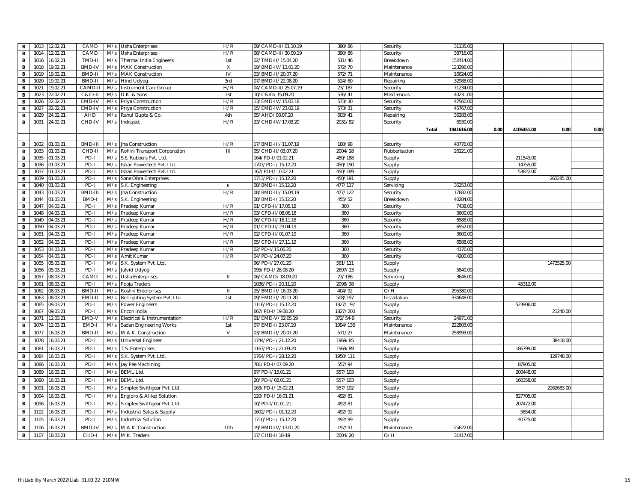| B            | 1013         | 12.02.21             | CAMD          |            | M/s Usha Enterprises             | H/R            | 09/CAMD-II/01.10.19                    | 390/86     | Security             | 31135.00           |      |            |            |      |
|--------------|--------------|----------------------|---------------|------------|----------------------------------|----------------|----------------------------------------|------------|----------------------|--------------------|------|------------|------------|------|
| $\mathbf{B}$ | 1014         | 2.02.21              | CAMD          | M/s        | <b>Usha Enterprises</b>          | H/R            | 08/CAMD-II/30.09.19                    | 390/86     | Security             | 38716.00           |      |            |            |      |
| B            | 1016         | 6.02.21              | TMD-II        |            | M/s Thermal India Engineers      | 1st            | 02/TMD-II/15.04.20                     | 511/46     | Breakdown            | 152414.00          |      |            |            |      |
| В            | 1018         | 9.02.21              | <b>BMD-IV</b> |            | M/s MAK Construction             | X              | 19/BMD-IV/13.01.20                     | 572/70     | Maintenance          | 123296.00          |      |            |            |      |
| В            | 1019         | 9.02.21              | BMD-II        | M/s        | <b>MAK Construction</b>          | IV             | 03/BMD-II/20.07.20                     | 572/71     | Maintenance          | 16624.00           |      |            |            |      |
| B            | 1020         | 9.02.21              | BMD-II        | M/s        | <b>Hind Udyog</b>                | 3rd            | 07/BMD-II/22.08.20                     | 524/60     | Repairing            | 32988.00           |      |            |            |      |
| В            | 1021         | 19.02.21             | CAMD-I        | M/s        | Instrument Care Group            | H/R            | 04/CAMD-II/25.07.19                    | 23/187     | Security             | 71234.00           |      |            |            |      |
| В            | 1023         | 2.02.21              | C&ID-I        | M/s        | D.K. & Sons                      | 1st            | 10/C&ID/15.09.20                       | 536/41     | Miscllenous          | 40231.00           |      |            |            |      |
| В            | 1026         | 2.02.21              | EMD-IV        | M/s        | Priya Construction               | H/R            | 13/EMD-IV/15.03.18                     | 573/30     | Security             | 42560.00           |      |            |            |      |
| B            | 1027         | 2.02.21              | EMD-IV        | M/s        | Priya Construction               | H/R            | 15/EMD-IV/23.02.19                     | 573/31     | Security             | 45767.00           |      |            |            |      |
| в            | 1029         | 4.02.21              | AHD           | M/s        | Rahul Gupta & Co.                | 4th            | 05/AHD/08.07.20                        | 603/41     | Repairing            | 36283.00           |      |            |            |      |
| В            | 1031         | 24.02.21             | CHD-IV        | M/s        | ndrajeet                         | H/R            | 23/CHD-IV/17.03.20                     | 2031/82    | Security             | 6930.00            |      |            |            |      |
|              |              |                      |               |            |                                  |                |                                        |            | Total                | 1941616.00         | 0.00 | 4106451.00 | 0.00       | 0.00 |
|              |              |                      |               |            |                                  |                |                                        |            |                      |                    |      |            |            |      |
| B            | 1032         | 01.03.21             | BMD-III       | M/s        | Jha Construction                 | H/R            | 17/BMD-III/11.07.19                    | 188/98     | Security             | 40776.00           |      |            |            |      |
| в            | 1033         | 01.03.21             | CHD-II        |            | M/s Rohini Transport Corporation | $\mathbf{III}$ | 05/CHD-II/03.07.20                     | 2004/18    | Rubberisation        | 26121.00           |      |            |            |      |
| В            | 1035         | 01.03.21             | PD-I          |            | M/s S.S. Rubbers Pvt. Ltd.       |                | 164/PD-I/01.02.21                      | 450/188    | Supply               |                    |      | 211543.00  |            |      |
| В            | 1036         | 01.03.21             | PD-I          | M/s        | Ishan Powertech Pvt. Ltd         |                | 1707/PD-I/15.12.20                     | 450/190    | Supply               |                    |      | 14755.00   |            |      |
| В            | 1037         | 01.03.2              | PD-I          | M/s        | Ishan Powertech Pvt. Ltd         |                | 167/PD-I/10.02.21                      | 450/189    | Supply               |                    |      | 53822.0    |            |      |
| В            | 1039         | 01.03.21             | PD-I          |            | M/s Sone Obra Enterprises        |                | 1713/PD-I/15.12.20                     | 450/191    | Supply               |                    |      |            | 263285.00  |      |
| В            | 1040         | 01.03.21             | PD-I          | M/s        | S.K. Engineering                 | $\mathbf H$    | 08/BMD-I/15.12.20                      | 477/117    | Servicing            | 36253.00           |      |            |            |      |
| B            | 1043         | 01.03.21             | BMD-II        | M/s        | Jha Construction                 | H/R            | 08/BMD-III/15.04.19                    | 477/122    | Security             | 17682.00           |      |            |            |      |
| В            | 1044         | 01.03.21             | <b>BMD-I</b>  |            | M/s S.K. Engineering             |                | 08/BMD-I/15.12.20                      | 455/52     | Breakdown            | 40284.00           |      |            |            |      |
| в            | 1047         | 04.03.21             | PD-I          | M/s        | Pradeep Kumar                    | H/R            | 01/CPD-II/17.05.18                     | 360        | Security             | 7438.00            |      |            |            |      |
| В            | 1048<br>1049 | 04.03.21<br>04.03.21 | PD-I          | M/s        | Pradeep Kumar                    | H/R            | 03/CPD-II/08.06.18                     | 360<br>360 | Security             | 3600.00<br>6588.00 |      |            |            |      |
| В<br>В       | 1050         | 04.03.21             | PD-I<br>PD-I  | M/s<br>M/s | Pradeep Kumar                    | H/R<br>H/R     | 06/CPD-II/16.11.18                     | 360        | Security             | 6552.00            |      |            |            |      |
| В            |              | 04.03.21             | PD-I          |            | Pradeep Kumar                    | H/R            | 01/CPD-II/23.04.19                     |            | Security             | 3600.00            |      |            |            |      |
|              | 1051         |                      |               | M/s        | Pradeep Kumar                    |                | 02/CPD-II/01.07.19                     | 360        | Security             |                    |      |            |            |      |
| В            | 1052<br>1053 | 04.03.21<br>04.03.21 | PD-I<br>PD-I  | M/s<br>M/s | Pradeep Kumar                    | H/R<br>H/R     | 05/CPD-II/27.11.19<br>02/PD-I/15.06.20 | 360<br>360 | Security             | 6588.00<br>4176.00 |      |            |            |      |
| В<br>в       | 1054         | 04.03.21             | PD-I          | M/s        | Pradeep Kumar<br>Amit Kumar      | H/R            | 04/PD-I/24.07.20                       | 360        | Security<br>Security | 4200.00            |      |            |            |      |
| в            | 1055         | 05.03.21             | PD-I          | M/s        | S.K. System Pvt. Ltd.            |                | 96/PD-1/27.01.20                       | 561/111    | Supply               |                    |      |            | 1473525.00 |      |
| в            | 1056         | 05.03.21             | PD-I          | M/s        | Jalvid Udyog                     |                | 995/PD-I/28.08.20                      | 2697/13    | Supply               | 5840.00            |      |            |            |      |
| В            | 1057         | 8.03.2               | CAMD          | M/s        | Usha Enterprises                 | $\mathbf{H}$   | 06/CAMD/18.09.20                       | 23/186     | Servicing            | 3646.00            |      |            |            |      |
| В            | 1061         | 08.03.21             | PD-I          | M/s        | Pooja Traders                    |                | 1036/PD-I/20.11.20                     | 2098/38    | Supply               |                    |      | 45312.00   |            |      |
| В            | 1062         | 08.03.21             | BMD-I         | M/s        | Roshni Enterprises               | Ш              | 25/BMD-II/16.03.20                     | 404/92     | O/H                  | 295380.00          |      |            |            |      |
| в            | 1063         | 8.03.21              | EMD-I         | M/s        | Be Lighting System Pvt. Ltd.     | 1st            | 09/EMD-II/20.11.20                     | 508/197    | Installation         | 334648.00          |      |            |            |      |
| В            | 1065         | 09.03.21             | PD-I          | M/s        | Power Engineers                  |                | 1116/PD-I/15.12.20                     | 1827/197   | Supply               |                    |      | 523906.0   |            |      |
| В            | 1067         | 09.03.21             | PD-I          | M/s        | Encon India                      |                | 667/PD-I/19.08.20                      | 1827/200   | Supply               |                    |      |            | 21240.00   |      |
| в            | 107          | 2.03.21              | EMD-V         | M/s        | Electrical & Instrumentation     | H/R            | 01/EMD-V/02.05.19                      | 372/54-B   | Security             | 24971.00           |      |            |            |      |
| В            | 1074         | 2.03.21              | EMD-          | M/s        | Sadan Engineering Works          | 1st            | 07/EMD-I/23.07.20                      | 1994/136   | Maintenance          | 222803.00          |      |            |            |      |
| В            | 1077         | 16.03.21             | BMD-I         | M/s        | M.A.K. Construction              | $\vee$         | 03/BMD-II/20.07.20                     | 571/27     | Maintenance          | 258993.00          |      |            |            |      |
| В            | 1078         | 6.03.21              | PD-I          | M/s        | <b>Universal Engineer</b>        |                | 1744/PD-I/21.12.20                     | 1969/85    | Supply               |                    |      |            | 38418.00   |      |
| В            | 1081         | 6.03.21              | PD-I          | M/s        | T.S. Enterprises                 |                | 1167/PD-I/21.09.20                     | 1969/89    | Supply               |                    |      | 186799.0   |            |      |
| В            | 1084         | 6.03.21              | PD-I          | M/s        | S.K. System Pvt. Ltd.            |                | 1764/PD-I/28.12.20                     | 1950/111   | Supply               |                    |      |            | 129748.00  |      |
| В            | 1086         | 6.03.21              | PD-I          | M/s        | Jay Pee Machining                |                | 781/PD-I/07.09.20                      | 557/94     | Supply               |                    |      | 87905.00   |            |      |
| В            | 1089         | 6.03.21              | PD-I          | M/s        | <b>BEML Ltd</b>                  |                | 97/PD-I/15.01.21                       | 557/103    | Supply               |                    |      | 200448.0   |            |      |
| В            | 1090         | 6.03.21              | PD-I          | M/s        | <b>BEML Ltd.</b>                 |                | 20/PD-I/02.01.21                       | 557/103    | Supply               |                    |      | 160358.0   |            |      |
| B            | 1091         | 6.03.21              | PD-I          | M/s        | Simplex Swithgear Pvt. Ltd       |                | 163/PD-I/15.02.21                      | 557/102    | Supply               |                    |      |            | 2262683.00 |      |
| В            | 1094         | 6.03.21              | PD-I          | M/s        |                                  |                |                                        |            |                      |                    |      |            |            |      |
|              |              |                      |               |            | Engipro & Allied Solution        |                | 120/PD-I/16.01.21                      | 492/81     | Supply               |                    |      | 827705.00  |            |      |
| В            | 1096         | 6.03.21              | PD-I          | M/s        | Simplex Swithgear Pvt. Ltd       |                | 10/PD-I/01.01.21                       | 492/81     | Supply               |                    |      | 207472.00  |            |      |
| В            | 1102         | 6.03.21              | PD-I          | M/s        | Industrial Sales & Supply        |                | 1602/PD-I/01.12.20                     | 492/92     | Supply               |                    |      | 5854.0     |            |      |
| В            | 1105         | 6.03.21              | PD-I          | M/s        | ndustrial Solution               |                | 1710/PD-I/15.12.20                     | 492/99     | Supply               |                    |      | 40725.00   |            |      |
| В            | 1106         | 6.03.21              | BMD-IV        | M/s        | M.A.K. Construction              | 11th           | 19/BMD-IV/13.01.20                     | 197/91     | Maintenance          | 125622.00          |      |            |            |      |
| В            | 1107         | 18.03.21             | CHD-I         | M/s        | M.K. Traders                     |                | 17/CHD-I/18-19                         | 2004/20    | O/H                  | 31417.00           |      |            |            |      |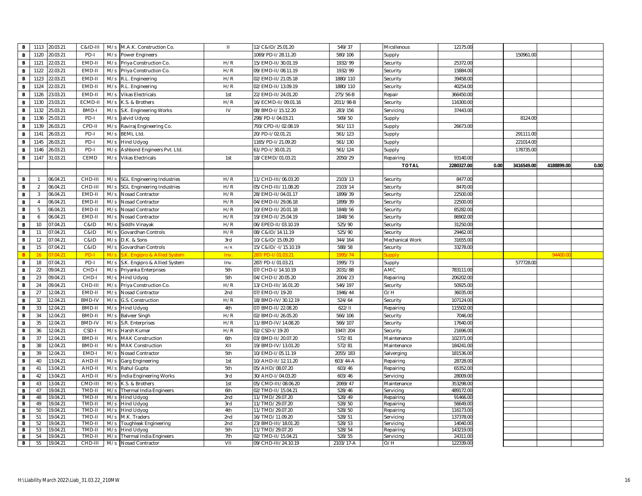| $\,$ B                       | 1113           | 20.03.21             | C&ID-II          | M/s | M.A.K. Construction Co.           | Ш          | 12/C&ID/25.01.20                   | 549/37           | Micsllenous            | 12175.00               |      |            |            |      |
|------------------------------|----------------|----------------------|------------------|-----|-----------------------------------|------------|------------------------------------|------------------|------------------------|------------------------|------|------------|------------|------|
| $\mathbf B$                  | 1120           | 20.03.21             | PD-I             | M/s | Power Engineers                   |            | 1069/PD-1/28.11.20                 | 580/106          | Supply                 |                        |      | 150961.00  |            |      |
| B                            | 1121           | 22.03.21             | EMD-II           | M/s | Priya Construction Co.            | H/R        | 15/EMD-II/30.01.19                 | 1932/99          | Security               | 25372.00               |      |            |            |      |
| $\mathbf B$                  | 1122           | 22.03.21             | EMD-II           | M/s | Priya Construction Co.            | H/R        | 09/EMD-II/08.11.19                 | 1932/99          | Security               | 15884.00               |      |            |            |      |
| B                            | 1123           | 22.03.21             | EMD-II           | M/s | R.L. Engineering                  | H/R        | 02/EMD-II/21.05.18                 | 1880/110         | Security               | 39458.00               |      |            |            |      |
| $\mathbf B$                  | 1124           | 22.03.21             | EMD-II           | M/s | R.L. Engineering                  | H/R        | 02/EMD-II/13.09.19                 | 1880/110         | Security               | 40254.00               |      |            |            |      |
| $\, {\bf B}$                 | 1126           | 23.03.21             | EMD-I            | M/s | <b>Vikas Electricals</b>          | 1st        | 22/EMD-II/24.01.20                 | 275/56-B         | Repair                 | 366450.00              |      |            |            |      |
| $\,$ B                       | 1130           | 23.03.21             | ECMD-II          | M/s | K.S. & Brothers                   | H/R        | 16/ECMD-II/09.01.16                | 2011/98-B        | Security               | 116300.00              |      |            |            |      |
| B                            | 1132           | 25.03.21             | BMD-I            | M/s | S.K. Engineering Works            | IV         | 08/BMD-I/15.12.20                  | 283/156          | Servicing              | 37443.00               |      |            |            |      |
| B                            | 1136           | 25.03.21             | PD-I             | M/s | Jalvid Udyog                      |            | 298/PD-I/04.03.21                  | 569/50           |                        |                        |      | 8124.00    |            |      |
|                              | 1139           | 26.03.21             | CPD-II           | M/s |                                   |            | 793/CPD-II/02.08.19                | 561/113          | Supply                 | 26673.00               |      |            |            |      |
| $\, {\bf B}$                 |                |                      |                  | M/s | Raviraj Engineering Co.           |            |                                    |                  | Supply                 |                        |      |            |            |      |
| B                            | 1141           | 26.03.21             | PD-I             |     | <b>BEML Ltd.</b>                  |            | 20/PD-I/02.01.21                   | 561/123          | Supply                 |                        |      | 291111.0   |            |      |
| $\, {\bf B}$                 | 1145           | 26.03.21             | PD-I             | M/s | Hind Udyog                        |            | 165/PD-1/21.09.20                  | 561/130          | Supply                 |                        |      | 221014.0   |            |      |
| B                            | 1146           | 26.03.21             | PD-I             | M/s | Ashbond Engineers Pvt. Ltd        |            | 51/PD-I/30.01.21                   | 561/124          | Supply                 |                        |      | 178735.00  |            |      |
| $\,$ B                       | 1147           | 31.03.21             | CEMD             | M/s | <b>Vikas Electricals</b>          | 1st        | 18/CEMD/01.03.21                   | 2050/29          | Repairing              | 93140.00               |      |            |            |      |
|                              |                |                      |                  |     |                                   |            |                                    |                  | <b>TOTAL</b>           | 2280327.00             | 0.00 | 3416549.00 | 4188899.00 | 0.00 |
| B                            | $\overline{1}$ | 06.04.21             | CHD-II           | M/s | <b>SGL Engineering Industries</b> | H/R        | 11/CHD-III/06.03.20                | 2103/13          | Security               | 8477.00                |      |            |            |      |
| $\mathbf B$                  | 2              | 06.04.21             | CHD-III          | M/s | <b>SGL Engineering Industries</b> | H/R        | 05/CHD-III/11.08.20                | 2103/14          | Security               | 8470.00                |      |            |            |      |
| B                            | 3              | 06.04.21             | EMD-II           | M/s | Nosad Contractor                  | H/R        | 28/EMD-II/04.01.17                 | 1899/39          | Security               | 22500.00               |      |            |            |      |
| $\, {\bf B}$                 | $\overline{4}$ | 06.04.21             | EMD-II           | M/s | Nosad Contractor                  | H/R        | 04/EMD-II/29.06.18                 | 1899/39          | Security               | 22500.00               |      |            |            |      |
| $\, {\bf B}$                 |                | 06.04.21             | EMD-I            | M/s | Nosad Contractor                  | H/R        | 10/EMD-II/20.01.18                 | 1848/56          | Security               | 85282.00               |      |            |            |      |
| $\,$ B                       | 6              | 06.04.21             | EMD-II           | M/s | Nosad Contractor                  | H/R        | 19/EMD-II/25.04.19                 | 1848/56          | Security               | 86902.00               |      |            |            |      |
| $\, {\bf B}$                 | 10             | 07.04.21             | C&ID             | M/s | Siddhi Vinayak                    | H/R        | 06/EPED-II/03.10.19                | 525/90           | Security               | 31250.00               |      |            |            |      |
| $\mathbf{B}$                 | 11             | 07.04.21             | C&ID             | M/s | Govardhan Controls                | H/R        | 08/C&ID/14.11.19                   | 525/90           | Security               | 29462.00               |      |            |            |      |
| B                            | 12             | 07.04.21             | C&ID             | M/s | D.K. & Sons                       | 3rd        | 10/C&ID/15.09.20                   | 344/164          | Mechanical Work        | 31655.00               |      |            |            |      |
| $\mathbf B$                  | 15             | 07.04.21             | C&ID             | M/s | Govardhan Controls                | H/R        | 15/C&ID/-I/15.10.19                | 588/58           | Security               | 33278.00               |      |            |            |      |
| B                            |                | 042                  | PD-I             |     | K. Engipro & Allied System        | Inv.       | 37/PD-1/01.03.2                    | 1995/74          | iupp                   |                        |      |            | 94400      |      |
| $\mathbf B$                  | 18             | 07.04.21             | PD-I             | M/s | S.K. Engipro & Allied System      | Inv.       | 287/PD-I/01.03.21                  | 1995/73          | Supply                 |                        |      | 577728.00  |            |      |
| $\mathbf{B}$                 | 22             | 09.04.21             | CHD-I            | M/s | Priyanka Enterprises              | 5th        | 07/CHD-I/14.10.19                  | 2031/88          | AMC                    | 783111.00              |      |            |            |      |
| B                            | 23             | 09.04.21             | CHD-I            | M/s | <b>Hind Udyog</b>                 | 5th        | 04/CHD-I/20.05.20                  | 2004/23          | Repairing              | 206202.00              |      |            |            |      |
| $\, {\bf B}$                 | 24             | 09.04.21             | CHD-II           | M/s | Priya Construction Co.            | H/R        | 13/CHD-III/16.01.20                | 546/197          | Security               | 50925.00               |      |            |            |      |
| $\, {\bf B}$                 | 27             | 12.04.21             | EMD-II           | M/s | Nosad Contractor                  | 2nd        | 07/EMD-II/19-20                    | 1946/44          | O/H                    | 36035.00               |      |            |            |      |
| $\, {\bf B}$                 | 32             | 12.04.21             | <b>BMD-IV</b>    | M/s | G.S. Construction                 | H/R        | 18/BMD-IV/30.12.19                 | 524/64           | Security               | 107124.00              |      |            |            |      |
| $\mathbf{B}$                 | 33             | 12.04.21             | <b>BMD-II</b>    | M/s | <b>Hind Udyog</b>                 | 4th        | 07/BMD-II/22.08.20                 | 622/11           | Repairing              | 115502.00              |      |            |            |      |
| $\, {\bf B}$                 | 34             | 12.04.21             | BMD-II           | M/s | <b>Balveer Singh</b>              | H/R        | 02/BMD-II/26.05.20                 | 566/106          | Security               | 7046.00                |      |            |            |      |
| $\mathbf B$                  | 35             | 12.04.21             | <b>BMD-IV</b>    | M/s | S.R. Enterprises                  | H/R        | 11/BMD-IV/14.08.20                 | 566/107          | Security               | 17640.00               |      |            |            |      |
| $\,$ B                       | 36             | 12.04.21             | CSD-             | M/s | Harsh Kumar                       | H/R        | 02/CSD-I/19-20                     | 1947/204         | Security               | 21696.00               |      |            |            |      |
| $\,$ B                       | 37             | 12.04.21             | BMD-II           | M/s | <b>MAK Construction</b>           | 6th        | 03/BMD-II/20.07.20                 | 572/81           | Maintenance            | 102371.00              |      |            |            |      |
| $\mathbf{B}$                 | 38             | 12.04.21             | BMD-II           | M/s | <b>MAK Construction</b>           | XII        | 19/BMD-IV/13.01.20                 | 572/81           | Maintenance            | 184241.00              |      |            |            |      |
| B                            | 39             | 12.04.21             | EMD-I            | M/s | Nosad Contractor                  | 5th        | 10/EMD-I/05.11.19                  | 2055/183         | Salverging             | 181536.00              |      |            |            |      |
| $\, {\bf B}$                 | 40             | 13.04.21             | AHD-II           | M/s | Garg Engineering                  | 1st        | 10/AHD-II/12.11.20                 | 603/44-A         | Repairing              | 28728.00               |      |            |            |      |
| $\,$ B                       | 41             | 13.04.21             | AHD-II           | M/s | Rahul Gupta                       | 5th        | 05/AHD/08.07.20                    | 603/46           | Repairing              | 65352.00               |      |            |            |      |
| $\mathbf B$                  | 42             | 13.04.21             | AHD-II           | M/s | India Engineering Works           | 3rd        | 30/AHD-I/04.03.20                  | 603/46           | Servicing              | 28009.00               |      |            |            |      |
| $\mathbf{B}$                 | 43             | 13.04.21             | CMD-III          | M/s | K.S. & Brothers                   | 1st        | 05/CMD-III/08.06.20                | 2069/47          | Maintenance            | 353298.00              |      |            |            |      |
| $\overline{B}$               | 47             | 19.04.21             | TMD-II           | M/s | <b>Thermal India Engineers</b>    | 6th        | 02/TMD-II/15.04.21                 | 528/46           | Servicing              | 489172.00              |      |            |            |      |
| B                            | 48             | 19.04.21             | TMD-II           | M/s | <b>Hind Udyog</b>                 | 2nd        | 11/TMD/29.07.20                    | 528/49           | Repairing              | 91466.00               |      |            |            |      |
| $\mathbf B$                  | 49             | 19.04.21             | TMD-I            | M/s | <b>Hind Udyog</b>                 | 3rd        | 11/TMD/29.07.20                    | 528/50           | Repairing              | 56649.00               |      |            |            |      |
| $\mathbf{B}$<br>$\mathbf{B}$ | 50<br>51       | 19.04.21<br>19.04.21 | TMD-II<br>TMD-II | M/s | M/s Hind Udyog<br>M.K. Traders    | 4th<br>2nd | 11/TMD/29.07.20<br>16/TMD/11.09.20 | 528/50<br>528/51 | Repairing<br>Servicing | 116173.00<br>137378.00 |      |            |            |      |
| $\mathbf{B}$                 | 52             | 19.04.21             | TMD-II           | M/s | Toughleak Engineering             | 2nd        | 23/BMD-III/18.01.20                | 528/53           | Servicing              | 14040.00               |      |            |            |      |
| B                            | 53             | 19.04.21             | TMD-I            | M/s | Hind Udyog                        | 5th        | 11/TMD/29.07.20                    | 528/54           | Repairing              | 143219.00              |      |            |            |      |
| B                            | 54             | 19.04.21             | TMD-II           | M/s | <b>Thermal India Engineers</b>    | 7th        | 02/TMD-II/15.04.21                 | 528/55           | Servicing              | 24311.00               |      |            |            |      |
| $\mathbf{B}$                 | 55             | 19.04.21             | CHD-III          |     | M/s Nosad Contractor              | VII        | 09/CHD-III/24.10.19                | 2103/17-A        | O/H                    | 122339.00              |      |            |            |      |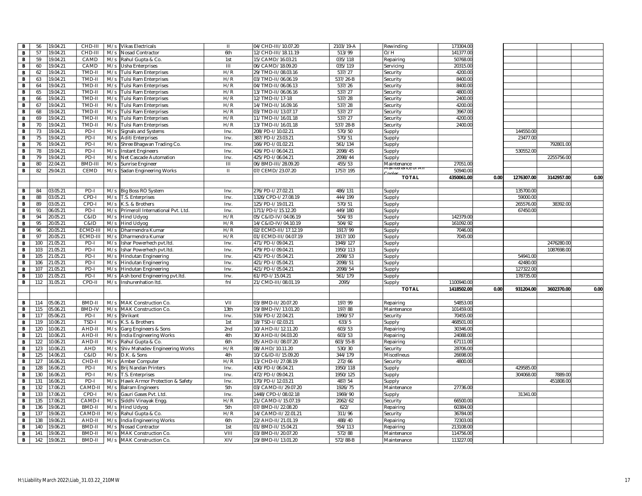| в              | 56         | 9.04.21              | CHD-III          |     | M/s Vikas Electricals                 | $\mathbf{H}$ | 04/CHD-III/10.07.20                      | 2103/19-A        | Rewinding              | 173304.00             |      |            |            |      |
|----------------|------------|----------------------|------------------|-----|---------------------------------------|--------------|------------------------------------------|------------------|------------------------|-----------------------|------|------------|------------|------|
| В              | 57         | 9.04.21              | CHD-II           | M/s | Nosad Contractor                      | 6th          | 12/CHD-III/18.11.19                      | 513/99           | O/H                    | 141377.00             |      |            |            |      |
| В              | 59         | 9.04.21              | CAMD             | M/s | Rahul Gupta & Co.                     | 1st          | 15/CAMD/16.03.21                         | 035/118          | Repairing              | 50768.00              |      |            |            |      |
| В              | 60         | 9.04.21              | CAMD             |     | M/s Usha Enterprises                  | III          | 06/CAMD/18.09.20                         | 035/119          | Servicing              | 20315.00              |      |            |            |      |
| В              | 62         | 9.04.21              | TMD-II           | M/s | <b>Tulsi Ram Enterprises</b>          | H/R          | 29/TMD-II/08.03.16                       | 537/27           | Security               | 4200.00               |      |            |            |      |
| В              | 63         | 9.04.21              | TMD-II           | M/s | <b>Tulsi Ram Enterprises</b>          | H/R          | 03/TMD-II/06.06.19                       | 537/26-B         | Security               | 8400.00               |      |            |            |      |
| В              | 64         | 9.04.21              | TMD-II           | M/s | Tulsi Ram Enterprises                 | H/R          | 04/TMD-II/06.06.13                       | 537/26           | Security               | 8400.00               |      |            |            |      |
| B              | 65         | 9.04.21              | TMD-II           | M/s | <b>Tulsi Ram Enterprises</b>          | H/R          | 13/TMD-II/06.06.16                       | 537/27           | Security               | 4800.00               |      |            |            |      |
| в              | 66         | 9.04.21              | TMD-II           | M/s | <b>Tulsi Ram Enterprises</b>          | H/R          | 12/TMD-II/17-18                          | 537/28           | Security               | 2400.00               |      |            |            |      |
| В              | 67         | 9.04.21              | TMD-II           | M/s | Tulsi Ram Enterprises                 | H/R          | 14/TMD-II/16.09.16                       | 537/28           | Security               | 4200.00               |      |            |            |      |
| в              | 68         | 9.04.21              | TMD-II           | M/s | Tulsi Ram Enterprises                 | H/R          | 03/TMD-II/13.07.17                       | 537/27           | Security               | 3967.00               |      |            |            |      |
| В              | 69         | 9.04.21              | TMD-II           | M/s | Tulsi Ram Enterprises                 | H/R          | 11/TMD-II/16.01.18                       | 537/27           | Security               | 4200.00               |      |            |            |      |
| в              | 70         | 9.04.21              | TMD-II           | M/s | <b>Tulsi Ram Enterprises</b>          | H/R          | 13/TMD-II/16.01.18                       | 537/28-B         | Security               | 2400.0                |      |            |            |      |
| в              | 73         | 9.04.21              | PD-I             | M/s | <b>Signals and Systems</b>            | Inv.         | 208/PD-I/10.02.21                        | 570/50           | Supply                 |                       |      | 144550.00  |            |      |
| В              | 75         | 9.04.21              | PD-I             | M/s | <b>Aditi Enterprises</b>              | Inv.         | 387/PD-I/23.03.21                        | 570/51           | Supply                 |                       |      | 23477.00   |            |      |
| В              | 76         | 9.04.21              | PD-I             | M/s | Shree Bhagwan Trading Co.             | Inv.         | 166/PD-I/01.02.21                        | 561/134          | Supply                 |                       |      |            | 792801.00  |      |
| в              | 78         | 9.04.21              | PD-I             | M/s | <b>Instant Engineers</b>              | Inv          | 426/PD-1/06.04.21                        | 2098/45          | Supply                 |                       |      | 530552.0   |            |      |
| В              | 79         | 9.04.21              | PD-I             | M/s | Net Cascade Automation                | Inv.         | 425/PD-I/06.04.21                        | 2098/44          | Supply                 |                       |      |            | 2255756.00 |      |
| В              | 80         | 2.04.21              | <b>BMD-II</b>    | M/s | Sunrise Engineer                      | Ш            | 06/BMD-III/28.09.20                      | 455/53           | Maintenance            | 27051.00              |      |            |            |      |
| в              | 82         | 9.04.21              | CEMD             | M/s | Sadan Engineering Works               | $\mathbf{H}$ | 07/CEMD/23.07.20                         | 1757/195         |                        | 50940.00              |      |            |            |      |
|                |            |                      |                  |     |                                       |              |                                          |                  | <b>TOTAL</b>           | 4350061.00            | 0.00 | 1276307.00 | 3142957.00 | 0.00 |
|                |            |                      |                  |     |                                       |              |                                          |                  |                        |                       |      |            |            |      |
| в              | 84         | 03.05.21             | PD-I             |     | M/s Big Boss RO System                | Inv.         | 276/PD-I/27.02.21                        | 486/131          | Supply                 |                       |      | 135700.00  |            |      |
| в              | 88         | 3.05.21              | CPD-I            |     | M/s T.S. Enterprises                  | Inv.         | 1326/CPD-I/27.08.19                      | 444/199          | Supply                 |                       |      | 59000.00   |            |      |
| в              | 89         | 03.05.21             | CPD-I            |     | M/s K.S. & Brothers                   | Inv.         | 125/PD-I/19.01.21                        | 570/51           | Supply                 |                       |      | 265576.00  | 38392.00   |      |
| в              | 91         | 06.05.21             | PD-I             |     | M/s Primeroll International Pvt. Ltd. | Inv.         | 1711/PD-I/15.12.20                       | 449/180          | Supply                 |                       |      | 67450.00   |            |      |
| В              | 94         | 20.05.21             | C&ID             |     | M/s Hind Udyog                        | H/R          | 05/C&ID-IV/04.06.19                      | 504/93           | Supply                 | 142379.00             |      |            |            |      |
| В              | 95         | 20.05.21             | C&ID             |     | M/s Hind Udyog                        | H/R          | 14/C&ID-IV/04.10.19                      | 504/92           |                        | 161092.00             |      |            |            |      |
| в              | 96         | 0.05.21              | ECMD-I           | M/s | Dharmendra Kumar                      | H/R          | 02/ECMD-III/17.12.19                     | 1917/99          | Supply                 | 7046.0                |      |            |            |      |
| В              | 97         | 20.05.21             | ECMD-III         | M/s | Dharmendra Kumar                      | H/R          | 01/ECMD-III/04.07.19                     | 1917/100         | Supply<br>Supply       | 7045.00               |      |            |            |      |
| В              | 100        | 1.05.21              | PD-I             | M/s | Ishar Powerhech pvt.Itd.              | Inv.         | 471/PD-I/09.04.21                        | 1948/127         |                        |                       |      |            | 2476280.00 |      |
| В              | 103        | 1.05.21              | PD-I             | M/s | Ishar Powerhech pvt.Itd.              | Inv.         | 479/PD-1/09.04.21                        | 1950/113         | Supply<br>Supply       |                       |      |            | 1087698.00 |      |
| $\overline{B}$ | 105        | 1.05.21              | PD-I             | M/s | Hindutan Engineering                  | Inv.         | 421/PD-I/05.04.21                        | 2098/53          | Supply                 |                       |      | 54941.00   |            |      |
| В              | 106        | 1.05.21              | PD-I             | M/s | <b>Hindutan Engineering</b>           | Inv.         | 421/PD-I/05.04.21                        | 2098/51          | Supply                 |                       |      | 42480.00   |            |      |
| В              | 107        | 1.05.21              | PD-I             | M/s | <b>Hindutan Engineering</b>           | Inv.         | 421/PD-I/05.04.21                        | 2098/54          | Supply                 |                       |      | 127322.00  |            |      |
| В              | 110        | 1.05.21              | PD-I             | M/s | Ash bond Engineering pvt.ltd.         | Inv.         | 51/PD-I/15.04.21                         | 561/179          | Supply                 |                       |      | 178735.0   |            |      |
| в              | 112        | 1.05.21              | CPD-II           |     | M/s Inshurenhation Itd.               | fnl          | 21/CMD-III/08.01.19                      | 2095/            |                        | 1100940.00            |      |            |            |      |
|                |            |                      |                  |     |                                       |              |                                          |                  | Supply<br><b>TOTAL</b> | 1418502.00            | 0.00 | 931204.00  | 3602370.00 | 0.00 |
|                |            |                      |                  |     |                                       |              |                                          |                  |                        |                       |      |            |            |      |
|                |            |                      |                  |     |                                       |              |                                          |                  |                        |                       |      |            |            |      |
| В<br>В         | 114<br>115 | 05.06.21<br>05.06.21 | BMD-II<br>BMD-IV |     | M/s MAK Construction Co.              | VII<br>13th  | 03/BMD-II/20.07.20<br>19/BMD-IV/13.01.20 | 197/99<br>197/88 | Repairing              | 54853.00<br>101459.00 |      |            |            |      |
|                |            |                      |                  |     | M/s MAK Construction Co.              |              |                                          |                  | Maintenance            |                       |      |            |            |      |
| В              | 117        | 05.06.21             | PD-I             | M/s | Shrikant                              | Inv.         | 516/PD-I/22.04.21                        | 1990/57          | Security               | 70455.00              |      |            |            |      |
| в              | 119        | 0.06.21              | TSD-I            | M/s | K.S. & Brothers                       | 1st          | 18/TSD-1/02.03.21                        | 633/5            | Supply                 | 468501.00             |      |            |            |      |
| В              | 120        | 0.06.21              | AHD-I            | M/s | Garg Engineers & Sons                 | 2nd          | 10/AHD-II/12.11.20                       | 603/53           | Repairing              | 30346.00              |      |            |            |      |
| В              | 121        | 0.06.21              | AHD-I            | M/s | India Engineering Works               | 4th          | 30/AHD-II/04.03.20                       | 603/53           | Repairing              | 24088.0               |      |            |            |      |
| в              | 122        | 0.06.21              | AHD-II           | M/s | Rahul Gupta & Co.                     | 6th          | 05/AHD-II/08.07.20                       | 603/55-B         | Repairing              | 67111.00              |      |            |            |      |
| В              | 123        | 0.06.21              | <b>AHD</b>       | M/s | Shiv Mahadev Engineering Works        | H/R          | 08/AHD/10.11.20                          | 530/30           | Security               | 28706.00              |      |            |            |      |
| в              | 125        | 4.06.21              | C&ID             |     | M/s D.K. & Sons                       | 4th          | 10/C&ID-II/15.09.20                      | 344/179          | Miscellneus            | 26698.00              |      |            |            |      |
| В              | 127        | 6.06.21              | CHD-II           |     | M/s Amber Computer                    | H/R          | 13/CHD-II/27.08.19                       | 272/66           | Security               | 4800.0                |      |            |            |      |
| в              | 128        | 6.06.21              | PD-I             |     | M/s Brij Nandan Printers              | Inv.         | 430/PD-1/06.04.21                        | 1950/118         | Supply                 |                       |      | 429585.00  |            |      |
| В              | 130        | 6.06.21              | PD-I             | M/s | T.S. Enterprises                      | Inv.         | 472/PD-I/09.04.21                        | 1950/125         | Supply                 |                       |      | 304068.0   | 7889.00    |      |
| В              | 131        | 6.06.21              | PD-I             | M/s | Hawk Armor Protection & Safety        | Inv.         | 170/PD-I/12.03.21                        | 487/54           | Supply                 |                       |      |            | 451808.00  |      |
| В              | 132        | 7.06.21              | CAMD-            | M/s | <b>Balram Engineers</b>               | 5th          | 03/CAMD-II/29.07.20                      | 1926/75          | Maintenance            | 27736.00              |      |            |            |      |
| в              | 133        | 7.06.21              | CPD-             | M/s | Gauri Gases Pvt. Ltd                  | Inv.         | 448/CPD-1/08.02.18                       | 1969/90          | Supply                 |                       |      | 31341.00   |            |      |
| В              | 135        | 7.06.21              | CAMD-            | M/s | Siddhi Vinayak Engg.                  | H/R          | 21/CAMD-I/15.07.19                       | 2062/62          | Security               | 66500.00              |      |            |            |      |
| В              | 136        | 9.06.21              | BMD-II           |     | M/s Hind Udyog                        | 5th          | 07/BMD-II/22.08.20                       | 622/             | Repairing              | 60384.00              |      |            |            |      |
| в              | 137        | 9.06.21              | CAMD-II          |     | M/s Rahul Gupta & Co.                 | H/R          | 14/CAMD-II/22.01.21                      | 311/96           | Security               | 36784.00              |      |            |            |      |
| в              | 138        | 9.06.21              | AHD-II           | M/s | India Engineering Works               | 6th          | 22/AHD-II/21.01.19                       | 488/40           | Repairing              | 72303.00              |      |            |            |      |
| В              | 140        | 9.06.21              | BMD-II           | M/s | Nosad Contractor                      | 1st          | 01/BMD-II/15.04.21                       | 554/113          | Repairing              | 213108.00             |      |            |            |      |
| в              | 141        | 9.06.21              | BMD-II           | M/s | MAK Construction Co.                  | VIII         | 03/BMD-II/20.07.20                       | 572/88           | Maintenance            | 114756.00             |      |            |            |      |
| В              | 142        | 9.06.21              | BMD-II           | M/s | MAK Construction Co.                  | XIV          | 19/BMD-II/13.01.20                       | 572/88-B         | Maintenance            | 113227.00             |      |            |            |      |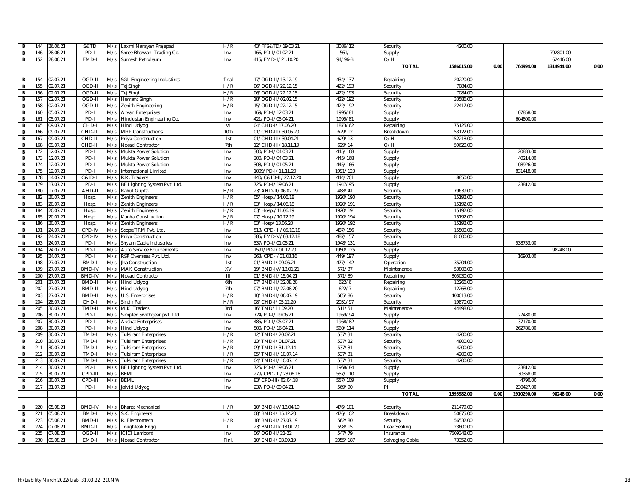| $\mathbf{B}$   | 144 | 26.06.21 | S&TD          | M/s | Laxmi Narayan Prajapati                        | H/R            | 43/FFS&TD/19.03.21   | 3086/12  | Security            | 4200.00    |      |            |            |      |
|----------------|-----|----------|---------------|-----|------------------------------------------------|----------------|----------------------|----------|---------------------|------------|------|------------|------------|------|
| $\mathbf{B}$   | 146 | 28.06.21 | PD-I          | M/s | Shree Bhawani Trading Co.                      | Inv.           | 166/PD-I/01.02.21    | 561/     | Supply              |            |      |            | 792801.00  |      |
| $\overline{B}$ | 152 | 28.06.21 | EMD-I         | M/s | Sumesh Petroleum                               | Inv.           | 415/EMD-I/21.10.20   | 94/96-B  | O/H                 |            |      |            | 62446.00   |      |
|                |     |          |               |     |                                                |                |                      |          | <b>TOTAL</b>        | 1586015.00 | 0.00 | 764994.00  | 1314944.00 | 0.00 |
|                |     |          |               |     |                                                |                |                      |          |                     |            |      |            |            |      |
| $\mathbf{B}$   | 154 | 02.07.21 | OGD-II        |     | M/s SGL Engineering Industires                 | final          | 17/OGD-II/13.12.19   | 434/137  | Repairing           | 20220.00   |      |            |            |      |
| $\overline{B}$ | 155 | 02.07.21 | OGD-II        |     | M/s Tej Singh                                  | H/R            | 06/OGD-II/22.12.15   | 422/193  | Security            | 7084.00    |      |            |            |      |
| $\mathbf{B}$   | 156 | 02.07.21 | OGD-II        | M/s | Tej Singh                                      | H/R            | 06/OGD-II/22.12.15   | 422/193  | Security            | 7084.00    |      |            |            |      |
| B              | 157 | 02.07.21 | OGD-II        | M/s | <b>Hemant Singh</b>                            | H/R            | 18/OGD-II/02.02.15   | 422/192  | Security            | 33586.00   |      |            |            |      |
| $\mathbf B$    | 158 | 02.07.21 | OGD-I         | M/s | Zenith Engineering                             | H/R            | 15/OGD-II/22.12.15   | 422/192  | Security            | 22417.00   |      |            |            |      |
| $\mathbf{B}$   | 160 | 05.07.21 | PD-I          |     | M/s Aryan Enterprises                          | Inv.           | 169/PD-I/12.03.21    | 1995/81  | Supply              |            |      | 107858.00  |            |      |
| $\overline{B}$ | 161 | 05.07.21 | PD-I          | M/s | Hindustan Engineering Co.                      | Inv.           | 421/PD-I/05.04.21    | 1995/81  |                     |            |      | 604800.00  |            |      |
| $\mathbf{B}$   | 165 | 09.07.21 | CHD-I         | M/s | Hind Udyog                                     | VI             | 04/CHD-I/17.06.20    | 1873/62  | Supply<br>Repairing | 75125.00   |      |            |            |      |
| B              | 166 | 09.07.21 | CHD-III       | M/s |                                                | 10th           | 01/CHD-III/30.05.20  | 629/12   |                     | 53122.00   |      |            |            |      |
|                | 167 | 09.07.21 | CHD-III       | M/s | <b>MRP Constructions</b><br>Priya Construction | 1st            | 01/CHD-III/30.04.21  | 629/13   | Breakdown<br>O/H    | 152218.00  |      |            |            |      |
| $\mathbf B$    | 168 | 09.07.21 | CHD-III       | M/s | Nosad Contractor                               | 7th            | 12/CHD-III/18.11.19  | 629/14   | O/H                 | 59620.00   |      |            |            |      |
| $\mathbf{B}$   | 172 | 12.07.21 | PD-I          | M/s |                                                | Inv.           | 300/PD-1/04.03.21    | 445/168  |                     |            |      | 20833.00   |            |      |
| $\mathbf{B}$   |     |          |               |     | Mukta Power Solution                           |                |                      |          | Supply              |            |      |            |            |      |
| $\mathbf{B}$   | 173 | 12.07.21 | PD-I          | M/s | Mukta Power Solution                           | Inv.           | 800/PD-1/04.03.21    | 445/168  | Supply              |            |      | 40214.00   |            |      |
| $\mathbf{B}$   | 174 | 12.07.21 | PD-I          | M/s | Mukta Power Solution                           | Inv.           | 303/PD-I/01.05.21    | 445/166  | Supply              |            |      | 108926.00  |            |      |
| $\mathbf{B}$   | 175 | 12.07.21 | PD-I          | M/s | <b>International Limited</b>                   | Inv.           | 1009/PD-I/11.11.20   | 1991/123 | Supply              |            |      | 831418.00  |            |      |
| $\overline{B}$ | 178 | 14.07.21 | C&ID-II       | M/s | R.K. Traders                                   | Inv.           | 440/C&ID-II/22.12.20 | 444/201  | Supply              | 8850.00    |      |            |            |      |
| $\overline{B}$ | 179 | 17.07.21 | PD-           | M/s | BE Lighting System Pvt. Ltd                    | Inv.           | 725/PD-1/19.06.21    | 1947/95  | Supply              |            |      | 23812.0    |            |      |
| $\mathbf{B}$   | 180 | 17.07.21 | AHD-II        | M/s | Rahul Gupta                                    | H/R            | 23/AHD-II/06.02.19   | 488/41   | Security            | 79639.00   |      |            |            |      |
| B              | 182 | 20.07.21 | Hosp          | M/s | Zenith Engineers                               | H/R            | 05/Hosp./14.06.18    | 1920/190 | Security            | 15192.00   |      |            |            |      |
| $\mathbf{B}$   | 183 | 20.07.21 | Hosp          | M/s | <b>Zenith Engineers</b>                        | H/R            | 03/Hosp./14.06.18    | 1920/191 | Security            | 15192.00   |      |            |            |      |
| $\mathbf B$    | 184 | 20.07.21 | Hosp          | M/s | Zenith Engineers                               | H/R            | 03/Hosp./11.06.19    | 1920/191 | Security            | 15192.00   |      |            |            |      |
| $\overline{B}$ | 185 | 20.07.21 | Hosp          | M/s | Kanha Construction                             | H/R            | 07/Hosp./10.12.19    | 1920/194 | Security            | 15192.00   |      |            |            |      |
| $\overline{B}$ | 186 | 20.07.21 | Hosp          | M/s | Zenith Engineers                               | H/R            | 03/Hosp/13.06.20     | 1920/192 | Security            | 15192.00   |      |            |            |      |
| B              | 191 | 24.07.21 | CPD-IV        | M/s | Scope TRM Pvt. Ltd                             | Inv.           | 513/CPD-III/05.10.18 | 487/156  | Security            | 15500.0    |      |            |            |      |
| $\overline{B}$ | 192 | 24.07.21 | CPD-IV        | M/s | Priya Construction                             | Inv.           | 385/EMD-V/03.12.18   | 487/157  | Security            | 81000.00   |      |            |            |      |
| $\overline{B}$ | 193 | 24.07.21 | PD-I          | M/s | Shyam Cable Industries                         | Inv.           | 537/PD-I/01.05.21    | 1948/131 | Supply              |            |      | 538753.0   |            |      |
| $\overline{B}$ | 194 | 24.07.21 | PD-I          | M/s | Auto Service Equipements                       | Inv.           | 1591/PD-I/01.12.20   | 1950/125 | Supply              |            |      |            | 98248.00   |      |
| $\mathbf B$    | 195 | 24.07.21 | PD-I          | M/s | RSP Overseas Pvt. Ltd.                         | Inv.           | 363/CPD-1/31.03.16   | 449/197  | Supply              |            |      | 16903.00   |            |      |
| $\mathbf{B}$   | 198 | 27.07.21 | <b>BMD-I</b>  | M/s | Jha Construction                               | 1st            | 01/BMD-I/09.06.21    | 477/142  | Operation           | 35204.00   |      |            |            |      |
| $\overline{B}$ | 199 | 27.07.21 | <b>BMD-IV</b> | M/s | <b>MAK Construction</b>                        | XV             | 19/BMD-IV/13.01.21   | 571/37   | Maintenance         | 53808.00   |      |            |            |      |
| $\mathbf B$    | 200 | 27.07.21 | <b>BMD-IV</b> | M/s | Nosad Contractor                               | $\mathbf{III}$ | 01/BMD-II/15.04.21   | 571/39   | Repairing           | 305030.00  |      |            |            |      |
| $\overline{B}$ | 201 | 27.07.21 | BMD-I         |     | M/s Hind Udyog                                 | 6th            | 07/BMD-II/22.08.20   | 622/6    | Repairing           | 12266.00   |      |            |            |      |
| $\mathbf{B}$   | 202 | 27.07.21 | BMD-II        | M/s | <b>Hind Udyog</b>                              | 7th            | 07/BMD-II/22.08.20   | 622/7    | Repairing           | 12268.00   |      |            |            |      |
| $\mathbf{B}$   | 203 | 27.07.21 | BMD-II        | M/s | U.S. Enterprises                               | H/R            | 10/BMD-II/06.07.19   | 565/86   | Security            | 400013.00  |      |            |            |      |
| $\mathbf{B}$   | 204 | 28.07.21 | CHD-I         | M/s | Sindh Pal                                      | H/R            | 08/CHD-I/05.12.20    | 2031/97  | Security            | 19870.00   |      |            |            |      |
| B              | 205 | 30.07.21 | TMD-II        | M/s | M.K. Traders                                   | 3rd            | 16/TMD/11.09.20      | 511/51   | Maintenance         | 44498.00   |      |            |            |      |
| B              | 206 | 30.07.21 | PD-I          | M/s | Simplex Swithgear pvt. Ltd.                    | Inv.           | 724/PD-I/19.06.21    | 1969/94  | Supply              |            |      | 27430.00   |            |      |
| $\mathbf{B}$   | 207 | 30.07.21 | PD-I          | M/s | <b>Akshat Enterprises</b>                      | Inv.           | 485/PD-I/05.07.21    | 1968/82  | Supply              |            |      | 37170.00   |            |      |
| $\mathbf{B}$   | 208 | 30.07.21 | PD-I          | M/s | <b>Hind Udyog</b>                              | Inv.           | 500/PD-I/16.04.21    | 560/114  | Supply              |            |      | 262786.00  |            |      |
| $\mathbf B$    | 209 | 30.07.21 | TMD-          | M/s | <b>Tulsiram Enterprises</b>                    | H/R            | 12/TMD-I/20.07.21    | 537/31   | Security            | 4200.00    |      |            |            |      |
| $\mathbf{B}$   | 210 | 30.07.21 | TMD-I         | M/s | <b>Tulsiram Enterprises</b>                    | H/R            | 13/TMD-I/01.07.21    | 537/32   | Security            | 4800.00    |      |            |            |      |
| $\mathbf{B}$   | 211 | 30.07.21 | TMD-I         | M/s | <b>Tulsiram Enterprises</b>                    | H/R            | 09/TMD-I/31.12.14    | 537/31   | Security            | 4200.00    |      |            |            |      |
| $\mathbf{B}$   | 212 | 30.07.21 | TMD-I         | M/s | <b>Tulsiram Enterprises</b>                    | H/R            | 05/TMD-II/10.07.14   | 537/31   | Security            | 4200.00    |      |            |            |      |
| $\overline{B}$ | 213 | 30.07.21 | TMD-I         | M/s | <b>Tulsiram Enterprises</b>                    | H/R            | 04/TMD-II/10.07.14   | 537/31   | Security            | 4200.00    |      |            |            |      |
| $\overline{B}$ | 214 | 30.07.21 | PD-I          | M/s | BE Lighting System Pvt. Ltd                    | Inv.           | 725/PD-1/19.06.21    | 1968/84  | Supply              |            |      | 23812.0    |            |      |
| $\overline{B}$ | 215 | 30.07.21 | CPD-III       | M/s | <b>BEML</b>                                    | Inv.           | 279/CPD-III/23.06.18 | 557/110  | Supply              |            |      | 30358.0    |            |      |
| B              | 216 | 30.07.21 | CPD-III       | M/s | <b>BEML</b>                                    | Inv.           | 83/CPD-III/02.04.18  | 557/109  | Supply              |            |      | 4790.00    |            |      |
| $\mathbf{B}$   | 217 | 31.07.21 | PD-I          |     | M/s Jalvid Udyog                               | Inv.           | 237/PD-I/09.04.21    | 569/90   | ÞΙ                  |            |      | 230427.00  |            |      |
|                |     |          |               |     |                                                |                |                      |          | <b>TOTAL</b>        | 1595982.00 | 0.00 | 2910290.00 | 98248.00   | 0.00 |
|                |     |          |               |     |                                                |                |                      |          |                     |            |      |            |            |      |
| B              | 220 | 05.08.21 | <b>BMD-IV</b> |     | M/s Bharat Mechanical                          | H/R            | 10/BMD-IV/18.04.19   | 476/101  | Security            | 211479.00  |      |            |            |      |
| $\mathbf{B}$   | 221 | 05.08.21 | BMD-I         | M/s | S.K. Engineers                                 | $\vee$         | 08/BMD-I/15.12.20    | 476/102  | Breakdown           | 50875.00   |      |            |            |      |
| B              | 223 | 05.08.21 | BMD-II        | M/s | R. Electromech                                 | H/R            | 18/BMD-II/27.07.19   | 562/80   | Security            | 56532.00   |      |            |            |      |
| B              | 224 | 07.08.21 | BMD-III       | M/s | Toughleak Engg                                 | Ш              | 23/BMD-III/18.01.20  | 598/15   | Leak Sealing        | 23600.00   |      |            |            |      |
| B              | 225 | 07.08.21 | OGD-II        | M/s | <b>ICICI Lambord</b>                           | Inv.           | 06/OGD-II/21-22      | 547/79   | Insurance           | 7509348.00 |      |            |            |      |
| $\mathbf{B}$   | 230 | 09.08.21 | EMD-I         | M/s | Nosad Contractor                               | Finl           | 10/EMD-1/03.09.19    | 2055/187 | Salvaging Cable     | 73352.00   |      |            |            |      |
|                |     |          |               |     |                                                |                |                      |          |                     |            |      |            |            |      |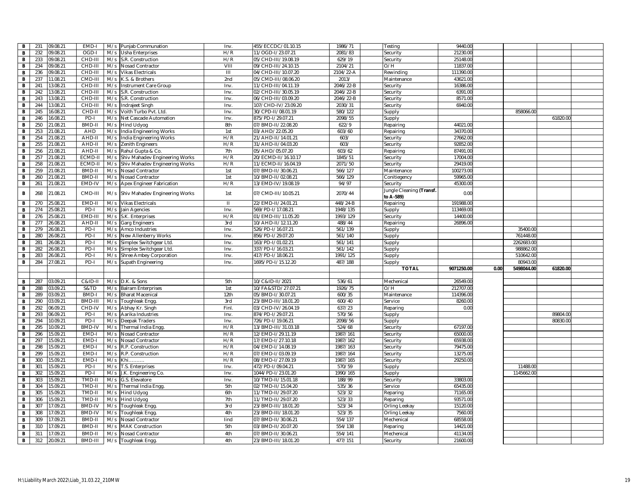| B                              | 231        | 09.08.21             | EMD-I                    | M/s        | Punjab Communation                        | Inv.         | 455/ECCDC/01.10.15                        | 1986/71             | Testing                               | 9440.0                 |      |            |          |  |
|--------------------------------|------------|----------------------|--------------------------|------------|-------------------------------------------|--------------|-------------------------------------------|---------------------|---------------------------------------|------------------------|------|------------|----------|--|
| $\mathbf{B}$                   | 232        | 09.08.21             | OGD-I                    | M/s        | <b>Usha Enterprises</b>                   | H/R          | 11/OGD-I/23.07.21                         | 2081/83             | Security                              | 21230.00               |      |            |          |  |
| $\overline{B}$                 | 233        | 09.08.21             | CHD-III                  | M/s        | S.R. Construction                         | H/R          | 05/CHD-III/19.08.19                       | 629/19              | Security                              | 25148.00               |      |            |          |  |
| B                              | 234        | 09.08.21             | CHD-III                  | M/s        | Nosad Contractor                          | VIII         | 09/CHD-III/24.10.15                       | 2104/21             | O/H                                   | 11837.0                |      |            |          |  |
| B                              | 236        | 09.08.21             | CHD-III                  | M/s        | <b>Vikas Electricals</b>                  | Ш            | 04/CHD-III/10.07.20                       | 2104/22-A           | Rewinding                             | 111390.00              |      |            |          |  |
| B                              | 237        | 11.08.21             | CMD-III                  | M/s        | K.S. & Brothers                           | 2nd          | 05/CMD-III/08.06.20                       | 2013/               | Maintenance                           | 43621.0                |      |            |          |  |
| $\mathbf{B}$                   | 241        | 13.08.21             | CHD-III                  | M/s        | Instrument Care Group                     | Inv.         | 11/CHD-III/04.11.19                       | 2046/22-B           | Security                              | 16386.00               |      |            |          |  |
| $\mathbf{B}$                   | 242        | 13.08.21             | CHD-III                  | M/s        | S.R. Construction                         | Inv.         | 02/CHD-III/30.05.19                       | 2046/22-B           | Security                              | 6391.00                |      |            |          |  |
| B                              | 243        | 13.08.21             | CHD-III                  | M/s        | S.R. Construction                         | Inv.         | 06/CHD-III/03.09.20                       | 2046/22-B           | Security                              | 8571.00                |      |            |          |  |
| $\overline{B}$                 | 244        | 13.08.21             | CHD-III                  | M/s        | Indrajeet Singh                           | Inv.         | 107/CHD-IV/23.09.20                       | 2030/31             | Security                              | 6940.00                |      |            |          |  |
| B                              | 245        | 16.08.21             | CHD-II                   | M/s        | Voith Turbo Pvt. Ltd                      | Inv.         | 30/CPD-II/08.01.19                        | 580/122             | Supply                                |                        |      | 858066.00  |          |  |
| B                              | 246        | 16.08.21             | PD-I                     | M/s        | Net Cascade Automation                    | Inv.         | 875/PD-I/29.07.21                         | 2098/55             | Supply                                |                        |      |            | 61820.00 |  |
| B                              | 250        | 21.08.21             | BMD-II                   | M/s        | <b>Hind Udyog</b>                         | 8th          | 07/BMD-II/22.08.20                        | 622/9               | Repairing                             | 44021.00               |      |            |          |  |
| $\mathbf{B}$                   | 253        | 21.08.21             | AHD                      | M/s        | India Engineering Works                   | 1st          | 03/AHD/22.05.20                           | 603/60              | Repairing                             | 34370.00               |      |            |          |  |
| $\mathbf{B}$                   | 254        | 21.08.21             | AHD-I                    | M/s        | India Engineering Works                   | H/R          | 21/AHD-II/14.01.21                        | 603/                | Security                              | 27662.00               |      |            |          |  |
| B                              | 255        | 21.08.21             | AHD-II                   | M/s        | Zenith Engineers                          | H/R          | 31/AHD-II/04.03.20                        | 603/                | Security                              | 92852.00               |      |            |          |  |
| $\overline{B}$                 | 256        | 21.08.21             | AHD-II                   | M/s        | Rahul Gupta & Co.                         | 7th          | 05/AHD/05.07.20                           | 603/62              | Repairing                             | 87491.00               |      |            |          |  |
| B                              | 257        | 21.08.21             | ECMD-I                   | M/s        | Shiv Mahadev Engineering Works            | H/R          | 20/ECMD-II/16.10.17                       | 1845/51             | Security                              | 17004.0                |      |            |          |  |
| B                              | 258        | 21.08.21             | ECMD-I                   | M/s        | Shiv Mahadev Engineering Works            | H/R          | 11/ECMD-II/16.04.19                       | 2071/50             | Security                              | 29419.00               |      |            |          |  |
| $\mathbf{B}$                   | 259        | 21.08.21             | BMD-II                   | M/s        | Nosad Contractor                          | 1st          | 07/BMD-II/30.06.21                        | 566/127             | Maintenance                           | 100273.00              |      |            |          |  |
| $\mathbf{B}$                   | 260        | 21.08.21             | <b>BMD-II</b>            | M/s        | <b>Nosad Contractor</b>                   | 1st          | 10/BMD-II/02.08.21                        | 566/129             | Conitiegency                          | 59965.00               |      |            |          |  |
| $\overline{B}$                 | 261        | 1.08.21              | EMD-IV                   | M/s        | Apex Engineer Fabrication                 | H/R          | 13/EMD-IV/19.08.19                        | 94/97               | Security                              | 45300.0                |      |            |          |  |
| B                              | 268        | 21.08.21             | CMD-III                  | M/s        | Shiv Mahadev Engineering Works            | 1st          | 07/CMD-III/10.05.21                       | 2070/44             | Jungle Cleaning (Transf.<br>to A-589) | 0.00                   |      |            |          |  |
| B                              | 270        | 25.08.21             | EMD-II                   | M/s        | <b>Vikas Electricals</b>                  | $\mathbf{H}$ | 22/EMD-II/24.01.21                        | 448/24-B            | Repairing                             | 191988.0               |      |            |          |  |
| B                              | 274        | 25.08.21             | PD-I                     | M/s        | Jain Agencies                             | Inv.         | 569/PD-I/17.08.21                         | 1948/135            | Supply                                | 113469.00              |      |            |          |  |
| $\mathbf{B}$                   | 276        | 25.08.21             | EMD-II                   | M/s        | S.K. Enterprises                          | H/R          | 01/EMD-III/11.05.20                       | 1993/129            | Security                              | 14400.00               |      |            |          |  |
| $\mathbf{B}$                   | 277        | 26.08.21             | AHD-II                   |            | M/s Garg Engineers                        | 3rd          | 10/AHD-II/12.11.20                        | 488/44              | Repairing                             | 26896.0                |      |            |          |  |
| $\mathbf B$                    | 279        | 26.08.21             | PD-I                     | M/s        | Amco Industries                           | Inv.         | 526/PD-I/16.07.21                         | 561/139             | Supply                                |                        |      | 35400.00   |          |  |
| B                              | 280        | 26.08.21             | PD-I                     | M/s        | New Allenberry Works                      | Inv.         | 856/PD-1/29.07.20                         | 561/140             | Supply                                |                        |      | 761448.00  |          |  |
| B                              | 281        | 26.08.21             | PD-I                     | M/s        | Simplex Switchgear Ltd                    | Inv.         | 163/PD-I/01.02.21                         | 561/141             | Supply                                |                        |      | 2262683.00 |          |  |
|                                |            |                      |                          |            |                                           |              |                                           |                     |                                       |                        |      |            |          |  |
|                                |            |                      |                          |            |                                           |              |                                           |                     |                                       |                        |      |            |          |  |
| B                              | 282        | 26.08.21             | PD-I                     | M/s        | Simplex Switchgear Ltd                    | Inv.         | 337/PD-I/16.03.21                         | $\frac{1}{561}/142$ | Supply                                |                        |      | 988862.00  |          |  |
| B                              | 283        | 26.08.21             | PD-I                     | M/s        | Shree Ambey Corporation                   | Inv.         | 417/PD-I/18.06.21                         | 1991/125            | Supply                                |                        |      | 510642.00  |          |  |
| $\mathbf{B}$                   | 284        | 27.08.21             | PD-I                     | M/s        | Supath Engineering                        | Inv.         | 1695/PD-I/15.12.20                        | 487/188             | Supply                                |                        |      | 80943.00   |          |  |
|                                |            |                      |                          |            |                                           |              |                                           |                     | <b>TOTAL</b>                          | 9071250.00             | 0.00 | 5498044.00 | 61820.00 |  |
|                                |            |                      |                          |            |                                           |              |                                           |                     |                                       |                        |      |            |          |  |
| B                              | 287        | 03.09.21             | $C&ID-II$                | M/s        | D.K. & Sons                               | 5th          | 10/C&ID-II/2021                           | 536/61              | Mechenical                            | 26549.00               |      |            |          |  |
| B                              | 288<br>289 | 03.09.21<br>03.09.21 | S&TD<br>BMD-             | M/s<br>M/s | <b>Balram Enterprises</b>                 | 1st          | 10/FA&STD/27.07.21                        | 1926/75             | O/H                                   | 212707.00<br>114396.00 |      |            |          |  |
| B<br>B                         | 290        | 03.09.21             | BMD-III                  | M/s        | <b>Bharat Macenical</b>                   | 12th<br>3rd  | 05/BMD-1/30.07.21<br>23/BMD-III/18.01.20  | 600/35<br>600/40    | Maintenance<br>Service                | 8260.00                |      |            |          |  |
|                                | 292        | 06.09.21             |                          |            | Toughleak Engg                            | Finl.        | 03/CHD-IV/26.04.19                        |                     |                                       | 0.00                   |      |            |          |  |
| $\overline{B}$<br>$\mathbf{B}$ | 293        | 06.09.21             | CHD-IV<br>PD-I           | M/s<br>M/s | Abhay Kr. Singh<br>Aarika Industries      | Inv.         | 874/PD-I/29.07.21                         | 637/23<br>570/56    | Reparing                              |                        |      |            | 89804.00 |  |
| $\overline{B}$                 | 294        | 10.09.21             | PD-I                     | M/s        | Deepak Traders                            | Inv.         | 726/PD-I/19.06.21                         | 2098/56             | Supply<br>Supply                      |                        |      |            | 80830.00 |  |
| B                              | 295        | 10.09.21             | BMD-IV                   | M/s        | Thermal India Engg                        | H/R          | 13/BMD-III/31.03.18                       | 524/68              | Security                              | 67197.00               |      |            |          |  |
| $\mathbf{B}$                   | 296        | 15.09.21             | EMD-                     | M/s        | Nosad Contractor                          | H/R          | 12/EMD-1/29.11.19                         | 1987/161            | Security                              | 65000.00               |      |            |          |  |
| $\mathbf{B}$                   | 297        | 15.09.21             | EMD-                     | M/s        | Nosad Contractor                          | H/R          | 17/EMD-I/27.10.18                         | 1987/162            | Security                              | 65938.00               |      |            |          |  |
| B                              | 298        | 15.09.21             | EMD-                     | M/s        | R.P. Construction                         | H/R          | 04/EMD-I/14.08.19                         | 1987/163            | Security                              | 79475.00               |      |            |          |  |
| $\mathbf{B}$                   | 299        | 15.09.21             | EMD-I                    | M/s        | R.P. Construction                         | H/R          | 07/EMD-I/03.09.19                         | 1987/164            | Security                              | 13275.00               |      |            |          |  |
| $\mathbf{B}$                   | 300        | 15.09.21             | EMD-I                    | M/s        | Khi                                       | H/R          | 08/EMD-I/27.09.19                         | 1987/165            | Security                              | 29250.00               |      |            |          |  |
| $\mathbf{B}$                   | 301        | 15.09.21             | PD-I                     | M/s        | T.S. Enterprises                          | Inv.         | 472/PD-I/09.04.21                         | 570/59              | Supply                                |                        |      | 11488.00   |          |  |
| B                              | 302        | 15.09.21             | PD-                      | M/s        | J.K. Engineering Co.                      | Inv.         | 1044/PD-I/23.01.20                        | 1990/165            | Supply                                |                        |      | 1145662.0  |          |  |
| B                              | 303        | 15.09.21             | TMD-II                   |            | M/s G.S. Elevatore                        | Inv.         | 10/TMD-II/15.01.18                        | 188/99              | Security                              | 33803.00               |      |            |          |  |
| $\mathbf{B}$                   | 304        | 15.09.21             | TMD-II                   | M/s        | Thermal India Engg                        | 5th          | 02/TMD-II/15.04.20                        | 535/36              | Service                               | 65435.00               |      |            |          |  |
| B                              | 305        | 15.09.21             | TMD-II                   | M/s        | Hind Udyog                                | 6th          |                                           | 523/32              | Reparing                              | 71165.00               |      |            |          |  |
| $\overline{B}$                 | 306        | 15.09.21             | TMD-II                   | M/s        | <b>Hind Udyog</b>                         | 7th          | 11/TMD-II/29.07.20<br>11/TMD-II/29.07.20  | 523/33              | Reparing                              | 93571.00               |      |            |          |  |
| $\mathbf{B}$                   | 307        | 17.09.21             | <b>BMD-IV</b>            | M/s        | Toughleak Engg                            | 3rd          | 23/BMD-III/18.01.20                       | 523/34              | Orling Leekay                         | 15120.00               |      |            |          |  |
| B                              | 308        | 17.09.21             | <b>BMD-IV</b>            | M/s        |                                           | 4th          | 23/BMD-III/18.01.20                       |                     |                                       | 7560.00                |      |            |          |  |
|                                | 309        | 17.09.21             | BMD-II                   | M/s        | Toughleak Engg.<br>Nosad Contractor       | lind         | 07/BMD-II/30.06.21                        | 523/35<br>554/137   | Orling Leekay<br>Mechenical           | 68558.00               |      |            |          |  |
| $\mathbf{B}$                   |            |                      |                          |            |                                           |              |                                           |                     |                                       |                        |      |            |          |  |
| $\mathbf{B}$                   | 310        | 17.09.21             | BMD-II                   | M/s        | <b>MAK Construction</b>                   | 5th          | 03/BMD-II/20.07.20                        | 554/138             | Reparing                              | 14421.00               |      |            |          |  |
| $\mathbf{B}$<br>$\mathbf{B}$   | 311<br>312 | 17.09.21<br>20.09.21 | <b>BMD-II</b><br>BMD-III | M/s<br>M/s | Nosad Contractor<br><b>Toughleak Engg</b> | 4th<br>4th   | 07/BMD-II/30.06.21<br>23/BMD-III/18.01.20 | 554/141<br>477/151  | Mechenical<br>Security                | 41134.00<br>21600.00   |      |            |          |  |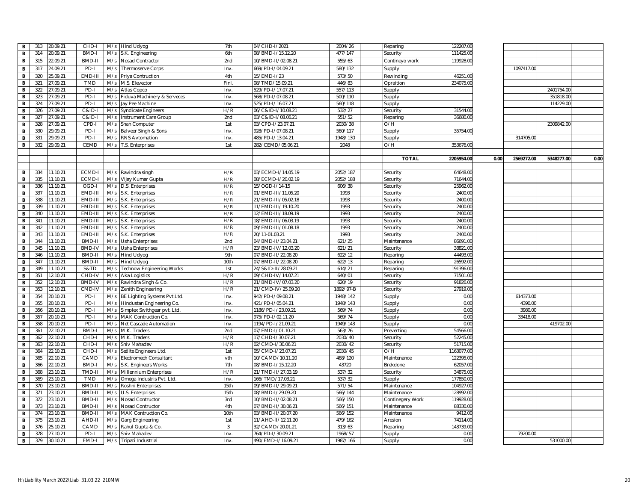| В<br>314<br>20.09.21<br>BMD-<br>6th<br>477/147<br>111425.00<br>M/s<br>08/BMD-I/15.12.20<br>Security<br>S.K. Engineering<br>B<br>315<br>22.09.21<br><b>BMD-II</b><br>M/s<br>Nosad Contractor<br>2nd<br>10/BMD-II/02.08.21<br>555/63<br>Contineyo work<br>119928.00<br>669/PD-I/04.09.21<br>B<br>317<br>4.09.21<br>PD-I<br>M/s<br>Thermoserve Corps<br>Inv.<br>580/132<br>Supply<br>1097417.00<br>320<br>5.09.21<br>EMD-II<br>M/s<br>Priya Contruction<br>4th<br>15/EMD-I/23<br>573/50<br>Rewinding<br>46251.00<br>в<br>321<br>7.09.21<br><b>TMD</b><br>M/s<br>Finl<br>08/TMD/15.09.21<br>446/83<br>234075.0<br>В<br>M.S. Elevector<br>Opraition<br>В<br>322<br>7.09.21<br>PD-I<br>529/PD-I/17.07.21<br>557/113<br>2401754.00<br>M/s<br>Atlas Copco<br>Inv.<br>Supply<br>323<br>PD-I<br>27.09.21<br>M/s<br>Fiduva Machinery & Serveces<br>568/PD-I/07.08.21<br>500/110<br>351818.00<br>в<br>Inv.<br>Supply<br>324<br>27.09.21<br>PD-I<br>560/118<br>B<br>M/s<br>525/PD-I/16.07.21<br>114229.00<br>Jay Pee Machine<br>Inv.<br>Supply<br>H/R<br>В<br>326<br>7.09.21<br>$C&ID-$<br>06/C&ID-I/10.08.21<br>532/27<br>31544.00<br>M/s<br><b>Syndicate Engineers</b><br>Security<br>327<br>7.09.21<br>2nd<br>551/52<br>36680.0<br>B<br>C&ID-<br>M/s<br>Instrument Care Group<br>03/C&ID-I/08.06.21<br>Reparing<br>328<br>27.09.21<br>CPD-I<br>M/s<br>Shah Computer<br>1st<br>03/CPD-I/23.07.21<br>2030/38<br>O/H<br>2309842.00<br>В<br>B<br>330<br>9.09.21<br>PD-I<br>928/PD-I/07.08.21<br>560/117<br>35754.00<br>M/s<br>Balveer Singh & Sons<br>Inv.<br>Supply<br>331<br>9.09.21<br>PD-I<br>485/PD-I/13.04.21<br>1948/130<br>314705.00<br>В<br>M/s<br><b>RNS Avtomation</b><br>Inv.<br>Supply<br>CEMD<br>O/H<br>332<br>29.09.21<br>M/s T.S. Enterprises<br>1st<br>282/CEMD/05.06.21<br>2048<br>353676.00<br>в<br><b>TOTAL</b><br>2205954.00<br>0.00<br>2569272.00<br>5348277.00<br>0.00<br>334<br>ECMD-I<br>2052/187<br>В<br>11.10.21<br>H/R<br>03/ECMD-I/14.05.19<br>64648.00<br>M/s Ravindra singh<br>Security<br>335<br>08/ECMD-I/20.02.19<br>2052/188<br>71644.00<br>В<br>11.10.21<br>ECMD-I<br>H/R<br>Security<br>M/s Vijay Kumar Gupta<br>336<br>1.10.21<br>OGD-<br>H/R<br>15/OGD-I/14-15<br>606/38<br>25962.0<br>в<br>M/s D.S. Enterprises<br>Security<br>в<br>337<br>11.10.21<br>EMD-II<br>M/s S.K. Enterprises<br>H/R<br>01/EMD-III/11.05.20<br>1993<br>2400.0<br>Security<br>1993<br>338<br>1.10.21<br>EMD-III<br>M/s S.K. Enterprises<br>H/R<br>21/EMD-III/05.02.18<br>Security<br>2400.0<br>в<br>339<br>1.10.21<br>EMD-II<br>H/R<br>11/EMD-III/19.10.20<br>1993<br>2400.0<br>В<br>M/s S.K. Enterprises<br>Security<br>340<br>11.10.21<br>EMD-II<br>H/R<br>12/EMD-III/18.09.19<br>1993<br>2400.0<br>в<br>M/s S.K. Enterprises<br>Security<br>EMD-II<br>1993<br>2400.0<br>В<br>341<br>11.10.21<br>M/s S.K. Enterprises<br>H/R<br>18/EMD-III/06.03.19<br>Security<br>342<br>1.10.21<br>EMD-II<br>H/R<br>09/EMD-III/01.08.18<br>1993<br>2400.0<br>В<br>M/s S.K. Enterprises<br>Security<br>343<br>1.10.21<br>EMD-II<br>M/s S.K. Enterprises<br>H/R<br>20/11-01.03.21<br>1993<br>2400.0<br>в<br>Security<br>344<br>11.10.21<br>BMD-II<br>621/25<br>86691.00<br>В<br>M/s<br>2nd<br>04/BMD-II/23.04.21<br>Maintenance<br><b>Usha Enterprises</b><br>345<br>11.10.21<br><b>BMD-IV</b><br>H/R<br>23/BMD-IV/12.03.20<br>621/21<br>38821.00<br>В<br>M/s<br>Usha Enterprises<br>Security<br>346<br>1.10.21<br>BMD-II<br>9th<br>07/BMD-II/22.08.20<br>622/12<br>44493.00<br>В<br>M/s Hind Udyog<br>Reparing<br>347<br>1.10.21<br>BMD-II<br>M/s Hind Udyog<br>10th<br>07/BMD-II/22.08.20<br>622/13<br>26592.0<br>в<br>Reparing<br>349<br>1.10.21<br>S&TD<br>M/s<br>Technow Engineering Works<br>1st<br>24/S&ID-II/28.09.21<br>614/21<br>191396.0<br>в<br>Reparing<br>В<br>351<br>12.10.21<br>CHD-IV<br>M/s Aka Logistics<br>H/R<br>09/CHD-IV/14.07.21<br>640/01<br>Security<br>71501.0<br>352<br>12.10.21<br><b>BMD-IV</b><br>M/s Ravindra Singh & Co.<br>H/R<br>21/BMD-IV/07.03.20<br>620/19<br>Security<br>91826.0<br>в<br>353<br>12.10.21<br>CMD-IV<br>M/s<br>H/R<br>21/CMD-IV/25.09.20<br>1892/97-B<br>27919.00<br>В<br>Zenith Engineering<br>Security<br>354<br>20.10.21<br>PD-I<br>942/PD-I/09.08.21<br>1948/142<br>614373.00<br>В<br>M/s<br>BE Lighting Systems Pvt.Ltd.<br>Inv.<br>Supply<br>0.00<br>355<br>20.10.21<br>PD-I<br>M/s Hindustan Engineering Co.<br>421/PD-I/05.04.21<br>1948/143<br>0.00<br>4390.00<br>В<br>Inv.<br>Supply<br>356<br>PD-I<br>1186/PD-I/23.09.21<br>569/74<br>0.00<br>в<br>20.10.21<br>M/s<br>Simplex Swithgear pvt. Ltd.<br>3980.00<br>Inv.<br>Supply<br>PD-I<br>0.00<br>33418.00<br>В<br>357<br>20.10.21<br>M/s<br>MAK Contruction Co.<br>Inv.<br>975/PD-I/02.11.20<br>569/74<br>Supply<br>PD-I<br>0.00<br>358<br>20.10.21<br>1194/PD-I/21.09.21<br>1949/143<br>419702.00<br>В<br>M/s<br>Net Cascade Automation<br>Inv.<br>Supply<br>В<br>361<br>BMD-<br>22.10.21<br>M/s M.K. Traders<br>2nd<br>07/EMD-I/01.10.21<br>563/76<br>54566.00<br>Preverting<br>362<br>CHD-<br>H/R<br>22.10.21<br>M/s M.K. Traders<br>17/CHD-I/30.07.21<br>2030/40<br>52245.0<br>В<br>Security<br>CHD-<br>H/R<br>51715.0<br>В<br>363<br>22.10.21<br>M/s<br>Shiv Mahadev<br>02/CMD-I/30.06.21<br>2030/42<br>Security<br>В<br>364<br>22.10.21<br>CHD-<br>M/s<br>Setlite Engineers Ltd.<br>1st<br>05/CMD-I/23.07.21<br>2030/45<br>O/H<br>1163077.0<br>365<br>22.10.21<br>CAMD<br>M/s Electromech Consultant<br>vth<br>10/CAMD/10.11.20<br>468/120<br>Maintenance<br>122395.0<br>в<br>22.10.21<br>BMD-<br>S.K. Engineers Works<br>7th<br>08/BMD-I/15.12.20<br>43720<br>62057.00<br>В<br>366<br>M/s<br>Brekdone<br>В<br>368<br>23.10.21<br>TMD-II<br>M/s<br>H/R<br>21/TMD-II/27.03.19<br>537/32<br>34875.0<br>Millennium Enterprises<br>Security<br>3.10.21<br>TMD<br>Omega Industris Pvt. Ltd.<br>166/TMD/17.03.21<br>537/32<br>177850.0<br>в<br>369<br>M/s<br>Inv.<br>Supply<br>370<br>23.10.21<br>BMD-II<br>09/BMD-II/29.09.21<br>571/54<br>104927.0<br>В<br>M/s<br>Roshni Enterprises<br>15th<br>Maintenance<br>В<br>23.10.21<br>BMD-II<br>128992.0<br>371<br>M/s<br>U.S. Enterprises<br>15th<br>08/BMD-I/29.09.20<br>566/144<br>Maintenance<br>372<br>23.10.21<br>BMD-II<br>3rd<br>10/BMD-II/02.08.21<br>566/150<br>119928.00<br>В<br>M/s<br>Nosad Contructor<br>Continegery Work<br>373<br>23.10.21<br>BMD-II<br>M/s<br>4th<br>07/BMD-II/30.06.21<br>566/151<br>88330.00<br>B<br><b>Nosad Contructor</b><br>Maintenance<br>374<br>BMD-II<br>M/s<br>566/152<br>9412.00<br>В<br>23.10.21<br>MAK Contruction Co.<br>10th<br>03/BMD-II/20.07.20<br>Maintenance<br>479/162<br>74114.0<br>B<br>375<br>23.10.21<br>AHD-II<br>M/s<br>Garg Engineering<br>1st<br>11/AHD-II/12.11.20<br>Aresion<br>376<br>5.10.21<br>CAMD<br>M/s<br>32/CAMD/20.01.21<br>313/63<br>Reparing<br>143739.00<br>в<br>Rahul Gupta & Co.<br>3<br>B<br>PD-I<br>378<br>27.10.21<br>M/s<br>Shiv Mahadev<br>Inv<br>764/PD-I/30.09.21<br>1968/57<br>Supply<br>0.00<br>79200.00<br>379<br>30.10.21<br>EMD-I<br>M/s Tripati Industrial<br>490/EMD-I/16.09.21<br>1987/166<br>0.00<br>531000.00<br>В<br>Inv.<br>Supply | в | 313 | 20.09.21 | CHD- | M/s Hind Udyog | 7th | 04/CHD-I/2021 | 2004/26 | Reparing | 122207.00 |  |  |
|-------------------------------------------------------------------------------------------------------------------------------------------------------------------------------------------------------------------------------------------------------------------------------------------------------------------------------------------------------------------------------------------------------------------------------------------------------------------------------------------------------------------------------------------------------------------------------------------------------------------------------------------------------------------------------------------------------------------------------------------------------------------------------------------------------------------------------------------------------------------------------------------------------------------------------------------------------------------------------------------------------------------------------------------------------------------------------------------------------------------------------------------------------------------------------------------------------------------------------------------------------------------------------------------------------------------------------------------------------------------------------------------------------------------------------------------------------------------------------------------------------------------------------------------------------------------------------------------------------------------------------------------------------------------------------------------------------------------------------------------------------------------------------------------------------------------------------------------------------------------------------------------------------------------------------------------------------------------------------------------------------------------------------------------------------------------------------------------------------------------------------------------------------------------------------------------------------------------------------------------------------------------------------------------------------------------------------------------------------------------------------------------------------------------------------------------------------------------------------------------------------------------------------------------------------------------------------------------------------------------------------------------------------------------------------------------------------------------------------------------------------------------------------------------------------------------------------------------------------------------------------------------------------------------------------------------------------------------------------------------------------------------------------------------------------------------------------------------------------------------------------------------------------------------------------------------------------------------------------------------------------------------------------------------------------------------------------------------------------------------------------------------------------------------------------------------------------------------------------------------------------------------------------------------------------------------------------------------------------------------------------------------------------------------------------------------------------------------------------------------------------------------------------------------------------------------------------------------------------------------------------------------------------------------------------------------------------------------------------------------------------------------------------------------------------------------------------------------------------------------------------------------------------------------------------------------------------------------------------------------------------------------------------------------------------------------------------------------------------------------------------------------------------------------------------------------------------------------------------------------------------------------------------------------------------------------------------------------------------------------------------------------------------------------------------------------------------------------------------------------------------------------------------------------------------------------------------------------------------------------------------------------------------------------------------------------------------------------------------------------------------------------------------------------------------------------------------------------------------------------------------------------------------------------------------------------------------------------------------------------------------------------------------------------------------------------------------------------------------------------------------------------------------------------------------------------------------------------------------------------------------------------------------------------------------------------------------------------------------------------------------------------------------------------------------------------------------------------------------------------------------------------------------------------------------------------------------------------------------------------------------------------------------------------------------------------------------------------------------------------------------------------------------------------------------------------------------------------------------------------------------------------------------------------------------------------------------------------------------------------------------------------------------------------------------------------------------------------------------------------------------------------------------------------------------------------------------------------------------------------------------------------------------------------------------------------------------------------------------------------------------------------------------------------------------------------------------------------------------------------------------------------------------------------------------------------------------------------------------------------------------------------------------------------------------------------------------------------------------------------------------------------------------------------------------------------------------------|---|-----|----------|------|----------------|-----|---------------|---------|----------|-----------|--|--|
|                                                                                                                                                                                                                                                                                                                                                                                                                                                                                                                                                                                                                                                                                                                                                                                                                                                                                                                                                                                                                                                                                                                                                                                                                                                                                                                                                                                                                                                                                                                                                                                                                                                                                                                                                                                                                                                                                                                                                                                                                                                                                                                                                                                                                                                                                                                                                                                                                                                                                                                                                                                                                                                                                                                                                                                                                                                                                                                                                                                                                                                                                                                                                                                                                                                                                                                                                                                                                                                                                                                                                                                                                                                                                                                                                                                                                                                                                                                                                                                                                                                                                                                                                                                                                                                                                                                                                                                                                                                                                                                                                                                                                                                                                                                                                                                                                                                                                                                                                                                                                                                                                                                                                                                                                                                                                                                                                                                                                                                                                                                                                                                                                                                                                                                                                                                                                                                                                                                                                                                                                                                                                                                                                                                                                                                                                                                                                                                                                                                                                                                                                                                                                                                                                                                                                                                                                                                                                                                                                                                                                                                                                     |   |     |          |      |                |     |               |         |          |           |  |  |
|                                                                                                                                                                                                                                                                                                                                                                                                                                                                                                                                                                                                                                                                                                                                                                                                                                                                                                                                                                                                                                                                                                                                                                                                                                                                                                                                                                                                                                                                                                                                                                                                                                                                                                                                                                                                                                                                                                                                                                                                                                                                                                                                                                                                                                                                                                                                                                                                                                                                                                                                                                                                                                                                                                                                                                                                                                                                                                                                                                                                                                                                                                                                                                                                                                                                                                                                                                                                                                                                                                                                                                                                                                                                                                                                                                                                                                                                                                                                                                                                                                                                                                                                                                                                                                                                                                                                                                                                                                                                                                                                                                                                                                                                                                                                                                                                                                                                                                                                                                                                                                                                                                                                                                                                                                                                                                                                                                                                                                                                                                                                                                                                                                                                                                                                                                                                                                                                                                                                                                                                                                                                                                                                                                                                                                                                                                                                                                                                                                                                                                                                                                                                                                                                                                                                                                                                                                                                                                                                                                                                                                                                                     |   |     |          |      |                |     |               |         |          |           |  |  |
|                                                                                                                                                                                                                                                                                                                                                                                                                                                                                                                                                                                                                                                                                                                                                                                                                                                                                                                                                                                                                                                                                                                                                                                                                                                                                                                                                                                                                                                                                                                                                                                                                                                                                                                                                                                                                                                                                                                                                                                                                                                                                                                                                                                                                                                                                                                                                                                                                                                                                                                                                                                                                                                                                                                                                                                                                                                                                                                                                                                                                                                                                                                                                                                                                                                                                                                                                                                                                                                                                                                                                                                                                                                                                                                                                                                                                                                                                                                                                                                                                                                                                                                                                                                                                                                                                                                                                                                                                                                                                                                                                                                                                                                                                                                                                                                                                                                                                                                                                                                                                                                                                                                                                                                                                                                                                                                                                                                                                                                                                                                                                                                                                                                                                                                                                                                                                                                                                                                                                                                                                                                                                                                                                                                                                                                                                                                                                                                                                                                                                                                                                                                                                                                                                                                                                                                                                                                                                                                                                                                                                                                                                     |   |     |          |      |                |     |               |         |          |           |  |  |
|                                                                                                                                                                                                                                                                                                                                                                                                                                                                                                                                                                                                                                                                                                                                                                                                                                                                                                                                                                                                                                                                                                                                                                                                                                                                                                                                                                                                                                                                                                                                                                                                                                                                                                                                                                                                                                                                                                                                                                                                                                                                                                                                                                                                                                                                                                                                                                                                                                                                                                                                                                                                                                                                                                                                                                                                                                                                                                                                                                                                                                                                                                                                                                                                                                                                                                                                                                                                                                                                                                                                                                                                                                                                                                                                                                                                                                                                                                                                                                                                                                                                                                                                                                                                                                                                                                                                                                                                                                                                                                                                                                                                                                                                                                                                                                                                                                                                                                                                                                                                                                                                                                                                                                                                                                                                                                                                                                                                                                                                                                                                                                                                                                                                                                                                                                                                                                                                                                                                                                                                                                                                                                                                                                                                                                                                                                                                                                                                                                                                                                                                                                                                                                                                                                                                                                                                                                                                                                                                                                                                                                                                                     |   |     |          |      |                |     |               |         |          |           |  |  |
|                                                                                                                                                                                                                                                                                                                                                                                                                                                                                                                                                                                                                                                                                                                                                                                                                                                                                                                                                                                                                                                                                                                                                                                                                                                                                                                                                                                                                                                                                                                                                                                                                                                                                                                                                                                                                                                                                                                                                                                                                                                                                                                                                                                                                                                                                                                                                                                                                                                                                                                                                                                                                                                                                                                                                                                                                                                                                                                                                                                                                                                                                                                                                                                                                                                                                                                                                                                                                                                                                                                                                                                                                                                                                                                                                                                                                                                                                                                                                                                                                                                                                                                                                                                                                                                                                                                                                                                                                                                                                                                                                                                                                                                                                                                                                                                                                                                                                                                                                                                                                                                                                                                                                                                                                                                                                                                                                                                                                                                                                                                                                                                                                                                                                                                                                                                                                                                                                                                                                                                                                                                                                                                                                                                                                                                                                                                                                                                                                                                                                                                                                                                                                                                                                                                                                                                                                                                                                                                                                                                                                                                                                     |   |     |          |      |                |     |               |         |          |           |  |  |
|                                                                                                                                                                                                                                                                                                                                                                                                                                                                                                                                                                                                                                                                                                                                                                                                                                                                                                                                                                                                                                                                                                                                                                                                                                                                                                                                                                                                                                                                                                                                                                                                                                                                                                                                                                                                                                                                                                                                                                                                                                                                                                                                                                                                                                                                                                                                                                                                                                                                                                                                                                                                                                                                                                                                                                                                                                                                                                                                                                                                                                                                                                                                                                                                                                                                                                                                                                                                                                                                                                                                                                                                                                                                                                                                                                                                                                                                                                                                                                                                                                                                                                                                                                                                                                                                                                                                                                                                                                                                                                                                                                                                                                                                                                                                                                                                                                                                                                                                                                                                                                                                                                                                                                                                                                                                                                                                                                                                                                                                                                                                                                                                                                                                                                                                                                                                                                                                                                                                                                                                                                                                                                                                                                                                                                                                                                                                                                                                                                                                                                                                                                                                                                                                                                                                                                                                                                                                                                                                                                                                                                                                                     |   |     |          |      |                |     |               |         |          |           |  |  |
|                                                                                                                                                                                                                                                                                                                                                                                                                                                                                                                                                                                                                                                                                                                                                                                                                                                                                                                                                                                                                                                                                                                                                                                                                                                                                                                                                                                                                                                                                                                                                                                                                                                                                                                                                                                                                                                                                                                                                                                                                                                                                                                                                                                                                                                                                                                                                                                                                                                                                                                                                                                                                                                                                                                                                                                                                                                                                                                                                                                                                                                                                                                                                                                                                                                                                                                                                                                                                                                                                                                                                                                                                                                                                                                                                                                                                                                                                                                                                                                                                                                                                                                                                                                                                                                                                                                                                                                                                                                                                                                                                                                                                                                                                                                                                                                                                                                                                                                                                                                                                                                                                                                                                                                                                                                                                                                                                                                                                                                                                                                                                                                                                                                                                                                                                                                                                                                                                                                                                                                                                                                                                                                                                                                                                                                                                                                                                                                                                                                                                                                                                                                                                                                                                                                                                                                                                                                                                                                                                                                                                                                                                     |   |     |          |      |                |     |               |         |          |           |  |  |
|                                                                                                                                                                                                                                                                                                                                                                                                                                                                                                                                                                                                                                                                                                                                                                                                                                                                                                                                                                                                                                                                                                                                                                                                                                                                                                                                                                                                                                                                                                                                                                                                                                                                                                                                                                                                                                                                                                                                                                                                                                                                                                                                                                                                                                                                                                                                                                                                                                                                                                                                                                                                                                                                                                                                                                                                                                                                                                                                                                                                                                                                                                                                                                                                                                                                                                                                                                                                                                                                                                                                                                                                                                                                                                                                                                                                                                                                                                                                                                                                                                                                                                                                                                                                                                                                                                                                                                                                                                                                                                                                                                                                                                                                                                                                                                                                                                                                                                                                                                                                                                                                                                                                                                                                                                                                                                                                                                                                                                                                                                                                                                                                                                                                                                                                                                                                                                                                                                                                                                                                                                                                                                                                                                                                                                                                                                                                                                                                                                                                                                                                                                                                                                                                                                                                                                                                                                                                                                                                                                                                                                                                                     |   |     |          |      |                |     |               |         |          |           |  |  |
|                                                                                                                                                                                                                                                                                                                                                                                                                                                                                                                                                                                                                                                                                                                                                                                                                                                                                                                                                                                                                                                                                                                                                                                                                                                                                                                                                                                                                                                                                                                                                                                                                                                                                                                                                                                                                                                                                                                                                                                                                                                                                                                                                                                                                                                                                                                                                                                                                                                                                                                                                                                                                                                                                                                                                                                                                                                                                                                                                                                                                                                                                                                                                                                                                                                                                                                                                                                                                                                                                                                                                                                                                                                                                                                                                                                                                                                                                                                                                                                                                                                                                                                                                                                                                                                                                                                                                                                                                                                                                                                                                                                                                                                                                                                                                                                                                                                                                                                                                                                                                                                                                                                                                                                                                                                                                                                                                                                                                                                                                                                                                                                                                                                                                                                                                                                                                                                                                                                                                                                                                                                                                                                                                                                                                                                                                                                                                                                                                                                                                                                                                                                                                                                                                                                                                                                                                                                                                                                                                                                                                                                                                     |   |     |          |      |                |     |               |         |          |           |  |  |
|                                                                                                                                                                                                                                                                                                                                                                                                                                                                                                                                                                                                                                                                                                                                                                                                                                                                                                                                                                                                                                                                                                                                                                                                                                                                                                                                                                                                                                                                                                                                                                                                                                                                                                                                                                                                                                                                                                                                                                                                                                                                                                                                                                                                                                                                                                                                                                                                                                                                                                                                                                                                                                                                                                                                                                                                                                                                                                                                                                                                                                                                                                                                                                                                                                                                                                                                                                                                                                                                                                                                                                                                                                                                                                                                                                                                                                                                                                                                                                                                                                                                                                                                                                                                                                                                                                                                                                                                                                                                                                                                                                                                                                                                                                                                                                                                                                                                                                                                                                                                                                                                                                                                                                                                                                                                                                                                                                                                                                                                                                                                                                                                                                                                                                                                                                                                                                                                                                                                                                                                                                                                                                                                                                                                                                                                                                                                                                                                                                                                                                                                                                                                                                                                                                                                                                                                                                                                                                                                                                                                                                                                                     |   |     |          |      |                |     |               |         |          |           |  |  |
|                                                                                                                                                                                                                                                                                                                                                                                                                                                                                                                                                                                                                                                                                                                                                                                                                                                                                                                                                                                                                                                                                                                                                                                                                                                                                                                                                                                                                                                                                                                                                                                                                                                                                                                                                                                                                                                                                                                                                                                                                                                                                                                                                                                                                                                                                                                                                                                                                                                                                                                                                                                                                                                                                                                                                                                                                                                                                                                                                                                                                                                                                                                                                                                                                                                                                                                                                                                                                                                                                                                                                                                                                                                                                                                                                                                                                                                                                                                                                                                                                                                                                                                                                                                                                                                                                                                                                                                                                                                                                                                                                                                                                                                                                                                                                                                                                                                                                                                                                                                                                                                                                                                                                                                                                                                                                                                                                                                                                                                                                                                                                                                                                                                                                                                                                                                                                                                                                                                                                                                                                                                                                                                                                                                                                                                                                                                                                                                                                                                                                                                                                                                                                                                                                                                                                                                                                                                                                                                                                                                                                                                                                     |   |     |          |      |                |     |               |         |          |           |  |  |
|                                                                                                                                                                                                                                                                                                                                                                                                                                                                                                                                                                                                                                                                                                                                                                                                                                                                                                                                                                                                                                                                                                                                                                                                                                                                                                                                                                                                                                                                                                                                                                                                                                                                                                                                                                                                                                                                                                                                                                                                                                                                                                                                                                                                                                                                                                                                                                                                                                                                                                                                                                                                                                                                                                                                                                                                                                                                                                                                                                                                                                                                                                                                                                                                                                                                                                                                                                                                                                                                                                                                                                                                                                                                                                                                                                                                                                                                                                                                                                                                                                                                                                                                                                                                                                                                                                                                                                                                                                                                                                                                                                                                                                                                                                                                                                                                                                                                                                                                                                                                                                                                                                                                                                                                                                                                                                                                                                                                                                                                                                                                                                                                                                                                                                                                                                                                                                                                                                                                                                                                                                                                                                                                                                                                                                                                                                                                                                                                                                                                                                                                                                                                                                                                                                                                                                                                                                                                                                                                                                                                                                                                                     |   |     |          |      |                |     |               |         |          |           |  |  |
|                                                                                                                                                                                                                                                                                                                                                                                                                                                                                                                                                                                                                                                                                                                                                                                                                                                                                                                                                                                                                                                                                                                                                                                                                                                                                                                                                                                                                                                                                                                                                                                                                                                                                                                                                                                                                                                                                                                                                                                                                                                                                                                                                                                                                                                                                                                                                                                                                                                                                                                                                                                                                                                                                                                                                                                                                                                                                                                                                                                                                                                                                                                                                                                                                                                                                                                                                                                                                                                                                                                                                                                                                                                                                                                                                                                                                                                                                                                                                                                                                                                                                                                                                                                                                                                                                                                                                                                                                                                                                                                                                                                                                                                                                                                                                                                                                                                                                                                                                                                                                                                                                                                                                                                                                                                                                                                                                                                                                                                                                                                                                                                                                                                                                                                                                                                                                                                                                                                                                                                                                                                                                                                                                                                                                                                                                                                                                                                                                                                                                                                                                                                                                                                                                                                                                                                                                                                                                                                                                                                                                                                                                     |   |     |          |      |                |     |               |         |          |           |  |  |
|                                                                                                                                                                                                                                                                                                                                                                                                                                                                                                                                                                                                                                                                                                                                                                                                                                                                                                                                                                                                                                                                                                                                                                                                                                                                                                                                                                                                                                                                                                                                                                                                                                                                                                                                                                                                                                                                                                                                                                                                                                                                                                                                                                                                                                                                                                                                                                                                                                                                                                                                                                                                                                                                                                                                                                                                                                                                                                                                                                                                                                                                                                                                                                                                                                                                                                                                                                                                                                                                                                                                                                                                                                                                                                                                                                                                                                                                                                                                                                                                                                                                                                                                                                                                                                                                                                                                                                                                                                                                                                                                                                                                                                                                                                                                                                                                                                                                                                                                                                                                                                                                                                                                                                                                                                                                                                                                                                                                                                                                                                                                                                                                                                                                                                                                                                                                                                                                                                                                                                                                                                                                                                                                                                                                                                                                                                                                                                                                                                                                                                                                                                                                                                                                                                                                                                                                                                                                                                                                                                                                                                                                                     |   |     |          |      |                |     |               |         |          |           |  |  |
|                                                                                                                                                                                                                                                                                                                                                                                                                                                                                                                                                                                                                                                                                                                                                                                                                                                                                                                                                                                                                                                                                                                                                                                                                                                                                                                                                                                                                                                                                                                                                                                                                                                                                                                                                                                                                                                                                                                                                                                                                                                                                                                                                                                                                                                                                                                                                                                                                                                                                                                                                                                                                                                                                                                                                                                                                                                                                                                                                                                                                                                                                                                                                                                                                                                                                                                                                                                                                                                                                                                                                                                                                                                                                                                                                                                                                                                                                                                                                                                                                                                                                                                                                                                                                                                                                                                                                                                                                                                                                                                                                                                                                                                                                                                                                                                                                                                                                                                                                                                                                                                                                                                                                                                                                                                                                                                                                                                                                                                                                                                                                                                                                                                                                                                                                                                                                                                                                                                                                                                                                                                                                                                                                                                                                                                                                                                                                                                                                                                                                                                                                                                                                                                                                                                                                                                                                                                                                                                                                                                                                                                                                     |   |     |          |      |                |     |               |         |          |           |  |  |
|                                                                                                                                                                                                                                                                                                                                                                                                                                                                                                                                                                                                                                                                                                                                                                                                                                                                                                                                                                                                                                                                                                                                                                                                                                                                                                                                                                                                                                                                                                                                                                                                                                                                                                                                                                                                                                                                                                                                                                                                                                                                                                                                                                                                                                                                                                                                                                                                                                                                                                                                                                                                                                                                                                                                                                                                                                                                                                                                                                                                                                                                                                                                                                                                                                                                                                                                                                                                                                                                                                                                                                                                                                                                                                                                                                                                                                                                                                                                                                                                                                                                                                                                                                                                                                                                                                                                                                                                                                                                                                                                                                                                                                                                                                                                                                                                                                                                                                                                                                                                                                                                                                                                                                                                                                                                                                                                                                                                                                                                                                                                                                                                                                                                                                                                                                                                                                                                                                                                                                                                                                                                                                                                                                                                                                                                                                                                                                                                                                                                                                                                                                                                                                                                                                                                                                                                                                                                                                                                                                                                                                                                                     |   |     |          |      |                |     |               |         |          |           |  |  |
|                                                                                                                                                                                                                                                                                                                                                                                                                                                                                                                                                                                                                                                                                                                                                                                                                                                                                                                                                                                                                                                                                                                                                                                                                                                                                                                                                                                                                                                                                                                                                                                                                                                                                                                                                                                                                                                                                                                                                                                                                                                                                                                                                                                                                                                                                                                                                                                                                                                                                                                                                                                                                                                                                                                                                                                                                                                                                                                                                                                                                                                                                                                                                                                                                                                                                                                                                                                                                                                                                                                                                                                                                                                                                                                                                                                                                                                                                                                                                                                                                                                                                                                                                                                                                                                                                                                                                                                                                                                                                                                                                                                                                                                                                                                                                                                                                                                                                                                                                                                                                                                                                                                                                                                                                                                                                                                                                                                                                                                                                                                                                                                                                                                                                                                                                                                                                                                                                                                                                                                                                                                                                                                                                                                                                                                                                                                                                                                                                                                                                                                                                                                                                                                                                                                                                                                                                                                                                                                                                                                                                                                                                     |   |     |          |      |                |     |               |         |          |           |  |  |
|                                                                                                                                                                                                                                                                                                                                                                                                                                                                                                                                                                                                                                                                                                                                                                                                                                                                                                                                                                                                                                                                                                                                                                                                                                                                                                                                                                                                                                                                                                                                                                                                                                                                                                                                                                                                                                                                                                                                                                                                                                                                                                                                                                                                                                                                                                                                                                                                                                                                                                                                                                                                                                                                                                                                                                                                                                                                                                                                                                                                                                                                                                                                                                                                                                                                                                                                                                                                                                                                                                                                                                                                                                                                                                                                                                                                                                                                                                                                                                                                                                                                                                                                                                                                                                                                                                                                                                                                                                                                                                                                                                                                                                                                                                                                                                                                                                                                                                                                                                                                                                                                                                                                                                                                                                                                                                                                                                                                                                                                                                                                                                                                                                                                                                                                                                                                                                                                                                                                                                                                                                                                                                                                                                                                                                                                                                                                                                                                                                                                                                                                                                                                                                                                                                                                                                                                                                                                                                                                                                                                                                                                                     |   |     |          |      |                |     |               |         |          |           |  |  |
|                                                                                                                                                                                                                                                                                                                                                                                                                                                                                                                                                                                                                                                                                                                                                                                                                                                                                                                                                                                                                                                                                                                                                                                                                                                                                                                                                                                                                                                                                                                                                                                                                                                                                                                                                                                                                                                                                                                                                                                                                                                                                                                                                                                                                                                                                                                                                                                                                                                                                                                                                                                                                                                                                                                                                                                                                                                                                                                                                                                                                                                                                                                                                                                                                                                                                                                                                                                                                                                                                                                                                                                                                                                                                                                                                                                                                                                                                                                                                                                                                                                                                                                                                                                                                                                                                                                                                                                                                                                                                                                                                                                                                                                                                                                                                                                                                                                                                                                                                                                                                                                                                                                                                                                                                                                                                                                                                                                                                                                                                                                                                                                                                                                                                                                                                                                                                                                                                                                                                                                                                                                                                                                                                                                                                                                                                                                                                                                                                                                                                                                                                                                                                                                                                                                                                                                                                                                                                                                                                                                                                                                                                     |   |     |          |      |                |     |               |         |          |           |  |  |
|                                                                                                                                                                                                                                                                                                                                                                                                                                                                                                                                                                                                                                                                                                                                                                                                                                                                                                                                                                                                                                                                                                                                                                                                                                                                                                                                                                                                                                                                                                                                                                                                                                                                                                                                                                                                                                                                                                                                                                                                                                                                                                                                                                                                                                                                                                                                                                                                                                                                                                                                                                                                                                                                                                                                                                                                                                                                                                                                                                                                                                                                                                                                                                                                                                                                                                                                                                                                                                                                                                                                                                                                                                                                                                                                                                                                                                                                                                                                                                                                                                                                                                                                                                                                                                                                                                                                                                                                                                                                                                                                                                                                                                                                                                                                                                                                                                                                                                                                                                                                                                                                                                                                                                                                                                                                                                                                                                                                                                                                                                                                                                                                                                                                                                                                                                                                                                                                                                                                                                                                                                                                                                                                                                                                                                                                                                                                                                                                                                                                                                                                                                                                                                                                                                                                                                                                                                                                                                                                                                                                                                                                                     |   |     |          |      |                |     |               |         |          |           |  |  |
|                                                                                                                                                                                                                                                                                                                                                                                                                                                                                                                                                                                                                                                                                                                                                                                                                                                                                                                                                                                                                                                                                                                                                                                                                                                                                                                                                                                                                                                                                                                                                                                                                                                                                                                                                                                                                                                                                                                                                                                                                                                                                                                                                                                                                                                                                                                                                                                                                                                                                                                                                                                                                                                                                                                                                                                                                                                                                                                                                                                                                                                                                                                                                                                                                                                                                                                                                                                                                                                                                                                                                                                                                                                                                                                                                                                                                                                                                                                                                                                                                                                                                                                                                                                                                                                                                                                                                                                                                                                                                                                                                                                                                                                                                                                                                                                                                                                                                                                                                                                                                                                                                                                                                                                                                                                                                                                                                                                                                                                                                                                                                                                                                                                                                                                                                                                                                                                                                                                                                                                                                                                                                                                                                                                                                                                                                                                                                                                                                                                                                                                                                                                                                                                                                                                                                                                                                                                                                                                                                                                                                                                                                     |   |     |          |      |                |     |               |         |          |           |  |  |
|                                                                                                                                                                                                                                                                                                                                                                                                                                                                                                                                                                                                                                                                                                                                                                                                                                                                                                                                                                                                                                                                                                                                                                                                                                                                                                                                                                                                                                                                                                                                                                                                                                                                                                                                                                                                                                                                                                                                                                                                                                                                                                                                                                                                                                                                                                                                                                                                                                                                                                                                                                                                                                                                                                                                                                                                                                                                                                                                                                                                                                                                                                                                                                                                                                                                                                                                                                                                                                                                                                                                                                                                                                                                                                                                                                                                                                                                                                                                                                                                                                                                                                                                                                                                                                                                                                                                                                                                                                                                                                                                                                                                                                                                                                                                                                                                                                                                                                                                                                                                                                                                                                                                                                                                                                                                                                                                                                                                                                                                                                                                                                                                                                                                                                                                                                                                                                                                                                                                                                                                                                                                                                                                                                                                                                                                                                                                                                                                                                                                                                                                                                                                                                                                                                                                                                                                                                                                                                                                                                                                                                                                                     |   |     |          |      |                |     |               |         |          |           |  |  |
|                                                                                                                                                                                                                                                                                                                                                                                                                                                                                                                                                                                                                                                                                                                                                                                                                                                                                                                                                                                                                                                                                                                                                                                                                                                                                                                                                                                                                                                                                                                                                                                                                                                                                                                                                                                                                                                                                                                                                                                                                                                                                                                                                                                                                                                                                                                                                                                                                                                                                                                                                                                                                                                                                                                                                                                                                                                                                                                                                                                                                                                                                                                                                                                                                                                                                                                                                                                                                                                                                                                                                                                                                                                                                                                                                                                                                                                                                                                                                                                                                                                                                                                                                                                                                                                                                                                                                                                                                                                                                                                                                                                                                                                                                                                                                                                                                                                                                                                                                                                                                                                                                                                                                                                                                                                                                                                                                                                                                                                                                                                                                                                                                                                                                                                                                                                                                                                                                                                                                                                                                                                                                                                                                                                                                                                                                                                                                                                                                                                                                                                                                                                                                                                                                                                                                                                                                                                                                                                                                                                                                                                                                     |   |     |          |      |                |     |               |         |          |           |  |  |
|                                                                                                                                                                                                                                                                                                                                                                                                                                                                                                                                                                                                                                                                                                                                                                                                                                                                                                                                                                                                                                                                                                                                                                                                                                                                                                                                                                                                                                                                                                                                                                                                                                                                                                                                                                                                                                                                                                                                                                                                                                                                                                                                                                                                                                                                                                                                                                                                                                                                                                                                                                                                                                                                                                                                                                                                                                                                                                                                                                                                                                                                                                                                                                                                                                                                                                                                                                                                                                                                                                                                                                                                                                                                                                                                                                                                                                                                                                                                                                                                                                                                                                                                                                                                                                                                                                                                                                                                                                                                                                                                                                                                                                                                                                                                                                                                                                                                                                                                                                                                                                                                                                                                                                                                                                                                                                                                                                                                                                                                                                                                                                                                                                                                                                                                                                                                                                                                                                                                                                                                                                                                                                                                                                                                                                                                                                                                                                                                                                                                                                                                                                                                                                                                                                                                                                                                                                                                                                                                                                                                                                                                                     |   |     |          |      |                |     |               |         |          |           |  |  |
|                                                                                                                                                                                                                                                                                                                                                                                                                                                                                                                                                                                                                                                                                                                                                                                                                                                                                                                                                                                                                                                                                                                                                                                                                                                                                                                                                                                                                                                                                                                                                                                                                                                                                                                                                                                                                                                                                                                                                                                                                                                                                                                                                                                                                                                                                                                                                                                                                                                                                                                                                                                                                                                                                                                                                                                                                                                                                                                                                                                                                                                                                                                                                                                                                                                                                                                                                                                                                                                                                                                                                                                                                                                                                                                                                                                                                                                                                                                                                                                                                                                                                                                                                                                                                                                                                                                                                                                                                                                                                                                                                                                                                                                                                                                                                                                                                                                                                                                                                                                                                                                                                                                                                                                                                                                                                                                                                                                                                                                                                                                                                                                                                                                                                                                                                                                                                                                                                                                                                                                                                                                                                                                                                                                                                                                                                                                                                                                                                                                                                                                                                                                                                                                                                                                                                                                                                                                                                                                                                                                                                                                                                     |   |     |          |      |                |     |               |         |          |           |  |  |
|                                                                                                                                                                                                                                                                                                                                                                                                                                                                                                                                                                                                                                                                                                                                                                                                                                                                                                                                                                                                                                                                                                                                                                                                                                                                                                                                                                                                                                                                                                                                                                                                                                                                                                                                                                                                                                                                                                                                                                                                                                                                                                                                                                                                                                                                                                                                                                                                                                                                                                                                                                                                                                                                                                                                                                                                                                                                                                                                                                                                                                                                                                                                                                                                                                                                                                                                                                                                                                                                                                                                                                                                                                                                                                                                                                                                                                                                                                                                                                                                                                                                                                                                                                                                                                                                                                                                                                                                                                                                                                                                                                                                                                                                                                                                                                                                                                                                                                                                                                                                                                                                                                                                                                                                                                                                                                                                                                                                                                                                                                                                                                                                                                                                                                                                                                                                                                                                                                                                                                                                                                                                                                                                                                                                                                                                                                                                                                                                                                                                                                                                                                                                                                                                                                                                                                                                                                                                                                                                                                                                                                                                                     |   |     |          |      |                |     |               |         |          |           |  |  |
|                                                                                                                                                                                                                                                                                                                                                                                                                                                                                                                                                                                                                                                                                                                                                                                                                                                                                                                                                                                                                                                                                                                                                                                                                                                                                                                                                                                                                                                                                                                                                                                                                                                                                                                                                                                                                                                                                                                                                                                                                                                                                                                                                                                                                                                                                                                                                                                                                                                                                                                                                                                                                                                                                                                                                                                                                                                                                                                                                                                                                                                                                                                                                                                                                                                                                                                                                                                                                                                                                                                                                                                                                                                                                                                                                                                                                                                                                                                                                                                                                                                                                                                                                                                                                                                                                                                                                                                                                                                                                                                                                                                                                                                                                                                                                                                                                                                                                                                                                                                                                                                                                                                                                                                                                                                                                                                                                                                                                                                                                                                                                                                                                                                                                                                                                                                                                                                                                                                                                                                                                                                                                                                                                                                                                                                                                                                                                                                                                                                                                                                                                                                                                                                                                                                                                                                                                                                                                                                                                                                                                                                                                     |   |     |          |      |                |     |               |         |          |           |  |  |
|                                                                                                                                                                                                                                                                                                                                                                                                                                                                                                                                                                                                                                                                                                                                                                                                                                                                                                                                                                                                                                                                                                                                                                                                                                                                                                                                                                                                                                                                                                                                                                                                                                                                                                                                                                                                                                                                                                                                                                                                                                                                                                                                                                                                                                                                                                                                                                                                                                                                                                                                                                                                                                                                                                                                                                                                                                                                                                                                                                                                                                                                                                                                                                                                                                                                                                                                                                                                                                                                                                                                                                                                                                                                                                                                                                                                                                                                                                                                                                                                                                                                                                                                                                                                                                                                                                                                                                                                                                                                                                                                                                                                                                                                                                                                                                                                                                                                                                                                                                                                                                                                                                                                                                                                                                                                                                                                                                                                                                                                                                                                                                                                                                                                                                                                                                                                                                                                                                                                                                                                                                                                                                                                                                                                                                                                                                                                                                                                                                                                                                                                                                                                                                                                                                                                                                                                                                                                                                                                                                                                                                                                                     |   |     |          |      |                |     |               |         |          |           |  |  |
|                                                                                                                                                                                                                                                                                                                                                                                                                                                                                                                                                                                                                                                                                                                                                                                                                                                                                                                                                                                                                                                                                                                                                                                                                                                                                                                                                                                                                                                                                                                                                                                                                                                                                                                                                                                                                                                                                                                                                                                                                                                                                                                                                                                                                                                                                                                                                                                                                                                                                                                                                                                                                                                                                                                                                                                                                                                                                                                                                                                                                                                                                                                                                                                                                                                                                                                                                                                                                                                                                                                                                                                                                                                                                                                                                                                                                                                                                                                                                                                                                                                                                                                                                                                                                                                                                                                                                                                                                                                                                                                                                                                                                                                                                                                                                                                                                                                                                                                                                                                                                                                                                                                                                                                                                                                                                                                                                                                                                                                                                                                                                                                                                                                                                                                                                                                                                                                                                                                                                                                                                                                                                                                                                                                                                                                                                                                                                                                                                                                                                                                                                                                                                                                                                                                                                                                                                                                                                                                                                                                                                                                                                     |   |     |          |      |                |     |               |         |          |           |  |  |
|                                                                                                                                                                                                                                                                                                                                                                                                                                                                                                                                                                                                                                                                                                                                                                                                                                                                                                                                                                                                                                                                                                                                                                                                                                                                                                                                                                                                                                                                                                                                                                                                                                                                                                                                                                                                                                                                                                                                                                                                                                                                                                                                                                                                                                                                                                                                                                                                                                                                                                                                                                                                                                                                                                                                                                                                                                                                                                                                                                                                                                                                                                                                                                                                                                                                                                                                                                                                                                                                                                                                                                                                                                                                                                                                                                                                                                                                                                                                                                                                                                                                                                                                                                                                                                                                                                                                                                                                                                                                                                                                                                                                                                                                                                                                                                                                                                                                                                                                                                                                                                                                                                                                                                                                                                                                                                                                                                                                                                                                                                                                                                                                                                                                                                                                                                                                                                                                                                                                                                                                                                                                                                                                                                                                                                                                                                                                                                                                                                                                                                                                                                                                                                                                                                                                                                                                                                                                                                                                                                                                                                                                                     |   |     |          |      |                |     |               |         |          |           |  |  |
|                                                                                                                                                                                                                                                                                                                                                                                                                                                                                                                                                                                                                                                                                                                                                                                                                                                                                                                                                                                                                                                                                                                                                                                                                                                                                                                                                                                                                                                                                                                                                                                                                                                                                                                                                                                                                                                                                                                                                                                                                                                                                                                                                                                                                                                                                                                                                                                                                                                                                                                                                                                                                                                                                                                                                                                                                                                                                                                                                                                                                                                                                                                                                                                                                                                                                                                                                                                                                                                                                                                                                                                                                                                                                                                                                                                                                                                                                                                                                                                                                                                                                                                                                                                                                                                                                                                                                                                                                                                                                                                                                                                                                                                                                                                                                                                                                                                                                                                                                                                                                                                                                                                                                                                                                                                                                                                                                                                                                                                                                                                                                                                                                                                                                                                                                                                                                                                                                                                                                                                                                                                                                                                                                                                                                                                                                                                                                                                                                                                                                                                                                                                                                                                                                                                                                                                                                                                                                                                                                                                                                                                                                     |   |     |          |      |                |     |               |         |          |           |  |  |
|                                                                                                                                                                                                                                                                                                                                                                                                                                                                                                                                                                                                                                                                                                                                                                                                                                                                                                                                                                                                                                                                                                                                                                                                                                                                                                                                                                                                                                                                                                                                                                                                                                                                                                                                                                                                                                                                                                                                                                                                                                                                                                                                                                                                                                                                                                                                                                                                                                                                                                                                                                                                                                                                                                                                                                                                                                                                                                                                                                                                                                                                                                                                                                                                                                                                                                                                                                                                                                                                                                                                                                                                                                                                                                                                                                                                                                                                                                                                                                                                                                                                                                                                                                                                                                                                                                                                                                                                                                                                                                                                                                                                                                                                                                                                                                                                                                                                                                                                                                                                                                                                                                                                                                                                                                                                                                                                                                                                                                                                                                                                                                                                                                                                                                                                                                                                                                                                                                                                                                                                                                                                                                                                                                                                                                                                                                                                                                                                                                                                                                                                                                                                                                                                                                                                                                                                                                                                                                                                                                                                                                                                                     |   |     |          |      |                |     |               |         |          |           |  |  |
|                                                                                                                                                                                                                                                                                                                                                                                                                                                                                                                                                                                                                                                                                                                                                                                                                                                                                                                                                                                                                                                                                                                                                                                                                                                                                                                                                                                                                                                                                                                                                                                                                                                                                                                                                                                                                                                                                                                                                                                                                                                                                                                                                                                                                                                                                                                                                                                                                                                                                                                                                                                                                                                                                                                                                                                                                                                                                                                                                                                                                                                                                                                                                                                                                                                                                                                                                                                                                                                                                                                                                                                                                                                                                                                                                                                                                                                                                                                                                                                                                                                                                                                                                                                                                                                                                                                                                                                                                                                                                                                                                                                                                                                                                                                                                                                                                                                                                                                                                                                                                                                                                                                                                                                                                                                                                                                                                                                                                                                                                                                                                                                                                                                                                                                                                                                                                                                                                                                                                                                                                                                                                                                                                                                                                                                                                                                                                                                                                                                                                                                                                                                                                                                                                                                                                                                                                                                                                                                                                                                                                                                                                     |   |     |          |      |                |     |               |         |          |           |  |  |
|                                                                                                                                                                                                                                                                                                                                                                                                                                                                                                                                                                                                                                                                                                                                                                                                                                                                                                                                                                                                                                                                                                                                                                                                                                                                                                                                                                                                                                                                                                                                                                                                                                                                                                                                                                                                                                                                                                                                                                                                                                                                                                                                                                                                                                                                                                                                                                                                                                                                                                                                                                                                                                                                                                                                                                                                                                                                                                                                                                                                                                                                                                                                                                                                                                                                                                                                                                                                                                                                                                                                                                                                                                                                                                                                                                                                                                                                                                                                                                                                                                                                                                                                                                                                                                                                                                                                                                                                                                                                                                                                                                                                                                                                                                                                                                                                                                                                                                                                                                                                                                                                                                                                                                                                                                                                                                                                                                                                                                                                                                                                                                                                                                                                                                                                                                                                                                                                                                                                                                                                                                                                                                                                                                                                                                                                                                                                                                                                                                                                                                                                                                                                                                                                                                                                                                                                                                                                                                                                                                                                                                                                                     |   |     |          |      |                |     |               |         |          |           |  |  |
|                                                                                                                                                                                                                                                                                                                                                                                                                                                                                                                                                                                                                                                                                                                                                                                                                                                                                                                                                                                                                                                                                                                                                                                                                                                                                                                                                                                                                                                                                                                                                                                                                                                                                                                                                                                                                                                                                                                                                                                                                                                                                                                                                                                                                                                                                                                                                                                                                                                                                                                                                                                                                                                                                                                                                                                                                                                                                                                                                                                                                                                                                                                                                                                                                                                                                                                                                                                                                                                                                                                                                                                                                                                                                                                                                                                                                                                                                                                                                                                                                                                                                                                                                                                                                                                                                                                                                                                                                                                                                                                                                                                                                                                                                                                                                                                                                                                                                                                                                                                                                                                                                                                                                                                                                                                                                                                                                                                                                                                                                                                                                                                                                                                                                                                                                                                                                                                                                                                                                                                                                                                                                                                                                                                                                                                                                                                                                                                                                                                                                                                                                                                                                                                                                                                                                                                                                                                                                                                                                                                                                                                                                     |   |     |          |      |                |     |               |         |          |           |  |  |
|                                                                                                                                                                                                                                                                                                                                                                                                                                                                                                                                                                                                                                                                                                                                                                                                                                                                                                                                                                                                                                                                                                                                                                                                                                                                                                                                                                                                                                                                                                                                                                                                                                                                                                                                                                                                                                                                                                                                                                                                                                                                                                                                                                                                                                                                                                                                                                                                                                                                                                                                                                                                                                                                                                                                                                                                                                                                                                                                                                                                                                                                                                                                                                                                                                                                                                                                                                                                                                                                                                                                                                                                                                                                                                                                                                                                                                                                                                                                                                                                                                                                                                                                                                                                                                                                                                                                                                                                                                                                                                                                                                                                                                                                                                                                                                                                                                                                                                                                                                                                                                                                                                                                                                                                                                                                                                                                                                                                                                                                                                                                                                                                                                                                                                                                                                                                                                                                                                                                                                                                                                                                                                                                                                                                                                                                                                                                                                                                                                                                                                                                                                                                                                                                                                                                                                                                                                                                                                                                                                                                                                                                                     |   |     |          |      |                |     |               |         |          |           |  |  |
|                                                                                                                                                                                                                                                                                                                                                                                                                                                                                                                                                                                                                                                                                                                                                                                                                                                                                                                                                                                                                                                                                                                                                                                                                                                                                                                                                                                                                                                                                                                                                                                                                                                                                                                                                                                                                                                                                                                                                                                                                                                                                                                                                                                                                                                                                                                                                                                                                                                                                                                                                                                                                                                                                                                                                                                                                                                                                                                                                                                                                                                                                                                                                                                                                                                                                                                                                                                                                                                                                                                                                                                                                                                                                                                                                                                                                                                                                                                                                                                                                                                                                                                                                                                                                                                                                                                                                                                                                                                                                                                                                                                                                                                                                                                                                                                                                                                                                                                                                                                                                                                                                                                                                                                                                                                                                                                                                                                                                                                                                                                                                                                                                                                                                                                                                                                                                                                                                                                                                                                                                                                                                                                                                                                                                                                                                                                                                                                                                                                                                                                                                                                                                                                                                                                                                                                                                                                                                                                                                                                                                                                                                     |   |     |          |      |                |     |               |         |          |           |  |  |
|                                                                                                                                                                                                                                                                                                                                                                                                                                                                                                                                                                                                                                                                                                                                                                                                                                                                                                                                                                                                                                                                                                                                                                                                                                                                                                                                                                                                                                                                                                                                                                                                                                                                                                                                                                                                                                                                                                                                                                                                                                                                                                                                                                                                                                                                                                                                                                                                                                                                                                                                                                                                                                                                                                                                                                                                                                                                                                                                                                                                                                                                                                                                                                                                                                                                                                                                                                                                                                                                                                                                                                                                                                                                                                                                                                                                                                                                                                                                                                                                                                                                                                                                                                                                                                                                                                                                                                                                                                                                                                                                                                                                                                                                                                                                                                                                                                                                                                                                                                                                                                                                                                                                                                                                                                                                                                                                                                                                                                                                                                                                                                                                                                                                                                                                                                                                                                                                                                                                                                                                                                                                                                                                                                                                                                                                                                                                                                                                                                                                                                                                                                                                                                                                                                                                                                                                                                                                                                                                                                                                                                                                                     |   |     |          |      |                |     |               |         |          |           |  |  |
|                                                                                                                                                                                                                                                                                                                                                                                                                                                                                                                                                                                                                                                                                                                                                                                                                                                                                                                                                                                                                                                                                                                                                                                                                                                                                                                                                                                                                                                                                                                                                                                                                                                                                                                                                                                                                                                                                                                                                                                                                                                                                                                                                                                                                                                                                                                                                                                                                                                                                                                                                                                                                                                                                                                                                                                                                                                                                                                                                                                                                                                                                                                                                                                                                                                                                                                                                                                                                                                                                                                                                                                                                                                                                                                                                                                                                                                                                                                                                                                                                                                                                                                                                                                                                                                                                                                                                                                                                                                                                                                                                                                                                                                                                                                                                                                                                                                                                                                                                                                                                                                                                                                                                                                                                                                                                                                                                                                                                                                                                                                                                                                                                                                                                                                                                                                                                                                                                                                                                                                                                                                                                                                                                                                                                                                                                                                                                                                                                                                                                                                                                                                                                                                                                                                                                                                                                                                                                                                                                                                                                                                                                     |   |     |          |      |                |     |               |         |          |           |  |  |
|                                                                                                                                                                                                                                                                                                                                                                                                                                                                                                                                                                                                                                                                                                                                                                                                                                                                                                                                                                                                                                                                                                                                                                                                                                                                                                                                                                                                                                                                                                                                                                                                                                                                                                                                                                                                                                                                                                                                                                                                                                                                                                                                                                                                                                                                                                                                                                                                                                                                                                                                                                                                                                                                                                                                                                                                                                                                                                                                                                                                                                                                                                                                                                                                                                                                                                                                                                                                                                                                                                                                                                                                                                                                                                                                                                                                                                                                                                                                                                                                                                                                                                                                                                                                                                                                                                                                                                                                                                                                                                                                                                                                                                                                                                                                                                                                                                                                                                                                                                                                                                                                                                                                                                                                                                                                                                                                                                                                                                                                                                                                                                                                                                                                                                                                                                                                                                                                                                                                                                                                                                                                                                                                                                                                                                                                                                                                                                                                                                                                                                                                                                                                                                                                                                                                                                                                                                                                                                                                                                                                                                                                                     |   |     |          |      |                |     |               |         |          |           |  |  |
|                                                                                                                                                                                                                                                                                                                                                                                                                                                                                                                                                                                                                                                                                                                                                                                                                                                                                                                                                                                                                                                                                                                                                                                                                                                                                                                                                                                                                                                                                                                                                                                                                                                                                                                                                                                                                                                                                                                                                                                                                                                                                                                                                                                                                                                                                                                                                                                                                                                                                                                                                                                                                                                                                                                                                                                                                                                                                                                                                                                                                                                                                                                                                                                                                                                                                                                                                                                                                                                                                                                                                                                                                                                                                                                                                                                                                                                                                                                                                                                                                                                                                                                                                                                                                                                                                                                                                                                                                                                                                                                                                                                                                                                                                                                                                                                                                                                                                                                                                                                                                                                                                                                                                                                                                                                                                                                                                                                                                                                                                                                                                                                                                                                                                                                                                                                                                                                                                                                                                                                                                                                                                                                                                                                                                                                                                                                                                                                                                                                                                                                                                                                                                                                                                                                                                                                                                                                                                                                                                                                                                                                                                     |   |     |          |      |                |     |               |         |          |           |  |  |
|                                                                                                                                                                                                                                                                                                                                                                                                                                                                                                                                                                                                                                                                                                                                                                                                                                                                                                                                                                                                                                                                                                                                                                                                                                                                                                                                                                                                                                                                                                                                                                                                                                                                                                                                                                                                                                                                                                                                                                                                                                                                                                                                                                                                                                                                                                                                                                                                                                                                                                                                                                                                                                                                                                                                                                                                                                                                                                                                                                                                                                                                                                                                                                                                                                                                                                                                                                                                                                                                                                                                                                                                                                                                                                                                                                                                                                                                                                                                                                                                                                                                                                                                                                                                                                                                                                                                                                                                                                                                                                                                                                                                                                                                                                                                                                                                                                                                                                                                                                                                                                                                                                                                                                                                                                                                                                                                                                                                                                                                                                                                                                                                                                                                                                                                                                                                                                                                                                                                                                                                                                                                                                                                                                                                                                                                                                                                                                                                                                                                                                                                                                                                                                                                                                                                                                                                                                                                                                                                                                                                                                                                                     |   |     |          |      |                |     |               |         |          |           |  |  |
|                                                                                                                                                                                                                                                                                                                                                                                                                                                                                                                                                                                                                                                                                                                                                                                                                                                                                                                                                                                                                                                                                                                                                                                                                                                                                                                                                                                                                                                                                                                                                                                                                                                                                                                                                                                                                                                                                                                                                                                                                                                                                                                                                                                                                                                                                                                                                                                                                                                                                                                                                                                                                                                                                                                                                                                                                                                                                                                                                                                                                                                                                                                                                                                                                                                                                                                                                                                                                                                                                                                                                                                                                                                                                                                                                                                                                                                                                                                                                                                                                                                                                                                                                                                                                                                                                                                                                                                                                                                                                                                                                                                                                                                                                                                                                                                                                                                                                                                                                                                                                                                                                                                                                                                                                                                                                                                                                                                                                                                                                                                                                                                                                                                                                                                                                                                                                                                                                                                                                                                                                                                                                                                                                                                                                                                                                                                                                                                                                                                                                                                                                                                                                                                                                                                                                                                                                                                                                                                                                                                                                                                                                     |   |     |          |      |                |     |               |         |          |           |  |  |
|                                                                                                                                                                                                                                                                                                                                                                                                                                                                                                                                                                                                                                                                                                                                                                                                                                                                                                                                                                                                                                                                                                                                                                                                                                                                                                                                                                                                                                                                                                                                                                                                                                                                                                                                                                                                                                                                                                                                                                                                                                                                                                                                                                                                                                                                                                                                                                                                                                                                                                                                                                                                                                                                                                                                                                                                                                                                                                                                                                                                                                                                                                                                                                                                                                                                                                                                                                                                                                                                                                                                                                                                                                                                                                                                                                                                                                                                                                                                                                                                                                                                                                                                                                                                                                                                                                                                                                                                                                                                                                                                                                                                                                                                                                                                                                                                                                                                                                                                                                                                                                                                                                                                                                                                                                                                                                                                                                                                                                                                                                                                                                                                                                                                                                                                                                                                                                                                                                                                                                                                                                                                                                                                                                                                                                                                                                                                                                                                                                                                                                                                                                                                                                                                                                                                                                                                                                                                                                                                                                                                                                                                                     |   |     |          |      |                |     |               |         |          |           |  |  |
|                                                                                                                                                                                                                                                                                                                                                                                                                                                                                                                                                                                                                                                                                                                                                                                                                                                                                                                                                                                                                                                                                                                                                                                                                                                                                                                                                                                                                                                                                                                                                                                                                                                                                                                                                                                                                                                                                                                                                                                                                                                                                                                                                                                                                                                                                                                                                                                                                                                                                                                                                                                                                                                                                                                                                                                                                                                                                                                                                                                                                                                                                                                                                                                                                                                                                                                                                                                                                                                                                                                                                                                                                                                                                                                                                                                                                                                                                                                                                                                                                                                                                                                                                                                                                                                                                                                                                                                                                                                                                                                                                                                                                                                                                                                                                                                                                                                                                                                                                                                                                                                                                                                                                                                                                                                                                                                                                                                                                                                                                                                                                                                                                                                                                                                                                                                                                                                                                                                                                                                                                                                                                                                                                                                                                                                                                                                                                                                                                                                                                                                                                                                                                                                                                                                                                                                                                                                                                                                                                                                                                                                                                     |   |     |          |      |                |     |               |         |          |           |  |  |
|                                                                                                                                                                                                                                                                                                                                                                                                                                                                                                                                                                                                                                                                                                                                                                                                                                                                                                                                                                                                                                                                                                                                                                                                                                                                                                                                                                                                                                                                                                                                                                                                                                                                                                                                                                                                                                                                                                                                                                                                                                                                                                                                                                                                                                                                                                                                                                                                                                                                                                                                                                                                                                                                                                                                                                                                                                                                                                                                                                                                                                                                                                                                                                                                                                                                                                                                                                                                                                                                                                                                                                                                                                                                                                                                                                                                                                                                                                                                                                                                                                                                                                                                                                                                                                                                                                                                                                                                                                                                                                                                                                                                                                                                                                                                                                                                                                                                                                                                                                                                                                                                                                                                                                                                                                                                                                                                                                                                                                                                                                                                                                                                                                                                                                                                                                                                                                                                                                                                                                                                                                                                                                                                                                                                                                                                                                                                                                                                                                                                                                                                                                                                                                                                                                                                                                                                                                                                                                                                                                                                                                                                                     |   |     |          |      |                |     |               |         |          |           |  |  |
|                                                                                                                                                                                                                                                                                                                                                                                                                                                                                                                                                                                                                                                                                                                                                                                                                                                                                                                                                                                                                                                                                                                                                                                                                                                                                                                                                                                                                                                                                                                                                                                                                                                                                                                                                                                                                                                                                                                                                                                                                                                                                                                                                                                                                                                                                                                                                                                                                                                                                                                                                                                                                                                                                                                                                                                                                                                                                                                                                                                                                                                                                                                                                                                                                                                                                                                                                                                                                                                                                                                                                                                                                                                                                                                                                                                                                                                                                                                                                                                                                                                                                                                                                                                                                                                                                                                                                                                                                                                                                                                                                                                                                                                                                                                                                                                                                                                                                                                                                                                                                                                                                                                                                                                                                                                                                                                                                                                                                                                                                                                                                                                                                                                                                                                                                                                                                                                                                                                                                                                                                                                                                                                                                                                                                                                                                                                                                                                                                                                                                                                                                                                                                                                                                                                                                                                                                                                                                                                                                                                                                                                                                     |   |     |          |      |                |     |               |         |          |           |  |  |
|                                                                                                                                                                                                                                                                                                                                                                                                                                                                                                                                                                                                                                                                                                                                                                                                                                                                                                                                                                                                                                                                                                                                                                                                                                                                                                                                                                                                                                                                                                                                                                                                                                                                                                                                                                                                                                                                                                                                                                                                                                                                                                                                                                                                                                                                                                                                                                                                                                                                                                                                                                                                                                                                                                                                                                                                                                                                                                                                                                                                                                                                                                                                                                                                                                                                                                                                                                                                                                                                                                                                                                                                                                                                                                                                                                                                                                                                                                                                                                                                                                                                                                                                                                                                                                                                                                                                                                                                                                                                                                                                                                                                                                                                                                                                                                                                                                                                                                                                                                                                                                                                                                                                                                                                                                                                                                                                                                                                                                                                                                                                                                                                                                                                                                                                                                                                                                                                                                                                                                                                                                                                                                                                                                                                                                                                                                                                                                                                                                                                                                                                                                                                                                                                                                                                                                                                                                                                                                                                                                                                                                                                                     |   |     |          |      |                |     |               |         |          |           |  |  |
|                                                                                                                                                                                                                                                                                                                                                                                                                                                                                                                                                                                                                                                                                                                                                                                                                                                                                                                                                                                                                                                                                                                                                                                                                                                                                                                                                                                                                                                                                                                                                                                                                                                                                                                                                                                                                                                                                                                                                                                                                                                                                                                                                                                                                                                                                                                                                                                                                                                                                                                                                                                                                                                                                                                                                                                                                                                                                                                                                                                                                                                                                                                                                                                                                                                                                                                                                                                                                                                                                                                                                                                                                                                                                                                                                                                                                                                                                                                                                                                                                                                                                                                                                                                                                                                                                                                                                                                                                                                                                                                                                                                                                                                                                                                                                                                                                                                                                                                                                                                                                                                                                                                                                                                                                                                                                                                                                                                                                                                                                                                                                                                                                                                                                                                                                                                                                                                                                                                                                                                                                                                                                                                                                                                                                                                                                                                                                                                                                                                                                                                                                                                                                                                                                                                                                                                                                                                                                                                                                                                                                                                                                     |   |     |          |      |                |     |               |         |          |           |  |  |
|                                                                                                                                                                                                                                                                                                                                                                                                                                                                                                                                                                                                                                                                                                                                                                                                                                                                                                                                                                                                                                                                                                                                                                                                                                                                                                                                                                                                                                                                                                                                                                                                                                                                                                                                                                                                                                                                                                                                                                                                                                                                                                                                                                                                                                                                                                                                                                                                                                                                                                                                                                                                                                                                                                                                                                                                                                                                                                                                                                                                                                                                                                                                                                                                                                                                                                                                                                                                                                                                                                                                                                                                                                                                                                                                                                                                                                                                                                                                                                                                                                                                                                                                                                                                                                                                                                                                                                                                                                                                                                                                                                                                                                                                                                                                                                                                                                                                                                                                                                                                                                                                                                                                                                                                                                                                                                                                                                                                                                                                                                                                                                                                                                                                                                                                                                                                                                                                                                                                                                                                                                                                                                                                                                                                                                                                                                                                                                                                                                                                                                                                                                                                                                                                                                                                                                                                                                                                                                                                                                                                                                                                                     |   |     |          |      |                |     |               |         |          |           |  |  |
|                                                                                                                                                                                                                                                                                                                                                                                                                                                                                                                                                                                                                                                                                                                                                                                                                                                                                                                                                                                                                                                                                                                                                                                                                                                                                                                                                                                                                                                                                                                                                                                                                                                                                                                                                                                                                                                                                                                                                                                                                                                                                                                                                                                                                                                                                                                                                                                                                                                                                                                                                                                                                                                                                                                                                                                                                                                                                                                                                                                                                                                                                                                                                                                                                                                                                                                                                                                                                                                                                                                                                                                                                                                                                                                                                                                                                                                                                                                                                                                                                                                                                                                                                                                                                                                                                                                                                                                                                                                                                                                                                                                                                                                                                                                                                                                                                                                                                                                                                                                                                                                                                                                                                                                                                                                                                                                                                                                                                                                                                                                                                                                                                                                                                                                                                                                                                                                                                                                                                                                                                                                                                                                                                                                                                                                                                                                                                                                                                                                                                                                                                                                                                                                                                                                                                                                                                                                                                                                                                                                                                                                                                     |   |     |          |      |                |     |               |         |          |           |  |  |
|                                                                                                                                                                                                                                                                                                                                                                                                                                                                                                                                                                                                                                                                                                                                                                                                                                                                                                                                                                                                                                                                                                                                                                                                                                                                                                                                                                                                                                                                                                                                                                                                                                                                                                                                                                                                                                                                                                                                                                                                                                                                                                                                                                                                                                                                                                                                                                                                                                                                                                                                                                                                                                                                                                                                                                                                                                                                                                                                                                                                                                                                                                                                                                                                                                                                                                                                                                                                                                                                                                                                                                                                                                                                                                                                                                                                                                                                                                                                                                                                                                                                                                                                                                                                                                                                                                                                                                                                                                                                                                                                                                                                                                                                                                                                                                                                                                                                                                                                                                                                                                                                                                                                                                                                                                                                                                                                                                                                                                                                                                                                                                                                                                                                                                                                                                                                                                                                                                                                                                                                                                                                                                                                                                                                                                                                                                                                                                                                                                                                                                                                                                                                                                                                                                                                                                                                                                                                                                                                                                                                                                                                                     |   |     |          |      |                |     |               |         |          |           |  |  |
|                                                                                                                                                                                                                                                                                                                                                                                                                                                                                                                                                                                                                                                                                                                                                                                                                                                                                                                                                                                                                                                                                                                                                                                                                                                                                                                                                                                                                                                                                                                                                                                                                                                                                                                                                                                                                                                                                                                                                                                                                                                                                                                                                                                                                                                                                                                                                                                                                                                                                                                                                                                                                                                                                                                                                                                                                                                                                                                                                                                                                                                                                                                                                                                                                                                                                                                                                                                                                                                                                                                                                                                                                                                                                                                                                                                                                                                                                                                                                                                                                                                                                                                                                                                                                                                                                                                                                                                                                                                                                                                                                                                                                                                                                                                                                                                                                                                                                                                                                                                                                                                                                                                                                                                                                                                                                                                                                                                                                                                                                                                                                                                                                                                                                                                                                                                                                                                                                                                                                                                                                                                                                                                                                                                                                                                                                                                                                                                                                                                                                                                                                                                                                                                                                                                                                                                                                                                                                                                                                                                                                                                                                     |   |     |          |      |                |     |               |         |          |           |  |  |
|                                                                                                                                                                                                                                                                                                                                                                                                                                                                                                                                                                                                                                                                                                                                                                                                                                                                                                                                                                                                                                                                                                                                                                                                                                                                                                                                                                                                                                                                                                                                                                                                                                                                                                                                                                                                                                                                                                                                                                                                                                                                                                                                                                                                                                                                                                                                                                                                                                                                                                                                                                                                                                                                                                                                                                                                                                                                                                                                                                                                                                                                                                                                                                                                                                                                                                                                                                                                                                                                                                                                                                                                                                                                                                                                                                                                                                                                                                                                                                                                                                                                                                                                                                                                                                                                                                                                                                                                                                                                                                                                                                                                                                                                                                                                                                                                                                                                                                                                                                                                                                                                                                                                                                                                                                                                                                                                                                                                                                                                                                                                                                                                                                                                                                                                                                                                                                                                                                                                                                                                                                                                                                                                                                                                                                                                                                                                                                                                                                                                                                                                                                                                                                                                                                                                                                                                                                                                                                                                                                                                                                                                                     |   |     |          |      |                |     |               |         |          |           |  |  |
|                                                                                                                                                                                                                                                                                                                                                                                                                                                                                                                                                                                                                                                                                                                                                                                                                                                                                                                                                                                                                                                                                                                                                                                                                                                                                                                                                                                                                                                                                                                                                                                                                                                                                                                                                                                                                                                                                                                                                                                                                                                                                                                                                                                                                                                                                                                                                                                                                                                                                                                                                                                                                                                                                                                                                                                                                                                                                                                                                                                                                                                                                                                                                                                                                                                                                                                                                                                                                                                                                                                                                                                                                                                                                                                                                                                                                                                                                                                                                                                                                                                                                                                                                                                                                                                                                                                                                                                                                                                                                                                                                                                                                                                                                                                                                                                                                                                                                                                                                                                                                                                                                                                                                                                                                                                                                                                                                                                                                                                                                                                                                                                                                                                                                                                                                                                                                                                                                                                                                                                                                                                                                                                                                                                                                                                                                                                                                                                                                                                                                                                                                                                                                                                                                                                                                                                                                                                                                                                                                                                                                                                                                     |   |     |          |      |                |     |               |         |          |           |  |  |
|                                                                                                                                                                                                                                                                                                                                                                                                                                                                                                                                                                                                                                                                                                                                                                                                                                                                                                                                                                                                                                                                                                                                                                                                                                                                                                                                                                                                                                                                                                                                                                                                                                                                                                                                                                                                                                                                                                                                                                                                                                                                                                                                                                                                                                                                                                                                                                                                                                                                                                                                                                                                                                                                                                                                                                                                                                                                                                                                                                                                                                                                                                                                                                                                                                                                                                                                                                                                                                                                                                                                                                                                                                                                                                                                                                                                                                                                                                                                                                                                                                                                                                                                                                                                                                                                                                                                                                                                                                                                                                                                                                                                                                                                                                                                                                                                                                                                                                                                                                                                                                                                                                                                                                                                                                                                                                                                                                                                                                                                                                                                                                                                                                                                                                                                                                                                                                                                                                                                                                                                                                                                                                                                                                                                                                                                                                                                                                                                                                                                                                                                                                                                                                                                                                                                                                                                                                                                                                                                                                                                                                                                                     |   |     |          |      |                |     |               |         |          |           |  |  |
|                                                                                                                                                                                                                                                                                                                                                                                                                                                                                                                                                                                                                                                                                                                                                                                                                                                                                                                                                                                                                                                                                                                                                                                                                                                                                                                                                                                                                                                                                                                                                                                                                                                                                                                                                                                                                                                                                                                                                                                                                                                                                                                                                                                                                                                                                                                                                                                                                                                                                                                                                                                                                                                                                                                                                                                                                                                                                                                                                                                                                                                                                                                                                                                                                                                                                                                                                                                                                                                                                                                                                                                                                                                                                                                                                                                                                                                                                                                                                                                                                                                                                                                                                                                                                                                                                                                                                                                                                                                                                                                                                                                                                                                                                                                                                                                                                                                                                                                                                                                                                                                                                                                                                                                                                                                                                                                                                                                                                                                                                                                                                                                                                                                                                                                                                                                                                                                                                                                                                                                                                                                                                                                                                                                                                                                                                                                                                                                                                                                                                                                                                                                                                                                                                                                                                                                                                                                                                                                                                                                                                                                                                     |   |     |          |      |                |     |               |         |          |           |  |  |
|                                                                                                                                                                                                                                                                                                                                                                                                                                                                                                                                                                                                                                                                                                                                                                                                                                                                                                                                                                                                                                                                                                                                                                                                                                                                                                                                                                                                                                                                                                                                                                                                                                                                                                                                                                                                                                                                                                                                                                                                                                                                                                                                                                                                                                                                                                                                                                                                                                                                                                                                                                                                                                                                                                                                                                                                                                                                                                                                                                                                                                                                                                                                                                                                                                                                                                                                                                                                                                                                                                                                                                                                                                                                                                                                                                                                                                                                                                                                                                                                                                                                                                                                                                                                                                                                                                                                                                                                                                                                                                                                                                                                                                                                                                                                                                                                                                                                                                                                                                                                                                                                                                                                                                                                                                                                                                                                                                                                                                                                                                                                                                                                                                                                                                                                                                                                                                                                                                                                                                                                                                                                                                                                                                                                                                                                                                                                                                                                                                                                                                                                                                                                                                                                                                                                                                                                                                                                                                                                                                                                                                                                                     |   |     |          |      |                |     |               |         |          |           |  |  |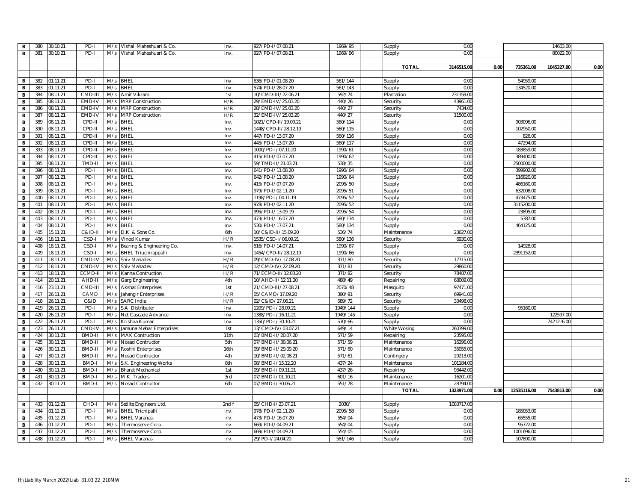| $\mathbf{B}$   | 380 | 30.10.21 | PD-I         | M/s | Vishal Maheshuari & Co.     | Inv.  | 927/PD-I/07.08.21    | 1969/95  | Supply       | 0.00       |      |             | 14603.00   |      |
|----------------|-----|----------|--------------|-----|-----------------------------|-------|----------------------|----------|--------------|------------|------|-------------|------------|------|
| $\mathbf{B}$   | 381 | 30.10.21 | PD-I         | M/s | Vishal Maheshuari & Co.     | Inv.  | 927/PD-I/07.08.21    | 1969/96  | Supply       | 0.00       |      |             | 80022.00   |      |
|                |     |          |              |     |                             |       |                      |          |              |            |      |             |            |      |
|                |     |          |              |     |                             |       |                      |          | <b>TOTAL</b> | 3146515.00 | 0.00 | 735361.00   | 1045327.00 | 0.00 |
|                |     |          |              |     |                             |       |                      |          |              |            |      |             |            |      |
| $\mathbf{B}$   | 382 | 01.11.21 | PD-I         |     | M/s BHEL                    | Inv.  | 636/PD-I/01.08.20    | 561/144  | Supply       | 0.00       |      | 54959.00    |            |      |
| $\mathbf{B}$   | 383 | 01.11.21 | PD-I         |     | M/s BHEL                    | Inv.  | 574/PD-I/28.07.20    | 561/143  | Supply       | 0.00       |      | 134520.00   |            |      |
| $\mathbf{B}$   | 384 | 08.11.21 | CMD-III      | M/s | Amit Vikram                 | 1st   | 10/CMD-III/22.06.21  | 592/74   | Plantation   | 231359.00  |      |             |            |      |
| B              | 385 | 08.11.21 | EMD-IV       | M/s | <b>MRP Construction</b>     | H/R   | 29/EMD-IV/25.03.20   | 440/26   | Security     | 43961.00   |      |             |            |      |
| $\mathbf B$    | 386 | 08.11.21 | EMD-IV       | M/s | <b>MRP Construction</b>     | H/R   | 28/EMD-IV/25.03.20   | 440/27   | Security     | 7434.0     |      |             |            |      |
| B              | 387 | 08.11.21 | EMD-IV       | M/s | <b>MRP Construction</b>     | H/R   | 32/EMD-IV/25.03.20   | 440/27   | Security     | 11500.0    |      |             |            |      |
| B              | 389 | 08.11.21 | CPD-II       | M/s | <b>BHEL</b>                 | Inv.  | 1021/CPD-II/19.09.21 | 560/114  | Supply       | 0.00       |      | 903096.00   |            |      |
| $\mathbf{B}$   | 390 | 08.11.21 | CPD-II       | M/s | <b>BHEL</b>                 | Inv.  | 1448/CPD-II/28.12.19 | 560/115  | Supply       | 0.00       |      | 102950.00   |            |      |
| B              | 391 | 08.11.21 | CPD-II       | M/s | <b>BHEL</b>                 | Inv.  | 447/PD-I/13.07.20    | 560/116  | Supply       | 0.00       |      | 826.00      |            |      |
| $\mathbf B$    | 392 | 08.11.21 | CPD-II       | M/s | <b>BHEL</b>                 | Inv.  | 445/PD-I/13.07.20    | 560/117  | Supply       | 0.00       |      | 47294.00    |            |      |
| $\mathbf{B}$   | 393 | 08.11.21 | CPD-II       | M/s | <b>BHEL</b>                 | Inv.  | 1000/PD-I/07.11.20   | 1990/61  | Supply       | 0.00       |      | 183859.00   |            |      |
| $\mathbf B$    | 394 | 08.11.21 | CPD-II       | M/s | <b>BHEL</b>                 | Inv.  | 415/PD-I/07.07.20    | 1990/62  | Supply       | 0.00       |      | 389400.0    |            |      |
| B              | 395 | 08.11.21 | TMD-I        | M/s | <b>BHEL</b>                 | Inv.  | 59/TMD-II/21.03.21   | 538/35   | Supply       | 0.00       |      | 2500000.0   |            |      |
| B              | 396 | 08.11.21 | PD-I         | M/s | <b>BHEL</b>                 | Inv.  | 641/PD-I/11.08.20    | 1990/64  | Supply       | 0.00       |      | 399902.00   |            |      |
| $\mathbf{B}$   | 397 | 08.11.21 | PD-I         | M/s | <b>BHEL</b>                 | Inv.  | 642/PD-I/11.08.20    | 1990/64  | Supply       | 0.00       |      | 116820.00   |            |      |
| $\mathbf{B}$   | 398 | 08.11.21 | PD-I         | M/s | <b>BHEL</b>                 | Inv.  | 415/PD-I/07.07.20    | 2095/50  | Supply       | 0.00       |      | 486160.00   |            |      |
| $\mathbf{B}$   | 399 | 08.11.21 | PD-I         | M/s | <b>BHEL</b>                 | Inv.  | 979/PD-I/02.11.20    | 2095/51  | Supply       | 0.00       |      | 632008.0    |            |      |
| $\mathbf{B}$   | 400 | 08.11.21 | PD-I         | M/s | <b>BHEL</b>                 | Inv.  | 1198/PD-I/04.11.19   | 2095/52  | Supply       | 0.00       |      | 473475.0    |            |      |
| $\mathbf{B}$   | 401 | 08.11.21 | PD-I         | M/s | <b>BHEL</b>                 | Inv.  | 978/PD-I/02.11.20    | 2095/52  | Supply       | 0.00       |      | 3115200.0   |            |      |
| B              | 402 | 08.11.21 | PD-I         | M/s | <b>BHEL</b>                 | Inv.  | 995/PD-I/13.09.19    | 2095/54  | Supply       | 0.00       |      | 23895.00    |            |      |
| B              | 403 | 08.11.21 | PD-I         | M/s | <b>BHEL</b>                 | Inv.  | 473/PD-I/16.07.20    | 580/134  | Supply       | 0.00       |      | 5387.0      |            |      |
| $\mathbf{B}$   | 404 | 08.11.21 | PD-I         | M/s | BHEL                        | Inv.  | 530/PD-I/17.07.21    | 580/134  | Supply       | 0.00       |      | 464125.00   |            |      |
| $\, {\bf B}$   | 405 | 15.11.21 | C&ID-II      | M/s | D.K. & Sons Co.             | 6th   | 10/C&ID-II/15.09.20  | 536/74   | Maintenance  | 23627.00   |      |             |            |      |
| $\overline{B}$ | 406 | 18.11.21 | CSD-I        | M/s | Vinod Kumar                 | H/R   | 1535/CSD-I/06.09.21  | 580/136  | Security     | 6930.00    |      |             |            |      |
| $\mathbf{B}$   | 408 | 18.11.21 | CSD-         | M/s | Bearing & Engineering Co.   | Inv.  | 516/PD-I/14.07.21    | 1990/67  | Supply       | 0.00       |      | 14928.00    |            |      |
| $\mathbf{B}$   | 409 | 18.11.21 | CSD-         | M/s | <b>BHEL Triuchirappalli</b> | Inv   | 1454/CPD-II/28.12.19 | 1990/66  | Supply       | 0.00       |      | 2391152.0   |            |      |
| B              | 411 | 18.11.21 | CMD-IV       | M/s | Shiv Mahadev                | H/R   | 09/CMD-IV/17.08.20   | 371/80   | Security     | 17715.00   |      |             |            |      |
| $\mathbf B$    | 412 | 18.11.21 | CMD-IV       | M/s | Shiv Mahadev                | H/R   | 12/CMD-IV/22.09.20   | 371/81   | Security     | 29860.00   |      |             |            |      |
| $\mathbf{B}$   | 413 | 18.11.21 | ECMD-I       | M/s | Kanha Contruction           | H/R   | 71/ECMD-II/12.03.20  | 371/82   | Security     | 78487.00   |      |             |            |      |
| $\,$ B         | 414 | 20.11.21 | AHD-II       | M/s | Garg Engineering            | 4th   | 10/AHD-II/12.11.20   | 488/49   | Repairing    | 68009.00   |      |             |            |      |
| $\overline{B}$ | 416 | 23.11.21 | CMD-III      | M/s | <b>Akshat Enterprises</b>   | 1st   | 21/CMD-III/27.08.21  | 2070/48  | Masquito     | 97471.00   |      |             |            |      |
| B              | 417 | 26.11.21 | CAMD         | M/s | Jahangir Enterprises        | H/R   | 05/CAMD/17.09.20     | 390/91   | Security     | 69941.00   |      |             |            |      |
| $\mathbf{B}$   | 418 | 26.11.21 | C&ID         | M/s | <b>SARC</b> India           | H/R   | 02/C&ID/27.06.21     | 589/72   | Security     | 33498.0    |      |             |            |      |
| $\mathbf{B}$   | 419 | 26.11.21 | PD-I         | M/s | S.A. Distributer            | Inv.  | 1209/PD-I/28.09.21   | 1949/144 | Supply       | 0.00       |      | 95160.00    |            |      |
| $\mathbf B$    | 420 | 26.11.21 | PD-I         | M/s | Net Cascade Advance         | Inv.  | 1388/PD-I/16.11.21   | 1949/145 | Supply       | 0.00       |      |             | 122597.00  |      |
| B              | 422 | 26.11.21 | PD-I         | M/s | Krishna Kumar               | Inv.  | 1350/PD-1/30.10.21   | 570/66   | Supply       | 0.00       |      |             | 7421216.00 |      |
| $\,$ B         | 423 | 26.11.21 | CMD-IV       | M/s | Jamuna Mehar Enterprises    | 1st   | 13/CMD-IV/03.07.21   | 649/14   | White Wosing | 260399.00  |      |             |            |      |
| B              | 424 | 30.11.21 | BMD-I        | M/s | <b>MAK Contruction</b>      | 11th  | 03/BMD-II/20.07.20   | 571/59   | Repairing    | 23595.00   |      |             |            |      |
| B              | 425 | 30.11.21 | BMD-I        | M/s | Nosad Contructor            | 5th   | 07/BMD-II/30.06.21   | 571/59   | Maintenance  | 16296.00   |      |             |            |      |
| $\mathbf{B}$   | 426 | 30.11.21 | BMD-II       | M/s | Roshni Enterprises          | 16th  | 09/BMD-II/29.09.20   | 571/60   | Maintenance  | 35055.00   |      |             |            |      |
| $\mathbf{B}$   | 427 | 30.11.21 | BMD-I        | M/s | Nosad Contructor            | 4th   | 10/BMD-II/02.08.21   | 571/61   | Contingery   | 29213.00   |      |             |            |      |
| $\mathbf B$    | 428 | 30.11.21 | BMD-I        | M/s | S.K. Engineering Works      | 8th   | 08/BMD-I/15.12.20    | 437/24   | Maintenance  | 101184.00  |      |             |            |      |
| $\mathbf{B}$   | 430 | 30.11.21 | BMD-         | M/s | <b>Bharat Mechanical</b>    | 1st   | 09/BMD-I/09.11.21    | 437/26   | Repairing    | 93442.00   |      |             |            |      |
| $\mathbf{B}$   | 431 | 30.11.21 | BMD-         | M/s | M.K. Traders                | 3rd   | 07/BMD-I/01.10.21    | 601/16   | Maintenance  | 16201.00   |      |             |            |      |
| B              | 432 | 30.11.21 | <b>BMD-I</b> | M/s | Nosad Contructor            | 6th   | 07/BMD-I/30.06.21    | 551/78   | Maintenance  | 28794.0    |      |             |            |      |
|                |     |          |              |     |                             |       |                      |          | <b>TOTAL</b> | 1323971.00 | 0.00 | 12535116.00 | 7543813.00 | 0.00 |
|                |     |          |              |     |                             |       |                      |          |              |            |      |             |            |      |
| $\mathbf{B}$   | 433 | 01.12.21 | CHD-I        |     | M/s Setlite Engineers Ltd.  | 2nd f | 05/CHD-I/23.07.21    | 2030/    | Supply       | 1083717.00 |      |             |            |      |
| $\mathbf B$    | 434 | 01.12.21 | PD-I         | M/s | <b>BHEL Trichipalli</b>     | inv.  | 978/PD-I/02.11.20    | 2095/58  | Supply       | 0.00       |      | 185053.00   |            |      |
| $\mathbf{B}$   | 435 | 01.12.21 | PD-I         | M/s | <b>BHEL Varanasi</b>        | inv.  | 473/PD-I/16.07.20    | 554/04   | Supply       | 0.00       |      | 65555.00    |            |      |
| $\mathbf{B}$   | 436 | 01.12.21 | PD-I         | M/s | Thermoserve Corp.           | inv.  | 669/PD-I/04.09.21    | 554/04   | Supply       | 0.00       |      | 95722.0     |            |      |
| B              | 437 | 01.12.21 | PD-I         | M/s | Thermoserve Corp.           | inv.  | 669/PD-I/04.09.21    | 554/05   | Supply       | 0.00       |      | 1001696.00  |            |      |
| $\mathbf{B}$   | 438 | 01.12.21 | PD-I         | M/s | <b>BHEL Varanasi</b>        | inv.  | 29/PD-I/24.04.20     | 581/146  | Supply       | 0.00       |      | 107890.00   |            |      |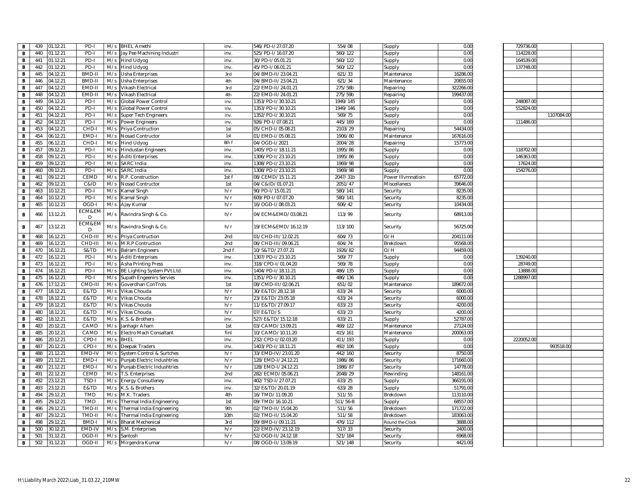| В | 439 | 01.12.21 | PD-I         |     | M/s BHEL Amethi                 | inv.  | 546/PD-I/27.07.20   | 554/08   | Supply             | 0.00      | 729736.00  |            |
|---|-----|----------|--------------|-----|---------------------------------|-------|---------------------|----------|--------------------|-----------|------------|------------|
| В | 440 | 01.12.21 | PD-          | M/s | Jay Pee Machining Industri      | inv.  | 525/PD-1/16.07.20   | 560/122  | Supply             | 0.00      | 114228.00  |            |
| в | 441 | 01.12.21 | PD-I         |     | M/s Hind Udyog                  | inv.  | 30/PD-I/05.01.21    | 560/122  | Supply             | 0.00      | 164539.00  |            |
| в | 442 | 01.12.21 | PD-I         | M/s | <b>Hind Udyog</b>               | inv.  | 45/PD-I/06.01.21    | 560/122  | Supply             | 0.00      | 137748.00  |            |
| в | 445 | 04.12.21 | BMD-II       | M/s | Usha Enterprises                | 3rd   | 04/BMD-II/23.04.21  | 621/33   | Maintenance        | 16286.00  |            |            |
| в | 446 | 04.12.21 | BMD-II       | M/s | Usha Enterprises                | 4th   | 04/BMD-II/23.04.21  | 621/34   | Maintenance        | 20655.00  |            |            |
| В | 447 | 04.12.21 | EMD-II       | M/s | Vikash Electrical               | 3rd   | 22/EMD-II/24.01.21  | 275/58b  | Repairing          | 322266.00 |            |            |
| в | 448 | 04.12.21 | EMD-II       | M/s | Vikash Electrical               | 4th   | 22/EMD-II/24.01.21  | 275/59b  | Repairing          | 199437.00 |            |            |
| в | 449 | 04.12.21 | PD-I         | M/s | Global Power Control            | inv.  | 1353/PD-I/30.10.21  | 1949/145 | Supply             | 0.00      | 248087.00  |            |
| в | 450 | 04.12.21 | PD-          | M/s | Global Power Control            | inv.  | 1353/PD-I/30.10.21  | 1949/146 | Supply             | 0.00      | 552824.0   |            |
| в | 451 | 04.12.21 | PD-          | M/s | <b>Super Tech Engineers</b>     | inv.  | 1352/PD-I/30.10.21  | 569/75   | Supply             | 0.00      |            | 1107084.00 |
| В | 452 | 04.12.21 | PD-          | M/s | Power Engineers                 | inv.  | 926/PD-I/07.08.21   | 445/169  | Supply             | 0.00      | 111486.0   |            |
| в | 453 | 04.12.21 | CHD-I        | M/s | Priya Contruction               | 1st   | 05/CHD-I/05.08.21   | 2103/29  | Repairing          | 54434.00  |            |            |
| в | 454 | 06.12.21 | EMD-         | M/s | Nosad Contructor                | 1st   | 01/EMD-I/05.08.21   | 1906/80  | Maintenance        | 167616.00 |            |            |
| в | 455 | 06.12.21 | CHD-I        | M/s | <b>Hind Udyog</b>               | 8th f | 04/OGD-I/2021       | 2004/28  | Repairing          | 15773.00  |            |            |
| в | 457 | 09.12.21 | PD-I         | M/s | <b>Hindustan Engineers</b>      | inv.  | 1405/PD-I/18.11.21  | 1995/86  | Supply             | 0.00      | 118702.00  |            |
| в | 458 | 09.12.21 | PD-I         | M/s | <b>Aditi Enterprises</b>        | inv.  | 1306/PD-I/23.10.21  | 1995/86  | Supply             | 0.00      | 146363.00  |            |
| в | 459 | 09.12.21 | PD-I         |     | M/s SARC India                  | inv.  | 1308/PD-I/23.10.21  | 1969/98  | Supply             | 0.00      | 17624.00   |            |
| в | 460 | 09.12.21 | PD-I         | M/s | <b>SARC</b> India               | inv.  | 1308/PD-I/23.10.21  | 1969/98  | Supply             | 0.00      | 154276.00  |            |
| в | 461 | 09.12.21 | CEMD         | M/s | R.P. Construction               | 1st f | 08/CEMD/15.11.21    | 2047/31b | Power Illvmnatioin | 65772.00  |            |            |
| в | 462 | 09.12.21 | C&ID         | M/s | <b>Nosad Contructor</b>         | 1st   | 04/C&ID/01.07.21    | 2051/47  | Miscellanecs       | 39646.00  |            |            |
| В | 463 | 10.12.21 | PD-I         | M/s | Kamal Singh                     | h/r   | 90/PD-I/15.01.21    | 580/141  | Security           | 8235.00   |            |            |
| в | 464 | 10.12.21 | PD-I         | M/s | Kamal Singh                     | h/r   | 609/PD-I/07.07.20   | 580/141  | Security           | 8235.00   |            |            |
|   | 465 | 10.12.21 | OGD-I        |     |                                 | h/r   | 16/OGD-I/08.03.21   | 606/42   |                    | 10434.00  |            |            |
| в |     |          | ECM&EM       |     | M/s Ajay Kumar                  |       |                     |          | Security           |           |            |            |
| в | 466 | 13.12.21 | D            |     | M/s Ravindra Singh & Co.        | h/r   | 04/ECM&EMD/03.08.21 | 113/99   | Security           | 68913.00  |            |            |
|   |     |          | ECM&EM       |     |                                 |       |                     |          |                    |           |            |            |
| в | 467 | 13.12.21 | D            |     | M/s Ravindra Singh & Co.        | h/r   | 19/ECM&EMD/16.12.19 | 113/100  | Security           | 56725.00  |            |            |
| в | 468 | 16.12.21 | CHD-III      | M/s | Priya Contruction               | 2nd   | 01/CHD-III/12.02.21 | 604/73   | O/H                | 204111.00 |            |            |
| В | 469 | 16.12.21 | CHD-III      | M/s | M.R.P Contruction               | 2nd   | 06/CHD-III/09.06.21 | 604/74   | Brekdown           | 95568.00  |            |            |
| в | 470 | 16.12.21 | S&TD         | M/s | <b>Balram Engineers</b>         | 2ndf  | 10/S&TD/27.07.21    | 1926/82  | O/H                | 94459.00  |            |            |
| в | 472 | 16.12.21 | PD-I         | M/s | <b>Aditi Enterprises</b>        | inv.  | 1307/PD-I/23.10.21  | 569/77   | Supply             | 0.00      | 139240.00  |            |
| в | 473 | 16.12.21 | PD-I         | M/s | <b>Asha Printing Press</b>      | inv.  | 318/CPD-I/01.04.20  | 569/78   | Supply             | 0.00      | 28749.00   |            |
| В | 474 | 16.12.21 | PD-          | M/s | BE Lighting System PVt.Ltd.     | inv.  | 1404/PD-I/18.11.21  | 486/135  | Supply             | 0.00      | 13888.00   |            |
| В | 475 | 16.12.21 | PD-I         | M/s | <b>Supath Engeenirs Servies</b> | inv.  | 1351/PD-I/30.10.21  | 486/136  | Supply             | 0.00      | 1288997.00 |            |
| в | 476 | 17.12.21 | CMD-III      | M/s | Goverdhan ConTrols              | 1st   | 08/CMD-III/02.06.21 | 651/02   | Maintenance        | 189672.00 |            |            |
| в | 477 | 18.12.21 | E&TD         | M/s | Vikas Chouda                    | h/r   | 30/E&TD/28.12.18    | 633/24   | Security           | 6000.00   |            |            |
| в | 478 | 18.12.21 | E&TD         | M/s | Vikas Chouda                    | h/r   | 23/E&TD/23.05.18    | 633/24   | Security           | 6000.00   |            |            |
| в | 479 | 18.12.21 | E&TD         |     | M/s Vikas Chouda                | h/r   | 11/E&TD/27.09.17    | 633/23   | Security           | 4200.00   |            |            |
| В | 480 | 18.12.21 | E&TD         | M/s | Vikas Chouda                    | h/r   | 07/E&TD/S           | 633/23   | Security           | 4200.0    |            |            |
| в | 482 | 18.12.21 | E&TD         | M/s | K.S. & Brothers                 | inv.  | 527/E&TD/15.12.18   | 633/21   | Supply             | 52787.00  |            |            |
| В | 483 | 20.12.21 | CAMD         | M/s | Janhagir Aham                   | 1st   | 03/CAMD/13.09.21    | 468/122  | Maintenance        | 27124.00  |            |            |
| В | 485 | 20.12.21 | CAMD         | M/s | Electro Mach Consaltant         | finl  | 10/CAMD/10.11.20    | 415/161  | Maintenance        | 200063.00 |            |            |
| в | 486 | 20.12.21 | CPD-I        | M/s | <b>BHEL</b>                     | inv.  | 232/CPD-I/02.03.20  | 411/193  | Supply             | 0.00      | 2220052.00 |            |
| В | 487 | 20.12.21 | CPD-I        | M/s | Deepak Traders                  | inv.  | 1403/PD-I/18.11.21  | 492/106  | Supply             | 0.00      |            | 993518.00  |
| в | 488 | 21.12.21 | EMD-IV       | M/s | System Control & Surtches       | h/r   | 33/EMD-IV/23.01.20  | 442/160  | Security           | 8750.00   |            |            |
| в | 489 | 21.12.21 | EMD-I        | M/s | Punjab Electric Indushtries     | h/r   | 128/EMD-I/24.12.21  | 1986/86  | Security           | 171660.00 |            |            |
| в | 490 | 21.12.21 | EMD-I        | M/s | Punjab Electric Indushtries     | h/r   | 128/EMD-I/24.12.21  | 1986/87  | Security           | 14778.00  |            |            |
| В | 491 | 22.12.21 | CEMD         | M/s | T.S. Enterprises                | 2nd   | 282/ECMD/05.06.21   | 2048/29  | Rewinding          | 148161.00 |            |            |
| В | 492 | 23.12.21 | TSD-I        |     | M/s Energy Consutleney          | inv.  | 402/TSD-I/27.07.21  | 633/25   | Supply             | 366191.00 |            |            |
| В | 493 | 23.12.21 | E&TD         | M/s | K.S. & Brothers                 | inv.  | 32/E&TD/20.01.19    | 633/28   | Supply             | 51791.00  |            |            |
| в | 494 | 29.12.21 | <b>TMD</b>   | M/s | M.K. Traders                    | 4th   | 16/TMD/11.09.20     | 511/55   | Brekdown           | 113110.00 |            |            |
| в | 495 | 29.12.21 | TMD          | M/s | Thermal India Engineering       | 1st   | 09/TMD/16.10.21     | 511/56-B | Supply             | 68557.00  |            |            |
| в | 496 | 29.12.21 | TMD-II       | M/s | Thermal India Engineering       | 9th   | 02/TMD-II/15.04.20  | 511/56   | Brekdown           | 171722.00 |            |            |
| В | 497 | 29.12.21 | TMD-II       | M/s | Thermal India Engineering       | 10th  | 02/TMD-II/15.04.20  | 511/58   | Brekdown           | 183063.00 |            |            |
| в | 498 | 29.12.21 | <b>BMD-I</b> | M/s | <b>Bharat Mechenical</b>        | 3rd   | 09/BMD-I/09.11.21   | 476/112  | Round the Clock    | 3888.00   |            |            |
| в | 500 | 30.12.21 | EMD-IV       | M/s | S.M. Enterprises                | h/r   | 22/EMD-IV/23.12.19  | 517/33   | Security           | 2400.00   |            |            |
| В | 501 | 31.12.21 | OGD-II       | M/s | Santosh                         | h/r   | 52/OGD-II/24.12.18  | 521/184  | Security           | 6968.00   |            |            |
| В | 502 | 31.12.21 | OGD-II       | M/s | Mirgendra Kumar                 | h/r   | 08/OGD-II/13.09.19  | 521/148  | Security           | 4421.00   |            |            |
|   |     |          |              |     |                                 |       |                     |          |                    |           |            |            |

| 729736.00  |            |  |
|------------|------------|--|
| 114228.00  |            |  |
| 164539.00  |            |  |
| 137748.00  |            |  |
|            |            |  |
|            |            |  |
|            |            |  |
|            |            |  |
|            |            |  |
| 248087.00  |            |  |
| 552824.00  |            |  |
|            | 1107084.00 |  |
| 111486.00  |            |  |
|            |            |  |
|            |            |  |
|            |            |  |
|            |            |  |
| 118702.00  |            |  |
| 146363.00  |            |  |
| 17624.00   |            |  |
| 154276.00  |            |  |
|            |            |  |
|            |            |  |
|            |            |  |
|            |            |  |
|            |            |  |
|            |            |  |
|            |            |  |
|            |            |  |
|            |            |  |
|            |            |  |
|            |            |  |
|            |            |  |
|            |            |  |
| 139240.00  |            |  |
|            |            |  |
| 28749.00   |            |  |
| 13888.00   |            |  |
| 1288997.00 |            |  |
|            |            |  |
|            |            |  |
|            |            |  |
|            |            |  |
|            |            |  |
|            |            |  |
|            |            |  |
|            |            |  |
|            |            |  |
| 2220052.00 |            |  |
|            | 993518.00  |  |
|            |            |  |
|            |            |  |
|            |            |  |
|            |            |  |
|            |            |  |
|            |            |  |
|            |            |  |
|            |            |  |
|            |            |  |
|            |            |  |
|            |            |  |
|            |            |  |
|            |            |  |
|            |            |  |
|            |            |  |
|            |            |  |
|            |            |  |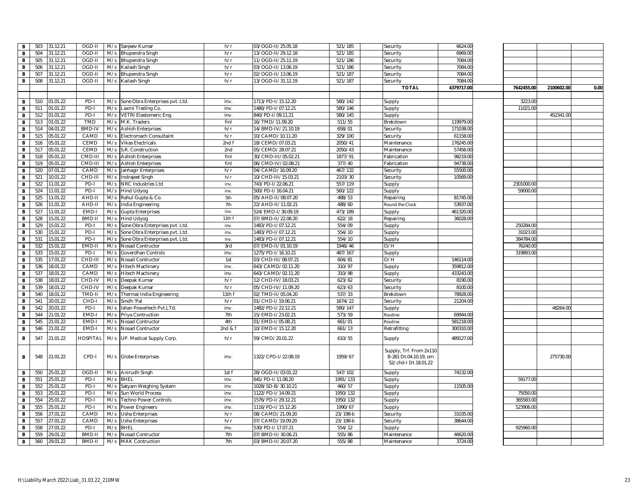| в            | 503 | 31.12.21 | OGD-II        | M/s | Sanjeev Kumar                                 | h/r          | 03/OGD-II/25.05.18  | 521/185  | Security                                                                 | 6624.00    |            |            |      |
|--------------|-----|----------|---------------|-----|-----------------------------------------------|--------------|---------------------|----------|--------------------------------------------------------------------------|------------|------------|------------|------|
| B            | 504 | 31.12.21 | OGD-II        | M/s | Bhupendra Singh                               | h/r          | 13/OGD-II/29.12.18  | 521/185  | Security                                                                 | 6969.00    |            |            |      |
| В            | 505 | 31.12.21 | OGD-II        | M/s | Bhupendra Singh                               | h/r          | 11/OGD-II/25.11.19  | 521/186  | Security                                                                 | 7084.00    |            |            |      |
| В            | 506 | 31.12.21 | OGD-II        | M/s | Kailash Singh                                 | h/r          | 03/OGD-II/13.06.19  | 521/186  | Security                                                                 | 7084.00    |            |            |      |
| B            | 507 | 31.12.21 | OGD-II        | M/s | <b>Bhupendra Singh</b>                        | h/r          | 02/OGD-II/13.06.19  | 521/187  | Security                                                                 | 7084.00    |            |            |      |
| в            | 508 | 31.12.21 | OGD-II        | M/s | Kailash Singh                                 | h/r          | 13/OGD-II/31.12.19  | 521/187  | Security                                                                 | 7084.00    |            |            |      |
|              |     |          |               |     |                                               |              |                     |          | <b>TOTAL</b>                                                             | 4379717.00 | 7642455.00 | 2100602.00 | 0.00 |
|              |     |          |               |     |                                               |              |                     |          |                                                                          |            |            |            |      |
| В            | 510 | 01.01.22 | PD-I          | M/s | Sone Obra Enterprises pvt. Ltd.               | inv.         | 1713/PD-I/15.12.20  | 580/142  | Supply                                                                   |            | 3223.00    |            |      |
| $\, {\bf B}$ | 511 | 01.01.22 | PD-I          | M/s | Laxmi Trading Co.                             | inv.         | 1480/PD-I/07.12.21  | 580/146  | Supply                                                                   |            | 11021.00   |            |      |
| В            | 512 | 01.01.22 | PD-I          | M/s | <b>VETRI Elastomeric Eng.</b>                 | inv.         | 840/PD-I/09.11.21   | 580/145  | Supply                                                                   |            |            | 452341.00  |      |
| B            | 513 | 01.01.22 | TMD           | M/s | M.K. Traders                                  | finl         | 16/TMD/11.09.20     | 511/55   | Brekdown                                                                 | 119979.00  |            |            |      |
| B            | 514 | 04.01.22 | <b>BMD-IV</b> | M/s | <b>Ashish Enterprises</b>                     | h/r          | 14/BMD-IV/21.10.19  | 658/01   | Security                                                                 | 171038.00  |            |            |      |
| $\, {\bf B}$ | 515 | 05.01.22 | CAMD          | M/s | Electromach Consultaint                       | h/r          | 10/CAMD/10.11.20    | 329/100  | Security                                                                 | 61158.00   |            |            |      |
| В            | 516 | 05.01.22 | CEMD          | M/s | <b>Vikas Electricals</b>                      | 2nd f        | 18/CEMD/07.03.21    | 2050/41  | Maintenance                                                              | 176245.00  |            |            |      |
| B            | 517 | 05.01.22 | CEMD          | M/s | S.R. Construction                             | 2nd          | 05/CEMD/28.07.21    | 2050/43  | Maintenance                                                              | 57456.00   |            |            |      |
| В            | 518 | 05.01.22 | CMD-III       | M/s | <b>Ashish Enterprises</b>                     | finl         | 30/CMD-III/05.02.21 | 1877/91  | Fabrication                                                              | 98219.00   |            |            |      |
| B            | 519 | 05.01.22 | CMD-II        | M/s | <b>Ashish Enterprises</b>                     | finl         | 06/CMD-IV/02.08.21  | 377/40   | Fabrication                                                              | 94738.00   |            |            |      |
| В            | 520 | 07.01.22 | CAMD          | M/s | Janhagir Enterprises                          | h/r          | 04/CAMD/16.09.20    | 467/132  | Security                                                                 | 55500.00   |            |            |      |
| B            | 521 | 10.01.22 | CHD-II        | M/s | Indrajeet Singh                               | h/r          | 10/CHD-III/15.03.21 | 2103/30  | Security                                                                 | 10569.00   |            |            |      |
| $\, {\bf B}$ | 522 | 11.01.22 | PD-I          | M/s | NRC Industries Ltd                            | inv.         | 743/PD-I/22.06.21   | 557/119  | Supply                                                                   |            | 2301000.00 |            |      |
| B            | 524 | 11.01.22 | PD-I          | M/s | <b>Hind Udyog</b>                             | inv.         | 500/PD-I/16.04.21   | 560/122  | Supply                                                                   |            | 59000.00   |            |      |
| B            | 525 | 11.01.22 | AHD-I         | M/s | Rahul Gupta & Co.                             | 5th          | 05/AHD-II/08.07.20  | 488/53   | Repairing                                                                | 81745.00   |            |            |      |
| В            | 526 | 11.01.22 | AHD-II        | M/s | India Engineering                             | 7th          | 22/AHD-II/11.02.21  | 488/60   | Round the Clock                                                          | 53937.00   |            |            |      |
| $\, {\bf B}$ | 527 | 11.01.22 | EMD-          | M/s |                                               | inv.         | 524/EMD-I/30.09.19  | 473/189  |                                                                          | 461320.00  |            |            |      |
| в            | 528 | 15.01.22 | BMD-I         | M/s | <b>Gupta Enterprises</b><br><b>Hind Udyog</b> | 11th f       | 07/BMD-II/22.08.20  | 622/18   | Supply                                                                   | 36028.00   |            |            |      |
|              |     |          | PD-I          |     |                                               |              |                     |          | Repairing                                                                |            | 250284.0   |            |      |
| B            | 529 | 15.01.22 |               | M/s | Sone Obra Enterprises pvt. Ltd.               | inv.<br>inv. | 1483/PD-I/07.12.21  | 554/09   | Supply                                                                   |            |            |            |      |
| В            | 530 | 15.01.22 | PD-I<br>PD-I  | M/s | Sone Obra Enterprises pvt. Ltd.               |              | 1483/PD-I/07.12.21  | 554/10   | Supply                                                                   |            | 31023.0    |            |      |
| B            | 531 | 15.01.22 |               | M/s | Sone Obra Enterprises pvt. Ltd                | inv.         | 1483/PD-I/07.12.21  | 554/10   | Supply                                                                   |            | 384784.0   |            |      |
| В            | 532 | 15.01.22 | EMD-I         | M/s | Nosad Contructor                              | 3rd          | 07/EMD-II/01.10.19  | 1946/46  | O/H                                                                      |            | 76240.0    |            |      |
| B            | 533 | 15.01.22 | PD-I          | M/s | Goverdhan Controls                            | inv.         | 1275/PD-I/16.10.21  | 487/167  | Supply                                                                   |            | 319893.0   |            |      |
| в            | 535 | 17.01.22 | CHD-III       | M/s | <b>Nosad Contructor</b>                       | 1st          | 03/CHD-III/08.07.21 | 604/81   | O/H                                                                      | 146114.00  |            |            |      |
| B            | 536 | 18.01.22 | CAMD          | M/s | <b>Hitech Machinery</b>                       | inv.         | 643/CAMD/02.11.20   | 310/97   | Supply                                                                   | 359812.00  |            |            |      |
| $\, {\bf B}$ | 537 | 18.01.22 | CAMD          | M/s | <b>Hitech Machinery</b>                       | inv.         | 643/CAMD/02.11.20   | 310/98   | Supply                                                                   | 433243.00  |            |            |      |
| В            | 538 | 18.01.22 | CHD-IV        | M/s | Deepak Kumar                                  | h/r          | 12/CHD-IV/18.03.21  | 623/62   | Security                                                                 | 8190.00    |            |            |      |
| B            | 539 | 18.01.22 | CHD-IV        | M/s | Deepak Kumar                                  | h/r          | 05/CHD-IV/11.09.20  | 623/63   | Security                                                                 | 8100.00    |            |            |      |
| в            | 540 | 18.01.22 | TMD-II        | M/s | Thermal India Engineering                     | 11th1        | 02/TMD-II/05.04.20  | 537/33   | Brekdown                                                                 | 78928.00   |            |            |      |
| B            | 541 | 20.01.22 | CHD-I         | M/s | Sindh 'Pal                                    | h/r          | 01/CHD-I/19.06.21   | 1674/22  | Security                                                                 | 21204.00   |            |            |      |
| В            | 542 | 20.01.22 | PD-I          | M/s | Ishan Powertech Pvt.LTd.                      | inv.         | 1482/PD-I/22.12.21  | 580/147  | Supply                                                                   |            |            | 48264.00   |      |
| $\, {\bf B}$ | 544 | 21.01.22 | EMD-          | M/s | Priya Contruction                             | 7th          | 15/EMD-1/23.02.21   | 573/59   | Routine                                                                  | 69944.00   |            |            |      |
| В            | 545 | 21.01.22 | EMD-          | M/s | Nosad Contructor                              | 4th          | 01/EMD-I/05.08.21   | 661/01   | Routine                                                                  | 581218.00  |            |            |      |
| B            | 546 | 21.01.22 | EMD-I         | M/s | Nosad Contructor                              | 2nd $& 6$    | 10/EMD-I/15.12.20   | 661/13   | Retrafitting                                                             | 300310.00  |            |            |      |
| B            | 547 | 21.01.22 | HOSPITAL      | M/s | UP. Medical Supply Corp.                      | h/r          | 59/CMD/20.01.22     | 610/55   | Supply                                                                   | 489127.00  |            |            |      |
| В            | 548 | 21.01.22 | CPD-I         |     | M/s Globe Enterprises                         | inv.         | 1322/CPD-I/22.08.19 | 1959/67  | Supply, Trf. From 2x110<br>B-261 Dt.04.10.19, om<br>52/chd-I Dt.18.01.22 |            |            | 275730.00  |      |
| в            | 550 | 25.01.22 | OGD-II        |     | M/s Anirudh Singh                             | 1st f        | 28/OGD-II/03.01.22  | 547/102  | Supply                                                                   | 74132.00   |            |            |      |
| В            | 551 | 25.01.22 | PD-I          | M/s | <b>BHEL</b>                                   | inv.         | 641/PD-I/11.08.20   | 1991/133 | Supply                                                                   |            | 59177.00   |            |      |
| В            | 552 | 25.01.22 | PD-I          | M/s | Satyam Weighing Systam                        | inv.         | 1028/SD-B/30.10.21  | 460/57   | Supply                                                                   | 11505.00   |            |            |      |
| B            | 553 | 25.01.22 | PD-I          | M/s | Sun World Process                             | inv.         | 1122/PD-I/14.09.21  | 1950/132 | Supply                                                                   |            | 75050.0    |            |      |
| В            | 554 | 25.01.22 | PD-I          | M/s | <b>Techno Power Controls</b>                  | inv.         | 1576/PD-I/29.12.21  | 1950/132 | Supply                                                                   |            | 365583.0   |            |      |
| В            | 555 | 25.01.22 | PD-I          | M/s | Power Engineers                               | inv.         | 1116/PD-I/15.12.20  | 1990/67  | Supply                                                                   |            | 523906.00  |            |      |
| В            | 556 | 27.01.22 | CAMD          | M/s | Usha Enterprises                              | h/r          | 08/CAMD/21.09.20    | 23/198-b | Security                                                                 | 31035.00   |            |            |      |
| B            | 557 | 27.01.22 | CAMD          | M/s | Usha Enterprises                              | h/r          | 07/CAMD/19.09.20    | 23/198-b | Security                                                                 | 38644.00   |            |            |      |
| в            | 558 | 27.01.22 | PD-I          | M/s | <b>BHEL</b>                                   | inv.         | 530/PD-I/17.07.21   | 554/12   | Supply                                                                   |            | 925960.00  |            |      |
| В            | 559 | 29.01.22 | BMD-I         | M/s | Nosad Contructor                              | 7th          | 07/BMD-II/30.06.21  | 555/86   | Maintenance                                                              | 46620.00   |            |            |      |
| В            | 560 | 29.01.22 | BMD-II        | M/s | <b>MAK Contruction</b>                        | 7th          | 03/BMD-II/20.07.20  | 555/88   | Maintenance                                                              | 3724.00    |            |            |      |
|              |     |          |               |     |                                               |              |                     |          |                                                                          |            |            |            |      |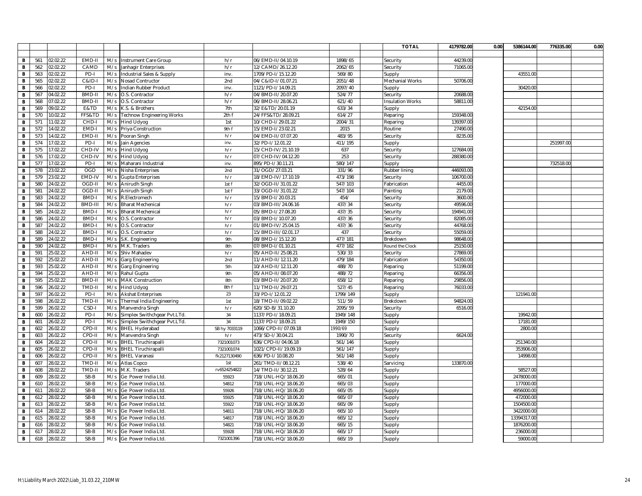|   |     |          |               |     |                              |               |                      |          | <b>TOTAL</b>            | 4179782.00 | 0.00 | 5386144.00  | 776335.00 | 0.00 |
|---|-----|----------|---------------|-----|------------------------------|---------------|----------------------|----------|-------------------------|------------|------|-------------|-----------|------|
|   |     |          |               |     |                              |               |                      |          |                         |            |      |             |           |      |
| В | 561 | 02.02.22 | EMD-II        | M/s | Instrument Care Group        | h/r           | 06/EMD-II/04.10.19   | 1898/65  | Security                | 44239.00   |      |             |           |      |
| В | 562 | 02.02.22 | CAMD          | M/s | Janhagir Enterprises         | h/r           | 12/CAMD/26.12.20     | 2062/65  | Security                | 71065.00   |      |             |           |      |
| B | 563 | 02.02.22 | PD-           | M/s | Industrial Sales & Supply    | inv.          | 1709/PD-I/15.12.20   | 569/80   | Supply                  |            |      | 43551.00    |           |      |
| В | 565 | 02.02.22 | C&ID-I        | M/s | Nosad Contructor             | 2nd           | 04/C&ID-I/01.07.21   | 2051/48  | Mechanial Works         | 50706.00   |      |             |           |      |
| в | 566 | 02.02.22 | PD-           | M/s | Indian Rubber Product        | inv.          | 1121/PD-I/14.09.21   | 2097/40  | Supply                  |            |      | 30420.00    |           |      |
| В | 567 | 04.02.22 | BMD-I         | M/s | O.S. Contractor              | h/r           | 04/BMD-II/20.07.20   | 524/77   | Security                | 20688.00   |      |             |           |      |
| в | 568 | 07.02.22 | <b>BMD-II</b> | M/s | O.S. Contractor              | h/r           | 06/BMD-II/28.06.21   | 621/40   | <b>Insulation Works</b> | 58811.00   |      |             |           |      |
| В | 569 | 09.02.22 | E&TD          | M/s | K.S. & Brothers              | 7th           | 32/E&TD/20.01.19     | 633/34   | Supply                  |            |      | 42154.00    |           |      |
| В | 570 | 10.02.22 | FFS&TD        | M/s | Technow Engineering Works    | 2th f         | 24/FFS&TD/28.09.21   | 614/27   | Reparing                | 159348.00  |      |             |           |      |
| B | 571 | 11.02.22 | CHD-          | M/s | Hind Udyog                   | 1st           | 10/CHD-I/29.01.22    | 2004/31  | Reparing                | 139397.00  |      |             |           |      |
| В | 572 | 14.02.22 | EMD-          | M/s | Priya Construction           | 9th f         | 15/EMD-I/23.02.21    | 2015     | Routine                 | 27490.00   |      |             |           |      |
| в | 573 | 14.02.22 | EMD-II        | M/s | Pooran Singh                 | h/r           | 04/EMD-II/07.07.20   | 483/95   | Security                | 8235.00    |      |             |           |      |
| B | 574 | 17.02.22 | PD-I          | M/s | Jain Agencies                | inv.          | 32/PD-I/12.01.22     | 411/195  | Supply                  |            |      |             | 251997.00 |      |
| в | 575 | 17.02.22 | CHD-IV        | M/s | Hind Udyog                   | h/r           | 15/CHD-IV/21.10.19   | 637      | Securitv                | 127684.00  |      |             |           |      |
| В | 576 | 17.02.22 | CHD-IV        | M/s | <b>Hind Udyog</b>            | h/r           | 07/CHD-IV/04.12.20   | 253      | Security                | 288380.00  |      |             |           |      |
| в | 577 | 17.02.22 | PD-I          | M/s | Maharani Industrial          | inv.          | 895/PD-I/30.11.21    | 580/147  | Supply                  |            |      |             | 732518.00 |      |
| B | 578 | 23.02.22 | <b>OGD</b>    | M/s | Nisha Enterprises            | 2nd           | 31/OGD/27.03.21      | 331/96   | Rubber lining           | 446093.00  |      |             |           |      |
| в | 579 | 23.02.22 | EMD-IV        | M/s | Gupta Enterprises            | h/r           | 18/EMD-IV/17.10.19   | 473/198  | Security                | 106700.00  |      |             |           |      |
| в | 580 | 24.02.22 | OGD-II        | M/s | Anirudh Singh                | 1st f         | 32/OGD-II/31.01.22   | 547/103  | Fabrication             | 4455.00    |      |             |           |      |
| B | 581 | 24.02.22 | OGD-II        | M/s | Anirudh Singh                | 1st f         | 33/OGD-II/31.01.22   | 547/104  | Painting                | 2179.00    |      |             |           |      |
| B | 583 | 24.02.22 | BMD-I         | M/s | R.Electromech                | h/r           | 15/BMD-I/20.03.21    | 454/     | Security                | 3600.00    |      |             |           |      |
| В | 584 | 24.02.22 | BMD-II        | M/s | <b>Bharat Mechenical</b>     | h/r           | 03/BMD-III/24.06.16  | 437/34   | Security                | 49596.00   |      |             |           |      |
| В | 585 | 24.02.22 | <b>BMD-I</b>  | M/s | <b>Bharat Mechenical</b>     | h/r           | 05/BMD-1/27.08.20    | 437/35   | Security                | 194941.00  |      |             |           |      |
| В | 586 | 24.02.22 | <b>BMD-I</b>  | M/s | O.S. Contractor              | h/r           | 03/BMD-I/10.07.20    | 437/36   | Security                | 82085.00   |      |             |           |      |
| в | 587 | 24.02.22 | <b>BMD-I</b>  | M/s | O.S. Contractor              | h/r           | 01/BMD-IV/25.04.15   | 437/36   | Security                | 44768.00   |      |             |           |      |
| В | 588 | 24.02.22 | BMD-          | M/s | O.S. Contractor              | h/r           | 15/BMD-III/02.01.17  | 437      | Security                | 55059.0    |      |             |           |      |
| В | 589 | 24.02.22 | BMD-I         | M/s | S.K. Engineering             | 9th           | 08/BMD-I/15.12.20    | 477/181  | Brekdown                | 98648.00   |      |             |           |      |
| В | 590 | 24.02.22 | BMD-I         | M/s | M.K. Traders                 | 8th           | 07/BMD-I/01.10.21    | 477/182  | Round the Clock         | 25150.00   |      |             |           |      |
| В | 591 | 25.02.22 | AHD-II        | M/s | Shiv Mahadev                 | h/r           | 05/AHD-II/25.08.21   | 530/33   | Security                | 27869.00   |      |             |           |      |
| В | 592 | 25.02.22 | AHD-II        | M/s | Garg Engineering             | 2nd           | 11/AHD-II/12.11.20   | 479/184  | Fabrication             | 54350.00   |      |             |           |      |
| B | 593 | 25.02.22 | AHD-II        | M/s | Garg Engineering             | 5th           | 10/AHD-II/12.11.20   | 488/70   | Reparing                | 51199.00   |      |             |           |      |
| в | 594 | 25.02.22 | AHD-II        | M/s | Rahul Gupta                  | 9th           | 05/AHD-II/08.07.20   | 488/72   | Reparing                | 66356.00   |      |             |           |      |
| В | 595 | 25.02.22 | BMD-I         | M/s | <b>MAK Construction</b>      | 8th           | 03/BMD-II/20.07.20   | 658/12   | Reparing                | 29856.00   |      |             |           |      |
| B | 596 | 26.02.22 | TMD-II        | M/s | Hind Udyog                   | 8th f         | 11/TMD-II/29.07.21   | 527/45   | Reparing                | 76033.00   |      |             |           |      |
| B | 597 | 26.02.22 | PD-           | M/s | <b>Akshat Enterprises</b>    | 23            | 33/PD-I/12.01.22     | 1799/149 | Supply                  |            |      | 121941.00   |           |      |
| В | 598 | 26.02.22 | TMD-II        | M/s | Thermal India Engineering    | 1st           | 18/TMD-II/09.02.22   | 511/59   | Brekdown                | 94824.00   |      |             |           |      |
| В | 599 | 26.02.22 | CSD-I         | M/s | Manvendra Singh              | h/r           | 520/SD-B/31.10.20    | 2095/59  | Security                | 6516.00    |      |             |           |      |
| B | 600 | 26.02.22 | PD-           | M/s | Simplex Swithchgear Pvt.LTd. | 34            | 1137/PD-I/18.09.21   | 1949/148 | Supply                  |            |      | 19942.00    |           |      |
| в | 601 | 26.02.22 | PD-           | M/s | Simplex Swithchgear Pvt.LTd. | 34            | 1137/PD-I/18.09.21   | 1949/150 | Supply                  |            |      | 17181.00    |           |      |
| В | 602 | 26.02.22 | CPD-II        | M/s | <b>BHEL Hyderabad</b>        | SB hy 7033119 | 1066/CPD-II/07.09.18 | 990/69   | Supply                  |            |      | 2800.0      |           |      |
| В | 603 | 26.02.22 | CPD-II        | M/s | Manvendra Singh              | h/r           | 473/SD-I/30.04.21    | 1990/70  | Security                | 6624.00    |      |             |           |      |
| B | 604 | 26.02.22 | CPD-II        | M/s | <b>BHEL Tiruchirapalli</b>   | 7321001073    | 636/CPD-II/04.06.18  | 561/146  | Supply                  |            |      | 251340.00   |           |      |
| В | 605 | 26.02.22 | CPD-II        | M/s | <b>BHEL Tiruchirapalli</b>   | 7321001074    | 1021/CPD-II/19.09.19 | 561/147  | Supply                  |            |      | 353906.00   |           |      |
| В | 606 | 26.02.22 | CPD-II        | M/s | <b>BHEL Varanasi</b>         | fk2127130490  | 636/PD-I/10.08.20    | 561/148  | Supply                  |            |      | 14998.00    |           |      |
| B | 607 | 28.02.22 | TMD-II        | M/s | Atlas Copco                  | 1st           | 261/TMD-II/08.12.21  | 538/40   | Sarvicing               | 133870.00  |      |             |           |      |
| в | 608 | 28.02.22 | TMD-II        | M/s | M.K. Traders                 | rv6524254822  | 14/TMD-II/30.12.21   | 528/64   | Supply                  |            |      | 58527.00    |           |      |
| В | 609 | 28.02.22 | SB-B          | M/s | Ge Power India Ltd.          | 55923         | 718/UNL-HQ/18.06.20  | 665/01   | Supply                  |            |      | 2478000.00  |           |      |
| В | 610 | 28.02.22 | SB-B          | M/s | Ge Power India Ltd           | 54812         | 718/UNL-HQ/18.06.20  | 665/03   | Supply                  |            |      | 177000.00   |           |      |
| B | 611 | 28.02.22 | SB-B          | M/s | Ge Power India Ltd           | 55926         | 718/UNL-HQ/18.06.20  | 665/05   | Supply                  |            |      | 4956000.0   |           |      |
| В | 612 | 28.02.22 | $SB-B$        | M/s | Ge Power India Ltd           | 55925         | 718/UNL-HQ/18.06.20  | 665/07   | Supply                  |            |      | 472000.00   |           |      |
| В | 613 | 28.02.22 | SB-B          | M/s | Ge Power India Ltd           | 55922         | 718/UNL-HQ/18.06.20  | 665/09   | Supply                  |            |      | 1504500.00  |           |      |
| В | 614 | 28.02.22 | SB-B          | M/s | Ge Power India Ltd           | 54811         | 718/UNL-HQ/18.06.20  | 665/10   | Supply                  |            |      | 3422000.00  |           |      |
| В | 615 | 28.02.22 | SB-B          | M/s | Ge Power India Ltd.          | 54817         | 718/UNL-HQ/18.06.20  | 665/12   | Supply                  |            |      | 13394317.00 |           |      |
| В | 616 | 28.02.22 | SB-B          | M/s | Ge Power India Ltd           | 54821         | 718/UNL-HQ/18.06.20  | 665/15   | Supply                  |            |      | 1876200.00  |           |      |
| в | 617 | 28.02.22 | SB-B          | M/s | Ge Power India Ltd           | 55928         | 718/UNL-HQ/18.06.20  | 665/17   | Supply                  |            |      | 236000.00   |           |      |
| B | 618 | 28.02.22 | SB-B          | M/s | Ge Power India Ltd           | 7321001396    | 718/UNL-HQ/18.06.20  | 665/19   | Supply                  |            |      | 59000.00    |           |      |
|   |     |          |               |     |                              |               |                      |          |                         |            |      |             |           |      |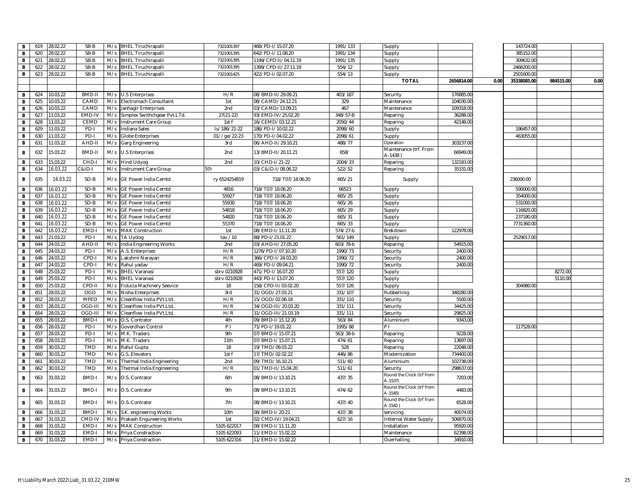| B            | 619 | 28.02.22 | SB-B          |     | M/s BHEL Tiruchirapalli       | 7321001397     | 468/PD-I/15.07.20    | 1991/133   | Supply                               |            |      | 143724.00   |           |      |
|--------------|-----|----------|---------------|-----|-------------------------------|----------------|----------------------|------------|--------------------------------------|------------|------|-------------|-----------|------|
| В            | 620 | 28.02.22 | SB-B          | M/s | <b>BHEL Tiruchirapalli</b>    | 7321001395     | 642/PD-I/11.08.20    | 1991/134   | Supply                               |            |      | 385152.0    |           |      |
| B            | 621 | 28.02.22 | SB-B          |     | M/s BHEL Tiruchirapalli       | 7321001395     | 1199/CPD-II/04.11.19 | 1991/135   | Supply                               |            |      | 309632.0    |           |      |
| В            | 622 | 28.02.22 | $SB-B$        |     | M/s BHEL Tiruchirapalli       | 7321001395     | 1399/CPD-II/27.11.19 | 554/12     | Supply                               |            |      | 2466200.00  |           |      |
| В            | 623 | 28.02.22 | SB-B          |     | M/s BHEL Tiruchirapalli       | 7321001425     | 422/PD-I/02.07.20    | 554/13     |                                      |            |      | 2501600.0   |           |      |
|              |     |          |               |     |                               |                |                      |            | Supply                               |            |      |             |           |      |
|              |     |          |               |     |                               |                |                      |            | <b>TOTAL</b>                         | 2656814.00 | 0.00 | 35338085.00 | 984515.00 | 0.00 |
|              |     |          |               |     |                               |                |                      |            |                                      |            |      |             |           |      |
| B            | 624 | 10.03.22 | BMD-II        |     | M/s U.S Enterprises           | H/R            | 08/BMD-II/29.09.21   | 403/187    | Security                             | 176885.00  |      |             |           |      |
| В            | 625 | 10.03.22 | CAMD          |     | M/s Electromach Consultaint   | 1st            | 08/CAMD/24.12.21     | 329        | Maintenance                          | 104030.00  |      |             |           |      |
| B            | 626 | 10.03.22 | CAMD          | M/s | Janhagir Enterprises          | 2nd            | 03/CAMD/13.09.21     | 467        | Maintenance                          | 109318.00  |      |             |           |      |
| B            | 627 | 11.03.22 | EMD-IV        | M/s | Simplex Swithchgear Pvt.LTd.  | $27(21-22)$    | 93/EMD-IV/25.02.20   | 348/57-B   | Reparing                             | 36288.00   |      |             |           |      |
| В            | 628 | 11.03.22 | CEMD          | M/s | Instrument Care Group         | 1st f          | 16/CEMD/03.12.21     | 2050/44    | Reparing                             | 42148.00   |      |             |           |      |
| B            | 629 | 11.03.22 | PD-           | M/s | Indiana Sales                 | ls/186/21-22   | 186/PD-I/10.02.22    | 2098/60    | Supply                               |            |      | 186457.00   |           |      |
| B            | 630 | 11.03.22 | PD-           | M/s | <b>Globe Enterprises</b>      | 01//ge/22-23   | 170/PD-I/04.02.22    | 2098/61    | Supply                               |            |      | 463055.0    |           |      |
| B            | 631 | 11.03.22 | AHD-II        | M/s | Garg Engineering              | 3rd            | 06/AHD-II/29.10.21   | 488/77     | Operation                            | 303237.00  |      |             |           |      |
| B            | 632 | 15.03.22 | <b>BMD-II</b> |     | M/s U.S Enterprises           | 2nd            | 13/BMD-II/20.11.21   | 658/       | Maintenance (trf. From<br>A-1438)    | 66949.00   |      |             |           |      |
| В            | 633 | 15.03.22 | CHD-I         |     | M/s Hind Udyog                | 2nd            | 10/CHD-I/21-22       | 2004/33    | Reparing                             | 132183.00  |      |             |           |      |
| В            | 634 | 16.03.22 | -GI&2         |     | M/s Instrument Care Group     | 5th            | 03/C&ID-I/08.06.22   | 522/52     | Reparing                             | 35331.00   |      |             |           |      |
|              |     |          |               |     |                               |                |                      |            |                                      |            |      |             |           |      |
| В            | 635 | 16.03.22 | $SD-B$        | M/s | <b>GE Power India Cemtd</b>   | ry 6524254819  | 718/T07/18.06.20     | 665/21     | Supply                               |            |      | 236000.00   |           |      |
| В            | 636 | 16.03.22 | $SD-B$        |     | M/s GE Power India Cemtd      | 4816           | 718/T07/18.06.20     | 66523      | Supply                               |            |      | 590000.0    |           |      |
| В            | 637 | 16.03.22 | SD-B          | M/s | GE Power India Cemtd          | 55927          | 718/T07/18.06.20     | 665/25     | Supply                               |            |      | 354000.00   |           |      |
| B            | 638 | 16.03.22 | SD-B          | M/s | <b>GE Power India Cemtd</b>   | 55930          | 718/T07/18.06.20     | 665/26     | Supply                               |            |      | 531000.0    |           |      |
| В            | 639 | 16.03.22 | SD-B          | M/s | GE Power India Cemtd          | 54818          | 718/T07/18.06.20     | 665/29     | Supply                               |            |      | 116820.0    |           |      |
| B            | 640 | 16.03.22 | SD-B          | M/s | GE Power India Cemtd          | 54820          | 718/T07/18.06.20     | 665/31     | Supply                               |            |      | 237180.0    |           |      |
| В            | 641 | 16.03.22 | SD-B          | M/s | GE Power India Cemtd          | 55370          | 718/T07/18.06.20     | 665/33     | Supply                               |            |      | 7731360.0   |           |      |
| B            | 642 | 16.03.22 | EMD-I         | M/s | <b>MAK Construction</b>       | 1st            | 08/EMD-I/11.11.20    | $574/27-b$ | Brekdown                             | 122978.00  |      |             |           |      |
| B            | 643 | 21.03.22 | PD-I          | M/s | TA Uydog                      | tav /10        | 88/PD-I/21.01.22     | 561/149    | Supply                               |            |      | 2529017.00  |           |      |
| B            | 644 | 24.03.22 | AHD-II        |     | M/s India Engineering Works   | 2nd            | 03/AHD-II/27.05.20   | 603/78-b   | Reparing                             | 54915.00   |      |             |           |      |
| В            | 645 | 24.03.22 | PD-I          |     | M/s A.S. Enterprises          | H/R            | 1276/PD-I/07.10.20   | 1990/73    | Security                             | 2400.00    |      |             |           |      |
| в            | 646 | 24.03.22 | CPD-          |     | M/s Lakshmi Narayan           | H/R            | 366/CPD-I/24.03.20   | 1990/72    | Security                             | 2400.00    |      |             |           |      |
| B            | 647 | 24.03.22 | CPD-I         |     | M/s Rahul yadav               | H/R            | 469/PD-I/09.04.21    | 1990/72    | Security                             | 2400.00    |      |             |           |      |
| B            | 648 | 25.03.22 | PD-I          |     | M/s BHEL Varanasi             | sbrv 0210928   | 471/PD-I/16.07.20    | 557/120    | Supply                               |            |      |             | 8272.00   |      |
| В            | 649 | 25.03.22 | PD-I          | M/s | <b>BHEL Varanasi</b>          | sbrv 0210928   | 443/PD-1/13.07.20    | 557/120    | Supply                               |            |      |             | 5110.00   |      |
| B            | 650 | 25.03.22 | CPD-I         | M/s | Fiducia Machinery Seevice     | 18             | 158/CPD-II/03.02.20  | 557/126    |                                      |            |      | 304980.00   |           |      |
|              | 651 | 28.03.22 | OGD           |     |                               | 3rd            | 31/OGD/27.03.21      | 331/107    | Supply                               | 348280.00  |      |             |           |      |
| B            |     |          |               | M/s | Nisha Enterprises             |                |                      |            | Rubberlinig                          |            |      |             |           |      |
| В            | 652 | 28.03.22 | <b>MPED</b>   | M/s | Cleanflow India PVt.Ltd       | H/R            | 15/OGD/02.06.18      | 331/110    | Security                             | 5500.00    |      |             |           |      |
| B            | 653 | 28.03.22 | OGD-II        | M/s | Cleanflow India PVt.Ltd.      | H/R            | 34/OGD-III/20.03.20  | 331/111    | Security                             | 34425.00   |      |             |           |      |
| B            | 654 | 28.03.22 | OGD-III       | M/s | Cleanflow India PVt.Ltd.      | H/R            | 31/OGD-III/21.03.19  | 331/111    | Security                             | 29825.00   |      |             |           |      |
| $\, {\bf B}$ | 655 | 28.03.22 | <b>BMD-I</b>  |     | M/s O.S. Contrator            | 4th            | 09/BMD-I/15.12.20    | 563/84     | Aluminium                            | 9343.00    |      |             |           |      |
| В            | 656 | 28.03.22 | PD-           | M/s | Goverdhan Control             | P <sub>1</sub> | 71/PD-I/19.01.22     | 1995/88    | PI                                   |            |      | 117528.00   |           |      |
| B            | 657 | 28.03.22 | PD-I          |     | M/s M.K. Traders              | 9th            | 07/BMD-I/15.07.21    | 563/38-b   | Reparing                             | 9228.00    |      |             |           |      |
| B            | 658 | 28.03.22 | PD-I          |     | M/s M.K. Traders              | 11th           | 07/BMD-I/15.07.21    | 474/61     | Reparing                             | 13697.00   |      |             |           |      |
| В            | 659 | 30.03.22 | TMD           |     | M/s Rahul Gupta               | 18             | 19/TMD/09.03.22      | 528        | Reparing                             | 22048.00   |      |             |           |      |
| B            | 660 | 30.03.22 | <b>TMD</b>    | M/s | G.S. Elevators                | 1st f          | 17/TMD/02.02.22      | 446/86     | Modernization                        | 734400.00  |      |             |           |      |
| B            | 661 | 30.03.22 | <b>TMD</b>    | M/s | Thermal India Engineering     | 2nd            | 09/TMD/16.10.21      | 511/60     | Aluminium                            | 102738.00  |      |             |           |      |
| В            | 662 | 30.03.22 | <b>TMD</b>    | M/s | Thermal India Engineering     | H/R            | 01/TMD-II/15.04.20   | 511/61     | Security                             | 298637.00  |      |             |           |      |
| B            | 663 | 31.03.22 | BMD-I         |     | M/s O.S. Contrator            | 6th            | 08/BMD-I/13.10.21    | 437/35     | Round the Clock (trf from<br>A-1537) | 7203.00    |      |             |           |      |
| B            | 664 | 31.03.22 | BMD-I         |     | M/s O.S. Contrator            | 9th            | 08/BMD-I/13.10.21    | 474/62     | Round the Clock (trf from<br>A-1545) | 4483.00    |      |             |           |      |
| B            | 665 | 31.03.22 | BMD-I         |     | M/s O.S. Contrator            | 7th            | 08/BMD-I/13.10.21    | 437/40     | Round the Clock (trf from<br>A-1542) | 6528.00    |      |             |           |      |
| В            | 666 | 31.03.22 | BMD-I         |     | M/s S.K. engineering Works    | 10th           | 08/BMD-1/20-21       | 437/38     | servicing                            | 40074.00   |      |             |           |      |
| B            | 667 | 31.03.22 | CMD-IV        |     | M/s Prakash Enguneering Works | 1st            | 02/CMD-IV/19.04.21   | 627/16     | Intternal Water Supply               | 506870.00  |      |             |           |      |
| в            | 668 | 31.03.22 | EMD-I         |     | M/s MAK Construction          | 5105 622017    | 08/EMD-I/11.11.20    |            | Installation                         | 95920.00   |      |             |           |      |
| B            | 669 | 31.03.22 | EMD-I         |     | M/s Priya Constraction        | 5105 622093    | 11/EMD-I/15.02.22    |            | Maintenance                          | 62398.00   |      |             |           |      |
| В            | 670 | 31.03.22 | EMD-I         |     | M/s Priya Constraction        | 5105 622316    | 11/EMD-I/15.02.22    |            | Ouerhalling                          | 34910.00   |      |             |           |      |
|              |     |          |               |     |                               |                |                      |            |                                      |            |      |             |           |      |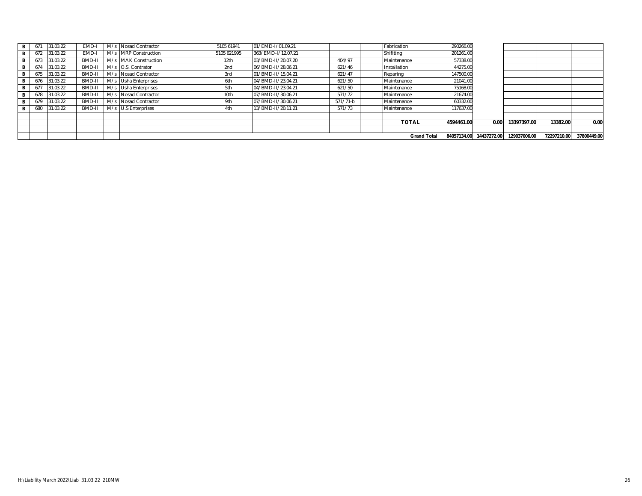| в | 671 | 31.03.22 | EMD-   |     | M/s Nosad Contractor | 5105 61941  | 01/EMD-I/01.09.21  |          | Fabrication         | 290266.00   |             |              |             |             |
|---|-----|----------|--------|-----|----------------------|-------------|--------------------|----------|---------------------|-------------|-------------|--------------|-------------|-------------|
| в |     | 31.03.22 | EMD-I  |     | M/s MRP Construction | 5105 621995 | 363/EMD-I/12.07.21 |          | Shifiting           | 201261.00   |             |              |             |             |
| в | 673 | 31.03.22 | BMD-I  |     | M/s MAK Construction | 12th        | 03/BMD-II/20.07.20 | 404/97   | Maintenance         | 57338.00    |             |              |             |             |
| В |     | 31.03.22 | BMD-I  |     | M/s O.S. Contrator   | 2nd         | 06/BMD-II/28.06.21 | 621/46   | Installation        | 44275.00    |             |              |             |             |
| в |     | 31.03.22 | BMD-I  |     | M/s Nosad Contractor | 3rd         | 01/BMD-II/15.04.21 | 621/47   | Reparing            | 147500.00   |             |              |             |             |
| в |     | 31.03.22 | BMD-I  |     | M/s Usha Enterprises | 6th         | 04/BMD-II/23.04.21 | 621/50   | Maintenance         | 21041.00    |             |              |             |             |
| В |     | 31.03.22 | BMD-I  |     | M/s Usha Enterprises | 5th         | 04/BMD-II/23.04.21 | 621/50   | Maintenance         | 75168.00    |             |              |             |             |
| в | 678 | 31.03.22 | BMD-I  |     | M/s Nosad Contractor | 10th        | 07/BMD-II/30.06.21 | 571/72   | Maintenance         | 21674.00    |             |              |             |             |
| в | 679 | 31.03.22 | BMD-I  | M/s | Nosad Contractor     | 9th         | 07/BMD-II/30.06.21 | 571/71-b | <b>IMaintenance</b> | 60332.00    |             |              |             |             |
| B | 680 | 31.03.22 | BMD-II |     | M/s U.S Enterprises  | 4th         | 13/BMD-II/20.11.21 | 571/73   | Maintenance         | 117637.00   |             |              |             |             |
|   |     |          |        |     |                      |             |                    |          |                     |             |             |              |             |             |
|   |     |          |        |     |                      |             |                    |          | <b>TOTAL</b>        | 4594461.00  | 0.00        | 13397397.00  | 13382.00    | 0.00        |
|   |     |          |        |     |                      |             |                    |          |                     |             |             |              |             |             |
|   |     |          |        |     |                      |             |                    |          | <b>Grand Total</b>  | 84057134.00 | 14437272.00 | 129037006.00 | 72297210.00 | 37800449.00 |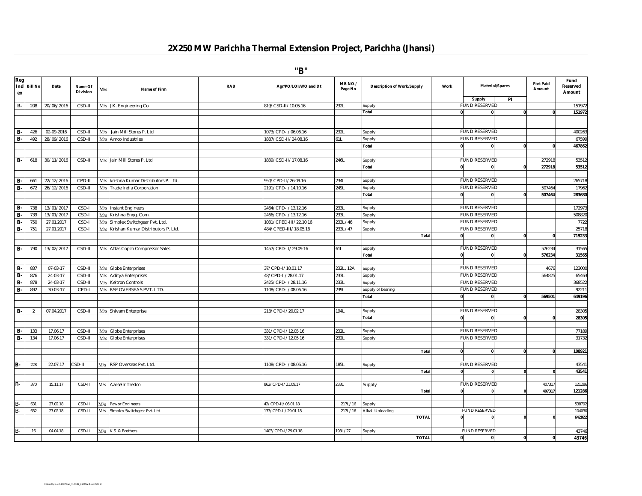## **2X250 MW Parichha Thermal Extension Project, Parichha (Jhansi)**

**"B"**

| Reg<br>ex | Ind Bill No    | Date       | Name Of<br><b>Division</b> | M/s | Name of Firm                                            | RAB | Agr/PO/LOI/WO and Dt   | MB NO./<br>Page No | <b>Description of Work/Supply</b> | Work         |                                | <b>Material/Spares</b><br>PI | <b>Part Paid</b><br>Amount | Fund<br>Reserved<br>Amount |
|-----------|----------------|------------|----------------------------|-----|---------------------------------------------------------|-----|------------------------|--------------------|-----------------------------------|--------------|--------------------------------|------------------------------|----------------------------|----------------------------|
| $B-$      | 208            | 20/06/2016 | CSD-II                     |     | M/s J.K. Engineering Co                                 |     | 819/CSD-II/10.05.16    | 232L               | Supply                            |              | Supply<br><b>FUND RESERVED</b> |                              |                            | 151972                     |
|           |                |            |                            |     |                                                         |     |                        |                    | Total                             | $\mathbf{0}$ | $\mathbf{0}$                   |                              |                            | 151972                     |
|           |                |            |                            |     |                                                         |     |                        |                    |                                   |              |                                |                              |                            |                            |
|           |                |            |                            |     |                                                         |     |                        |                    |                                   |              |                                |                              |                            |                            |
| <b>B-</b> | 426            | 02-09-2016 | CSD-II                     |     | M/s Jain Mill Stores P. Ltd                             |     | 1073/CPD-I/06.06.16    | 232L               | Supply                            |              | <b>FUND RESERVED</b>           |                              |                            | 400263                     |
| <b>B-</b> | 492            | 28/09/2016 | CSD-II                     |     | M/s Amco Industries                                     |     | 1887/CSD-II/24.08.16   | 51L                | Supply                            |              | <b>FUND RESERVED</b>           |                              |                            | 67599                      |
|           |                |            |                            |     |                                                         |     |                        |                    | Total                             | $\mathbf{0}$ | $\mathbf{0}$                   |                              |                            | 467862                     |
|           |                |            |                            |     |                                                         |     |                        |                    |                                   |              |                                |                              |                            |                            |
| <b>B-</b> | 618            | 30/11/2016 | CSD-II                     |     | M/s Jain Mill Stores P. Ltd                             |     | 1839/CSD-II/17.08.16   | 246L               | Supply                            |              | <b>FUND RESERVED</b>           |                              | 272918                     | 53512                      |
|           |                |            |                            |     |                                                         |     |                        |                    | Total                             | $\mathbf{0}$ | $\mathbf{0}$                   |                              | 272918                     | 53512                      |
|           |                |            |                            |     |                                                         |     |                        |                    |                                   |              |                                |                              |                            |                            |
| <b>B-</b> | 661            | 22/12/2016 | CPD-II                     |     | M/s krishna Kumar Distributors P. Ltd.                  |     | 950/CPD-II/26.09.16    | 234L               | Supply                            |              | <b>FUND RESERVED</b>           |                              |                            | 265718                     |
| <b>B-</b> | 672            | 26/12/2016 | CSD-II                     |     | M/s Trade India Corporation                             |     | 2191/CPD-I/14.10.16    | 249L               | Supply                            |              | <b>FUND RESERVED</b>           |                              | 50746                      | 17962                      |
|           |                |            |                            |     |                                                         |     |                        |                    | Total                             | 0            |                                |                              | 507464                     | 283680                     |
|           |                |            |                            |     |                                                         |     |                        |                    |                                   |              |                                |                              |                            |                            |
| <b>B-</b> | 738            | 13/01/2017 | CSD-I                      |     | M/s Instant Engineers                                   |     | 2464/CPD-I/13.12.16    | 233L               | Supply                            |              | <b>FUND RESERVED</b>           |                              |                            | 172973                     |
| <b>B-</b> | 739            | 13/01/2017 | CSD-I                      |     | M/s Krishna Engg. Com.                                  |     | 2466/CPD-I/13.12.16    | 233L               | Supply                            |              | <b>FUND RESERVED</b>           |                              |                            | 508820                     |
| B-        | 750            | 27.01.2017 | CSD-I                      | M/s | Simplex Switchgear Pvt. Ltd.                            |     | 1031/CPED-III/22.10.16 | 233L/46            | Supply                            |              | <b>FUND RESERVED</b>           |                              |                            | 7722                       |
| <b>B-</b> | 751            | 27.01.2017 | CSD-I                      | M/s | Krishan Kumar Distributors P. Ltd.                      |     | 484/CPED-III/18.05.16  | 233L/47            | Supply                            |              | <b>FUND RESERVED</b>           |                              |                            | 25718                      |
|           |                |            |                            |     |                                                         |     |                        |                    | Total                             | $\mathbf{0}$ | $\mathbf{0}$                   | $\Omega$                     | $\mathbf{0}$               | 715233                     |
|           |                |            |                            |     |                                                         |     |                        |                    |                                   |              |                                |                              |                            |                            |
| в.        | 790            | 13/02/2011 | CSD-II                     |     | M/s Atlas Copco Compressor Sales                        |     | 1457/CPD-II/29.09.16   | 61L                | Supply                            |              | <b>FUND RESERVED</b>           |                              | 576234                     | 31565                      |
|           |                |            |                            |     |                                                         |     |                        |                    | Total                             | $\mathbf{0}$ | $\mathbf{0}$                   |                              | 576234                     | 31565                      |
|           |                |            |                            |     |                                                         |     |                        |                    |                                   |              |                                |                              |                            |                            |
| <b>B-</b> | 837            | 07-03-17   | CSD-II                     |     | M/s Globe Enterprises                                   |     | 37/CPD-I/10.01.17      | 232L, 12A          | Supply                            |              | <b>FUND RESERVED</b>           |                              | 4676                       | 123000                     |
| В.        | 876            | 24-03-17   | CSD-II                     | M/s | <b>Aditya Enterprises</b>                               |     | 48/CPD-II/28.01.17     | 233L               | Supply                            |              | <b>FUND RESERVED</b>           |                              | 564825                     | 65463                      |
| <b>B-</b> | 878            | 24-03-17   | CSD-II                     | M/s | <b>Keltron Controls</b>                                 |     | 2425/CPD-1/28.11.16    | 233L               | Supply                            |              | <b>FUND RESERVED</b>           |                              |                            | 368522                     |
| <b>B-</b> | 892            | 30-03-17   | CPD-I                      |     | M/s RSP OVERSEAS PVT. LTD.                              |     | 1108/CPD-I/08.06.16    | 239L               | Supply of bearing                 |              | <b>FUND RESERVED</b>           |                              |                            | 92211                      |
|           |                |            |                            |     |                                                         |     |                        |                    | Total                             | 0            | $\mathbf{0}$                   |                              | 569501                     | 649196                     |
|           |                |            |                            |     |                                                         |     |                        |                    |                                   |              |                                |                              |                            |                            |
| <b>B-</b> | $\overline{2}$ | 07.04.2017 | CSD-II                     |     | M/s Shivam Enterprise                                   |     | 213/CPD-I/20.02.17     | 194L               | Supply                            |              | <b>FUND RESERVED</b>           |                              |                            | 28305                      |
|           |                |            |                            |     |                                                         |     |                        |                    | Total                             | 0            | $\mathbf{0}$                   |                              |                            | 28305                      |
|           |                |            |                            |     |                                                         |     |                        |                    |                                   |              |                                |                              |                            |                            |
| <b>B-</b> | 133            | 17.06.17   | CSD-II                     |     | M/s Globe Enterprises                                   |     | 331/CPD-I/12.05.16     | 232L               | Supply                            |              | <b>FUND RESERVED</b>           |                              |                            | 77189                      |
| <b>B-</b> | 134            | 17.06.17   | CSD-II                     |     | M/s Globe Enterprises                                   |     | 331/CPD-I/12.05.16     | 232L               | Supply                            |              | <b>FUND RESERVED</b>           |                              |                            | 31732                      |
|           |                |            |                            |     |                                                         |     |                        |                    |                                   |              |                                |                              |                            |                            |
|           |                |            |                            |     |                                                         |     |                        |                    | Total                             | $\mathbf{0}$ |                                |                              |                            | 108921                     |
|           |                |            |                            |     |                                                         |     |                        |                    |                                   |              |                                |                              |                            |                            |
| в.        | 228            | 22.07.17   | CSD-II                     | M/s | RSP Overseas Pvt. Ltd.                                  |     | 1108/CPD-I/08.06.16    | 185L               | Supply                            |              | <b>FUND RESERVED</b>           |                              |                            | 43541                      |
|           |                |            |                            |     |                                                         |     |                        |                    | Total                             |              |                                |                              |                            | 43541                      |
|           |                |            |                            |     |                                                         |     |                        |                    |                                   |              |                                |                              |                            |                            |
| B-        | 370            | 15.11.17   | CSD-II                     |     | M/s Aarsellr Tredco                                     |     | 862/CPD-I/21.09.17     | 233L               | Supply                            |              | <b>FUND RESERVED</b>           |                              | 40731                      | 121286                     |
|           |                |            |                            |     |                                                         |     |                        |                    | Total                             |              |                                |                              | 407317                     | 121286                     |
| B-        | 631            | 27.02.18   | CSD-II                     |     |                                                         |     | 42/CPD-II/06.01.18     | 217L/16            |                                   |              |                                |                              |                            | 538792                     |
| $B -$     | 632            | 27.02.18   | CSD-II                     |     | M/s Pawor Engineers<br>M/s Simplex Switchgear Pvt. Ltd. |     | 133/CPD-II/29.01.18    | 217L/16            | Supply<br>Alkal Unloading         |              | <b>FUND RESERVED</b>           |                              |                            | 104030                     |
|           |                |            |                            |     |                                                         |     |                        |                    | <b>TOTAL</b>                      |              |                                |                              |                            | 642822                     |
|           |                |            |                            |     |                                                         |     |                        |                    |                                   |              |                                |                              |                            |                            |
| B-        | 16             | 04.04.18   | CSD-II                     |     | M/s K.S. & Brothers                                     |     | 1403/CPD-I/29.01.18    | 98L/27             | Supply                            |              | <b>FUND RESERVED</b>           |                              |                            | 43746                      |
|           |                |            |                            |     |                                                         |     |                        |                    | <b>TOTAL</b>                      | $\mathbf{0}$ | $\bf{0}$                       |                              |                            | 43746                      |
|           |                |            |                            |     |                                                         |     |                        |                    |                                   |              |                                |                              |                            |                            |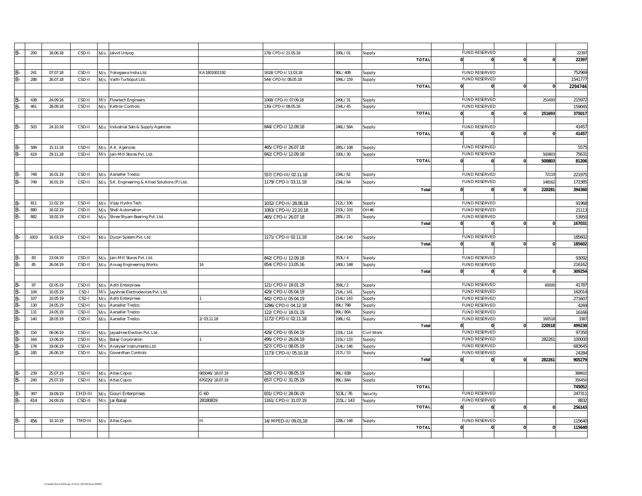|           |      | 18.06.18 | CSD-II  |     |                                                  |                 | 178/CPD-1/21.05.18   | 30L/01   |              | <b>FUND RESERVED</b> |                          |          | 2239    |
|-----------|------|----------|---------|-----|--------------------------------------------------|-----------------|----------------------|----------|--------------|----------------------|--------------------------|----------|---------|
| B-        | 200  |          |         |     | M/s Jalvid Udyog                                 |                 |                      |          | Supply       |                      |                          |          |         |
|           |      |          |         |     |                                                  |                 |                      |          | <b>TOTAL</b> | $\mathbf{0}$         |                          |          | 22397   |
|           |      |          |         |     |                                                  |                 |                      |          |              |                      |                          |          |         |
| B-        | 241  | 07.07.18 | CSD-II  | M/s | Yokogawa India Ltd.                              | KA1801001192    | 1618/CPD-I/13.03.18  | 90L/40B  | Supply       | FUND RESERVED        |                          |          | 752969  |
| B-        | 288  | 26.07.18 | CSD-II  |     | M/s Vaith Turboput Ltd.                          |                 | 544/CPD-II/08.05.18  | 194L/159 | iupply       | <b>FUND RESERVED</b> |                          |          | 1541777 |
|           |      |          |         |     |                                                  |                 |                      |          | <b>TOTAI</b> |                      |                          |          | 2294746 |
|           |      |          |         |     |                                                  |                 |                      |          |              |                      |                          |          |         |
|           |      |          |         |     |                                                  |                 |                      |          |              |                      |                          |          |         |
|           | 438  | 24.09.18 | CSD-II  | M/s | <b>Flowtech Engineers</b>                        |                 | 1068/CPD-II/07.09.18 | 249L/31  | Supply       | <b>FUND RESERVED</b> |                          | 251693   | 215972  |
| <b>B-</b> | 461  | 28.09.18 | CSD-II  |     | M/s Keltron Controls                             |                 | 130/CPD-I/08.05.16   | 234L/45  | Supply       | <b>FUND RESERVED</b> |                          |          | 159045  |
|           |      |          |         |     |                                                  |                 |                      |          | <b>TOTAL</b> | $\mathbf{0}$         | $\mathbf{0}$             | 251693   | 375017  |
|           |      |          |         |     |                                                  |                 |                      |          |              |                      |                          |          |         |
| B-        | 503  | 24.10.18 | CSD-II  |     | M/s Industrial Sals & Supply Agencies            |                 | 844/CPD-I/12.09.18   | 246L/56A |              | <b>FUND RESERVED</b> |                          |          | 41457   |
|           |      |          |         |     |                                                  |                 |                      |          | Supply       |                      |                          |          |         |
|           |      |          |         |     |                                                  |                 |                      |          | <b>TOTAI</b> | $\mathbf{0}$         |                          |          | 41457   |
|           |      |          |         |     |                                                  |                 |                      |          |              |                      |                          |          |         |
|           | 589  | 15.11.18 | CSD-II  |     | M/s A.K. Agencies                                |                 | 465/CPD-I/26.07.18   | 285L/10B | Supply       | <b>FUND RESERVED</b> |                          |          | 5575    |
| B-        | 619  | 29.11.18 | CSD-II  |     | M/s Jain Mill Stores Pvt. Ltd.                   |                 | 842/CPD-I/12.09.18   | 330L/30  | iupply       | <b>FUND RESERVED</b> |                          | 50080    | 75631   |
|           |      |          |         |     |                                                  |                 |                      |          | <b>TOTAL</b> | $\mathbf{0}$         |                          | 500803   | 81206   |
|           |      |          |         |     |                                                  |                 |                      |          |              |                      |                          |          |         |
|           |      |          |         |     |                                                  |                 |                      |          |              |                      |                          |          |         |
|           | 748  | 16.01.19 | CSD-II  |     | M/s Aarseller Tredco                             |                 | 557/CPD-III/02.11.18 | 234L/62  | Supply       | <b>FUND RESERVED</b> |                          | 7211     | 221975  |
| B-        | 749  | 16.01.19 | CSD-II  |     | M/s S.K. Engineering & Allied Solutions (P) Ltd. |                 | 1179/CPD-I/03.11.18  | 234L/64  | Supply       | <b>FUND RESERVED</b> |                          | 148162   | 172385  |
|           |      |          |         |     |                                                  |                 |                      |          | Total        |                      |                          | 220281   | 394360  |
|           |      |          |         |     |                                                  |                 |                      |          |              |                      |                          |          |         |
|           | 811  | 11.02.19 | CSD-II  |     |                                                  |                 | 1032/CPD-II/28.08.18 | 212L/106 |              | <b>FUND RESERVED</b> |                          |          | 91968   |
| B-        |      |          |         |     | M/s Vijay Hydro Tech                             |                 |                      |          | Supply       |                      |                          |          |         |
| B-        | 880  | 16.02.19 | CSD-II  | M/s | Shell Automation                                 |                 | 1083/CPD-II/22.10.18 | 233L/103 | 0#HC         | <b>FUND RESERVED</b> |                          |          | 21113   |
| B-        | 882  | 18.02.19 | CSD-II  |     | M/s Shree Shyam Bearing Pvt. Ltd.                |                 | 465/CPD-I/26.07.18   | 285L/21  | Supply       | <b>FUND RESERVED</b> |                          |          | 53950   |
|           |      |          |         |     |                                                  |                 |                      |          | Total        |                      |                          |          | 167031  |
|           |      |          |         |     |                                                  |                 |                      |          |              |                      |                          |          |         |
| B-        | 1003 | 16.03.19 | CSD-II  |     | M/s Dycon System Pvt. Ltd.                       |                 | 1171/CPD-I/02.11.18  | 214L/140 | Supply       | <b>FUND RESERVED</b> |                          |          | 185602  |
|           |      |          |         |     |                                                  |                 |                      |          | <b>Total</b> | $\mathbf{0}$         | $\mathbf{0}$<br>C        |          | 185602  |
|           |      |          |         |     |                                                  |                 |                      |          |              |                      |                          |          |         |
|           |      |          |         |     |                                                  |                 |                      |          |              |                      |                          |          |         |
| B-        | 83   | 23.04.19 | CSD-II  |     | M/s Jain Mill Stores Pvt. Ltd.                   |                 | 842/CPD-I/12.09.18   | 353L/4   | Supply       | <b>FUND RESERVED</b> |                          |          | 93092   |
| B-        | 85   | 26.04.19 | CSD-II  |     | M/s Anuag Engineering Works                      | 14              | 854/CPD-I/13.05.16   | 240L/14B | Supply       | <b>FUND RESERVED</b> |                          |          | 216162  |
|           |      |          |         |     |                                                  |                 |                      |          | Total        | $\mathbf{0}$         | $\mathbf{0}$             |          | 309254  |
|           |      |          |         |     |                                                  |                 |                      |          |              |                      |                          |          |         |
|           |      |          |         |     |                                                  |                 |                      |          |              | <b>FUND RESERVED</b> |                          |          |         |
| B-        | 97   | 02.05.19 | CSD-II  | M/s | <b>Aditi Enterprises</b>                         |                 | 121/CPD-I/18.01.19   | 358L/2   | Supply       |                      |                          | 60000    | 41787   |
| B-        | 104  | 10.05.19 | CSD-I   | M/s | Jayshree Electrodevices Pvt. Ltd.                |                 | 429/CPD-I/05.04.19   | 214L/141 | Supply       | <b>FUND RESERVED</b> |                          |          | 162014  |
| B-        | 107  | 10.05.19 | CSD-I   | M/s | <b>Aditi Enterprises</b>                         |                 | 442/CPD-I/05.04.19   | 214L/143 | upply        | <b>FUND RESERVED</b> |                          |          | 271607  |
| B-        | 130  | 24.05.19 | CSD-II  | M/s | Aarseller Tredco                                 |                 | 1286/CPD-I/04.12.18  | 89L/79B  | iupply       | <b>FUND RESERVED</b> |                          |          | 4269    |
| B-        | 131  | 24.05.19 | CSD-II  | M/s | Aarseller Tredco                                 |                 | 122/CPD-I/18.01.19   | 89L/80A  | iupply       | <b>FUND RESERVED</b> |                          |          | 16166   |
| <b>B-</b> | 140  | 28.05.19 | CSD-II  | M/s | Aarseller Tredco                                 | 2/03.11.18      | 1172/CPD-I/02.11.18  | 198L/61  | Supply       | <b>FUND RESERVED</b> |                          | 16051    | 3387    |
|           |      |          |         |     |                                                  |                 |                      |          |              |                      |                          | 220518   | 499230  |
|           |      |          |         |     |                                                  |                 |                      |          | <b>Total</b> | $\mathbf{0}$         | 0                        |          |         |
| B-        | 150  | 06.06.19 | CSD-II  | M/s | Jayashree Election Pvt. Ltd.                     |                 | 428/CPD-I/05.04.19   | 233L/114 | Civil Work   | <b>FUND RESERVED</b> |                          |          | 97350   |
| B-        | 164  | 13.06.19 | CSD-II  | M/s | Balaji Corporation                               |                 | 496/CPD-I/26.04.19   | 215L/133 | Supply       | <b>FUND RESERVED</b> |                          | 28226    | 100000  |
| B-        | 176  | 19.06.19 | CSD-II  | M/s | Analyser Instruments Ltd.                        |                 | 527/CPD-I/08.05.19   | 214L/146 | iupply       | <b>FUND RESERVED</b> |                          |          | 683645  |
| B-        | 185  | 26.06.19 | CSD-II  | M/s | Goverdhan Controls                               |                 | 1173/CPD-II/05.10.18 | 217L/53  | iupply       | <b>FUND RESERVED</b> |                          |          | 24284   |
|           |      |          |         |     |                                                  |                 |                      |          | Total        | $\mathbf{0}$         | $\Omega$<br>$\mathbf{0}$ | 282261   | 905279  |
|           |      |          |         |     |                                                  |                 |                      |          |              |                      |                          |          |         |
|           |      |          |         |     |                                                  |                 |                      |          |              |                      |                          |          |         |
|           | 239  | 25.07.19 | CSD-II  | M/s | Atlas Copco                                      | 665046/18.07.19 | 528/CPD-I/08.05.19   | 89L/83B  | Supply       |                      |                          |          | 388602  |
| R.        | 240  | 25.07.19 | CSD-II  | M/s | Atlas Copco                                      | 670220/18.07.19 | 657/CPD-I/31.05.19   | 39L/84A  | iupply       |                      |                          |          | 356450  |
|           |      |          |         |     |                                                  |                 |                      |          | <b>TOTAL</b> |                      |                          |          | 745052  |
|           | 397  | 19.09.19 | CHD-III | M/s | Gouri Enterprises                                | $-60$           | 831/CPD-I/28.06.19   | 513L/76  | Security     | <b>FUND RESERVED</b> |                          |          | 247311  |
| B-        | 414  | 24.09.19 | CSD-II  | M/s | Jai Balaji                                       | 28180819        | 1161/CPD-I/31.07.19  | 215L/143 | upply        | <b>FUND RESERVED</b> |                          |          | 8832    |
|           |      |          |         |     |                                                  |                 |                      |          | <b>TOTAL</b> |                      |                          |          | 256143  |
|           |      |          |         |     |                                                  |                 |                      |          |              |                      |                          |          |         |
|           |      |          |         |     |                                                  |                 |                      |          |              |                      |                          |          |         |
| В-        | 456  | 10.10.19 | TMD-III |     | M/s Atlas Copco                                  | Ш               | 14/MPED-II/09.01.18  | 228L/148 | Supply       | <b>FUND RESERVED</b> |                          |          | 115640  |
|           |      |          |         |     |                                                  |                 |                      |          | <b>TOTAL</b> | 0                    | $\mathbf{0}$             | $\Omega$ | 115640  |
|           |      |          |         |     |                                                  |                 |                      |          |              |                      |                          |          |         |
|           |      |          |         |     |                                                  |                 |                      |          |              |                      |                          |          |         |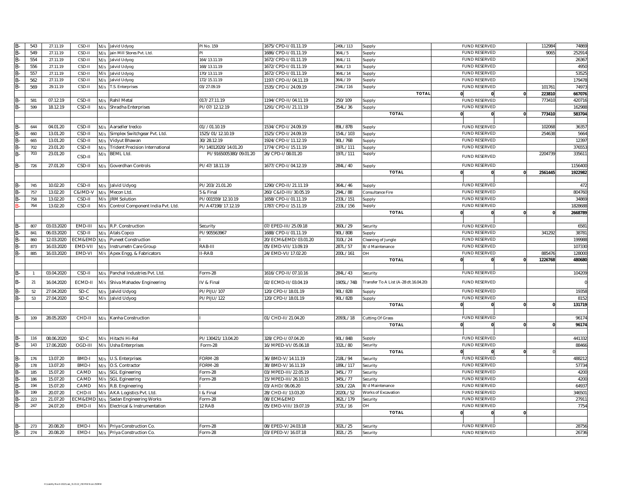| B-                      | 543 | 27.11.19   | CSD-II       | M/s | Jalvid Udyog                        | PI No. 159             | 1675/CPD-I/01.11.19   | 249L/113  | Supply                                | <b>FUND RESERVED</b>                         | 112984            | 74869            |
|-------------------------|-----|------------|--------------|-----|-------------------------------------|------------------------|-----------------------|-----------|---------------------------------------|----------------------------------------------|-------------------|------------------|
| B-                      | 549 | 27.11.19   | CSD-II       | M/s | jain Mill Stores Pvt. Ltd.          |                        | 1686/CPD-I/01.11.19   | 364L/5    | Supply                                | <b>FUND RESERVED</b>                         | 9065              | 252914           |
| $B -$                   | 554 | 27.11.19   | CSD-II       | M/s | Jalvid Udyog                        | 164/13.11.19           | 1672/CPD-I/01.11.19   | 364L/11   | <b>Supply</b>                         | <b>FUND RESERVED</b>                         |                   | 26367            |
| $\overline{\mathsf{R}}$ | 556 | 27.11.19   | CSD-II       | M/s | Jalvid Udyog                        | 168/13.11.19           | 1672/CPD-I/01.11.19   | 364L/13   | supply                                | <b>FUND RESERVED</b>                         |                   | 4950             |
| $B -$                   | 557 | 27.11.19   | CSD-II       | M/s | Jalvid Udyog                        | 170/13.11.19           | 1672/CPD-I/01.11.19   | 364L/14   | <b>Supply</b>                         | <b>FUND RESERVED</b>                         |                   | 53525            |
| B-                      | 562 | 27.11.19   | CSD-II       | M/s | Jalvid Udyog                        | 172/15.11.19           | 1197/CPD-II/04.11.19  | 364L/19   | Supply                                | <b>FUND RESERVED</b>                         |                   | 179478           |
| B-                      | 569 | 29.11.19   | CSD-II       |     | M/s T.S. Enterprises                | 03/27.09.19            | 1535/CPD-I/24.09.19   | 34L/116   | Supply                                | <b>FUND RESERVED</b>                         | 101761            | 74973            |
|                         |     |            |              |     |                                     |                        |                       |           | <b>TOTAL</b>                          |                                              | 223810            | 667076           |
| B-                      | 581 | 07.12.19   | CSD-II       | M/s | Rahil Metal                         | 017/27.11.19           | 1194/CPD-II/04.11.19  | 250/109   | Supply                                | <b>FUND RESERVED</b>                         | 773410            | 420716           |
| $B -$                   | 599 | 18.12.19   | CSD-II       |     | M/s Shradha Enterprises             | PI/07/12.12.19         | 1291/CPD-II/21.11.19  | 354L/36   | Supply                                | <b>FUND RESERVED</b>                         |                   | 162988           |
|                         |     |            |              |     |                                     |                        |                       |           | <b>TOTAL</b>                          | $\mathbf{0}$<br>0                            | 773410            | 583704           |
|                         |     |            |              |     |                                     |                        |                       |           |                                       |                                              |                   |                  |
| B-                      | 644 | 04.01.20   | CSD-II       |     | M/s Aarseller tredco                | 01//01.10.19           | 1534/CPD-I/24.09.19   | 39L/87B   | Supply                                | <b>FUND RESERVED</b>                         | 102068            | 36357            |
| B.                      | 660 | 13.01.20   | CSD-II       |     | M/s Simplex Switchgear Pvt. Ltd.    | 1525/01/12.10.19       | 1525/CPD-I/24.09.19   | 154L/103  | <b>Supply</b>                         | <b>FUND RESERVED</b>                         | 254638            | 5664             |
| B-                      | 665 | 13.01.20   | CSD-II       |     | M/s Vidyut Bhawan                   | 30/28.12.19            | 1924/CPD-I/11.12.19   | 90L/76B   | Supply                                | <b>FUND RESERVED</b>                         |                   | 12397            |
| B-                      | 702 | 23.01.20   | CSD-II       |     | M/s Trident Precision International | PI/14012020/14.01.20   | 1774/CPD-I/15.11.19   | 197L/111  | Supply                                | <b>FUND RESERVED</b>                         |                   | 376553           |
| B-                      | 703 | 23.01.20   | CSD-II       |     | M/s BEML Ltd.                       | PI/9165005380/09.01.20 | 26/CPD-I/08.01.20     | 197L/111  | Supply                                | <b>FUND RESERVED</b>                         | 2204739           | 335611           |
|                         |     |            |              |     |                                     |                        |                       |           |                                       |                                              |                   |                  |
| B-                      | 726 | 27.01.20   | CSD-II       |     | M/s Goverdhan Controls              | PI/47/18.11.19         | 1677/CPD-I/04.12.19   | 284L/40   | Supply                                | <b>FUND RESERVED</b>                         |                   | 1156400          |
|                         |     |            |              |     |                                     |                        |                       |           | <b>TOTAL</b>                          | 0                                            | 2561445           | 1922982          |
|                         |     |            |              |     |                                     |                        |                       |           |                                       |                                              |                   |                  |
| B-                      | 745 | 10.02.20   | CSD-II       |     | M/s Jalvid Udyog                    | PI/203/21.01.20        | 1290/CPD-II/21.11.19  | 364L/46   | Supply                                | <b>FUND RESERVED</b>                         |                   | 472              |
|                         | 757 | 13.02.20   | C&IMD-V      |     | M/s Mecon Ltd                       | & Final                | 260/C&ID-III/30.05.19 | 294L/88   | Consultance Fire                      | <b>FUND RESERVED</b>                         |                   | 804760           |
|                         | 758 | 13.02.20   | CSD-II       | M/s | <b>JRM Solution</b>                 | PI/001559/12.10.19     | 1658/CPD-I/01.11.19   | 233L/151  | Supply                                | <b>FUND RESERVED</b>                         |                   | 34869            |
|                         | 764 | 13.02.20   | CSD-II       | M/s | Control Component India Pvt. Ltd.   | PI/A47198/17.12.19     | 1787/CPD-I/15.11.19   | 233L/156  | Supply                                | <b>FUND RESERVED</b>                         |                   | 1828688          |
|                         |     |            |              |     |                                     |                        |                       |           | <b>TOTAL</b>                          |                                              |                   | 2668789          |
|                         |     |            |              |     |                                     |                        |                       |           |                                       |                                              |                   |                  |
| B.                      | 807 | 03.03.2020 | EMD-III      |     | M/s R.P. Construction               | Security               | 07/EPED-III/25.09.18  | 360L/29   | Security                              | <b>FUND RESERVED</b>                         |                   | 6581             |
| B-                      | 841 | 06.03.2020 | CSD-II       |     | M/s Atals Copco                     | PI/905563967           | 1688/CPD-I/01.11.19   | 90L/80B   | Supply                                | <b>FUND RESERVED</b>                         | 341292            | 38781            |
| B.                      | 860 | 12.03.2020 |              |     | ECM&EMD M/s Puneet Construction     |                        | 20/ECM&EMD/03.01.20   | 310L/24   | Cleaning of Jungle                    | <b>FUND RESERVED</b>                         |                   | 199988           |
| B.                      | 873 | 16.03.2020 | EMD-VII      | M/s | Instrumetn Care Group               | RAB-III                | 05/EMD-VII/13.09.19   | 287L/57   | B/d Maintenance                       | <b>FUND RESERVED</b><br><b>FUND RESERVED</b> |                   | 107330           |
| B-                      | 885 | 16.03.2020 | EMD-VI       |     | M/s Apex Engg. & Fabricators        | I-RAB                  | 24/EMD-VI/17.02.20    | 200L/161  | HC<br><b>TOTAL</b>                    |                                              | 885476<br>1226768 | 128000<br>480680 |
|                         |     |            |              |     |                                     |                        |                       |           |                                       |                                              |                   |                  |
| B-                      |     | 03.04.2020 | CSD-II       | M/s | Panchal Industries Pvt. Ltd.        | orm-28                 | 1616/CPD-II/07.10.16  | 284L/43   | Security                              | <b>FUND RESERVED</b>                         |                   | 104209           |
|                         |     |            |              |     |                                     |                        |                       |           |                                       |                                              |                   |                  |
| B-                      | 21  | 16.04.2020 | ECMD-II      |     | M/s Shiva Mahadev Engineering       | V & Final              | 02/ECMD-II/03.04.19   | 1905L/74B | Transfer To A List (A-28 dt.16.04.20) | <b>FUND RESERVED</b>                         |                   |                  |
| B-                      | 52  | 27.04.2020 | SD-C         |     | M/s Jalvid Udyog                    | PI/PIJU/107            | 120/CPD-I/18.01.19    | 90L/82B   | Supply                                | <b>FUND RESERVED</b>                         |                   | 19358            |
| $B -$                   | 53  | 27.04.2020 | SD-C         |     | M/s Jalvid Udyog                    | PI/PIJU/122            | 120/CPD-I/18.01.19    | 90L/82B   | Supply                                | <b>FUND RESERVED</b>                         |                   | 8152             |
|                         |     |            |              |     |                                     |                        |                       |           | <b>TOTAL</b>                          |                                              |                   | 131719           |
|                         |     |            |              |     |                                     |                        |                       |           |                                       |                                              |                   |                  |
| $B -$                   | 109 | 28.05.2020 | CHD-II       | M/s | Kanha Construction                  |                        | 01/CHD-II/21.04.20    | 2093L/18  | Cutting Of Grass                      | <b>FUND RESERVED</b>                         |                   | 96174            |
|                         |     |            |              |     |                                     |                        |                       |           | <b>TOTAL</b>                          | $\mathbf{0}$<br>$\mathbf{0}$                 |                   | 96174            |
|                         |     |            |              |     |                                     |                        |                       |           |                                       |                                              |                   |                  |
| B-                      | 116 | 08.06.2020 | $SD-C$       |     | M/s Hitachi Hi-Rel                  | PI/130421/13.04.20     | 328/CPD-I/07.04.20    | 90L/84B   | Supply                                | <b>FUND RESERVED</b>                         |                   | 441332           |
| $B -$                   | 143 | 17.06.2020 | OGD-III      |     | M/s Usha Enterprises                | Form-28                | 16/MPED-VI/05.06.18   | 32L/80    | Security                              | <b>FUND RESERVED</b>                         |                   | 88466            |
|                         |     |            |              |     |                                     |                        |                       |           | <b>TOTAL</b>                          |                                              |                   |                  |
| B-                      | 176 | 13.07.20   | BMD-I        |     | M/s U.S. Enterprises                | ORM-28                 | 36/BMD-V/14.11.19     | 218L/94   | Security                              | <b>FUND RESERVED</b>                         |                   | 488212           |
| B-                      | 178 | 13.07.20   | <b>BMD-I</b> |     | M/s O.S. Contractor                 | ORM-28                 | 38/BMD-V/16.11.19     | 189L/117  | Security                              | <b>FUND RESERVED</b>                         |                   | 57734            |
| $B -$                   | 185 | 15.07.20   | CAMD         |     | M/s SGL Egineering                  | orm-28                 | 03/MPED-III/22.05.19  | 345L/77   | Security                              | <b>FUND RESERVED</b>                         |                   | 4200             |
| $B -$                   | 186 | 15.07.20   | CAMD         |     | M/s SGL Egineering                  | orm-28                 | 15/MPED-III/26.10.15  | 345L/77   | Security                              | <b>FUND RESERVED</b>                         |                   | 4200             |
| B-                      | 194 | 15.07.20   | CAMD         |     | M/s R.B. Engineering                |                        | 03/AHD/06.06.20       | 320L/22A  | B/d Maintenance                       | <b>FUND RESERVED</b>                         |                   | 64937            |
| $\overline{\mathsf{R}}$ | 199 | 20.07.20   | CHD-II       |     | M/s AKA Logistics Pvt. Ltd.         | & Final                | 28/CHD-II/13.03.20    | 2020L/52  | Works of Excavation                   | <b>FUND RESERVED</b>                         |                   | 346501           |
| B.                      | 223 | 21.07.20   | ECM&EMD      |     | Sadan Engineering Works             | orm-28                 | 08/ECM&EMD            | 362L/179  | Security                              | <b>FUND RESERVED</b>                         |                   | 2791             |
| B-                      | 247 | 24.07.20   | EMD-II       |     | M/s Electrical & Instrumentation    | 2 RAB                  | 05/EMD-VIII/19.07.19  | 372L/16   | HC                                    | <b>FUND RESERVED</b>                         |                   | 7754             |
|                         |     |            |              |     |                                     |                        |                       |           | <b>TOTAL</b>                          |                                              |                   |                  |
|                         |     |            |              |     |                                     |                        |                       |           |                                       |                                              |                   |                  |
|                         | 273 | 20.08.20   | EMD-I        |     | M/s Priya Construction Co           | orm-28                 | 08/EPED-V/24.03.18    | 302L/25   | Security                              | <b>FUND RESERVED</b>                         |                   | 28756            |
| B-                      | 274 | 20.08.20   | EMD-I        |     | M/s Priya Construction Co.          | Form-28                | 03/EPED-V/16.07.18    | 302L/25   | Security                              | <b>FUND RESERVED</b>                         |                   | 26736            |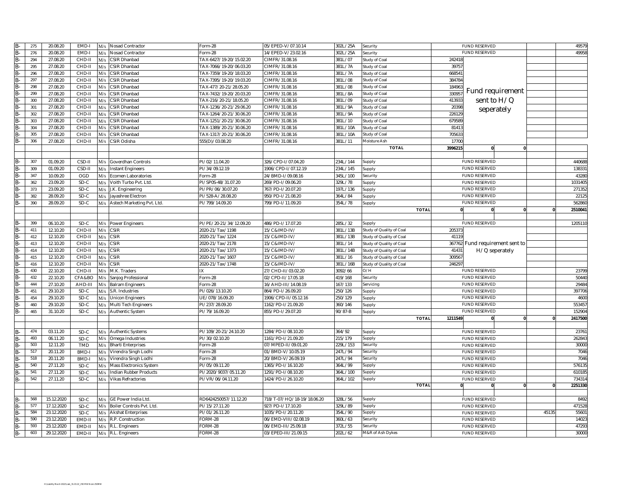| $B -$                   | 275 | 20.08.20   | EMD-       | M/s | Nosad Contractor               | Form-28                 | 05/EPED-V/07.10.14         | 302L/25A | Security                 |              | <b>FUND RESERVED</b>            |          | 49579   |
|-------------------------|-----|------------|------------|-----|--------------------------------|-------------------------|----------------------------|----------|--------------------------|--------------|---------------------------------|----------|---------|
| $B -$                   | 276 | 20.08.20   | EMD-       | M/s | Nosad Contractor               | Form-28                 | 14/EPED-V/23.02.16         | 302L/25A | Security                 |              | <b>FUND RESERVED</b>            |          | 49958   |
| $B -$                   | 294 | 27.08.20   | CHD-II     | M/s | CSIR Dhanbad                   | TAX-6427/19-20/15.02.20 | CIMFR/31.08.16             | 381L/07  | Study of Coal            | 24241        |                                 |          |         |
| B-                      | 295 | 27.08.20   | CHD-II     | M/s | CSIR Dhanbad                   | TAX-7066/19-20/06.03.20 | CIMFR/31.08.16             | 381L/7A  | Study of Coal            | 3975         |                                 |          |         |
| B-                      | 296 | 27.08.20   | CHD-II     | M/s | CSIR Dhanbad                   | TAX-7359/19-20/18.03.20 | CIMFR/31.08.16             | 381L/7A  | Study of Coal            | 66854        |                                 |          |         |
| B-                      | 297 | 27.08.20   | CHD-II     | M/s | CSIR Dhanbad                   | TAX-7395/19-20/19.03.20 | CIMFR/31.08.16             | 381L/08  | Study of Coal            | 384784       |                                 |          |         |
| B-                      | 298 | 27.08.20   | CHD-I      | M/s | CSIR Dhanbad                   | TAX-477/20-21/28.05.20  | CIMFR/31.08.16             | 881L/08  | Study of Coal            | 18496        |                                 |          |         |
| B.                      | 299 | 27.08.20   | CHD-I      | M/s | CSIR Dhanbad                   | TAX-7432/19-20/20.03.20 | CIMFR/31.08.16             | 381L/8A  | Study of Coal            | 33095        | Fund requirement                |          |         |
| B-                      | 300 | 27.08.20   | CHD-II     | M/s | <b>CSIR Dhanbad</b>            | TAX-216/20-21/18.05.20  | CIMFR/31.08.16             | 381L/09  | Study of Coal            | 413933       | sent to H/Q                     |          |         |
| $B -$                   | 301 | 27.08.20   | CHD-II     | M/s | <b>CSIR Dhanbad</b>            | TAX-1236/20-21/29.06.20 | CIMFR/31.08.16             | 381L/9A  | Study of Coal            | 20398        |                                 |          |         |
| B.                      | 302 | 27.08.20   | CHD-I      | M/s | <b>CSIR Dhanbad</b>            | TAX-1264/20-21/30.06.20 | CIMFR/31.08.16             | 381L/9A  | Study of Coal            | 22612        | seperately                      |          |         |
| B.                      | 303 | 27.08.20   | CHD-I      | M/s | CSIR Dhanbad                   | TAX-1251/20-21/30.06.20 | CIMFR/31.08.16             | 381L/10  | Study of Coal            | 67958        |                                 |          |         |
| B-                      | 304 | 27.08.20   | CHD-II     | M/s | CSIR Dhanbad                   | TAX-1389/20-21/30.06.20 | CIMFR/31.08.16             | 81L/10A  | Study of Coal            | 8141         |                                 |          |         |
| B-                      | 305 | 27.08.20   | CHD-II     | M/s | CSIR Dhanbad                   | TAX-1317/20-21/30.06.20 | CIMFR/31.08.16             | 381L/10A | Study of Coal            | 70563        |                                 |          |         |
| R.                      | 306 | 27.08.20   | CHD-II     | M/s | CSIR Odisha                    | 555(D)/03.08.20         | CIMFR/31.08.16             | 381L/11  | Moisture Ash             | 1770         |                                 |          |         |
|                         |     |            |            |     |                                |                         |                            |          | <b>TOTAL</b>             | 3996215      | O                               |          |         |
|                         |     |            |            |     |                                |                         |                            |          |                          |              |                                 |          |         |
|                         |     |            |            |     |                                |                         |                            |          |                          |              |                                 |          |         |
| B.                      | 307 | 01.09.20   | CSD-II     | M/s | Goverdhan Controls             | PI/02/11.04.20          | 326/CPD-I/07.04.20         | 234L/144 | Supply                   |              | <b>FUND RESERVED</b>            |          | 440688  |
| B-                      | 309 | 01.09.20   | CSD-II     | M/s | <b>Instant Engineers</b>       | PI/34/09.12.19          | 1906/CPD-I/07.12.19        | 234L/145 | Supply                   |              | <b>FUND RESERVED</b>            |          | 138331  |
| B-                      | 347 | 10.09.20   | OGD        | M/s | Ecomen Laboratories            | Form-28                 | 24/BMD-I/09.08.16          | 345L/100 | Security                 |              | <b>FUND RESERVED</b>            |          | 43280   |
| $B -$                   | 362 | 23.09.20   | SD-C       | M/s | Voith Turbo Pvt. Ltd.          | PI/SP0S-48/31.07.20     | 269/PD-1/09.06.20          | 329L/78  | Supply                   |              | <b>FUND RESERVED</b>            |          | 1031405 |
| B.                      | 373 | 23.09.20   | SD-C       | M/s | J.K. Engineering               | PI/PR/06/30.07.20       | 767/PD-1/20.07.20          | 197L/136 | Supply                   |              | <b>FUND RESERVED</b>            |          | 271352  |
| B-                      | 382 | 28.09.20   | SD-C       | M/s | Jayashree Electron             | PI/528-A/28.08.20       | 950/PD-I/21.08.20          | 364L/84  | Supply                   |              | <b>FUND RESERVED</b>            |          | 22125   |
| $B -$                   | 390 | 28.09.20   | SD-C       |     | M/s Astech Marketing Pvt. Ltd. | PI/799/14.09.20         | 799/PD-I/11.09.20          | 354L/78  | Supply                   |              | <b>FUND RESERVED</b>            |          | 562860  |
|                         |     |            |            |     |                                |                         |                            |          | <b>TOTA</b>              | $\mathbf{0}$ | $\bf{0}$                        | $\Omega$ | 2510041 |
|                         |     |            |            |     |                                |                         |                            |          |                          |              |                                 |          |         |
|                         | 399 | 06.10.20   | SD-C       | M/s | Power Engineers                | PI/PE/20-21/34/12.09.20 | 486/PD-I/17.07.20          | 285L/32  | Supply                   |              | <b>FUND RESERVED</b>            |          | 1205110 |
|                         | 411 | 12.10.20   | CHD-II     | M/s | <b>CSIR</b>                    | 2020-21/Tax/1198        | 15/C&IMD-IV/               | 81L/13B  | Study of Quality of Coal | 20537        |                                 |          |         |
|                         | 412 | 12.10.20   | CHD-I      | M/s | CSIR                           | 2020-21/Tax/1224        | 15/C&IMD-IV/               | 381L/13B | Study of Quality of Coal | 4111         |                                 |          |         |
| B-                      | 413 | 12.10.20   | CHD-II     | M/s | <b>CSIR</b>                    | 2020-21/Tax/2178        | 15/C&IMD-IV/               | 381L/14  | Study of Quality of Coal |              | 367762 Fund requirement sent to |          |         |
| $\overline{\mathsf{R}}$ | 414 | 12.10.20   | CHD-II     | M/s | <b>CSIR</b>                    | 2020-21/Tax/1373        | 15/C&IMD-IV/               | 381L/14B | Study of Quality of Coal | 4143         | H/Q seperately                  |          |         |
| B-                      | 415 | 12.10.20   | CHD-II     | M/s | <b>CSIR</b>                    | 2020-21/Tax/1607        | 15/C&IMD-IV/               | 381L/16  | Study of Quality of Coal | 309567       |                                 |          |         |
| B-                      | 416 | 12.10.20   | CHD-II     | M/s | <b>CSIR</b>                    | 2020-21/Tax/1748        | 15/C&IMD-IV/               | 381L/16B | Study of Quality of Coal | 246297       |                                 |          |         |
| B-                      | 430 | 22.10.20   | CHD-II     | M/s | M.K. Traders                   | IX                      | 27/CHD-II/03.02.20         | 3092/66  | O/H                      |              | <b>FUND RESERVED</b>            |          | 23799   |
| $B -$                   | 432 | 22.10.20   | CFA&BO     | M/s | Sanjog Professional            | orm-28                  | 02/CPD-II/17.05.18         | 419/168  | Security                 |              | <b>FUND RESERVED</b>            |          | 50440   |
| B.                      | 444 | 27.10.20   | AHD-III    | M/s | <b>Balram Engineers</b>        | orm-28                  | 16/AHD-III/14.08.19        | 167/133  | Servicing                |              | <b>FUND RESERVED</b>            |          | 29484   |
| B-                      | 451 | 29.10.20   | SD-C       | M/s | S.R. Industries                | PI/026/13.10.20         | 864/PD-I/26.09.20          | 250/126  | Supply                   |              | <b>FUND RESERVED</b>            |          | 397706  |
| $B -$                   | 454 | 29.10.20   | SD-C       | M/s | <b>Unicon Engineers</b>        | UE/078/16.09.20         | 1906/CPD-II/05.12.16       | 250/129  | Supply                   |              | <b>FUND RESERVED</b>            |          | 4600    |
| B-                      | 460 | 29.10.20   | SD-C       | M/s | Multi Tech Engineers           | PI/237/28.09.20         | 1162/PD-I/21.09.20         | 360/146  | Supply                   |              | <b>FUND RESERVED</b>            |          | 553457  |
| $B -$                   | 465 | 31.10.20   | SD-C       | M/s | Authentic System               | PI/79/16.09.20          | 855/PD-I/29.07.20          | 90/87-B  |                          |              | <b>FUND RESERVED</b>            |          | 152904  |
|                         |     |            |            |     |                                |                         |                            |          | Supply<br><b>TOTAL</b>   | 1211549      |                                 |          | 2417500 |
|                         |     |            |            |     |                                |                         |                            |          |                          |              |                                 |          |         |
| $B -$                   | 474 | 03.11.20   | SD-C       | M/s | <b>Authentic Systems</b>       | PI/109/20-21/24.10.20   | 1284/PD-I/08.10.20         | 364/92   |                          |              | <b>FUND RESERVED</b>            |          | 23761   |
|                         | 493 | 06.11.20   |            |     |                                | PI/30/02.10.20          | 1161/PD-I/21.09.20         | 215/179  | Supply                   |              | <b>FUND RESERVED</b>            |          | 262843  |
| B-<br>$\overline{B}$    | 503 | 12.11.20   | SD-C       | M/s | Omega Industries               |                         | 07/MPED-II/09.01.20        | 229L/153 | Supply<br>Security       |              |                                 |          | 30000   |
|                         | 517 |            | <b>TMD</b> | M/s | <b>Bharti Enterprises</b>      | orm-28                  |                            |          |                          |              | <b>FUND RESERVED</b>            |          |         |
| B-                      |     | 20.11.20   | BMD-       | M/s | Virendra Singh Lodhi           | orm-28                  | 01/BMD-V/10.05.19          | 247L/94  | Security                 |              | <b>FUND RESERVED</b>            |          | 7046    |
| B.                      | 518 | 20.11.20   | BMD-       | M/s | Virendra Singh Lodhi           | Form-28                 | 20/BMD-V/26.09.19          | 247L/94  | Security                 |              | <b>FUND RESERVED</b>            |          | 7046    |
| B-                      | 540 | 27.11.20   | SD-C       | M/s | Mass Electronics System        | PI/05/09.11.20          | 1365/PD-I/16.10.20         | 364L/99  | Supply                   |              | <b>FUND RESERVED</b>            |          | 576135  |
| B.                      | 541 | 27.11.20   | SD-C       | M/s | Indian Rubber Products         | PI/2020/9037/05.11.20   | 1291/PD-I/08.10.20         | 64L/100  | Supply                   |              | <b>FUND RESERVED</b>            |          | 610185  |
| B-                      | 542 | 27.11.20   | SD-C       | M/s | Vikas Refractories             | PI/VR/06/04.11.20       | 1424/PD-I/26.10.20         | 364L/102 | Supply                   |              | <b>FUND RESERVED</b>            |          | 734314  |
|                         |     |            |            |     |                                |                         |                            |          | <b>TOTAL</b>             |              |                                 |          | 2251330 |
|                         |     |            |            |     |                                |                         |                            |          |                          |              |                                 |          |         |
|                         | 568 | 15.12.2020 | SD-C       | M/s | GE Power India Ltd.            | RD6424250057/11.12.20   | 718/T-07/HQ/18-19/18.06.20 | 328L/56  | Supply                   |              | <b>FUND RESERVED</b>            |          | 8492    |
|                         | 577 | 17.12.2020 | SD-C       | M/s | Boiler Controls Pvt. Ltd.      | PI/15/27.11.20          | 927/PD-I/17.10.20          | 329L/89  | Supply                   |              | <b>FUND RESERVED</b>            |          | 471528  |
| $B -$                   | 584 | 23.12.2020 | SD-C       | M/s | <b>Akshat Enterprises</b>      | PI/01/26.11.20          | 1035/PD-I/20.11.20         | 354L/90  | Supply                   |              | <b>FUND RESERVED</b>            | 4513     | 55601   |
| $B -$                   | 590 | 23.12.2020 | EMD-I      | M/s | R.P. Construction              | FORM-28                 | 06/EMD-VIII/02.08.19       | 360L/63  | Security                 |              | <b>FUND RESERVED</b>            |          | 14023   |
| $B -$                   | 593 | 23.12.2020 | EMD-I      | M/s | R.L. Engineers                 | ORM-28                  | 06/EMD-III/25.09.18        | 372L/55  | Security                 |              | <b>FUND RESERVED</b>            |          | 47293   |
| B-                      | 603 | 29.12.2020 | EMD-II     |     | M/s R.L. Engineers             | FORM-28                 | 03/EPED-III/21.09.15       | 202L/62  | M&R of Ash Dykes         |              | <b>FUND RESERVED</b>            |          | 30000   |
|                         |     |            |            |     |                                |                         |                            |          |                          |              |                                 |          |         |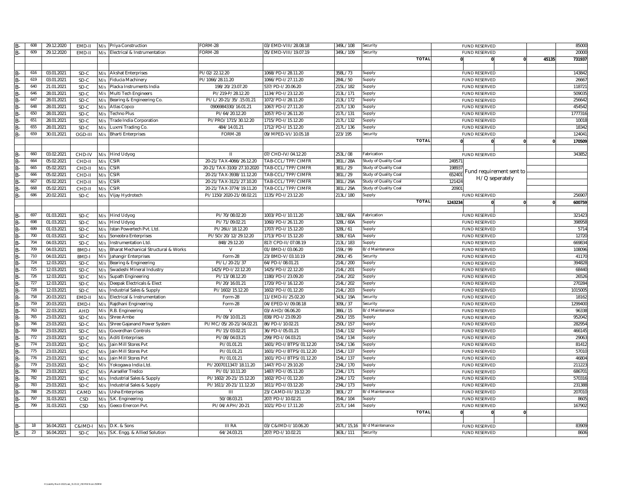| B-              | 608      | 29.12.2020               | EMD-II          | M/s | Priya Construction                              | ORM-28                       | 03/EMD-VIII/28.08.18                     | 349L/108               | Security                    |         | <b>FUND RESERVED</b>                         |       | 85000                                                                                                                                                                                                                                         |
|-----------------|----------|--------------------------|-----------------|-----|-------------------------------------------------|------------------------------|------------------------------------------|------------------------|-----------------------------|---------|----------------------------------------------|-------|-----------------------------------------------------------------------------------------------------------------------------------------------------------------------------------------------------------------------------------------------|
| B-              | 609      | 29.12.2020               | EMD-II          | M/s | Electrical & Instrumentation                    | ORM-28                       | 05/EMD-VIII/19.07.19                     | 349L/109               | Security                    |         | <b>FUND RESERVED</b>                         |       | 20000                                                                                                                                                                                                                                         |
|                 |          |                          |                 |     |                                                 |                              |                                          |                        | <b>TOTAL</b>                |         |                                              | 45135 | 731937                                                                                                                                                                                                                                        |
|                 |          |                          |                 |     |                                                 |                              |                                          |                        |                             |         |                                              |       |                                                                                                                                                                                                                                               |
| B-              | 616      | 03.01.2021               | SD-C            | M/s | <b>Akshat Enterprises</b>                       | PI/02/22.12.20               | 1068/PD-I/28.11.20                       | 358L/73                | Supply                      |         | <b>FUND RESERVED</b>                         |       | 143842                                                                                                                                                                                                                                        |
| B-              | 619      | 03.01.2021               | SD-C            | M/s | Fiducia Machinery                               | PI/1066/28.11.20             | 1066/PD-I/27.11.20                       | 284L/50                | Supply                      |         | <b>FUND RESERVED</b>                         |       | 26667                                                                                                                                                                                                                                         |
| B-              | 640      | 21.01.2021               | SD-C            | M/s | Placka Instruments India                        | 198/20/23.07.20              | 537/PD-I/20.06.20                        | 215L/182               | Supply                      |         | <b>FUND RESERVED</b>                         |       | 118721                                                                                                                                                                                                                                        |
| B-              | 646      | 28.01.2021               | SD-C            | M/s | Multi Tech Engineers                            | PI/219-P/28.12.20            | 1134/PD-I/23.12.20                       | 213L/171               | Supply                      |         | <b>FUND RESERVED</b>                         |       | 509035                                                                                                                                                                                                                                        |
| B-              | 647      | 28.01.2021               | SD-C            | M/s | Bearing & Engineering Co.                       | PI/L/20-21/35/.15.01.21      | 1072/PD-I/28.11.20                       | 213L/172               | Supply                      |         | <b>FUND RESERVED</b>                         |       | 256642                                                                                                                                                                                                                                        |
| $B -$           | 648      | 28.01.2021               | SD-C            | M/s | Atlas Copco                                     | 0906984330/16.01.21          | 1067/PD-I/27.11.20                       | 217L/130               | Supply                      |         | <b>FUND RESERVED</b>                         |       | 454542                                                                                                                                                                                                                                        |
| B-              | 650      | 28.01.2021               | SD-C            | M/s | Techno Plus                                     | PI/64/20.12.20               | 1057/PD-I/26.11.20                       | 217L/131               | Supply                      |         | <b>FUND RESERVED</b>                         |       | 1777316                                                                                                                                                                                                                                       |
|                 | 651      | 28.01.2021               | SD-C            | M/s | Trade India Corporation                         | PI/PRO/1715/30.12.20         | 1715/PD-I/15.12.20                       | 217L/132               | Supply                      |         | <b>FUND RESERVED</b>                         |       | 10018                                                                                                                                                                                                                                         |
|                 | 655      | 28.01.2021               | SD-C            | M/s | Luxmi Trading Co                                | 484/14.01.21                 | 1712/PD-I/15.12.20                       | 217L/136               | Supply                      |         | <b>FUND RESERVED</b>                         |       | 18342                                                                                                                                                                                                                                         |
| B-              | 659      | 30.01.2021               | OGD-III         |     | <b>Bharti Enterprises</b>                       | FORM-28                      | 09/MPED-VI/10.05.18                      | 223/195                | Security                    |         | <b>FUND RESERVED</b>                         |       | 124041                                                                                                                                                                                                                                        |
| B-              |          |                          |                 | M/s |                                                 |                              |                                          |                        | <b>TOTAI</b>                |         |                                              |       |                                                                                                                                                                                                                                               |
|                 |          |                          |                 |     |                                                 |                              |                                          |                        |                             |         |                                              |       | 170509                                                                                                                                                                                                                                        |
|                 |          |                          |                 |     |                                                 |                              |                                          |                        |                             |         |                                              |       |                                                                                                                                                                                                                                               |
| B-              | 660      | 03.02.2021               | CHD-IV          |     | M/s Hind Udyog                                  |                              | 07/CHD-IV/04.12.20                       | 253L/08                | abrication                  |         | <b>FUND RESERVED</b>                         |       | 343852                                                                                                                                                                                                                                        |
| B-              | 664      | 05.02.2021               | CHD-II          | M/s | <b>CSIR</b>                                     | 20-21/TAX-4066/26.12.20      | TAB-CCL/TPP/CIMFR                        | 381L/28A               | Study of Quality Coal       | 24957   |                                              |       |                                                                                                                                                                                                                                               |
| B-              | 665      | 05.02.2021               | CHD-II          | M/s | CSIR                                            | 20-21/TAX-3100/27.10.2020    | TAB-CCL/TPP/CIMFR                        | 381L/29                | Study of Quality Coal       | 19893   | Fund requirement sent to                     |       |                                                                                                                                                                                                                                               |
| B-              | 666      | 05.02.2021               | CHD-II          | M/s | CSIR                                            | 20-21/TAX-3938/11.12.20      | TAB-CCL/TPP/CIMFR                        | 381L/29                | Study of Quality Coal       | 65240   | H/Q seperately                               |       |                                                                                                                                                                                                                                               |
| B-              | 667      | 05.02.2021               | CHD-I           | M/s | $\overline{\text{CSIR}}$                        | 20-21/TAX-3121/27.10.20      | TAB-CCL/TPP/CIMFR                        | 381L/29A               | Study of Quality Coal       | 121424  |                                              |       |                                                                                                                                                                                                                                               |
| B-              | 668      | 05.02.2021               | CHD-I           | M/s | $\textsf{CSIR}$                                 | 20-21/TAX-3774/19.11.20      | TAB-CCL/TPP/CIMFR                        | 381L/29A               | Study of Quality Coal       | 2090    |                                              |       |                                                                                                                                                                                                                                               |
| B-              | 686      | 20.02.2021               | SD-C            |     | M/s Vijay Hydrotech                             | PI/1150/2020-21/08.02.21     | 1135/PD-I/23.12.20                       | 213L/180               | Supply                      |         | <b>FUND RESERVED</b>                         |       | 256907                                                                                                                                                                                                                                        |
|                 |          |                          |                 |     |                                                 |                              |                                          |                        | <b>TOTAL</b>                | 1243234 |                                              |       | 600759                                                                                                                                                                                                                                        |
|                 |          |                          |                 |     |                                                 |                              |                                          |                        |                             |         |                                              |       |                                                                                                                                                                                                                                               |
| B-              | 697      | 01.03.2021               | SD-C            | M/s | <b>Hind Udyog</b>                               | PI/70/08.02.20               | 1003/PD-I/10.11.20                       | 328L/60A               | Fabrication                 |         | <b>FUND RESERVED</b>                         |       | 321423                                                                                                                                                                                                                                        |
| B-              | 698      | 01.03.2021               | SD-C            | M/s | <b>Hind Udyog</b>                               | PI/71/09.02.21               | 1060/PD-I/26.11.20                       | 328L/60A               | Supply                      |         | <b>FUND RESERVED</b>                         |       | 398958                                                                                                                                                                                                                                        |
| B-              | 699      | 01.03.2021               | SD-C            | M/s | Istan Powertech Pvt. Ltd.                       | PI/26U/18.12.20              | 1707/PD-I/15.12.20                       | 328L/61                | Supply                      |         | <b>FUND RESERVED</b>                         |       | 5714                                                                                                                                                                                                                                          |
| B-              | 700      | 01.03.2021               | SD-C            | M/s | Soneobra Enterprises                            | PI/SO/20/12/29.12.20         | 1713/PD-I/15.12.20                       | 328L/61A               | Supply                      |         | <b>FUND RESERVED</b>                         |       | 12720                                                                                                                                                                                                                                         |
|                 |          |                          |                 |     |                                                 |                              |                                          |                        |                             |         |                                              |       |                                                                                                                                                                                                                                               |
|                 |          |                          |                 |     |                                                 |                              |                                          |                        |                             |         |                                              |       |                                                                                                                                                                                                                                               |
| B-              | 704      | 04.03.2021               | $SD-C$          | M/s | Instrumentation Ltd.                            | 848/29.12.20                 | 817/CPD-II/07.08.19                      | 213L/183               | Supply                      |         | <b>FUND RESERVED</b>                         |       |                                                                                                                                                                                                                                               |
| B-              | 709      | 04.03.2021               | BMD-            | M/s | Bharat Mechanical Structural & Works            | $\vee$                       | 01/BMD-I/03.06.20                        | 159L/99                | 3/d Maintenance             |         | <b>FUND RESERVED</b>                         |       |                                                                                                                                                                                                                                               |
| B-              | 710      | 04.03.2021               | BMD-            | M/s | Jahangir Enterprises                            | Form-28                      | 23/BMD-V/03.10.19                        | 290L/45                | Security                    |         | <b>FUND RESERVED</b>                         |       |                                                                                                                                                                                                                                               |
| B-              | 724      | 12.03.2021               | SD-C            | M/s | Bearing & Engineering                           | PI/L/20-21/37                | 64/PD-I/08.01.21                         | 214L/200               | Supply                      |         | <b>FUND RESERVED</b>                         |       |                                                                                                                                                                                                                                               |
| B-              | 725      | 12.03.2021               | SD-C            | M/s | Swadeshi Mineral Industry                       | 1425/PD-I/22.12.20           | 1425/PD-I/22.12.20                       | 214L/201               | Supply                      |         | <b>FUND RESERVED</b>                         |       |                                                                                                                                                                                                                                               |
| B-              | 726      | 12.03.2021               | SD-C            | M/s | Supath Engineering                              | PI/13/08.12.20               | 1180/PD-I/23.09.20                       | 214L/202               | Supply                      |         | <b>FUND RESERVED</b>                         |       |                                                                                                                                                                                                                                               |
| B-              | 727      | 12.03.2021               | SD-C            | M/s | Deepak Electricals & Elect                      | PI/20/16.01.21               | 1720/PD-I/16.12.20                       | 214L/202               | Supply                      |         | <b>FUND RESERVED</b>                         |       |                                                                                                                                                                                                                                               |
| B-              | 728      | 12.03.2021               | SD-C            | M/s | Industrial Sales & Supply                       | PI/1602/15.12.20             | 1602/PD-I/01.12.20                       | 214L/203               | Supply                      |         | <b>FUND RESERVED</b>                         |       |                                                                                                                                                                                                                                               |
| B-              | 758      | 20.03.2021               | EMD-I           | M/s | Electrical & Instrumentation                    | Form-28                      | 11/EMD-II/25.02.20                       | 343L/19A               | Security                    |         | <b>FUND RESERVED</b>                         |       |                                                                                                                                                                                                                                               |
| B-              | 759      | 20.03.2021               | EMD-            | M/s | Rajdhani Engineering                            | Form-28                      | 04/EPED-V/09.08.18                       | 309L/37                | Security                    |         | <b>FUND RESERVED</b>                         |       |                                                                                                                                                                                                                                               |
| B-              | 763      | 22.03.2021               | <b>AHD</b>      | M/s | R.B. Engineering                                |                              | 03/AHD/06.06.20                          | 386L/15                | B/d Maintenance             |         | <b>FUND RESERVED</b>                         |       |                                                                                                                                                                                                                                               |
| B-              | 765      | 23.03.2021               | SD-C            | M/s | Shree Ambe                                      | PI/09/10.01.21               | 838/PD-I/23.09.20                        | 250L/155               | Supply                      |         | <b>FUND RESERVED</b>                         |       |                                                                                                                                                                                                                                               |
| B-              | 766      | 23.03.2021               | SD-C            | M/s | Shree Gajanand Power System                     | PI/MC/05/20-21/04.02.21      | 86/PD-I/10.02.21                         | 250L/157               | Supply                      |         | <b>FUND RESERVED</b>                         |       |                                                                                                                                                                                                                                               |
| B-              | 769      | 23.03.2021               | SD-C            | M/s | Goverdhan Controls                              | PI/15/03.02.2                | 36/PD-I/05.01.21                         | 154L/132               | Supply                      |         | <b>FUND RESERVED</b>                         |       |                                                                                                                                                                                                                                               |
| B-              | 772      | 23.03.2021               | SD-C            | M/s | <b>Aditi Enterprises</b>                        | PI/08/04.03.21               | 299/PD-I/04.03.21                        | 154L/134               | Supply                      |         | <b>FUND RESERVED</b>                         |       |                                                                                                                                                                                                                                               |
| $B -$           | 774      | 23.03.2021               | SD-C            | M/s | Jain Mill Stores Pvt                            | PI/01.01.21                  | 1601/PD-I/BTPS/01.12.20                  | 154L/136               | Supply                      |         | <b>FUND RESERVED</b>                         |       |                                                                                                                                                                                                                                               |
|                 | 775      | 23.03.2021               | SD-C            | M/s | Jain Mill Stores Pvt                            | PI/01.01.21                  | 1601/PD-I/BTPS/01.12.20                  |                        | Supply                      |         | <b>FUND RESERVED</b>                         |       |                                                                                                                                                                                                                                               |
| B-              | 776      | 23.03.2021               | $SD-C$          |     | Jain Mill Stores Pvt                            | PI/01.01.21                  | 1601/PD-I/BTPS/01.12.20                  | 154L/137<br>154L/137   | supply                      |         | <b>FUND RESERVED</b>                         |       |                                                                                                                                                                                                                                               |
| B-              | 779      |                          |                 | M/s |                                                 |                              |                                          |                        |                             |         |                                              |       |                                                                                                                                                                                                                                               |
| B-              |          | 23.03.2021               | SD-C            | M/s | Yokogawa India Ltd                              | PI/2007011347/18.11.20       | 1447/PD-I/29.10.20                       | 234L/170               | Supply                      |         | <b>FUND RESERVED</b>                         |       |                                                                                                                                                                                                                                               |
| B-              | 780      | 23.03.2021               | SD-C            | M/s | Aarseller Tredco                                | PI/01/10.11.20               | 1487/PD-I/05.11.20                       | 234L/171               | Supply                      |         | <b>FUND RESERVED</b>                         |       |                                                                                                                                                                                                                                               |
| B-              | 782      | 23.03.2021               | SD-C            | M/s | Industrial Sales & Supply                       | PI/1602/20-21/15.12.20       | 1602/PD-I/01.12.20                       | 234L/172               | Supply                      |         | <b>FUND RESERVED</b>                         |       |                                                                                                                                                                                                                                               |
| B-              | 783      | 23.03.2021               | SD-C            | M/s | Industrial Sales & Supply                       | PI/1611/20-21/11.12.20       | 1611/PD-I/03.12.20                       | 234L/173               | Supply                      |         | <b>FUND RESERVED</b>                         |       |                                                                                                                                                                                                                                               |
| B-              | 788      | 25.03.2021               | CAMD            | M/s | Usha Enterprises                                |                              | 23/CAMD-III/19.12.20                     | 383L/27                | 3/d Maintenance             |         | <b>FUND RESERVED</b>                         |       |                                                                                                                                                                                                                                               |
| B-              | 797      | 31.03.2021               | CSD             | M/s | S.K. Engineering                                | 50/08.03.21                  | 207/PD-I/10.02.21                        | 354L/104               | Supply                      |         | <b>FUND RESERVED</b>                         |       |                                                                                                                                                                                                                                               |
| B-              | 799      | 31.03.2021               | CSD             | M/s | Geeco Enercon Pvt.                              | PI/04/APH/20-21              | 1021/PD-I/17.11.20                       | 217L/144               | Supply                      |         | <b>FUND RESERVED</b>                         |       |                                                                                                                                                                                                                                               |
|                 |          |                          |                 |     |                                                 |                              |                                          |                        | <b>TOTAL</b>                |         |                                              |       | 669834<br>108096<br>41170<br>394828<br>68440<br>26526<br>270284<br>1015005<br>18162<br>1299400<br>96338<br>952042<br>282954<br>466145<br>29063<br>81412<br>57010<br>46804<br>211223<br>686701<br>570316<br>231388<br>207010<br>8605<br>167902 |
|                 |          |                          |                 |     |                                                 |                              |                                          |                        |                             |         |                                              |       |                                                                                                                                                                                                                                               |
| B-<br><b>B-</b> | 18<br>23 | 16.04.2021<br>16.04.2021 | C&IMD-I<br>SD-C | M/s | D.K. & Sons<br>M/s S.K. Engg. & Allied Solution | <b>III RA</b><br>64/24.03.21 | 03/C&IMD-I/10.06.20<br>207/PD-I/10.02.21 | 347L/15,16<br>363L/111 | B/d Maintenance<br>Security |         | <b>FUND RESERVED</b><br><b>FUND RESERVED</b> |       | 83909<br>8606                                                                                                                                                                                                                                 |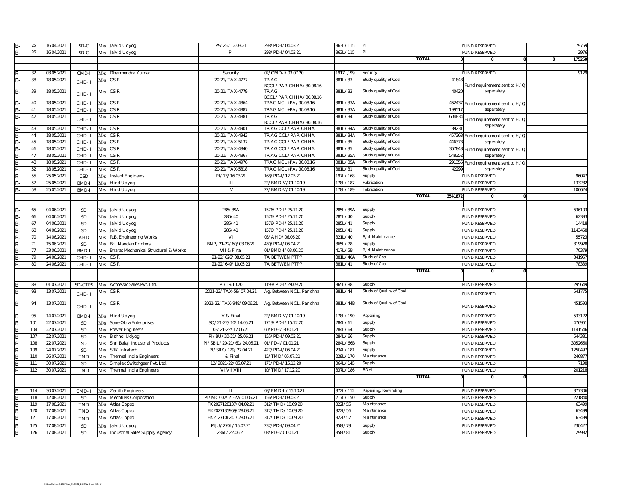|                         | 25  | 16.04.2021 | SD-C       |     | M/s Jalvid Udyog                     | P9/257 12.03.21           | 298/PD-I/04.03.21                              | 363L/115 |                          |         | <b>FUND RESERVED</b>                       | 79769   |
|-------------------------|-----|------------|------------|-----|--------------------------------------|---------------------------|------------------------------------------------|----------|--------------------------|---------|--------------------------------------------|---------|
| B-                      | 26  | 16.04.2021 | SD-C       |     | M/s Jalvid Udyog                     | PI                        | 298/PD-I/04.03.21                              | 63L/115  |                          |         | <b>FUND RESERVED</b>                       | 2976    |
|                         |     |            |            |     |                                      |                           |                                                |          | <b>TOTAL</b>             |         |                                            | 175260  |
|                         |     |            |            |     |                                      |                           |                                                |          |                          |         |                                            |         |
|                         | 32  | 03.05.2021 | CMD-I      | M/s | Dharmendra Kumar                     | Security                  | 02/CMD-I/03.07.20                              | 1917L/99 | Security                 |         | <b>FUND RESERVED</b>                       | 9129    |
| B-                      | 38  | 18.05.2021 | CHD-II     |     | $M/s$ CSIR                           | 20-21/TAX-4777            | TR AG<br>3CCL/PARICHHA/30.08.16                | 381L/33  | Study quality of Coal    | 41843   | Fund requirement sent to H/Q               |         |
| $B -$                   | 39  | 18.05.2021 | CHD-II     |     | $M/s$ CSIR                           | 20-21/TAX-4779            | TR AG                                          | 381L/33  | Study quality of Coal    | 40420   | seperately                                 |         |
| B-                      | 40  | 18.05.2021 | CHD-II     | M/s | <b>CSIR</b>                          | 20-21/TAX-4864            | BCCL/PARICHHA/30.08.16<br>TRAG NCL+PA/30.08.16 | 381L/33A | Study quality of Coal    | 462437  |                                            |         |
| $B -$                   | 41  | 18.05.2021 | CHD-II     | M/s | <b>CSIR</b>                          | 20-21/TAX-4887            | TRAG NCL+PA/30.08.16                           | 381L/33A | Study quality of Coal    | 19951   | Fund requirement sent to H/Q<br>seperately |         |
| B-                      | 42  | 18.05.2021 |            |     | <b>CSIR</b>                          | 20-21/TAX-4881            | TR AG                                          | 381L/34  | Study quality of Coal    | 60483   |                                            |         |
|                         |     |            | CHD-II     | M/s |                                      |                           | BCCL/PARICHHA/30.08.16                         |          |                          |         | Fund requirement sent to H/Q<br>seperately |         |
| B-                      | 43  | 18.05.2021 | CHD-II     |     | M/s CSIR                             | 20-21/TAX-4901            | TR AG CCL/PARICHHA                             | 381L/34A | Study quality of Coal    | 3923    |                                            |         |
| B-                      | 44  | 18.05.2021 | CHD-II     | M/s | <b>CSIR</b>                          | 20-21/TAX-4942            | TR AG CCL/PARICHHA                             | 381L/34A | Study quality of Coal    | 45736   | Fund requirement sent to H/Q               |         |
| B-                      | 45  | 18.05.2021 | CHD-II     | M/s | <b>CSIR</b>                          | 20-21/TAX-5137            | TR AG CCL/PARICHHA                             | 381L/35  | Study quality of Coal    | 44637   | seperately                                 |         |
| B-                      | 46  | 18.05.2021 | CHD-II     | M/s | <b>CSIR</b>                          | 20-21/TAX-4840            | TR AG CCL/PARICHHA                             | 381L/35  | Study quality of Coal    | 36784   | Fund requirement sent to H/Q               |         |
| $B -$                   | 47  | 18.05.2021 | CHD-II     | M/s | <b>CSIR</b>                          | 20-21/TAX-4867            | TR AG CCL/PARICHHA                             | 381L/35A | Study quality of Coal    | 54835   | seperately                                 |         |
| B.                      | 48  | 18.05.2021 | CHD-II     | M/s | CSIR                                 | 20-21/TAX-4976            | TRAG NCL+PA/30.08.16                           | 381L/35A | Study quality of Coal    |         | 291355 Fund requirement sent to H/Q        |         |
| $B -$                   | 52  | 18.05.2021 | CHD-II     | M/s | <b>CSIR</b>                          | 20-21/TAX-5818            | TRAG NCL+PA/30.08.16                           | 381L/31  | Study quality of Coal    | 42299   | seperately                                 |         |
| $\overline{B}$          | 55  | 25.05.2021 | CSD        | M/s | <b>Instant Engineers</b>             | PI/13/16.03.21            | 168/PD-I/12.03.21                              | 197L/168 | Supply                   |         | <b>FUND RESERVED</b>                       | 96047   |
| B-                      | 57  | 25.05.2021 | BMD-       | M/s | <b>Hind Udyog</b>                    | Ш                         | 22/BMD-V/01.10.19                              | 78L/187  | abrication               |         | <b>FUND RESERVED</b>                       | 133282  |
| B-                      | 58  | 25.05.2021 | BMD-I      |     | M/s Hind Udyog                       | IV                        | 22/BMD-V/01.10.19                              | 78L/189  | abrication               |         | <b>FUND RESERVED</b>                       | 106624  |
|                         |     |            |            |     |                                      |                           |                                                |          | <b>TOTAL</b>             | 3541872 |                                            |         |
|                         |     |            |            |     |                                      |                           |                                                |          |                          |         |                                            |         |
| $B -$                   | 65  | 04.06.2021 | SD         |     | M/s Jalvid Udyog                     | 285/39A                   | 1576/PD-I/25.11.20                             | 285L/39A | Supply                   |         | <b>FUND RESERVED</b>                       | 636103  |
| B-                      | 66  | 04.06.2021 | SD         |     | M/s Jalvid Udyog                     | 285/40                    | 1576/PD-I/25.11.20                             | 285L/40  | Supply                   |         | <b>FUND RESERVED</b>                       | 62393   |
| B-                      | 67  | 04.06.2021 | SD         |     | M/s Jalvid Udyog                     | 285/41                    | 1576/PD-I/25.11.20                             | 285L/41  | Supply                   |         | <b>FUND RESERVED</b>                       | 14418   |
| B-                      | 68  | 04.06.2021 | SD         | M/s | Jalvid Udyog                         | 285/41                    | 1576/PD-I/25.11.20                             | 285L/41  | Supply                   |         | <b>FUND RESERVED</b>                       | 1143458 |
| B-                      | 70  | 14.06.2021 | AHD        | M/s | R.B. Engineering Works               | VI                        | 03/AHD/06.06.20                                | 321L/40  | B/d Maintinance          |         | <b>FUND RESERVED</b>                       | 55723   |
| B-                      | 71  | 15.06.2021 | SD         | M/s | Brij Nandan Printers                 | BNP/21-22/60/03.06.21     | 430/PD-I/06.04.21                              | 365L/78  | Supply                   |         | <b>FUND RESERVED</b>                       | 319928  |
| $B -$                   | 77  | 23.06.2021 | BMD-       | M/s | Bharat Mechanical Structural & Works | VII & Final               | 01/BMD-I/03.06.20                              | 417L/5B  | B/d Maintinance          |         | <b>FUND RESERVED</b>                       | 70379   |
| B.                      | 79  | 24.06.2021 | CHD-I      | M/s | CSIR                                 | 21-22/626/08.05.21        | TA BETWEN PTPP                                 | 381L/40A | Study of Coal            |         | <b>FUND RESERVED</b>                       | 341957  |
| B-                      | 80  | 24.06.2021 | CHD-II     | M/s | CSIR                                 | 21-22/649/10.05.21        | TA BETWEN PTPP                                 | 381L/41  | Study of Coal            |         | <b>FUND RESERVED</b>                       | 78339   |
|                         |     |            |            |     |                                      |                           |                                                |          | <b>TOTAL</b>             |         |                                            |         |
|                         |     |            |            |     |                                      |                           |                                                |          |                          |         |                                            |         |
|                         | 88  | 01.07.2021 | SD-CTPS    |     | M/s Acmevac Sales Pvt. Ltd.          | PI/19.10.20               | 1193/PD-I/29.09.20                             | 365L/88  | Supply                   |         | <b>FUND RESERVED</b>                       | 295649  |
| B                       | 93  | 13.07.2021 | CHD-II     |     | $M/s$ CSIR                           | 2021-22/TAX-58/07.04.21   | Ag. Between NCL, Parichha                      | 381L/44  | Study of Quality of Coal |         | <b>FUND RESERVED</b>                       | 541775  |
| R                       | 94  | 13.07.2021 | CHD-II     |     | $M/s$ CSIR                           | 2021-22/TAX-948/09.06.21  | Ag. Between NCL, Parichha                      | 381L/44B | Study of Quality of Coal |         | <b>FUND RESERVED</b>                       | 451593  |
|                         | 95  | 14.07.2021 | BMD-I      | M/s | <b>Hind Udyog</b>                    | V & Final                 | 22/BMD-V/01.10.19                              | 178L/190 | Repairing                |         | <b>FUND RESERVED</b>                       | 533122  |
| B                       | 101 | 22.07.2021 | SD         | M/s | Sone Obra Enterprises                | SO/21-22/10/14.05.21      | 1713/PD-I/15.12.20                             | 284L/61  | Supply                   |         | <b>FUND RESERVED</b>                       | 476961  |
|                         | 104 | 22.07.2021 | <b>SD</b>  | M/s | Power Engineers                      | 03/21-22/17.06.21         | 60/PD-I/30.01.21                               | 84L/64   | Supply                   |         | <b>FUND RESERVED</b>                       | 1141546 |
|                         | 107 | 22.07.2021 | SD         | M/s | Bishnoi Udyog                        | PI/BU/20-21/25.06.21      | 155/PD-I/09.03.21                              | 284L/66  | Supply                   |         | <b>FUND RESERVED</b>                       | 544381  |
| B                       | 108 | 22.07.2021 | SD         | M/s | Shri Balaji Industrial Products      | PI/SBIL/20-21/61/24.05.21 | 01/PD-I/01.01.21                               | 284L/66B | Supply                   |         | <b>FUND RESERVED</b>                       | 3052660 |
| $\overline{\mathsf{R}}$ | 109 | 24.07.2021 | SD         | M/s | SRK Infratech                        | PI/SRK/129/27.04.21       | 427/PD-I/06.04.21                              | 234L/181 | Supply                   |         | <b>FUND RESERVED</b>                       | 1250497 |
| R                       | 110 | 26.07.2021 | TMD        | M/s | Thermal India Engineers              | I & Final                 | 15/TMD/05.07.21                                | 229L/170 | Maintenance              |         | <b>FUND RESERVED</b>                       | 246877  |
|                         | 111 | 30.07.2021 | SD         | M/s | Simplex Switchgear Pvt. Ltd.         | 12/2021-22/05.07.21       | 171/PD-I/16.12.20                              | 364L/145 | Supply                   |         | <b>FUND RESERVED</b>                       | 7198    |
| B                       | 112 | 30.07.2021 | <b>TMD</b> |     | M/s Thermal India Engineers          | VI, VII, VIII             | 10/TMD/17.12.20                                | 337L/186 | BDM                      |         | <b>FUND RESERVED</b>                       | 201218  |
|                         |     |            |            |     |                                      |                           |                                                |          | <b>TOTAL</b>             |         |                                            |         |
|                         |     |            |            |     |                                      |                           |                                                |          |                          |         |                                            |         |
|                         | 114 | 30.07.2021 |            |     |                                      | Ш                         | 08/EMD-II/15.10.21                             | 372L/112 |                          |         |                                            | 377306  |
| B<br>R                  |     |            | CMD-II     |     | M/s Zenith Engineers                 |                           |                                                |          | Repairing, Rewinding     |         | <b>FUND RESERVED</b>                       |         |
|                         | 118 | 12.08.2021 | SD         | M/s | Mechfiels Corporation                | PI/MC/02/21-22/01.06.21   | 156/PD-I/09.03.21                              | 217L/150 | Supply                   |         | <b>FUND RESERVED</b>                       | 221840  |
| R                       | 119 | 17.08.2021 | <b>TMD</b> | M/s | Atlas Copco                          | FK2027128137/04.02.21     | 312/TMD/10.09.20                               | 3221/55  | Maintenance              |         | <b>FUND RESERVED</b>                       | 63499   |
| B                       | 120 | 17.08.2021 | <b>TMD</b> | M/s | Atlas Copco                          | FK2027135969/28.03.21     | 312/TMD/10.09.20                               | 3221/56  | Maintenance              |         | <b>FUND RESERVED</b>                       | 63499   |
| B                       | 121 | 17.08.2021 | <b>TMD</b> | M/s | Atlas Copco                          | FK2127106241/28.05.21     | 312/TMD/10.09.20                               | 3221/57  | Maintenance              |         | <b>FUND RESERVED</b>                       | 63499   |
| B                       | 125 | 17.08.2021 | SD         | M/s | Jalvid Udyog                         | PIJU/270L/15.07.21        | 237/PD-I/09.04.21                              | 3581/79  | Supply                   |         | <b>FUND RESERVED</b>                       | 230427  |
| B                       | 126 | 17.08.2021 | SD         | M/s | Industrial Sales Supply Agency       | 236L/22.06.21             | 08/PD-I/01.01.21                               | 581/81   | Supply                   |         | <b>FUND RESERVED</b>                       | 29982   |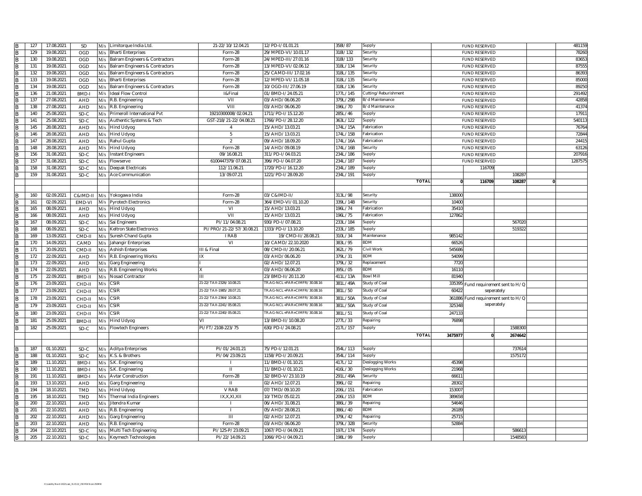| B              | 127 | 17.08.2021 | SD           | M/s | Limitorque India Ltd.              | 21-22/10/12.04.21        | 12/PD-I/01.01.21             | 3581/87  | Supply               |         | <b>FUND RESERVED</b>                |                              |          | 481159  |
|----------------|-----|------------|--------------|-----|------------------------------------|--------------------------|------------------------------|----------|----------------------|---------|-------------------------------------|------------------------------|----------|---------|
| B              | 129 | 19.08.2021 | OGD          | M/s | <b>Bharti Enterprises</b>          | Form-28                  | 29/MPED-VI/10.01.17          | 3181/132 | Security             |         | <b>FUND RESERVED</b>                |                              |          | 78260   |
| B              | 130 | 19.08.2021 | OGD          | M/s | Balram Engineers & Contractors     | Form-28                  | 24/MPED-III/27.01.16         | 3181/133 | Security             |         | <b>FUND RESERVED</b>                |                              |          | 83653   |
| B              | 131 | 19.08.2021 | OGD          | M/s | Balram Engineers & Contractors     | Form-28                  | 13/MPED-VI/02.06.12          | 318L/134 | Security             |         | <b>FUND RESERVED</b>                |                              |          | 87555   |
| B              | 132 | 19.08.2021 | OGD          | M/s | Balram Engineers & Contractors     | Form-28                  | 25/CAMD-III/17.02.16         | 318L/135 | Security             |         | <b>FUND RESERVED</b>                |                              |          | 86393   |
| B              | 133 | 19.08.2021 | OGD          | M/s | <b>Bharti Enterprises</b>          | Form-28                  | 12/MPED-VI/11.05.18          | 318L/135 | Security             |         | <b>FUND RESERVED</b>                |                              |          | 85000   |
| B              | 134 | 19.08.2021 | OGD          |     | M/s Balram Engineers & Contractors | Form-28                  | 10/OGD-III/27.06.19          | 318L/136 | Security             |         | <b>FUND RESERVED</b>                |                              |          | 89250   |
| B              | 136 | 21.08.2021 | <b>BMD-I</b> | M/s | <b>Ideal Flow Control</b>          | 1&Final                  | 01/BMD-I/24.05.21            | 177L/145 | Cutting/Reburishment |         | <b>FUND RESERVED</b>                |                              |          | 291492  |
|                | 137 | 27.08.2021 | AHD          | M/s | R.B. Engineering                   | VII                      | 03/AHD/06.06.20              | 379L/29B | B/d Maintenance      |         | <b>FUND RESERVED</b>                |                              |          | 42858   |
|                | 138 | 27.08.2021 | <b>AHD</b>   | M/s | R.B. Engineering                   | VIII                     | 03/AHD/06.06.20              | 196L/70  | B/d Maintenance      |         | <b>FUND RESERVED</b>                |                              |          | 41374   |
| B<br>B         |     |            |              |     |                                    | 19210300008/02.04.21     | 1711/PD-I/15.12.20           | 285L/46  |                      |         |                                     |                              |          | 17911   |
|                | 140 | 25.08.2021 | SD-C         | M/s | Primeroll International Pvt        |                          |                              |          | Supply               |         | <b>FUND RESERVED</b>                |                              |          |         |
| B              | 141 | 25.08.2021 | SD-C         | M/s | Authentic Systems & Tech           | GST-218/21-22/04.08.21   | 1766/PD-I/28.12.20           | 363L/122 | Supply               |         | <b>FUND RESERVED</b>                |                              |          | 540113  |
| B              | 145 | 28.08.2021 | AHD          | M/s | <b>Hind Udyog</b>                  |                          | 15/AHD/13.03.21              | 174L/15A | abrication           |         | <b>FUND RESERVED</b>                |                              |          | 76764   |
| B              | 146 | 28.08.2021 | AHD          | M/s | <b>Hind Udyog</b>                  | 5                        | 15/AHD/13.03.21              | 174L/15B | -abrication          |         | <b>FUND RESERVED</b>                |                              |          | 72844   |
| B              | 147 | 28.08.2021 | AHD          | M/s | Rahul Gupta                        | $\overline{2}$           | 09/AHD/18.09.20              | 174L/16A | abrication           |         | <b>FUND RESERVED</b>                |                              |          | 24415   |
| B              | 148 | 28.08.2021 | AHD          | M/s | <b>Hind Udyog</b>                  | Form-28                  | 14/AHD/09.08.19              | 174L/16B | Security             |         | <b>FUND RESERVED</b>                |                              |          | 63126   |
| B              | 156 | 31.08.2021 | SD-C         | M/s | <b>Instant Engineers</b>           | 09/16.08.21              | 311/PD-I/04.03.21            | 234L/186 | Supply               |         | <b>FUND RESERVED</b>                |                              |          | 207916  |
| $\overline{B}$ | 157 | 31.08.2021 | SD-C         | M/s | Flowserve                          | 6100447379/07.08.21      | 396/PD-I/04.07.20            | 234L/187 | Supply               |         | <b>FUND RESERVED</b>                |                              |          | 1287575 |
| B              | 158 | 31.08.2021 | SD-C         | M/s | Deepak Electricals                 | 112/11.06.21             | 1720/PD-I/16.12.20           | 234L/189 | Supply               |         | 116709                              |                              |          |         |
|                | 159 | 31.08.2021 | SD-C         | M/s | Ace Communication                  | 13/09.07.21              | 1221/PD-I/28.09.20           | 234L/191 | Supply               |         |                                     | 10828                        |          |         |
|                |     |            |              |     |                                    |                          |                              |          | <b>TOTAL</b>         | O       | 116709                              | 108287                       | $\Omega$ |         |
|                |     |            |              |     |                                    |                          |                              |          |                      |         |                                     |                              |          |         |
| B              | 160 | 02.09.2021 | C&IMD-II     | M/s | Yokogawa India                     | Form-28                  | 03/C&IMD-II/                 | 313L/98  | Security             | 138000  |                                     |                              |          |         |
| B              | 161 | 02.09.2021 | EMD-VI       | M/s | <b>Pyrotech Electronics</b>        | Form-28                  | 364/EMD-VI/01.10.20          | 339L/14B | Security             | 10400   |                                     |                              |          |         |
| B              | 165 | 08.09.2021 | AHD          | M/s | <b>Hind Udyog</b>                  | VI                       | 15/AHD/13.03.21              | 196L/74  | abrication           | 3541    |                                     |                              |          |         |
| B              | 166 | 08.09.2021 | AHD          |     | M/s Hind Udyog                     | VII                      | 15/AHD/13.03.21              | 196L/75  | abrication           | 127862  |                                     |                              |          |         |
| B              | 167 | 08.09.2021 | SD-C         | M/s | Sai Engineers                      | PI/11/04.08.21           | 930/PD-I/07.08.21            | 233L/184 | Supply               |         |                                     | 56702                        |          |         |
| B              | 168 | 08.09.2021 | SD-C         | M/s | Keltron State Electronics          | PI/PRO/21-22/57/30.08.21 | 1333/PD-I/13.10.20           | 233L/185 | Supply               |         |                                     | 51932                        |          |         |
| B              | 169 | 13.09.2021 | CMD-I        | M/s | Suresh Chand Gupta                 | <b>IRAB</b>              | 19/CMD-II/28.08.21           | 310L/34  | Maintenance          | 98514   |                                     |                              |          |         |
| <b>B</b>       | 170 | 14.09.2021 | CAMD         | M/s | Jahangir Enterprises               | VI                       | 10/CAMD/22.10.2020           | 383L/95  | <b>BDM</b>           | 66526   |                                     |                              |          |         |
| B              | 171 | 20.09.2021 | CMD-I        | M/s | <b>Ashish Enterprises</b>          | III & Final              | 08/CMD-II/20.06.21           | 362L/79  | Civil Work           | 545686  |                                     |                              |          |         |
| B              | 172 | 22.09.2021 | <b>AHD</b>   | M/s | R.B. Engineering Works             | 1X                       | 03/AHD/06.06.20              | 379L/31  | <b>BDM</b>           | 5409    |                                     |                              |          |         |
| B              | 173 | 22.09.2021 | <b>AHD</b>   | M/s | Garg Engineering                   |                          | 02/AHD/12.07.21              | 379L/32  | Replacement          | 7720    |                                     |                              |          |         |
| <b>R</b>       | 174 | 22.09.2021 | <b>AHD</b>   | M/s | R.B. Engineering Works             |                          | 03/AHD/06.06.20              | 395L/05  | <b>BDM</b>           | 16110   |                                     |                              |          |         |
| B              | 175 | 22.09.2021 | BMD-II       | M/s | Nosad Contractor                   |                          | 23/BMD-II/20.11.20           | 411L/13A | <b>Bowl Mill</b>     | 81940   |                                     |                              |          |         |
| $\overline{B}$ | 176 | 23.09.2021 | CHD-II       | M/s | CSIR                               | 21-22/TAX-2326/10.08.21  | TR.AG-NCL+PAR+CIMFR/30.08.16 | 381L/49A | Study of Coal        | 335395  |                                     | Fund requirement sent to H/Q |          |         |
| B              | 177 | 23.09.2021 | CHD-II       | M/s | CSIR                               | 21-22/TAX-1985/28.07.21  | TR.AG-NCL+PAR+CIMFR/30.08.16 | 381L/50  | Study of Coal        | 60422   | seperately                          |                              |          |         |
| B              | 178 | 23.09.2021 | CHD-II       | M/s | <b>CSIR</b>                        | 21-22/TAX-2364/10.08.21  | TR.AG-NCL+PAR+CIMFR/30.08.16 | 381L/50A | Study of Coal        |         | 361886 Fund requirement sent to H/Q |                              |          |         |
| B              | 179 | 23.09.2021 | CHD-II       | M/s | <b>CSIR</b>                        | 21-22/TAX-2241/05.08.21  | TR.AG-NCL+PAR+CIMFR/30.08.16 | 381L/50A | Study of Coal        | 325348  | seperately                          |                              |          |         |
| B              | 180 | 23.09.2021 | CHD-II       | M/s | CSIR                               | 21-22/TAX-2240/05.08.21  | TR.AG-NCL+PAR+CIMFR/30.08.16 | 381L/51  | Study of Coal        | 247133  |                                     |                              |          |         |
| B              | 181 | 25.09.2021 |              |     | Hind Udyog                         | VI                       | 13/BMD-II/10.08.20           | 277L/33  | Repairing            | 76898   |                                     |                              |          |         |
|                |     |            | BMD-II       | M/s |                                    |                          |                              |          |                      |         |                                     |                              |          |         |
| <b>B</b>       | 182 | 25.09.2021 | SD-C         |     | M/s Flowtech Engineers             | PI/FT/2108-223/75        | 630/PD-I/24.08.21            | 217L/157 | Supply               |         |                                     | 158830                       |          |         |
|                |     |            |              |     |                                    |                          |                              |          | <b>TOTAL</b>         | 3475977 |                                     | 2674642                      |          |         |
|                |     |            |              |     |                                    |                          |                              |          |                      |         |                                     |                              |          |         |
| B              | 187 | 01.10.2021 | SD-C         |     | M/s Aditya Enterprises             | PI/01/24.01.21           | 75/PD-I/12.01.21             | 354L/113 | Supply               |         |                                     | 73761                        |          |         |
|                | 188 | 01.10.2021 | SD-C         | M/s | K.S. & Brothers                    | PI/04/23.09.21           | 1158/PD-I/20.09.21           | 354L/114 | Supply               |         |                                     | 157517                       |          |         |
| B              | 189 | 11.10.2021 | BMD-         |     | M/s S.K. Engineering               |                          | 11/BMD-I/01.10.21            | 417L/12  | Deslogging Works     | 45398   |                                     |                              |          |         |
| B              | 190 | 11.10.2021 | BMD-         |     | $M/s$ S.K. Engineering             | Ш                        | 11/BMD-I/01.10.21            | 416L/30  | Deslogging Works     | 2196    |                                     |                              |          |         |
| B              | 191 | 11.10.2021 | BMD-I        |     | M/s Avtar Construction             | Form-28                  | 32/BMD-V/23.10.19            | 291L/49A | Security             | 6661    |                                     |                              |          |         |
| B              | 193 | 13.10.2021 | <b>AHD</b>   | M/s | Garg Engineering                   |                          | 02/AHD/12.07.21              | 396L/02  | Repairing            | 2830    |                                     |                              |          |         |
| B              | 194 | 18.10.2021 | <b>TMD</b>   | M/s | <b>Hind Udyog</b>                  | V RAB                    | 07/TMD/09.10.20              | 206L/151 | Fabrication          | 15300   |                                     |                              |          |         |
| B              | 195 | 18.10.2021 | TMD          | M/s | Thermal India Engineers            | IX,X,XI,XII              | 10/TMD/05.02.21              | 206L/153 | <b>BDM</b>           | 389658  |                                     |                              |          |         |
| B              | 200 | 22.10.2021 | AHD          | M/s | Jitendra Kumar                     |                          | 06/AHD/31.08.21              | 386L/39  | Repairing            | 54646   |                                     |                              |          |         |
| B              | 201 | 22.10.2021 | <b>AHD</b>   | M/s | R.B. Engineering                   |                          | 05/AHD/28.08.21              | 386L/40  | <b>BDM</b>           | 26189   |                                     |                              |          |         |
| B              | 202 | 22.10.2021 | AHD          | M/s | Garg Engineering                   | $\mathbf{III}$           | 02/AHD/12.07.21              | 379L/42  | Repairing            | 2571    |                                     |                              |          |         |
| B              | 203 | 22.10.2021 | AHD          | M/s | R.B. Engineering                   | Form-28                  | 03/AHD/06.06.20              | 379L/32B | Security             | 5288    |                                     |                              |          |         |
| B              | 204 | 22.10.2021 | SD-C         | M/s | Multi Tech Engineering             | PI/125-P/23.09.21        | 1067/PD-I/04.09.21           | 197L/174 | Supply               |         |                                     | 58661                        |          |         |
| B              | 205 | 22.10.2021 | SD-C         |     | M/s Keymech Technologies           | PI/22/14.09.21           | 1066/PD-I/04.09.21           | 198L/99  | Supply               |         |                                     | 1548583                      |          |         |
|                |     |            |              |     |                                    |                          |                              |          |                      |         |                                     |                              |          |         |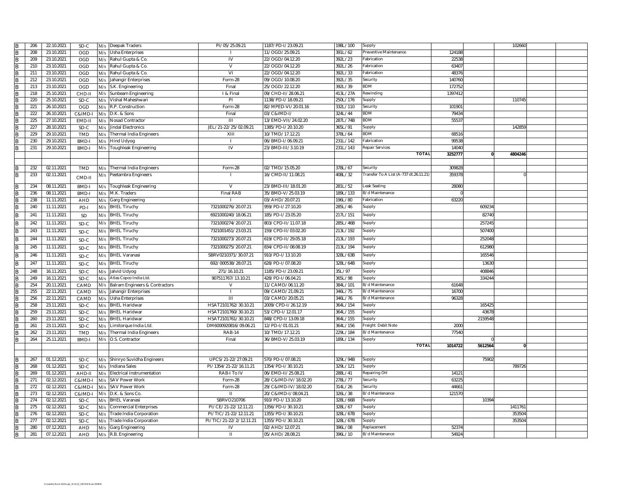|                | 206 | 22.10.2021 | SD-C          | M/s | Deepak Traders                    | PI/05/25.09.21          | 1187/PD-I/23.09.21   | 198L/100 | Supply                                 |         |         | 102660  |  |
|----------------|-----|------------|---------------|-----|-----------------------------------|-------------------------|----------------------|----------|----------------------------------------|---------|---------|---------|--|
| B              | 208 | 23.10.2021 | OGD           | M/s | Usha Enterprises                  |                         | 11/OGD/25.09.21      | 391L/62  | Preventive Maintenance                 | 124188  |         |         |  |
| B              | 209 | 23.10.2021 | OGD           | M/s | Rahul Gupta & Co.                 | IV                      | 22/OGD/04.12.20      | 392L/23  | abrication                             | 2253    |         |         |  |
| <sub>B</sub>   | 210 | 23.10.2021 | OGD           |     | M/s Rahul Gupta & Co.             | V                       | 22/OGD/04.12.20      | 392L/26  | Fabrication                            | 63407   |         |         |  |
|                | 211 | 23.10.2021 | OGD           | M/s | Rahul Gupta & Co.                 | VI                      | 22/OGD/04.12.20      | 392L/33  | Fabrication                            | 48376   |         |         |  |
| <b>R</b>       | 212 | 23.10.2021 | OGD           | M/s | Jahangir Enterprises              | Form-28                 | 09/OGD/10.08.20      | 392L/35  | Security                               | 140760  |         |         |  |
|                | 213 | 23.10.2021 | <b>OGD</b>    | M/s | S.K. Engineering                  | Final                   | 25/OGD/22.12.20      | 392L/39  | 3DM                                    | 172752  |         |         |  |
| <b>R</b>       | 218 | 25.10.2021 | CHD-II<br>M/s |     | Sunbeam Engineering               | I & Final               | 09/CHD-II/28.06.21   | 413L/27A | Rewinding                              | 1397412 |         |         |  |
| B              | 220 | 25.10.2021 | $SD-C$        | M/s | Vishal Maheshwari                 | PI                      | 1138/PD-I/18.09.21   | 250L/176 | Supply                                 |         |         | 11074   |  |
| $\overline{B}$ | 221 | 26.10.2021 | OGD           | M/s | R.P. Construction                 | Form-28                 | 82/MPED-VI/20.01.16  | 332L/110 | Security                               | 10190   |         |         |  |
| B              | 222 | 26.10.2021 | C&IMD-I       | M/s | D.K. & Sons                       | Final                   | 03/C&IMD-I/          | 324L/44  | 3DM                                    | 79434   |         |         |  |
| R              | 225 | 27.10.2021 | EMD-II        | M/s | Nosad Contractor                  | $\mathbf{III}$          | 13/EMD-VII/24.02.20  | 287L/74B | BDM                                    | 5553    |         |         |  |
| <sub>B</sub>   | 227 | 28.10.2021 | SD-C          | M/s | Jindal Electronics                | JEL/21-22/25/02.09.21   | 1385/PD-I/20.10.20   | 365L/91  | Supply                                 |         |         | 14285   |  |
|                | 229 | 29.10.2021 | <b>TMD</b>    | M/s | Thermal India Engineers           | XIII                    | 10/TMD/17.12.21      | 378L/64  | 3DM                                    | 68516   |         |         |  |
| <b>R</b>       | 230 | 29.10.2021 | BMD-I         | M/s | <b>Hind Udyog</b>                 | $\mathbf{I}$            | 06/BMD-1/06.09.21    | 231L/142 | abrication                             | 9953    |         |         |  |
| B              | 231 | 29.10.2021 | BMD-I         | M/s | Toughleak Engineering             | <b>IV</b>               | 23/BMD-III/3.10.19   | 231L/143 | Repair Services                        | 14040   |         |         |  |
|                |     |            |               |     |                                   |                         |                      |          | <b>TOTAL</b>                           | 3252777 |         | 4804246 |  |
|                |     |            |               |     |                                   |                         |                      |          |                                        |         |         |         |  |
| <b>R</b>       | 232 | 02.11.2021 | <b>TMD</b>    |     | M/s Thermal India Engineers       | Form-28                 | 02/TMD/15.05.20      | 378L/67  | Security                               | 309828  |         |         |  |
| <b>B</b>       | 233 | 02.11.2021 |               |     | M/s Peetambra Engineers           |                         | 16/CMD-II/11.08.21   | 408L/32  | Transfer To A List (A-737 dt.26.11.21) | 359378  |         |         |  |
|                |     |            | CMD-II        |     |                                   |                         |                      |          |                                        |         |         |         |  |
| <b>R</b>       | 234 | 08.11.2021 | BMD-I         |     | M/s Toughleak Engineering         | V                       | 23/BMD-III/18.01.20  | 281L/52  | Leak Sealing                           | 28080   |         |         |  |
| <b>R</b>       | 236 | 08.11.2021 | BMD-I         | M/s | M.K. Traders                      | Final RAB               | 35/BMD-V/25.03.19    | 189L/133 | B/d Maintenance                        |         |         |         |  |
|                | 238 | 11.11.2021 | AHD           | M/s | Garg Engineering                  |                         | 03/AHD/20.07.21      | 196L/80  | Fabrication                            | 63220   |         |         |  |
| <sub>B</sub>   | 240 | 11.11.2021 | PD-           | M/s | <b>BHEL Tiruchy</b>               | 7321000276/20.07.21     | 959/PD-I/27.10.20    | 285L/46  | Supply                                 |         | 60923   |         |  |
| B              | 241 | 11.11.2021 | SD            | M/s | <b>BHEL Tiruchy</b>               | 6921000240/18.06.21     | 185/PD-I/23.05.20    | 217L/151 | Supply                                 |         | 82740   |         |  |
| B              | 242 | 11.11.2021 | SD-C          |     | M/s BHEL Tiruchy                  | 7321000274/20.07.21     | 803/CPD-II/11.07.18  | 285L/46B | Supply                                 |         | 257245  |         |  |
| B              | 243 | 11.11.2021 | SD-C          | M/s | <b>BHEL Tiruchy</b>               | 7321001451/23.03.21     | 159/CPD-II/03.02.20  | 213L/192 | Supply                                 |         | 507400  |         |  |
|                | 244 |            |               |     |                                   |                         | 619/CPD-II/29.05.18  |          |                                        |         |         |         |  |
| B              |     | 11.11.2021 | SD-C          | M/s | <b>BHEL Tiruchy</b>               | 7321000273/20.07.21     |                      | 213L/193 | Supply                                 |         | 252048  |         |  |
| <b>R</b>       | 245 | 11.11.2021 | SD-C          | M/s | <b>BHEL Tiruchy</b>               | 7321000275/20.07.21     | 834/CPD-II/08.08.19  | 213L/194 | Supply                                 |         | 61298   |         |  |
| B              | 246 | 11.11.2021 | SD-C          | M/s | <b>BHEL Varanasi</b>              | SBRV0210371/30.07.21    | 910/PD-I/13.10.20    | 328L/63B | Supply                                 |         | 165546  |         |  |
| R              | 247 | 11.11.2021 | SD-C          | M/s | <b>BHEL Tiruchy</b>               | 692/000538/28.07.21     | 628/PD-1/07.08.20    | 328L/64B | Supply                                 |         | 13630   |         |  |
| $\overline{R}$ | 248 | 16.11.2021 | SD-C          | M/s | Jalvid Udyog                      | 271/16.10.21            | 1185/PD-I/23.09.21   | 35L/97   | Supply                                 |         | 408846  |         |  |
| <b>B</b>       | 249 | 16.11.2021 | SD-C          | M/s | Atlas Copco India Ltd.            | 907511767/13.10.21      | 428/PD-I/06.04.21    | 365L/98  | Supply                                 |         | 33424   |         |  |
| B              | 254 | 20.11.2021 | CAMD          | M/s | Balram Engineers & Contractors    | v                       | 11/CAMD/06.11.20     | 384L/101 | 3/d Maintenance                        | 61648   |         |         |  |
| B              | 255 | 22.11.2021 | CAMD          | M/s | Jahangir Enterprises              | $\mathbf{I}$            | 09/CAMD/21.09.21     | 346L/75  | B/d Maintenance                        | 16700   |         |         |  |
| <b>B</b>       | 256 | 22.11.2021 | CAMD          | M/s | <b>Usha Enterprises</b>           | III                     | 03/CAMD/20.05.21     | 346L/76  | B/d Maintenance                        | 96328   |         |         |  |
| <sub>R</sub>   | 258 | 23.11.2021 | SD-C          | M/s | <b>BHEL Haridwar</b>              | HSAT2101762/30.10.21    | 2009/CPD-I/26.12.19  | 364L/154 | Supply                                 |         | 16542   |         |  |
| B              | 259 | 23.11.2021 | SD-C          | M/s | <b>BHEL Haridwar</b>              | HSAT2101760/30.10.21    | 53/CPD-I/12.01.17    | 364L/155 | Supply                                 |         | 4367    |         |  |
| R              | 260 | 23.11.2021 | SD-C          | M/s | <b>BHEL Haridwar</b>              | HSAT2101761/30.10.21    | 848/CPD-I/13.09.18   | 364L/155 | Supply                                 |         | 2159548 |         |  |
| <sub>R</sub>   | 261 | 23.11.2021 | SD-C          | M/s | Limitorque India Ltd.             | DM6000920816/09.06.21   | 12/PD-I/01.01.21     | 364L/156 | Freight Debit Note                     | 2000    |         |         |  |
|                | 262 | 23.11.2021 | TMD           | M/s | <b>Thermal India Engineers</b>    | <b>RAB-14</b>           | 10/TMD/17.12.21      | 229L/184 | B/d Maintenance                        | 77540   |         |         |  |
| <b>B</b>       | 264 | 25.11.2021 | BMD-I         |     | M/s O.S. Contractor               | Final                   | 36/BMD-V/25.03.19    | 189L/134 | Supply                                 |         |         |         |  |
|                |     |            |               |     |                                   |                         |                      |          | <b>TOTAL</b>                           | 1014722 | 5612564 |         |  |
|                |     |            |               |     |                                   |                         |                      |          |                                        |         |         |         |  |
| B              | 267 | 01.12.2021 | SD-C          |     | M/s Shinryo Suvidha Engineers     | UPCS/21-22/27.09.21     | 570/PD-I/07.08.21    | 329L/94B | Supply                                 |         | 75902   |         |  |
| B              | 268 | 01.12.2021 | SD-C          | M/s | Indiana Sales                     | PI/1354/21-22/16.11.21  | 1354/PD-I/30.10.21   | 329L/121 | Supply                                 |         |         | 78972   |  |
| B              | 269 | 01.12.2021 | AHD-II        | M/s | <b>Electrical Instrumentation</b> | RAB-I To IV             | 06/EMD-II/25.08.21   | 288L/41  | Repairing OH                           | 14121   |         |         |  |
|                | 271 | 02.12.2021 | C&IMD-I       | M/s | <b>SAV Power Work</b>             | Form-28                 | 28/C&IMD-IV/18.02.20 | 278L/77  | Security                               | 63225   |         |         |  |
| <b>B</b>       | 272 | 02.12.2021 | C&IMD-I       | M/s | <b>SAV Power Work</b>             | Form-28                 | 29/C&IMD-IV/18.02.20 | 314L/26  | Security                               | 4466    |         |         |  |
|                | 273 | 02.12.2021 | C&IMD-I       | M/s | D.K. & Sons Co.                   | Ш                       | 20/C&IMD-I/08.04.21  | 326L/38  | B/d Maintenance                        | 121570  |         |         |  |
| <b>R</b>       | 274 | 02.12.2021 | $SD-C$<br>M/s |     | BHEL Varanasi                     | SBRVO210706             | 910/PD-I/13.10.20    | 328L/66B | Supply                                 |         | 10394   |         |  |
|                | 275 | 02.12.2021 | SD-C<br>M/s   |     | Commercial Enterprises            | PI/CE/21-22/12.11.21    | 356/PD-I/30.10.21    | 328L/67  | Supply                                 |         |         | 141176  |  |
| R              | 276 | 02.12.2021 | SD-C          | M/s | Trade India Corporation           | PI/TIC/21-22/12.11.21   | 355/PD-I/30.10.21    | 328L/67B | Supply                                 |         |         | 35350   |  |
| $\overline{R}$ | 277 | 02.12.2021 | SD-C          | M/s | Trade India Corporation           | PI/TIC/21-22/2/12.11.21 | 1355/PD-I/30.10.21   | 328L/67B | Supply                                 |         |         | 35350   |  |
|                | 280 | 07.12.2021 | <b>AHD</b>    | M/s | Garg Engineering                  | IV                      | 02/AHD/12.07.21      | 396L/08  | Replacement                            | 52374   |         |         |  |
| B              | 281 | 07.12.2021 | <b>AHD</b>    |     | M/s R.B. Engineering              | Ш                       | 05/AHD/28.08.21      | 396L/10  | B/d Maintenance                        | 54924   |         |         |  |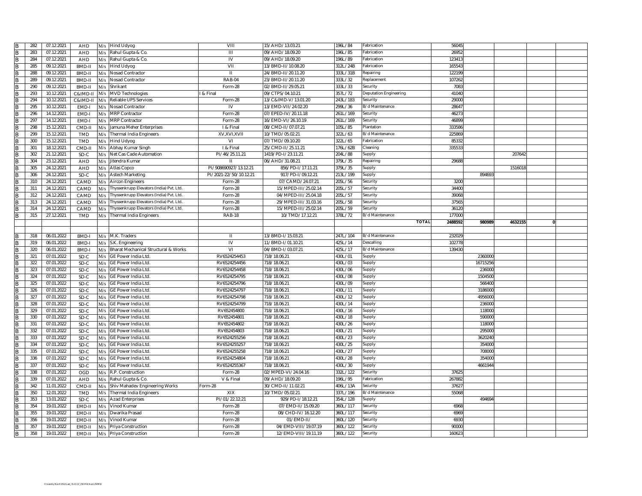| B                       | 282        | 07.12.2021 | <b>AHD</b>         |            | M/s Hind Udyog                           | VIII                     | 15/AHD/13.03.21      | 196L/84  | Fabrication            | 5604    |          |         |              |  |
|-------------------------|------------|------------|--------------------|------------|------------------------------------------|--------------------------|----------------------|----------|------------------------|---------|----------|---------|--------------|--|
| B                       | 283        | 07.12.2021 | AHD                | M/s        | Rahul Gupta & Co.                        | $\overline{1}$           | 09/AHD/18.09.20      | 196L/85  | Fabrication            | 2695    |          |         |              |  |
| R                       | 284        | 07.12.2021 | AHD                |            | M/s Rahul Gupta & Co.                    | IV                       | 09/AHD/18.09.20      | 196L/89  | Fabrication            | 12341   |          |         |              |  |
| R                       | 285        | 09.12.2021 | <b>BMD-II</b>      |            | M/s Hind Udyog                           | VII                      | 13/BMD-II/10.08.20   | 312L/24B | Fabrication            | 16554   |          |         |              |  |
| B                       | 288        | 09.12.2021 | BMD-II             | M/s        | Nosad Contractor                         | Ш                        | 24/BMD-II/20.11.20   | 333L/31B | Repairing              | 122199  |          |         |              |  |
| B                       | 289        | 09.12.2021 | BMD-II             | M/s        | <b>Nosad Contractor</b>                  | <b>RAB-04</b>            | 23/BMD-II/20.11.20   | 333L/32  | Replacement            | 10726   |          |         |              |  |
|                         | 290        | 09.12.2021 | BMD-II             | M/s        | Shrikant                                 | Form-28                  | 02/BMD-II/29.05.21   | 333L/33  | Security               | 708     |          |         |              |  |
|                         | 293        | 10.12.2021 | C&IMD-II           | M/s        | <b>MVD Technologies</b>                  | & Final                  | 09/CTPS/04.10.21     | 357L/72  | Deputation Engineering | 4104    |          |         |              |  |
| B                       | 294        | 10.12.2021 | C&IMD-II           | M/s        | Reliable UPS Services                    | Form-28                  | 13/C&IMD-V/13.01.20  | 243L/183 | Security               | 2900    |          |         |              |  |
| $\overline{\mathsf{R}}$ | 295        | 10.12.2021 | EMD-I              | M/s        | <b>Nosad Contractor</b>                  | IV                       | 13/EMD-VII/24.02.20  | 299L/36  | B/d Maintenance        | 2864    |          |         |              |  |
| R                       | 296        | 14.12.2021 | EMD-               | M/s        | <b>MRP Contractor</b>                    | Form-28                  | 07/EPED-IV/20.11.18  | 261L/169 | Security               | 4627    |          |         |              |  |
|                         | 297        | 14.12.2021 | EMD-               | M/s        | <b>MRP Contractor</b>                    | Form-28                  | 16/EMD-VI/26.10.19   | 261L/169 | Security               | 4689    |          |         |              |  |
| B                       | 298        | 15.12.2021 | CMD-II             | M/s        | Jamuna Meher Enterprises                 | I & Final                | 08/CMD-II/07.07.21   | 105L/85  | Plantation             | 333586  |          |         |              |  |
|                         | 299        | 15.12.2021 | <b>TMD</b>         |            | M/s Thermal India Engineers              | XV,XVI,XVII              | 10/TMD/05.02.21      | 322L/63  | B/d Maintenance        | 22586   |          |         |              |  |
| R                       | 300        | 15.12.2021 | <b>TMD</b>         | M/s        | <b>Hind Udyog</b>                        | VI                       | 07/TMD/09.10.20      | 322L/65  | Fabrication            | 8533    |          |         |              |  |
| B                       | 301        | 18.12.2021 | CMD-II             | M/s        | Abhay Kumar Singh                        | 1 & Final                | 25/CMD-II/25.11.21   | 176L/62B | Cleaning               | 33553   |          |         |              |  |
| B                       | 302        | 21.12.2021 | SD-C               | M/s        | Net Cas Cade Automation                  | PI/46/25.11.21           | 1419/PD-I/23.11.21   | 204L/88  | Supply                 |         |          | 20764   |              |  |
| B                       | 304        | 23.12.2021 | AHD                | M/s        | Jitendra Kumar                           | н                        | 06/AHD/31.08.21      | 379L/35  | Repairing              | 29688   |          |         |              |  |
| B                       | 305        | 24.12.2021 | AHD                | M/s        | Atlas Copco                              | PI/908690927/13.12.21    | 856/PD-I/17.11.21    | 379L/35  | Supply                 |         |          | 151601  |              |  |
| <b>B</b>                | 306        | 24.12.2021 | SD-C               | M/s        | Astech Marketing                         | PI/2021-22/50/10.12.21   | 917/PD-I/09.12.21    | 213L/199 | Supply                 |         | 89469    |         |              |  |
| R                       | 310        | 24.12.2021 | CAMD               | M/s        | <b>Aircon Engineers</b>                  | Form-28                  | 07/CAMD/24.07.21     | 205L/56  | Security               | 3200    |          |         |              |  |
| R                       | 311        | 24.12.2021 | CAMD               | M/s        | Thyssenkrupp Elevators (India) Pvt. Ltd. | Form-28                  | 15/MPED-III/25.02.14 | 205L/57  | Security               | 3440    |          |         |              |  |
| B                       | 312        | 24.12.2021 | CAMD               | M/s        | Thyssenkrupp Elevators (India) Pvt. Ltd. | Form-28                  | 04/MPED-III/25.04.18 | 205L/57  | Security               | 3906    |          |         |              |  |
| R                       | 313        | 24.12.2021 | CAMD               |            | Thyssenkrupp Elevators (India) Pvt. Ltd. | Form-28                  | 29/MPED-III/31.03.16 | 205L/58  | Security               | 3756    |          |         |              |  |
| B                       |            | 24.12.2021 |                    | M/s        | Thyssenkrupp Elevators (India) Pvt. Ltd. |                          | 15/MPED-III/25.02.14 | 205L/59  | Security               | 36120   |          |         |              |  |
|                         | 314<br>315 | 27.12.2021 | CAMD<br><b>TMD</b> | M/s<br>M/s | <b>Thermal India Engineers</b>           | Form-28<br><b>RAB-18</b> | 10/TMD/17.12.21      | 378L/72  | B/d Maintenance        | 17700   |          |         |              |  |
|                         |            |            |                    |            |                                          |                          |                      |          | <b>TOTAL</b>           | 2488592 | 980989   | 4632155 | $\mathbf{0}$ |  |
|                         |            |            |                    |            |                                          |                          |                      |          |                        |         |          |         |              |  |
|                         |            |            |                    |            |                                          |                          |                      |          | B/d Maintenance        |         |          |         |              |  |
| R                       | 318        | 06.01.2022 | BMD-I              |            | M/s M.K. Traders                         | $\mathbf{H}$             | 13/BMD-I/15.03.21    | 247L/104 |                        | 23202   |          |         |              |  |
|                         | 319        | 06.01.2022 | BMD-               | M/s        | S.K. Engineering                         | IV                       | 11/BMD-I/01.10.21    | 425L/14  | Descalling             | 102778  |          |         |              |  |
| B                       | 320        | 06.01.2022 | BMD-               | M/s        | Bharat Mechanical Structural & Works     | $\overline{v}$           | 04/BMD-I/03.07.21    | 425L/17  | B/d Maintenance        | 13943   |          |         |              |  |
| B                       | 321        | 07.01.2022 | SD-C               | M/s        | GE Power India Ltd.                      | RV6524254453             | 718/18.06.21         | 430L/01  | Supply                 |         | 2360000  |         |              |  |
| $\overline{R}$          | 322        | 07.01.2022 | SD-C               | M/s        | GE Power India Ltd.                      | RV6524254456             | 718/18.06.21         | 430L/03  | Supply                 |         | 16715256 |         |              |  |
| B                       | 323        | 07.01.2022 | SD-C               | M/s        | GE Power India Ltd.                      | RV6524254458             | 718/18.06.21         | 430L/06  | Supply                 |         | 236000   |         |              |  |
| R                       | 324        | 07.01.2022 | SD-C               | M/s        | GE Power India Ltd.                      | RV6524254795             | 718/18.06.21         | 430L/08  | Supply                 |         | 1504500  |         |              |  |
| R                       | 325        | 07.01.2022 | SD-C               | M/s        | GE Power India Ltd                       | RV6524254796             | 718/18.06.21         | 430L/09  | Supply                 |         | 566400   |         |              |  |
|                         | 326        | 07.01.2022 | SD-C               | M/s        | GE Power India Ltd.                      | RV6524254797             | 718/18.06.21         | 430L/11  | Supply                 |         | 3186000  |         |              |  |
| B                       | 327        | 07.01.2022 | SD-C               | M/s        | GE Power India Ltd                       | RV6524254798             | 718/18.06.21         | 430L/12  | Supply                 |         | 495600   |         |              |  |
| R                       | 328        | 07.01.2022 | SD-C               | M/s        | GE Power India Ltd.                      | RV6524254799             | 718/18.06.21         | 430L/14  | Supply                 |         | 236000   |         |              |  |
| R                       | 329        | 07.01.2022 | SD-C               | M/s        | GE Power India Ltd.                      | RV652454800              | 718/18.06.2          | 430L/16  | Supply                 |         | 11800    |         |              |  |
| B                       | 330        | 07.01.2022 | SD-C               | M/s        | GE Power India Ltd.                      | RV652454801              | 718/18.06.21         | 430L/18  | Supply                 |         | 590000   |         |              |  |
| $\overline{\mathsf{R}}$ | 331        | 07.01.2022 | SD-C               | M/s        | GE Power India Ltd.                      | RV652454802              | 718/18.06.21         | 430L/26  | Supply                 |         | 118000   |         |              |  |
| R                       | 332        | 07.01.2022 | SD-C               | M/s        | GE Power India Ltd.                      | RV652454803              | 718/18.06.21         | 430L/21  | Supply                 |         | 295000   |         |              |  |
| B                       | 333        | 07.01.2022 | SD-C               | M/s        | GE Power India Ltd.                      | RV6524255256             | 718/18.06.21         | 430L/23  | Supply                 |         | 3620240  |         |              |  |
| B                       | 334        | 07.01.2022 | SD-C               | M/s        | <b>GE Power India Ltd.</b>               | RV6524255257             | 718/18.06.21         | 430L/25  | Supply                 |         | 354000   |         |              |  |
| R                       | 335        | 07.01.2022 | SD-C               | M/s        | <b>GE Power India Ltd.</b>               | RV6524255258             | 718/18.06.21         | 430L/27  | Supply                 |         | 708000   |         |              |  |
| R                       | 336        | 07.01.2022 | SD-C               | M/s        | GE Power India Ltd.                      | RV6524254804             | 718/18.06.21         | 430L/28  | Supply                 |         | 354000   |         |              |  |
| B                       | 337        | 07.01.2022 | SD-C               | M/s        | GE Power India Ltd.                      | RV6524255367             | 718/18.06.21         | 430L/30  | Supply                 |         | 4661944  |         |              |  |
|                         | 338        | 07.01.2022 | <b>OGD</b>         | M/s        | R.P. Construction                        | Form-28                  | 02/MPED-VI/24.04.16  | 332L/122 | Security               | 3762    |          |         |              |  |
|                         | 339        | 07.01.2022 | AHD                | M/s        | Rahul Gupta & Co.                        | V & Final                | 09/AHD/18.09.20      | 196L/95  | Fabrication            | 26788   |          |         |              |  |
| B                       | 342        | 11.01.2022 | CMD-II             | M/s        | Shiv Mahadev Engineering Works           | Form-28                  | 30/CMD-II/11.02.21   | 406L/13A | Security               | 3762    |          |         |              |  |
| B                       | 350        | 12.01.2022 | <b>TMD</b>         | M/s        | <b>Thermal India Engineers</b>           | XIX                      | 10/TMD/05.02.21      | 337L/196 | B/d Maintenance        | 5506    |          |         |              |  |
| $\overline{\mathsf{R}}$ | 353        | 13.01.2022 | $SD-C$             | M/s        | <b>Azad Enterprises</b>                  | PI/01/22.12.21           | 929/PD-I/18.12.21    | 354L/128 | Supply                 |         | 494694   |         |              |  |
| R                       | 354        | 19.01.2022 | EMD-II             | M/s        | Vinod Kumar                              | Form-28                  | 07/EMD-II/15.09.20   | 360L/117 | Security               | 6968    |          |         |              |  |
| <b>B</b>                | 355        | 19.01.2022 | EMD-II             | M/s        | Dwarika Prasad                           | Form-28                  | 08/CHD-IV/16.12.20   | 360L/117 | Security               | 6969    |          |         |              |  |
| R                       | 356        | 19.01.2022 | EMD-II             | M/s        | Vinod Kumar                              | Form-28                  | 01/EMD-II/           | 360L/120 | Security               | 6930    |          |         |              |  |
| B                       | 357        | 19.01.2022 | EMD-II             | M/s        | Priya Construction                       | Form-28                  | 04/EMD-VIII/19.07.19 | 360L/122 | Security               | 90000   |          |         |              |  |
| B                       | 358        | 19.01.2022 | EMD-II             |            | M/s Priya Construction                   | Form-28                  | 12/EMD-VIII/19.11.19 | 360L/122 | Security               | 16062   |          |         |              |  |
|                         |            |            |                    |            |                                          |                          |                      |          |                        |         |          |         |              |  |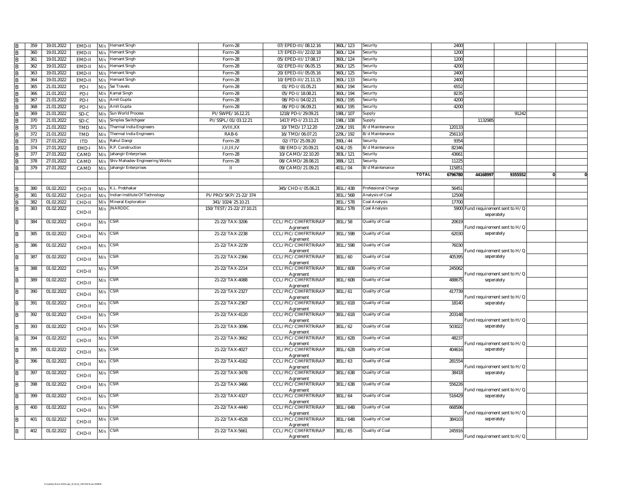| $\overline{B}$ | 359 | 19.01.2022 | EMD-II     | M/s | <b>Hemant Singh</b>            | Form-28                 | 07/EPED-III/08.12.16            | 360L/123 | Security            | 2400    |          |                                            |  |
|----------------|-----|------------|------------|-----|--------------------------------|-------------------------|---------------------------------|----------|---------------------|---------|----------|--------------------------------------------|--|
| B              | 360 | 19.01.2022 | EMD-II     | M/s | <b>Hemant Singh</b>            | Form-28                 | 17/EPED-III/22.02.18            | 360L/124 | Security            | 1200    |          |                                            |  |
| B              | 361 | 19.01.2022 | EMD-II     | M/s | <b>Hemant Singh</b>            | Form-28                 | 05/EPED-III/17.08.17            | 360L/124 | Security            | 1200    |          |                                            |  |
| B              | 362 | 19.01.2022 | FMD-II     |     | M/s Hemant Singh               | Form-28                 | 02/EPED-III/06.05.15            | 360L/125 | Security            | 4200    |          |                                            |  |
| B              | 363 | 19.01.2022 | FMD-II     | M/s | <b>Hemant Singh</b>            | Form-28                 | 20/EPED-III/05.05.16            | 360L/125 | Security            | 2400    |          |                                            |  |
| B              | 364 | 19.01.2022 | EMD-II     | M/s | <b>Hemant Singh</b>            | Form-28                 | 10/EPED-III/21.11.15            | 360L/133 | Security            | 2400    |          |                                            |  |
| B              | 365 | 21.01.2022 | PD-I       | M/s | Sai Travels                    | Form-28                 | 01/PD-I/01.05.21                | 360L/194 | Security            | 6552    |          |                                            |  |
| B              | 366 | 21.01.2022 | PD-I       | M/s | Camal Singh                    | Form-28                 | 05/PD-I/18.08.21                | 360L/194 | Security            | 823     |          |                                            |  |
| B              | 367 | 21.01.2022 | PD-I       | M/s | Amit Gupta                     | Form-28                 | 08/PD-I/04.02.21                | 360L/195 | Security            | 4200    |          |                                            |  |
| B              | 368 | 21.01.2022 | PD-I       | M/s | Amit Gupta                     | Form-28                 | 06/PD-I/06.09.21                | 360L/195 | Security            | 4200    |          |                                            |  |
| B              | 369 | 21.01.2022 | SD-C       | M/s | Sun World Process              | PI/SWPE/16.12.21        | 1218/PD-I/29.09.21              | 198L/107 | Supply              |         |          | 91242                                      |  |
| B              | 370 | 21.01.2022 | SD-C       | M/s | Simplex Switchgear             | PI/SSPL/01/03.12.21     | 1417/PD-I/23.11.21              | 198L/108 | Supply              |         | 113298   |                                            |  |
|                | 371 | 21.01.2022 |            |     | <b>Thermal India Engineers</b> | XVIII, XX               | 10/TMD/17.12.20                 | 229L/191 | B/d Maintenance     | 120133  |          |                                            |  |
| B              |     |            | <b>TMD</b> | M/s |                                |                         |                                 |          | B/d Maintenance     |         |          |                                            |  |
| <b>B</b>       | 372 | 21.01.2022 | <b>TMD</b> | M/s | Thermal India Engineers        | RAB-6                   | 16/TMD/06.07.21                 | 229L/192 |                     | 256110  |          |                                            |  |
| <b>IR</b>      | 373 | 27.01.2022 | <b>ITD</b> | M/s | Rahul Dangi                    | Form-28                 | 02/ITD/25.09.20                 | 390L/44  | Security            | 935     |          |                                            |  |
| <b>B</b>       | 374 | 27.01.2022 | EMD-       | M/s | R.P. Construction              | LILIILIV                | 08/EMD-I/20.09.21               | 424L/05  | B/d Maintenance     | 82346   |          |                                            |  |
| <b>B</b>       | 377 | 27.01.2022 | CAMD       | M/s | Jahangir Enterprises           | Form-28                 | 10/CAMD/22.10.20                | 383L/121 | Security            | 4366    |          |                                            |  |
| B              | 378 | 27.01.2022 | CAMD       | M/s | Shiv Mahadev Engineering Works | Form-28                 | 08/CAMD/28.08.21                | 388L/121 | Security            | 11225   |          |                                            |  |
| <b>IR</b>      | 379 | 27.01.2022 | CAMD       | M/s | Jahangir Enterprises           | $\mathbf{H}$            | 09/CAMD/21.09.21                | 401L/04  | 3/d Maintenance     | 11585   |          |                                            |  |
|                |     |            |            |     |                                |                         |                                 |          | <b>TOTAL</b>        | 6796780 | 44168997 | 9355552                                    |  |
|                |     |            |            |     |                                |                         |                                 |          |                     |         |          |                                            |  |
| B              | 380 | 01.02.2022 | CHD-II     |     | M/s K.L. Prebhakar             |                         | 345/CHD-I/05.06.21              | 381L/43B | Professional Charge | 56451   |          |                                            |  |
| B              | 381 | 01.02.2022 | CHD-II     | M/s | Indian Institute Of Technology | PI/PRO/SKP/21-22/374    |                                 | 381L/56B | Analysis of Coal    | 12508   |          |                                            |  |
| B              | 382 | 01.02.2022 | CHD-II     | M/s | Mineral Exploration            | 341/1024/25.10.21       |                                 | 381L/57B | Coal Analysis       | 17700   |          |                                            |  |
| $\overline{B}$ | 383 | 01.02.2022 |            |     | $M/s$ JNARDDC                  | 150/TEST/21-22/27.10.21 |                                 | 381L/57B | Coal Analysis       |         |          | 5900 Fund requirement sent to H/Q          |  |
|                |     |            | CHD-II     |     |                                |                         |                                 |          |                     |         |          | seperately                                 |  |
| B              | 384 | 01.02.2022 |            |     | $M/s$ CSIR                     | 21-22/TAX-3206          | CCL/PIC/CIMFRTRIRAP             | 381L/58  | Quality of Coal     | 2061    |          |                                            |  |
|                |     |            | CHD-II     |     |                                |                         | Agrement                        |          |                     |         |          | Fund requirement sent to H/Q               |  |
| B              | 385 | 01.02.2022 | CHD-II     | M/s | <b>CSIR</b>                    | 21-22/TAX-2238          | CCL/PIC/CIMFRTRIRAP             | 381L/59B | Quality of Coal     | 62030   |          | seperately                                 |  |
|                |     |            |            |     |                                |                         | Agrement                        |          |                     |         |          |                                            |  |
| B              | 386 | 01.02.2022 | CHD-II     | M/s | <b>CSIR</b>                    | 21-22/TAX-2239          | CCL/PIC/CIMFRTRIRAP             | 381L/59B | Quality of Coal     | 76030   |          |                                            |  |
|                | 387 | 01.02.2022 |            | M/s | <b>CSIR</b>                    | 21-22/TAX-2366          | Agrement<br>CCL/PIC/CIMFRTRIRAP | 381L/60  | Quality of Coal     | 405395  |          | Fund requirement sent to H/Q<br>seperately |  |
| B              |     |            | CHD-II     |     |                                |                         | Agrement                        |          |                     |         |          |                                            |  |
| B              | 388 | 01.02.2022 |            | M/s | <b>CSIR</b>                    | 21-22/TAX-2214          | CCL/PIC/CIMFRTRIRAP             | 381L/60B | Quality of Coal     | 245062  |          |                                            |  |
|                |     |            | CHD-II     |     |                                |                         | Agrement                        |          |                     |         |          | Fund requirement sent to H/Q               |  |
| B              | 389 | 01.02.2022 | CHD-II     | M/s | <b>CSIR</b>                    | 21-22/TAX-4088          | CCL/PIC/CIMFRTRIRAP             | 381L/60B | Quality of Coal     | 48867   |          | seperately                                 |  |
|                |     |            |            |     |                                |                         | Agrement                        |          |                     |         |          |                                            |  |
| B              | 390 | 01.02.2022 | CHD-II     | M/s | <b>CSIR</b>                    | 21-22/TAX-2327          | CCL/PIC/CIMFRTRIRAP             | 381L/61  | Quality of Coal     | 41773   |          |                                            |  |
|                |     |            |            |     |                                |                         | Agrement                        |          |                     |         |          | Fund requirement sent to H/Q               |  |
| B              | 391 | 01.02.2022 | CHD-II     | M/s | <b>CSIR</b>                    | 21-22/TAX-2367          | CCL/PIC/CIMFRTRIRAP             | 381L/61B | Quality of Coal     | 18140   |          | seperately                                 |  |
| B              | 392 | 01.02.2022 |            |     | $M/s$ CSIR                     | 21-22/TAX-4120          | Agrement<br>CCL/PIC/CIMFRTRIRAP | 381L/61B | Quality of Coal     | 203148  |          |                                            |  |
|                |     |            | CHD-II     |     |                                |                         | Agrement                        |          |                     |         |          | Fund requirement sent to H/Q               |  |
| B              | 393 | 01.02.2022 |            |     | $M/s$ CSIR                     | 21-22/TAX-3096          | CCL/PIC/CIMFRTRIRAP             | 381L/62  | Quality of Coal     | 503022  |          | seperately                                 |  |
|                |     |            | CHD-II     |     |                                |                         | Agrement                        |          |                     |         |          |                                            |  |
| B              | 394 | 01.02.2022 | CHD-II     | M/s | <b>CSIR</b>                    | 21-22/TAX-3662          | CCL/PIC/CIMFRTRIRAP             | 381L/62B | Quality of Coal     | 4823    |          |                                            |  |
|                |     |            |            |     |                                |                         | Agrement                        |          |                     |         |          | Fund requirement sent to H/Q               |  |
| $\overline{B}$ | 395 | 01.02.2022 | CHD-II     | M/s | <b>CSIR</b>                    | 21-22/TAX-4027          | CCL/PIC/CIMFRTRIRAP             | 381L/62B | Quality of Coal     | 404616  |          | seperately                                 |  |
|                |     |            |            |     |                                |                         | Agrement                        |          |                     |         |          |                                            |  |
| B              | 396 | 01.02.2022 | CHD-II     | M/s | <b>CSIR</b>                    | 21-22/TAX-4162          | CCL/PIC/CIMFRTRIRAP             | 381L/63  | Quality of Coal     | 281554  |          |                                            |  |
| B              | 397 | 01.02.2022 |            | M/s | <b>CSIR</b>                    | 21-22/TAX-3478          | Agrement<br>CCL/PIC/CIMFRTRIRAP | 381L/63B | Quality of Coal     | 38418   |          | und requirement sent to H/Q<br>seperately  |  |
|                |     |            | CHD-II     |     |                                |                         | Agrement                        |          |                     |         |          |                                            |  |
| B              | 398 | 01.02.2022 |            |     | $M/s$ CSIR                     | 21-22/TAX-3466          | CCL/PIC/CIMFRTRIRAP             | 381L/63B | Quality of Coal     | 556226  |          |                                            |  |
|                |     |            | CHD-II     |     |                                |                         | Agrement                        |          |                     |         |          | Fund requirement sent to H/Q               |  |
| B              | 399 | 01.02.2022 | CHD-II     | M/s | <b>CSIR</b>                    | 21-22/TAX-4327          | CCL/PIC/CIMFRTRIRAP             | 381L/64  | Quality of Coal     | 516429  |          | seperately                                 |  |
|                |     |            |            |     |                                |                         | Agrement                        |          |                     |         |          |                                            |  |
| B              | 400 | 01.02.2022 | CHD-II     | M/s | <b>CSIR</b>                    | 21-22/TAX-4440          | CCL/PIC/CIMFRTRIRAP             | 381L/64B | Quality of Coal     | 668586  |          |                                            |  |
|                |     |            |            |     |                                |                         | Agrement                        |          |                     |         |          | Fund requirement sent to H/Q               |  |
| $\overline{B}$ | 401 | 01.02.2022 | CHD-II     | M/s | <b>CSIR</b>                    | 21-22/TAX-4528          | CCL/PIC/CIMFRTRIRAP             | 381L/64B | Quality of Coal     | 384103  |          | seperately                                 |  |
|                | 402 | 01.02.2022 |            |     | <b>CSIR</b>                    | 21-22/TAX-5661          | Agrement<br>CCL/PIC/CIMFRTRIRAP | 381L/65  | Quality of Coal     |         |          |                                            |  |
| B              |     |            | CHD-II     | M/s |                                |                         | Agrement                        |          |                     | 245916  |          | Fund requirement sent to H/Q               |  |
|                |     |            |            |     |                                |                         |                                 |          |                     |         |          |                                            |  |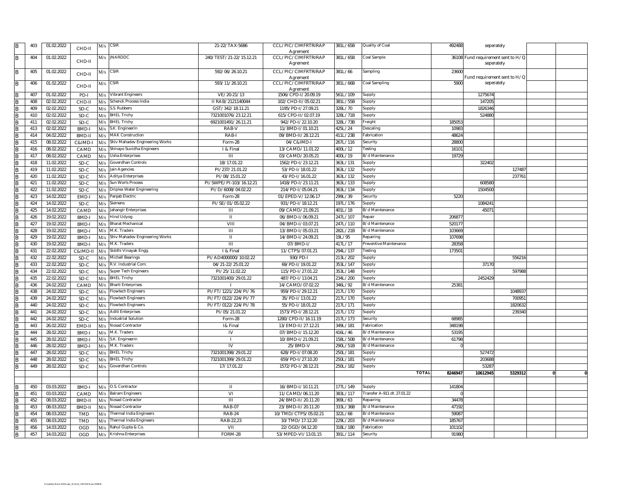| B.             | 403 | 01.02.2022 | CHD-II     | M/s | <b>CSIR</b>                    | 21-22/TAX-5686          | CCL/PIC/CIMFRTRIRAP             | 381L/65B | Quality of Coal             | 492488  |                                    | seperately                   |  |
|----------------|-----|------------|------------|-----|--------------------------------|-------------------------|---------------------------------|----------|-----------------------------|---------|------------------------------------|------------------------------|--|
| B              | 404 | 01.02.2022 |            |     | $M/s$ JNARDDC                  | 240/TEST/21-22/15.12.21 | Agrement<br>CCL/PIC/CIMFRTRIRAP | 381L/65B | Coal Sample                 |         | 36108 Fund requirement sent to H/Q |                              |  |
|                |     |            | CHD-II     |     |                                |                         | Agrement                        |          |                             |         |                                    | seperately                   |  |
|                |     |            |            |     |                                |                         |                                 |          |                             |         |                                    |                              |  |
| B              | 405 | 01.02.2022 | CHD-II     |     | $M/s$ CSIR                     | 592/06/26.10.21         | CCL/PIC/CIMFRTRIRAP             | 381L/66  | Sampling                    | 23600   |                                    |                              |  |
|                |     |            |            |     |                                | 593/11/26.10.21         | Agrement                        |          |                             | 5900    |                                    | Fund requirement sent to H/Q |  |
| B              | 406 | 01.02.2022 | CHD-II     | M/s | <b>CSIR</b>                    |                         | CCL/PIC/CIMFRTRIRAP             | 381L/66B | Coal Sampling               |         |                                    | seperately                   |  |
| B              | 407 | 01.02.2022 | PD-I       | M/s | <b>Vibrant Engineers</b>       | VE/20-21/13             | Agrement<br>1506/CPD-I/20.09.19 | 561L/109 | Supply                      |         | 1275674                            |                              |  |
| B              | 408 | 02.02.2022 | CHD-I      | M/s | Schenck Process India          | II RAB/2121140044       | 102/CHD-II/05.02.21             | 381L/55B | Supply                      |         | 14720                              |                              |  |
|                |     |            |            |     | S.S. Rubbers                   |                         |                                 |          |                             |         |                                    |                              |  |
| B              | 409 | 02.02.2022 | SD-C       | M/s |                                | GST/342/18.11.21        | 1195/PD-I/27.09.21              | 328L/70  | Supply                      |         | 182634                             |                              |  |
| B              | 410 | 02.02.2022 | SD-C       | M/s | <b>BHEL Trichy</b>             | 7321001076/23.12.21     | 615/CPD-II/02.07.19             | 328L/71B | Supply                      |         | 52488                              |                              |  |
| B              | 411 | 02.02.2022 | SD-C       | M/s | <b>BHEL Trichy</b>             | 6921001491/26.11.21     | 942/PD-I/22.10.20               | 328L/73B | Freight                     | 185053  |                                    |                              |  |
| B              | 413 | 02.02.2022 | BMD-       | M/s | S.K. Engineerin                | RAB-V                   | 11/BMD-I/01.10.21               | 425L/24  | Descaling                   | 1098    |                                    |                              |  |
| <sub>B</sub>   | 414 | 04.02.2022 | BMD-I      | M/s | <b>MAK Construction</b>        | RAB-I                   | 09/BMD-II/28.12.21              | 411L/23B | Fabrication                 | 48624   |                                    |                              |  |
|                | 415 | 08.02.2022 | C&IMD-I    | M/s | Shiv Mahadev Engineering Works | Form-28                 | 04/C&IMD-I                      | 267L/116 | Security                    | 28800   |                                    |                              |  |
| B              | 416 | 08.02.2022 | CAMD       | M/s | Shinayo Suvidha Engineers      | I & Final               | 13/CAMD/11.01.22                | 400L/12  | Festing                     | 1610    |                                    |                              |  |
| $\overline{B}$ | 417 | 08.02.2022 | CAMD       | M/s | Usha Enterprises               | $\mathbf{III}$          | 03/CAMD/20.05.21                | 400L/19  | B/d Maintenance             | 19729   |                                    |                              |  |
| R              | 418 | 11.02.2022 | SD-C       | M/s | Goverdhan Controls             | 18/17.01.22             | 1562/PD-I/23.12.21              | 363L/131 | Supply                      |         | 32240                              |                              |  |
| B              | 419 | 11.02.2022 | SD-C       | M/s | Jain Agencies                  | PI/237/21.01.22         | 53/PD-I/18.01.22                | 363L/132 | Supply                      |         |                                    | 12748                        |  |
| R              | 420 | 11.02.2022 | SD-C       | M/s | <b>Aditya Enterprises</b>      | PI/08/15.01.22          | 43/PD-I/16.01.22                | 363L/132 | Supply                      |         |                                    | 23776                        |  |
| B              | 421 | 11.02.2022 | SD-C       | M/s | Sun Worls Process              | PI/SWPE/PI-103/16.12.21 | 1418/PD-I/23.11.21              | 363L/133 | Supply                      |         | 60858                              |                              |  |
| <b>B</b>       | 422 | 11.02.2022 | SD-C       | M/s | Driplex Water Engineering      | PI/D/6008/04.02.22      | 214/PD-I/05.04.21               | 363L/134 | Supply                      |         | 1504500                            |                              |  |
|                | 423 | 14.02.2022 |            | M/s | Panjab Electric                | Form-28                 | 01/EPED-V/12.06.17              | 299L/39  | Security                    | 5220    |                                    |                              |  |
| B              |     |            | EMD-I      |     |                                |                         |                                 |          |                             |         |                                    |                              |  |
| $\overline{B}$ | 424 | 14.02.2022 | SD-C       | M/s | Siemens                        | PI/SE/01/05.02.22       | 931/PD-I/18.12.21               | 197L/176 | Supply                      |         | 108424                             |                              |  |
| <b>R</b>       | 425 | 14.02.2022 | CAMD       | M/s | Jahangir Enterprises           | $\mathbf{H}$            | 09/CAMD/21.09.21                | 401L/18  | B/d Maintenance             |         | 4507                               |                              |  |
| B              | 426 | 19.02.2022 | BMD-I      | M/s | Hind Udyog                     | $\mathbf{H}$            | 06/BMD-I/06.09.21               | 247L/107 | Repair                      | 20687   |                                    |                              |  |
| B              | 427 | 19.02.2022 | BMD-I      | M/s | <b>Bharat Mechanical</b>       | VIII                    | 04/BMD-I/03.07.21               | 247L/110 | B/d Maintenance             | 52017   |                                    |                              |  |
| B              | 428 | 19.02.2022 | BMD-I      | M/s | M.K. Traders                   | $\mathbf{III}$          | 13/BMD-I/05.03.21               | 282L/21B | B/d Maintenance             | 103669  |                                    |                              |  |
|                | 429 | 19.02.2022 | BMD-I      | M/s | Shiv Mahadev Engineering Works | $\mathbf{H}$            | 14/BMD-I/24.09.21               | 19L/95   | Repairing                   | 107698  |                                    |                              |  |
| B              | 430 | 19.02.2022 | BMD-I      | M/s | M.K. Traders                   | $\overline{1}$          | 07/BMD-I/                       | 417L/17  | Preventive Maintenance      | 2835    |                                    |                              |  |
| $\overline{R}$ | 431 | 22.02.2022 | C&IMD-II   | M/s | Siddhi Vinayak Engg.           | I & Final               | 11/CTPS/07.01.21                | 294L/137 | Testing                     | 17350   |                                    |                              |  |
| B              | 432 | 22.02.2022 | SD-C       | M/s | <b>Michell Bearings</b>        | PI/AD4000000/10.02.22   | 930/PD-I                        | 213L/202 | Supply                      |         |                                    | 55621                        |  |
| $\overline{B}$ | 433 | 22.02.2022 | SD-C       | M/s | R.V. Industrial Com.           | 04/21-22/25.01.22       | 69/PD-I/19.01.22                | 353L/147 | Supply                      |         | 37170                              |                              |  |
| B              | 434 | 22.02.2022 | SD-C       | M/s | <b>Super Tech Engineers</b>    | PI/25/11.02.22          | 115/PD-I/27.01.22               | 353L/148 | Supply                      |         |                                    | 597988                       |  |
| B              | 435 | 22.02.2022 | SD-C       | M/s | <b>BHEL Trichy</b>             | 7321001400/29.01.22     | 487/PD-I/13.04.21               | 234L/200 | Supply                      |         | 245242                             |                              |  |
| R              | 436 | 24.02.2022 | CAMD       | M/s | <b>Bharti Enterprises</b>      |                         | 14/CAMD/07.02.22                | 346L/92  | B/d Maintenance             | 2538    |                                    |                              |  |
|                | 438 | 24.02.2022 |            |     | <b>Flowtech Engineers</b>      | PI/FT/1221/224/PI/76    | 959/PD-I/29.12.21               | 217L/170 |                             |         |                                    | 104893                       |  |
| B              | 439 | 24.02.2022 | SD-C       | M/s |                                | PI/FT/0122/224/PI/77    | 35/PD-1/13.01.22                |          | Supply                      |         |                                    | 70095                        |  |
|                |     |            | SD-C       | M/s | <b>Flowtech Engineers</b>      |                         |                                 | 217L/170 | Supply                      |         |                                    |                              |  |
| <b>B</b>       | 440 | 24.02.2022 | SD-C       | M/s | <b>Flowtech Engineers</b>      | PI/FT/0122/224/PI/78    | 55/PD-1/18.01.22                | 217L/171 | Supply                      |         |                                    | 182063                       |  |
| B              | 441 | 24.02.2022 | SD-C       | M/s | <b>Aditi Enterprises</b>       | PI/05/21.01.22          | 1573/PD-1/28.12.21              | 217L/172 | Supply                      |         |                                    | 239340                       |  |
| B              | 442 | 24.02.2022 | SD-C       | M/s | Industrial Solution            | Form-28                 | 1280/CPD-II/16.11.19            | 217L/173 | Security                    | 6898    |                                    |                              |  |
| B              | 443 | 26.02.2022 | EMD-I      | M/s | Nosad Contractor               | 1& Final                | 13/EMD-II/27.12.21              | 349L/181 | Fabrication                 | 348198  |                                    |                              |  |
| R              | 444 | 28.02.2022 | BMD-       | M/s | M.K. Traders                   | IV                      | 07/BMD-I/15.12.20               | 416L/46  | B/d Maintenance             | 5319    |                                    |                              |  |
| B              | 445 | 28.02.2022 | BMD-I      | M/s | S.K. Engineerin                | - 1                     | 10/BMD-I/21.09.21               | 158L/50B | B/d Maintenance             | 61798   |                                    |                              |  |
| R              | 446 | 28.02.2022 | BMD-       | M/s | M.K. Traders                   | IV                      | 25/BMD-V                        | 290L/51B | B/d Maintenance             |         |                                    |                              |  |
| <b>B</b>       | 447 | 28.02.2022 | SD-C       | M/s | <b>BHEL Trichy</b>             | 7321001398/29.01.22     | 628/PD-I/07.08.20               | 250L/181 | Supply                      |         | 52747                              |                              |  |
| B              | 448 | 28.02.2022 | SD-C       | M/s | <b>BHEL Trichy</b>             | 7321001399/29.01.22     | 659/PD-I/27.10.20               | 250L/181 | Supply                      |         | 20368                              |                              |  |
| B              | 449 | 28.02.2022 | SD-C       | M/s | Goverdhan Controls             | 17/17.01.22             | 1572/PD-1/28.12.21              | 250L/182 | Supply                      |         | 5328                               |                              |  |
|                |     |            |            |     |                                |                         |                                 |          | <b>TOTAL</b>                | 8246947 | 10612945                           | 5329312                      |  |
|                |     |            |            |     |                                |                         |                                 |          |                             |         |                                    |                              |  |
| B              | 450 | 03.03.2022 | BMD-I      | M/s | O.S. Contractor                | Ш                       | 16/BMD-I/10.11.21               | 177L7149 | Supply                      | 141804  |                                    |                              |  |
| $\overline{R}$ | 451 | 03.03.2022 | CAMD       |     |                                | $\overline{\mathsf{v}}$ | 11/CAMD/06.11.20                | 383L/117 | Transfer A-911 dt. 27.01.22 |         |                                    |                              |  |
|                |     |            |            | M/s | <b>Balram Engineers</b>        |                         |                                 |          |                             |         |                                    |                              |  |
| B              | 452 | 08.03.2022 | BMD-I      | M/s | Nosad Contractor               | $\overline{1}$          | 24/BMD-II/20.11.20              | 369L/63  | Repairing                   | 34478   |                                    |                              |  |
|                | 453 | 08.03.2022 | BMD-I      | M/s | Nosad Contractor               | <b>RAB-07</b>           | 23/BMD-II/20.11.20              | 333L/36B | B/d Maintenance             | 47192   |                                    |                              |  |
| B              | 454 | 08.03.2022 | <b>TMD</b> | M/s | <b>Thermal India Engineers</b> | <b>RAB-24</b>           | 10/TMD/CTPS/05.02.21            | 322L/68  | B/d Maintenance             | 5908    |                                    |                              |  |
|                | 455 | 08.03.2022 | TMD        | M/s | <b>Thermal India Engineers</b> | RAB-22,23               | 10/TMD/17.12.20                 | 229L/203 | B/d Maintenance             | 18576   |                                    |                              |  |
| <b>B</b>       | 456 | 14.03.2022 | OGD        | M/s | Rahul Gupta & Co               | VII                     | 22/OGD/04.12.20                 | 318L/180 | Fabrication                 | 10110   |                                    |                              |  |
| $\sf{B}$       | 457 | 14.03.2022 | OGD        | M/s | Krishna Enterprises            | FORM-28                 | 53/MPED-VI/13.01.15             | 391L/114 | Security                    | 91980   |                                    |                              |  |
|                |     |            |            |     |                                |                         |                                 |          |                             |         |                                    |                              |  |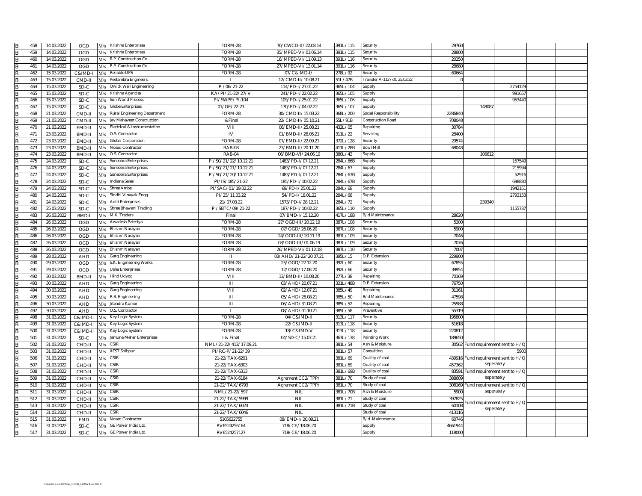|                | 458        | 14.03.2022               | M/s<br>OGD           | Krishna Enterprises                | FORM-28                | 70/CWCD-II/22.08.14                | 391L/115            | Security                     | 29760           |                                     |                             |  |
|----------------|------------|--------------------------|----------------------|------------------------------------|------------------------|------------------------------------|---------------------|------------------------------|-----------------|-------------------------------------|-----------------------------|--|
| B              | 459        | 14.03.2022               | OGD<br>M/s           | Krishna Enterprises                | FORM-28                | 35/MPED-VI/01.06.14                | 391L/115            | Security                     | 2880            |                                     |                             |  |
| B              | 460        | 14.03.2022               | OGD<br>M/s           | R.P. Construction Co.              | FORM-28                | 16/MPED-VI/11.09.13                | 391L/116            | Security                     | 20250           |                                     |                             |  |
| <b>B</b>       | 461        | 14.03.2022               | OGD<br>M/s           | R.P. Construction Co.              | FORM-28                | 27/MPED-VI/13.01.14                | 391L/116            | Security                     | 2868            |                                     |                             |  |
| B              | 462        | 15.03.2022               | C&IMD-I<br>M/s       | Reliable UPS                       | FORM-28                | 07/C&IMD-I/                        | 278L/92             | Security                     | 60664           |                                     |                             |  |
| R              | 463        | 15.03.2022               | CMD-II<br>M/s        | Peetambra Engineers                |                        | 12/CMD-II/10.08.21                 | 51L/47B             | Transfer A-1127 dt. 25.03.22 |                 |                                     |                             |  |
| B              | 464        | 15.03.2022               | SD-C<br>M/s          | Qwick Well Engineering             | PI/06/21-22            | 114/PD-I/27.01.22                  | 365L/104            | Supply                       |                 |                                     | 275412                      |  |
| <b>B</b>       | 465        | 15.03.2022               | SD-C<br>M/s          | Krishna Agencies                   | KA/PI/21-22/27/V       | 241/PD-I/22.02.22                  | 365L/105            | Supply                       |                 |                                     | 99165                       |  |
| B              | 466        | 15.03.2022               | SD-C<br>M/s          | Sun World Process                  | PI/SWPE/PI-104         | 109/PD-I/25.01.22                  | 365L/106            | Supply                       |                 |                                     | 953440                      |  |
| $\overline{B}$ | 467        | 15.03.2022               | $SD-C$<br>M/s        | <b>Globe Enterprises</b>           | 01/GE/22-23            | 170/PD-I/04.02.22                  | 365L/107            | Supply                       |                 | 14808                               |                             |  |
| <b>R</b>       | 468        | 21.03.2022               | CMD-II<br>M/s        | Rural Engineering Department       | FORM-28                | 30/CMD-II/15.03.22                 | 368L/200            | Social Responsibility        | 228684          |                                     |                             |  |
| B              | 469        | 21.03.2022               | CMD-II               | Jay Mahaveer Construction          | 1&Final                | 22/CMD-II/05.10.21                 | 55L/91B             | Construction Road            | 708048          |                                     |                             |  |
| B              | 470        | 21.03.2022               | M/s<br>EMD-II        | Electrical & Instrumentation       | VIII                   | 06/EMD-II/25.08.21                 | 432L/05             | Repairing                    | 3078            |                                     |                             |  |
|                |            | 23.03.2022               | M/s                  | O.S. Contractor                    |                        |                                    | 311L/22             | Servicing                    |                 |                                     |                             |  |
| <sub>B</sub>   | 471        |                          | BMD-II<br>M/s        |                                    | IV                     | 01/BMD-II/28.05.21                 |                     |                              | 28400           |                                     |                             |  |
| R              | 472        | 23.03.2022               | EMD-II<br>M/s        | <b>Global Corporation</b>          | FORM-28                | 07/EMD-II/22.09.21                 | 372L/128            | Security                     | 29574           |                                     |                             |  |
| B              | 473        | 23.03.2022               | BMD-II<br>M/s        | Nosad Contractor                   | <b>RAB-08</b>          | 23/BMD-II/20.11.20                 | 411L/28B            | Bowl Mil                     | 68048           |                                     |                             |  |
| <b>B</b>       | 474        | 23.03.2022               | BMD-II<br>M/s        | O.S. Contractor                    | <b>RAB-04</b>          | 06/BMD-VI/24.06.19                 | 380L/43             | Supply                       |                 | 106612                              |                             |  |
| B              | 475        | 24.03.2022               | SD-C<br>M/s          | Soneobra Enterprises               | PI/S0/21/22/10.12.21   | 1483/PD-I/07.12.21                 | 284L/66B            | Supply                       |                 |                                     | 167549                      |  |
| B              | 476        | 24.03.2022               | $SD-C$<br>M/s        | Soneobra Enterprises               | PI/S0/21/21/10.12.21   | 1483/PD-I/07.12.21                 | 284L/67             | Supply                       |                 |                                     | 21599                       |  |
| $\overline{B}$ | 477        | 24.03.2022               | SD-C<br>M/s          | Soneobra Enterprises               | PI/S0/21/20/10.12.21   | 1483/PD-I/07.12.21                 | 284L/67B            | Supply                       |                 |                                     | 5291                        |  |
| B              | 478        | 24.03.2022               | SD-C<br>M/s          | <b>Indiana Sales</b>               | PI/IS/185/21-22        | 185/PD-I/10.02.22                  | 284L/67B            | Supply                       |                 |                                     | 69888                       |  |
| <b>R</b>       | 479        | 24.03.2022               | SD-C<br>M/s          | Shree Ambe                         | PI/SAC/01/19.02.22     | 69/PD-1/25.01.22                   | 284L/68             | Supply                       |                 |                                     | 194215                      |  |
| B              | 480        | 24.03.2022               | SD-C<br>M/s          | Siddhi Vinayak Engg.               | PI/25/11.03.22         | 54/PD-I/18.01.22                   | 284L/68             | Supply                       |                 |                                     | 279315                      |  |
| B              | 481        | 24.03.2022               | SD-C<br>M/s          | <b>Aditi Enterprises</b>           | 21/07.03.22            | 1573/PD-1/28.12.21                 | 284L/72             | Supply                       |                 | 239340                              |                             |  |
| <sub>B</sub>   | 482        | 25.03.2022               | SD-C<br>M/s          | Shree Bhawani Trading              | PI/SBTC/09/21-22       | 187/PD-I/10.02.22                  | 365L/110            | Supply                       |                 |                                     | 115573                      |  |
|                | 483        | 26.03.2022               | BMD-I<br>M/s         | M.K. Traders                       | Final                  | 07/BMD-I/15.12.20                  | 417L/18B            | B/d Maintenance              | 28620           |                                     |                             |  |
| B              | 484        | 26.03.2022               | OGD<br>M/s           | Awadesh Pateriya                   | FORM-28                | 27/OGD-III/20.12.19                | 387L/108            | Security                     | 5200            |                                     |                             |  |
| $\overline{B}$ | 485        | 26.03.2022               | OGD<br>M/s           | <b>Bhishm Narayan</b>              | FORM-28                | 07/OGD/26.06.20                    | 387L/108            | Security                     | 5900            |                                     |                             |  |
| B              | 486        | 26.03.2022               | OGD<br>M/s           | Bhishm Narayan                     | FORM-28                | 24/OGD-III/20.11.19                | 387L/109            | Security                     | 7046            |                                     |                             |  |
|                |            | 26.03.2022               | OGD<br>M/s           | <b>Bhishm Narayan</b>              | FORM-28                | 08/OGD-III/01.06.19                | 387L/109            | Security                     | 7076            |                                     |                             |  |
| B              | 487        |                          |                      |                                    |                        |                                    |                     |                              |                 |                                     |                             |  |
| B              | 488        | 26.03.2022               | OGD<br>M/s           | Bhishm Narayan                     | FORM-28                | 26/MPED-VI/01.12.18                | 387L/110            | Security                     | 7007            |                                     |                             |  |
| <b>B</b>       | 489        | 28.03.2022               | <b>AHD</b><br>M/s    | Garg Engineering                   | Ш                      | 03/AHD/21-22/20.07.21              | 395L/15             | D.P. Extension               | 229900          |                                     |                             |  |
| <b>B</b>       | 490        | 29.03.2022               | <b>OGD</b><br>M/s    | S.K. Engineering Works             | FORM-28                | 25/OGD/22.12.20                    | 392L/60             | Security                     | 67855           |                                     |                             |  |
| <b>B</b>       | 491        | 29.03.2022               | OGD<br>M/s           | Usha Enterprises                   | FORM-28                | 12/OGD/17.08.20                    | 392L/66             | Security                     | 3995            |                                     |                             |  |
|                | 492        | 30.03.2022               | <b>BMD-II</b><br>M/s | Hind Udyog                         | VIII                   | 13/BMD-II/10.08.20                 | 277L/38             | Repairing                    | 70169           |                                     |                             |  |
| <b>B</b>       | 493        | 30.03.2022               |                      | Garg Engineering                   | $\mathbf{III}$         |                                    | 321L/48B            | D.P. Extension               | 76750           |                                     |                             |  |
|                | 494        | 30.03.2022               | AHD<br>M/s           | Garg Engineering                   | VIII                   | 03/AHD/20.07.21<br>02/AHD/12.07.21 | 385L/49             | <b>Repairing</b>             | 3116            |                                     |                             |  |
| B              | 495        | 30.03.2022               | AHD<br>M/s           |                                    |                        | 05/AHD/28.08.21                    | 385L/50             | 3/d Maintenance              | 4759            |                                     |                             |  |
| B              | 496        |                          | AHD<br>M/s           | R.B. Engineering<br>Jitendra Kumar | $\overline{1}$         |                                    |                     | Repairing                    | 25588           |                                     |                             |  |
| $\overline{B}$ |            | 30.03.2022               | AHD<br>M/s           | O.S. Contractor                    | $\overline{m}$         | 06/AHD/31.08.21                    | 385L/52             | Preventive                   |                 |                                     |                             |  |
|                | 497<br>498 | 30.03.2022<br>31.03.2022 | AHD<br>M/s           |                                    | FORM-28                | 08/AHD/01.10.21<br>04/C&IMD-II     | 385L/58<br>313L/117 | Security                     | 55319<br>195800 |                                     |                             |  |
| <sub>B</sub>   |            |                          | C&IMD-II<br>M/s      | Key Logic System                   |                        |                                    |                     |                              |                 |                                     |                             |  |
| B              | 499        | 31.03.2022               | C&IMD-II<br>M/s      | Key Logic System                   | FORM-28                | 22/C&IMD-II                        | 313L/118            | Security                     | 51618           |                                     |                             |  |
| <sub>B</sub>   | 500        | 31.03.2022               | C&IMD-II<br>M/s      | Key Logic System                   | FORM-28                | 18/C&IMD-V                         | 313L/118            | Security                     | 22081           |                                     |                             |  |
|                | 501        | 31.03.2022               | SD-C<br>M/s          | Jamuna Meher Enterprises           | I & Final              | 04/SD-C/15.07.21                   | 363L/138            | Painting Work                | 189650          |                                     |                             |  |
| <b>B</b>       | 502        | 31.03.2022               | CHD-I<br>M/s         | SIR                                | NML/21-22/413/17.09.21 |                                    | 381L/54             | Ash & Moisture               |                 | 30562 Fund requirement sent to H/O  |                             |  |
| <b>B</b>       | 503        | 31.03.2022               | CHD-II<br>M/s        | <b>IIEST Shibpur</b>               | PI/RC-P/21-22/39       |                                    | 381L/57             | Consulting                   |                 |                                     | 5900                        |  |
| $\overline{B}$ | 506        | 31.03.2022               | CHD-II<br>M/s        | SSIR                               | 21-22/TAX-6291         |                                    | 381L/69             | Quality of coal              |                 | 439916 Fund requirement sent to H/C |                             |  |
| B              | 507        | 31.03.2022               | CHD-II<br>M/s        | <b>CSIR</b>                        | 21-22/TAX-6303         |                                    | 381L/69             | Quality of coal              | 457362          | seperately                          |                             |  |
| B              | 508        | 31.03.2022               | CHD-II<br>M/s        | CSIR                               | 21-22/TAX-6313         |                                    | 381L/69B            | Quality of coa               | 83591           | Fund requirement sent to H/C        |                             |  |
| <b>R</b>       | 509        | 31.03.2022               | CHD-I<br>M/s         | SIR                                | 21-22/TAX-6184         | Agrement CC2/TPP/                  | 381L/70             | Study of coal                | 388609          | seperately                          |                             |  |
|                | 510        | 31.03.2022               | CHD-II<br>M/s        | $\mathsf{CSIR}$                    | 21-22/TAX/6793         | Agrement CC2/TPP/                  | 381L/70             | Study of coal                |                 | 308169 Fund requirement sent to H/Q |                             |  |
| B              | 511        | 31.03.2022               | CHD-II<br>M/s        | SIR                                | NML/21-22/597          | <b>NIL</b>                         | 381L/70B            | Ash & Moisture               | 5900            | seperately                          |                             |  |
|                | 512        | 31.03.2022               | CHD-I<br>M/s         | SSIR                               | 21-22/TAX/5999         | <b>NIL</b>                         | 381L/71             | Study of coal                | 39782           |                                     |                             |  |
|                | 513        | 31.03.2022               | CHD-I<br>M/s         | SSIR                               | 21-22/TAX/6024         | <b>NIL</b>                         | 381L/71B            | study of coal                | 60108           |                                     | und requirement sent to H/Q |  |
| <b>B</b>       | 514        | 31.03.2022               | CHD-II<br>M/s        | <b>SIR</b>                         | 21-22/TAX/6046         | <b>NIL</b>                         |                     | Study of coal                | 413116          | seperately                          |                             |  |
| $\overline{B}$ | 515        | 31.03.2022               | <b>EMD</b><br>M/s    | <b>Nosad Contractor</b>            | 5105622755             | 08/EMD-I/20.09.21                  |                     | 3/d Maintenance              | 60746           |                                     |                             |  |
| B              | 516        | 31.03.2022               | SD-C<br>M/s          | GE Power India Ltd.                | RV6524256164           | 718/CE/18.06.20                    |                     | Supply                       | 4661944         |                                     |                             |  |
| B              | 517        | 31.03.2022               | SD-C<br>M/s          | GE Power India Ltd                 | RV6524257127           | 718/CE/18.06.20                    |                     | Supply                       | 118000          |                                     |                             |  |